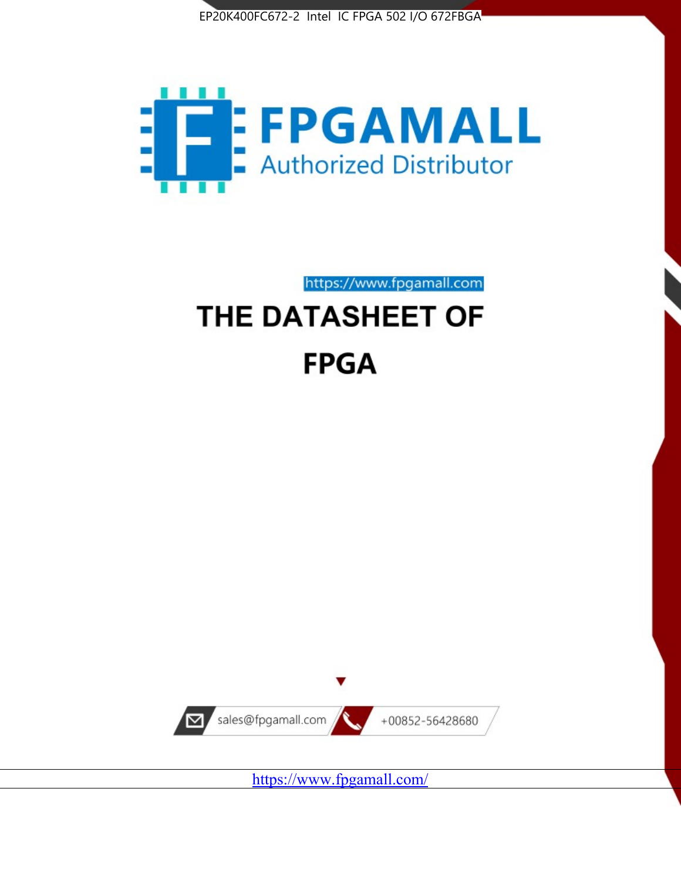



https://www.fpgamall.com

# THE DATASHEET OF **FPGA**



<https://www.fpgamall.com/>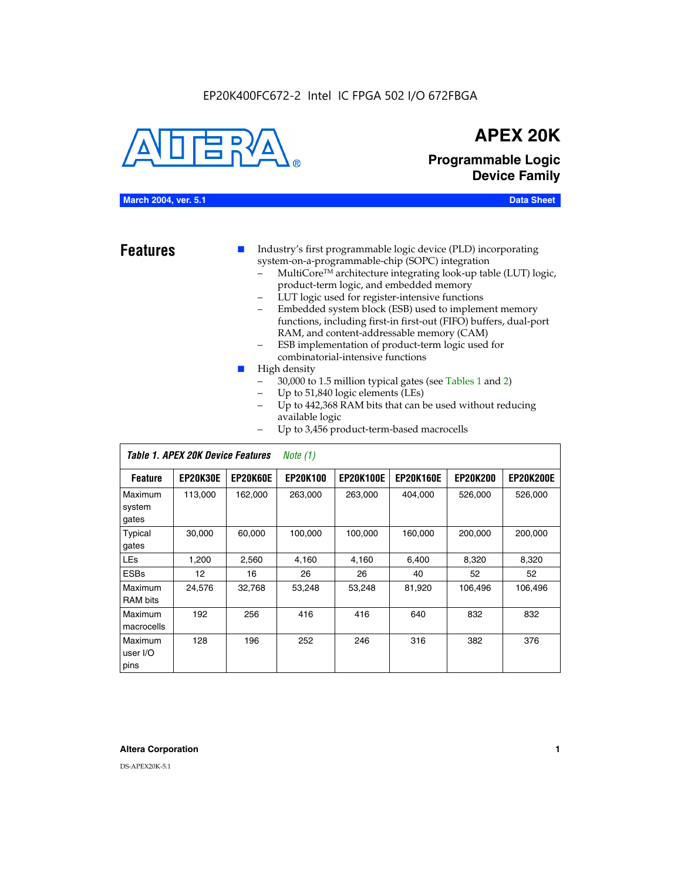#### EP20K400FC672-2 Intel IC FPGA 502 I/O 672FBGA



## **APEX 20K**

**Programmable Logic Device Family**

#### **March 2004, ver. 5.1 Data Sheet**

**Features ■** Industry's first programmable logic device (PLD) incorporating system-on-a-programmable-chip (SOPC) integration

- MultiCore™ architecture integrating look-up table (LUT) logic, product-term logic, and embedded memory
- LUT logic used for register-intensive functions
- Embedded system block (ESB) used to implement memory functions, including first-in first-out (FIFO) buffers, dual-port RAM, and content-addressable memory (CAM)
- ESB implementation of product-term logic used for combinatorial-intensive functions
- High density
	- 30,000 to 1.5 million typical gates (see Tables 1 and 2)
	- Up to 51,840 logic elements (LEs)
	- Up to 442,368 RAM bits that can be used without reducing available logic
	- Up to 3,456 product-term-based macrocells

|                             | Table 1. APEX 20K Device Features |          | Note $(1)$      |                  |                  |                 |                  |
|-----------------------------|-----------------------------------|----------|-----------------|------------------|------------------|-----------------|------------------|
| <b>Feature</b>              | <b>EP20K30E</b>                   | EP20K60E | <b>EP20K100</b> | <b>EP20K100E</b> | <b>EP20K160E</b> | <b>EP20K200</b> | <b>EP20K200E</b> |
| Maximum<br>system<br>gates  | 113,000                           | 162,000  | 263,000         | 263,000          | 404.000          | 526,000         | 526,000          |
| Typical<br>gates            | 30,000                            | 60.000   | 100,000         | 100,000          | 160,000          | 200,000         | 200,000          |
| <b>LEs</b>                  | 1,200                             | 2,560    | 4,160           | 4.160            | 6.400            | 8,320           | 8,320            |
| <b>ESBs</b>                 | 12                                | 16       | 26              | 26               | 40               | 52              | 52               |
| Maximum<br>RAM bits         | 24,576                            | 32,768   | 53,248          | 53,248           | 81,920           | 106,496         | 106,496          |
| Maximum<br>macrocells       | 192                               | 256      | 416             | 416              | 640              | 832             | 832              |
| Maximum<br>user I/O<br>pins | 128                               | 196      | 252             | 246              | 316              | 382             | 376              |

#### **Altera Corporation 1**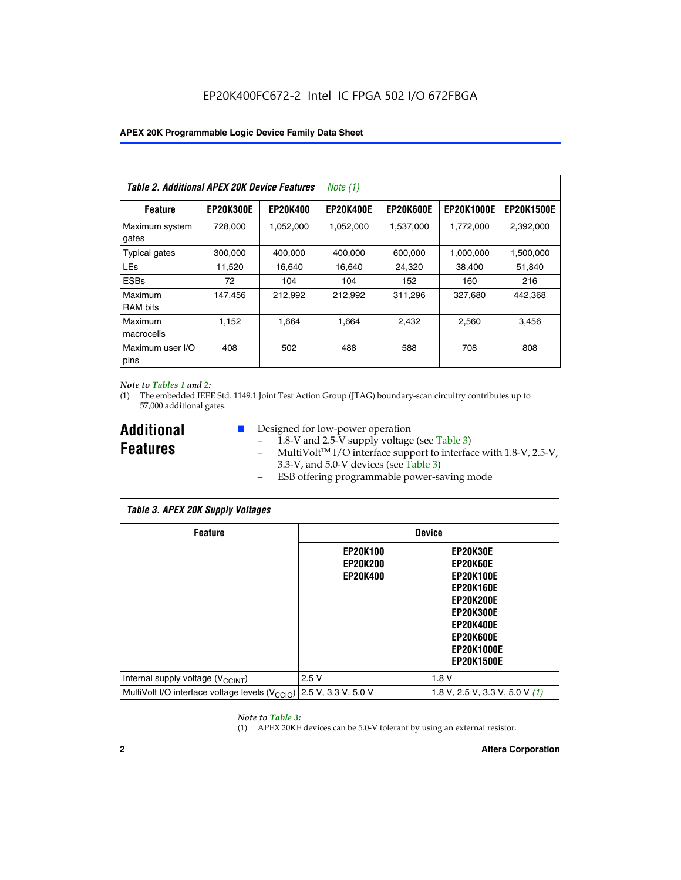| Table 2. Additional APEX 20K Device Features |                  |                 | <i>Note</i> $(1)$ |                  |                   |                   |
|----------------------------------------------|------------------|-----------------|-------------------|------------------|-------------------|-------------------|
| <b>Feature</b>                               | <b>EP20K300E</b> | <b>EP20K400</b> | <b>EP20K400E</b>  | <b>EP20K600E</b> | <b>EP20K1000E</b> | <b>EP20K1500E</b> |
| Maximum system<br>gates                      | 728,000          | 1,052,000       | 1,052,000         | 1,537,000        | 1,772,000         | 2,392,000         |
| <b>Typical gates</b>                         | 300,000          | 400,000         | 400,000           | 600,000          | 1,000,000         | 1,500,000         |
| <b>LEs</b>                                   | 11,520           | 16.640          | 16,640            | 24,320           | 38,400            | 51,840            |
| <b>ESBs</b>                                  | 72               | 104             | 104               | 152              | 160               | 216               |
| Maximum<br><b>RAM bits</b>                   | 147,456          | 212,992         | 212.992           | 311,296          | 327,680           | 442.368           |
| Maximum<br>macrocells                        | 1,152            | 1,664           | 1,664             | 2.432            | 2,560             | 3,456             |
| Maximum user I/O<br>pins                     | 408              | 502             | 488               | 588              | 708               | 808               |

#### *Note to Tables 1 and 2:*

(1) The embedded IEEE Std. 1149.1 Joint Test Action Group (JTAG) boundary-scan circuitry contributes up to 57,000 additional gates.

**Additional Features**

- Designed for low-power operation
	- 1.8-V and 2.5-V supply voltage (see Table 3)
	- $-$  MultiVolt<sup>TM</sup> I/O interface support to interface with 1.8-V, 2.5-V, 3.3-V, and 5.0-V devices (see Table 3)
	- ESB offering programmable power-saving mode

| <b>Table 3. APEX 20K Supply Voltages</b>                                       |                                                       |                                                                                                                                                                          |  |  |  |  |  |
|--------------------------------------------------------------------------------|-------------------------------------------------------|--------------------------------------------------------------------------------------------------------------------------------------------------------------------------|--|--|--|--|--|
| <b>Feature</b>                                                                 | <b>Device</b>                                         |                                                                                                                                                                          |  |  |  |  |  |
|                                                                                | <b>EP20K100</b><br><b>EP20K200</b><br><b>EP20K400</b> | EP20K30E<br>EP20K60E<br><b>EP20K100E</b><br><b>EP20K160E</b><br>EP20K200E<br><b>EP20K300E</b><br><b>EP20K400E</b><br>EP20K600E<br><b>EP20K1000E</b><br><b>EP20K1500E</b> |  |  |  |  |  |
| Internal supply voltage (V <sub>CCINT</sub> )                                  | 2.5V                                                  | 1.8V                                                                                                                                                                     |  |  |  |  |  |
| MultiVolt I/O interface voltage levels $(V_{\text{CCIO}})$ 2.5 V, 3.3 V, 5.0 V |                                                       | 1.8 V, 2.5 V, 3.3 V, 5.0 V $(1)$                                                                                                                                         |  |  |  |  |  |

#### *Note to Table 3:*

(1) APEX 20KE devices can be 5.0-V tolerant by using an external resistor.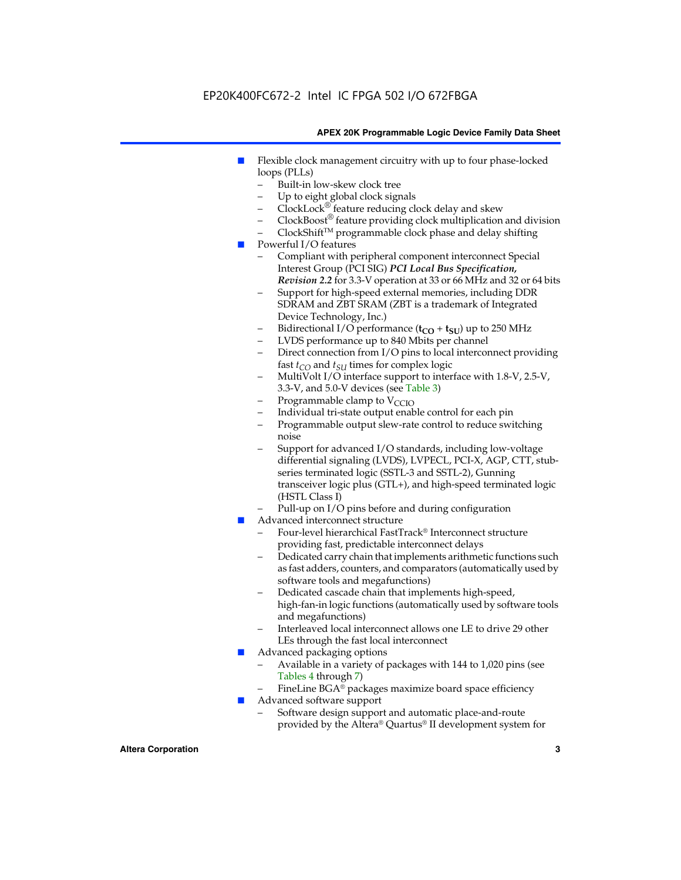### EP20K400FC672-2 Intel IC FPGA 502 I/O 672FBGA

#### **APEX 20K Programmable Logic Device Family Data Sheet**

- Flexible clock management circuitry with up to four phase-locked loops (PLLs)
	- Built-in low-skew clock tree
	- Up to eight global clock signals
	- $ClockLock^{\circledR}$  feature reducing clock delay and skew
	- $ClockBoost^{\circledR}$  feature providing clock multiplication and division
	- ClockShiftTM programmable clock phase and delay shifting
- Powerful I/O features
	- Compliant with peripheral component interconnect Special Interest Group (PCI SIG) *PCI Local Bus Specification, Revision 2.2* for 3.3-V operation at 33 or 66 MHz and 32 or 64 bits
	- Support for high-speed external memories, including DDR SDRAM and ZBT SRAM (ZBT is a trademark of Integrated Device Technology, Inc.)
	- Bidirectional I/O performance  $(t_{CO} + t_{SU})$  up to 250 MHz
	- LVDS performance up to 840 Mbits per channel
	- Direct connection from I/O pins to local interconnect providing fast  $t_{CO}$  and  $t_{SU}$  times for complex logic
	- MultiVolt I/O interface support to interface with 1.8-V, 2.5-V, 3.3-V, and 5.0-V devices (see Table 3)
	- Programmable clamp to  $V_{\text{C}CD}$
	- Individual tri-state output enable control for each pin
	- Programmable output slew-rate control to reduce switching noise
	- Support for advanced I/O standards, including low-voltage differential signaling (LVDS), LVPECL, PCI-X, AGP, CTT, stubseries terminated logic (SSTL-3 and SSTL-2), Gunning transceiver logic plus (GTL+), and high-speed terminated logic (HSTL Class I)
	- Pull-up on I/O pins before and during configuration
- Advanced interconnect structure
	- Four-level hierarchical FastTrack® Interconnect structure providing fast, predictable interconnect delays
	- Dedicated carry chain that implements arithmetic functions such as fast adders, counters, and comparators (automatically used by software tools and megafunctions)
	- Dedicated cascade chain that implements high-speed, high-fan-in logic functions (automatically used by software tools and megafunctions)
	- Interleaved local interconnect allows one LE to drive 29 other LEs through the fast local interconnect
- Advanced packaging options
	- Available in a variety of packages with 144 to 1,020 pins (see Tables 4 through 7)
	- FineLine BGA® packages maximize board space efficiency
- Advanced software support
	- Software design support and automatic place-and-route provided by the Altera® Quartus® II development system for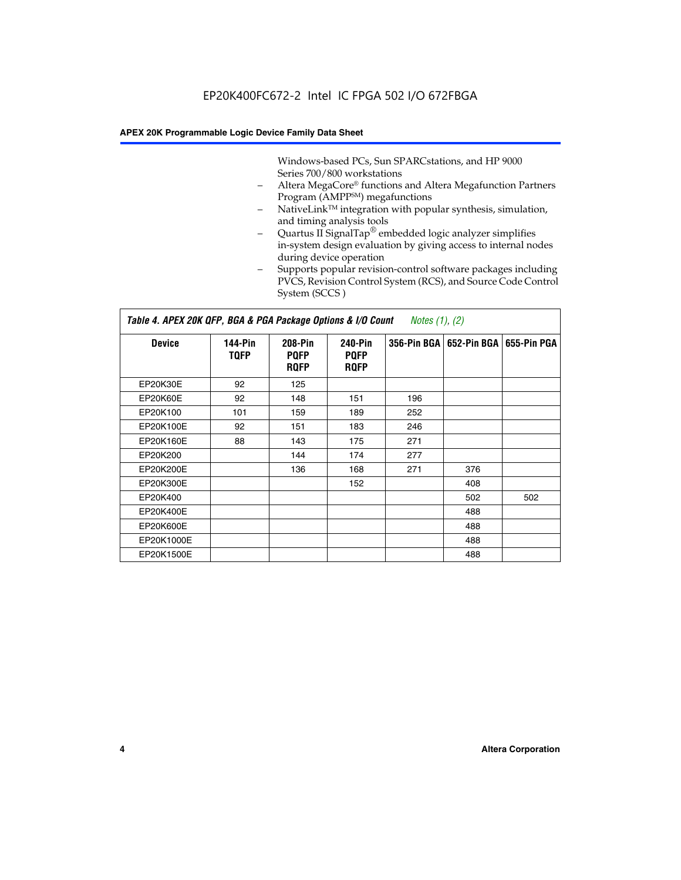Windows-based PCs, Sun SPARCstations, and HP 9000 Series 700/800 workstations

- Altera MegaCore® functions and Altera Megafunction Partners Program (AMPP<sup>SM</sup>) megafunctions
- NativeLink™ integration with popular synthesis, simulation, and timing analysis tools
- Quartus II SignalTap® embedded logic analyzer simplifies in-system design evaluation by giving access to internal nodes during device operation
- Supports popular revision-control software packages including PVCS, Revision Control System (RCS), and Source Code Control System (SCCS )

#### *Table 4. APEX 20K QFP, BGA & PGA Package Options & I/O Count Notes (1), (2)*

| <b>Device</b>   | 144-Pin<br><b>TQFP</b> | 208-Pin<br><b>PQFP</b><br><b>ROFP</b> | 240-Pin<br><b>PQFP</b><br><b>ROFP</b> |     | 356-Pin BGA   652-Pin BGA | 655-Pin PGA |
|-----------------|------------------------|---------------------------------------|---------------------------------------|-----|---------------------------|-------------|
| EP20K30E        | 92                     | 125                                   |                                       |     |                           |             |
| <b>EP20K60E</b> | 92                     | 148                                   | 151                                   | 196 |                           |             |
| EP20K100        | 101                    | 159                                   | 189                                   | 252 |                           |             |
| EP20K100E       | 92                     | 151                                   | 183                                   | 246 |                           |             |
| EP20K160E       | 88                     | 143                                   | 175                                   | 271 |                           |             |
| EP20K200        |                        | 144                                   | 174                                   | 277 |                           |             |
| EP20K200E       |                        | 136                                   | 168                                   | 271 | 376                       |             |
| EP20K300E       |                        |                                       | 152                                   |     | 408                       |             |
| EP20K400        |                        |                                       |                                       |     | 502                       | 502         |
| EP20K400E       |                        |                                       |                                       |     | 488                       |             |
| EP20K600E       |                        |                                       |                                       |     | 488                       |             |
| EP20K1000E      |                        |                                       |                                       |     | 488                       |             |
| EP20K1500E      |                        |                                       |                                       |     | 488                       |             |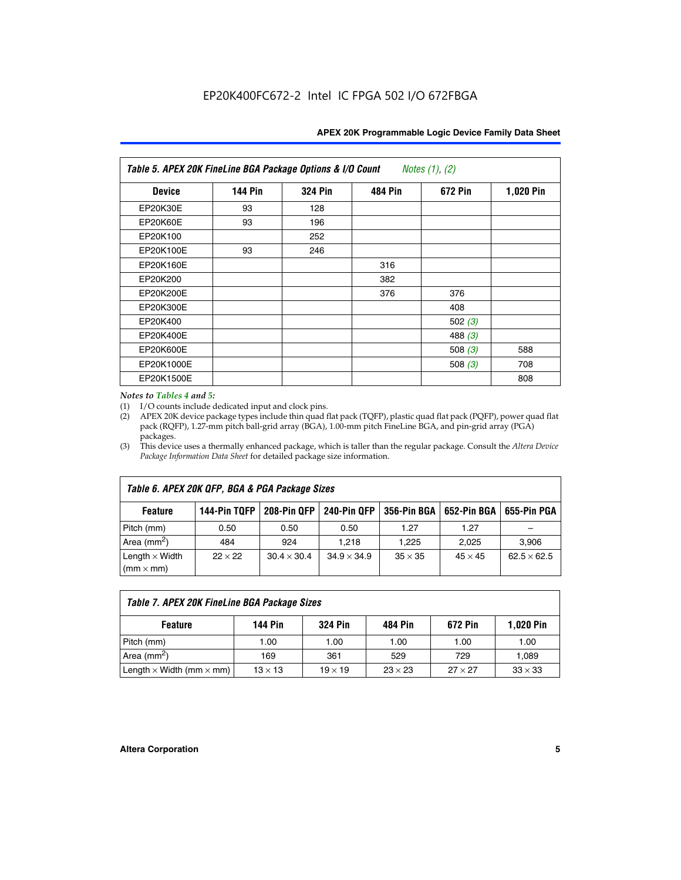| APEX 20K Programmable Logic Device Family Data Sheet |  |  |
|------------------------------------------------------|--|--|
|------------------------------------------------------|--|--|

| Table 5. APEX 20K FineLine BGA Package Options & I/O Count<br>Notes $(1)$ , $(2)$ |                |                |                |           |           |  |  |
|-----------------------------------------------------------------------------------|----------------|----------------|----------------|-----------|-----------|--|--|
| <b>Device</b>                                                                     | <b>144 Pin</b> | <b>324 Pin</b> | <b>484 Pin</b> | 672 Pin   | 1,020 Pin |  |  |
| EP20K30E                                                                          | 93             | 128            |                |           |           |  |  |
| <b>EP20K60E</b>                                                                   | 93             | 196            |                |           |           |  |  |
| EP20K100                                                                          |                | 252            |                |           |           |  |  |
| EP20K100E                                                                         | 93             | 246            |                |           |           |  |  |
| EP20K160E                                                                         |                |                | 316            |           |           |  |  |
| EP20K200                                                                          |                |                | 382            |           |           |  |  |
| EP20K200E                                                                         |                |                | 376            | 376       |           |  |  |
| EP20K300E                                                                         |                |                |                | 408       |           |  |  |
| EP20K400                                                                          |                |                |                | 502 $(3)$ |           |  |  |
| EP20K400E                                                                         |                |                |                | 488 $(3)$ |           |  |  |
| EP20K600E                                                                         |                |                |                | 508 $(3)$ | 588       |  |  |
| EP20K1000E                                                                        |                |                |                | 508 $(3)$ | 708       |  |  |
| EP20K1500E                                                                        |                |                |                |           | 808       |  |  |

#### *Notes to Tables 4 and 5:*

(1) I/O counts include dedicated input and clock pins.

(2) APEX 20K device package types include thin quad flat pack (TQFP), plastic quad flat pack (PQFP), power quad flat pack (RQFP), 1.27-mm pitch ball-grid array (BGA), 1.00-mm pitch FineLine BGA, and pin-grid array (PGA) packages.

(3) This device uses a thermally enhanced package, which is taller than the regular package. Consult the *Altera Device Package Information Data Sheet* for detailed package size information.

| Table 6. APEX 20K QFP, BGA & PGA Package Sizes                                                            |                |                    |                    |                |                |                    |  |  |
|-----------------------------------------------------------------------------------------------------------|----------------|--------------------|--------------------|----------------|----------------|--------------------|--|--|
| 208-Pin QFP<br>240-Pin QFP<br>652-Pin BGA<br>144-Pin TQFP<br>356-Pin BGA<br>655-Pin PGA<br><b>Feature</b> |                |                    |                    |                |                |                    |  |  |
| Pitch (mm)                                                                                                | 0.50           | 0.50               | 0.50               | 1.27           | 1.27           |                    |  |  |
| Area ( $mm2$ )                                                                                            | 484            | 924                | 1.218              | 1.225          | 2.025          | 3,906              |  |  |
| Length $\times$ Width<br>$(mm \times mm)$                                                                 | $22 \times 22$ | $30.4 \times 30.4$ | $34.9 \times 34.9$ | $35 \times 35$ | $45 \times 45$ | $62.5 \times 62.5$ |  |  |

| Table 7. APEX 20K FineLine BGA Package Sizes |                |                |                |                |                  |  |  |  |
|----------------------------------------------|----------------|----------------|----------------|----------------|------------------|--|--|--|
| <b>Feature</b>                               | 144 Pin        | <b>324 Pin</b> | 484 Pin        | 672 Pin        | <b>1,020 Pin</b> |  |  |  |
| Pitch (mm)                                   | 1.00           | 1.00           | 1.00           | 1.00           | 1.00             |  |  |  |
| Area ( $mm2$ )                               | 169            | 361            | 529            | 729            | 1,089            |  |  |  |
| Length $\times$ Width (mm $\times$ mm)       | $13 \times 13$ | $19 \times 19$ | $23 \times 23$ | $27 \times 27$ | $33 \times 33$   |  |  |  |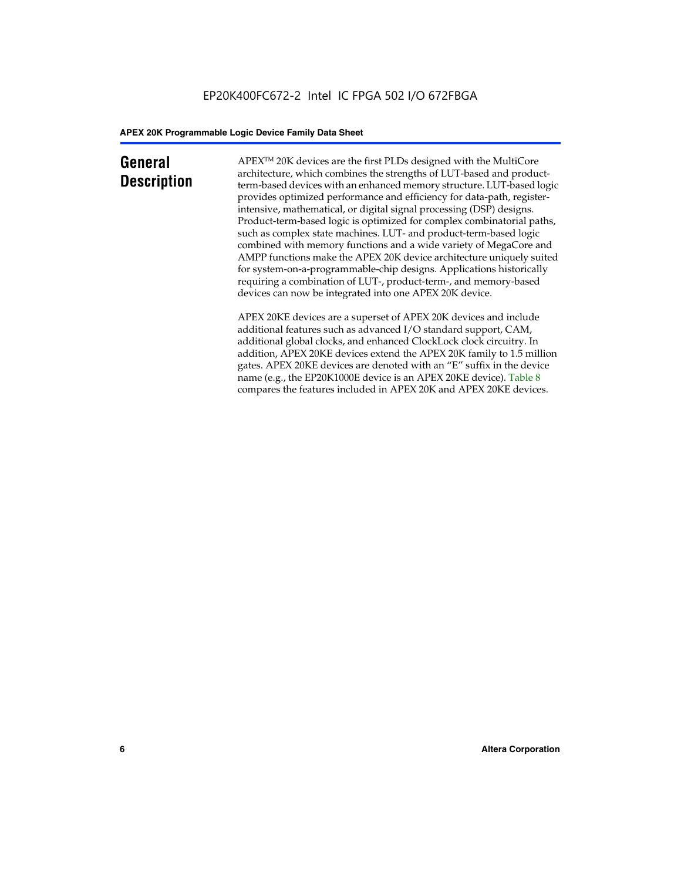### **General Description**

APEXTM 20K devices are the first PLDs designed with the MultiCore architecture, which combines the strengths of LUT-based and productterm-based devices with an enhanced memory structure. LUT-based logic provides optimized performance and efficiency for data-path, registerintensive, mathematical, or digital signal processing (DSP) designs. Product-term-based logic is optimized for complex combinatorial paths, such as complex state machines. LUT- and product-term-based logic combined with memory functions and a wide variety of MegaCore and AMPP functions make the APEX 20K device architecture uniquely suited for system-on-a-programmable-chip designs. Applications historically requiring a combination of LUT-, product-term-, and memory-based devices can now be integrated into one APEX 20K device.

APEX 20KE devices are a superset of APEX 20K devices and include additional features such as advanced I/O standard support, CAM, additional global clocks, and enhanced ClockLock clock circuitry. In addition, APEX 20KE devices extend the APEX 20K family to 1.5 million gates. APEX 20KE devices are denoted with an "E" suffix in the device name (e.g., the EP20K1000E device is an APEX 20KE device). Table 8 compares the features included in APEX 20K and APEX 20KE devices.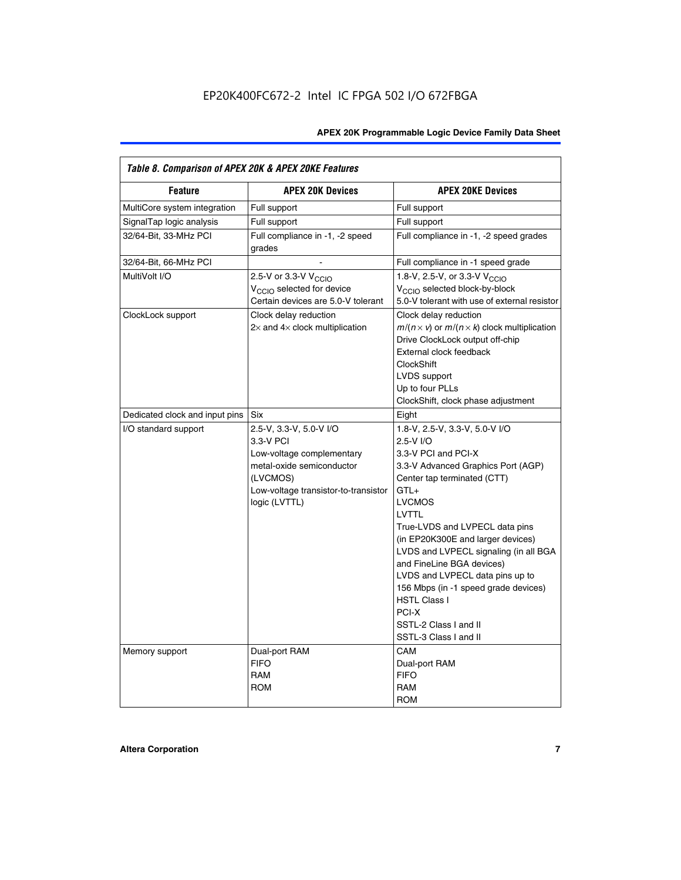| Table 8. Comparison of APEX 20K & APEX 20KE Features |                                                                                                                                                                     |                                                                                                                                                                                                                                                                                                                                                                                                                                                                                       |  |  |  |  |
|------------------------------------------------------|---------------------------------------------------------------------------------------------------------------------------------------------------------------------|---------------------------------------------------------------------------------------------------------------------------------------------------------------------------------------------------------------------------------------------------------------------------------------------------------------------------------------------------------------------------------------------------------------------------------------------------------------------------------------|--|--|--|--|
| <b>Feature</b>                                       | <b>APEX 20K Devices</b>                                                                                                                                             | <b>APEX 20KE Devices</b>                                                                                                                                                                                                                                                                                                                                                                                                                                                              |  |  |  |  |
| MultiCore system integration                         | Full support                                                                                                                                                        | Full support                                                                                                                                                                                                                                                                                                                                                                                                                                                                          |  |  |  |  |
| SignalTap logic analysis                             | Full support                                                                                                                                                        | Full support                                                                                                                                                                                                                                                                                                                                                                                                                                                                          |  |  |  |  |
| 32/64-Bit, 33-MHz PCI                                | Full compliance in -1, -2 speed<br>grades                                                                                                                           | Full compliance in -1, -2 speed grades                                                                                                                                                                                                                                                                                                                                                                                                                                                |  |  |  |  |
| 32/64-Bit, 66-MHz PCI                                |                                                                                                                                                                     | Full compliance in -1 speed grade                                                                                                                                                                                                                                                                                                                                                                                                                                                     |  |  |  |  |
| MultiVolt I/O                                        | 2.5-V or 3.3-V V <sub>CCIO</sub><br>V <sub>CCIO</sub> selected for device<br>Certain devices are 5.0-V tolerant                                                     | 1.8-V, 2.5-V, or 3.3-V V <sub>CCIO</sub><br>V <sub>CCIO</sub> selected block-by-block<br>5.0-V tolerant with use of external resistor                                                                                                                                                                                                                                                                                                                                                 |  |  |  |  |
| ClockLock support                                    | Clock delay reduction<br>$2\times$ and $4\times$ clock multiplication                                                                                               | Clock delay reduction<br>$m/(n \times v)$ or $m/(n \times k)$ clock multiplication<br>Drive ClockLock output off-chip<br>External clock feedback<br><b>ClockShift</b><br>LVDS support<br>Up to four PLLs<br>ClockShift, clock phase adjustment                                                                                                                                                                                                                                        |  |  |  |  |
| Dedicated clock and input pins                       | <b>Six</b>                                                                                                                                                          | Eight                                                                                                                                                                                                                                                                                                                                                                                                                                                                                 |  |  |  |  |
| I/O standard support                                 | 2.5-V, 3.3-V, 5.0-V I/O<br>3.3-V PCI<br>Low-voltage complementary<br>metal-oxide semiconductor<br>(LVCMOS)<br>Low-voltage transistor-to-transistor<br>logic (LVTTL) | 1.8-V, 2.5-V, 3.3-V, 5.0-V I/O<br>2.5-V I/O<br>3.3-V PCI and PCI-X<br>3.3-V Advanced Graphics Port (AGP)<br>Center tap terminated (CTT)<br>$GTL+$<br><b>LVCMOS</b><br>LVTTL<br>True-LVDS and LVPECL data pins<br>(in EP20K300E and larger devices)<br>LVDS and LVPECL signaling (in all BGA<br>and FineLine BGA devices)<br>LVDS and LVPECL data pins up to<br>156 Mbps (in -1 speed grade devices)<br><b>HSTL Class I</b><br>PCI-X<br>SSTL-2 Class I and II<br>SSTL-3 Class I and II |  |  |  |  |
| Memory support                                       | Dual-port RAM<br><b>FIFO</b><br><b>RAM</b><br><b>ROM</b>                                                                                                            | CAM<br>Dual-port RAM<br><b>FIFO</b><br>RAM<br><b>ROM</b>                                                                                                                                                                                                                                                                                                                                                                                                                              |  |  |  |  |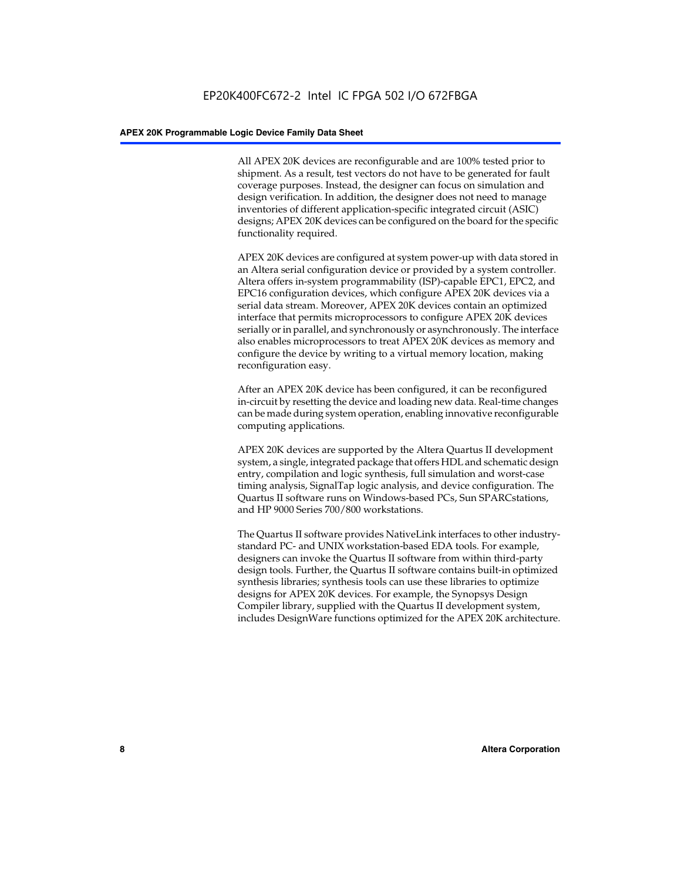All APEX 20K devices are reconfigurable and are 100% tested prior to shipment. As a result, test vectors do not have to be generated for fault coverage purposes. Instead, the designer can focus on simulation and design verification. In addition, the designer does not need to manage inventories of different application-specific integrated circuit (ASIC) designs; APEX 20K devices can be configured on the board for the specific functionality required.

APEX 20K devices are configured at system power-up with data stored in an Altera serial configuration device or provided by a system controller. Altera offers in-system programmability (ISP)-capable EPC1, EPC2, and EPC16 configuration devices, which configure APEX 20K devices via a serial data stream. Moreover, APEX 20K devices contain an optimized interface that permits microprocessors to configure APEX 20K devices serially or in parallel, and synchronously or asynchronously. The interface also enables microprocessors to treat APEX 20K devices as memory and configure the device by writing to a virtual memory location, making reconfiguration easy.

After an APEX 20K device has been configured, it can be reconfigured in-circuit by resetting the device and loading new data. Real-time changes can be made during system operation, enabling innovative reconfigurable computing applications.

APEX 20K devices are supported by the Altera Quartus II development system, a single, integrated package that offers HDL and schematic design entry, compilation and logic synthesis, full simulation and worst-case timing analysis, SignalTap logic analysis, and device configuration. The Quartus II software runs on Windows-based PCs, Sun SPARCstations, and HP 9000 Series 700/800 workstations.

The Quartus II software provides NativeLink interfaces to other industrystandard PC- and UNIX workstation-based EDA tools. For example, designers can invoke the Quartus II software from within third-party design tools. Further, the Quartus II software contains built-in optimized synthesis libraries; synthesis tools can use these libraries to optimize designs for APEX 20K devices. For example, the Synopsys Design Compiler library, supplied with the Quartus II development system, includes DesignWare functions optimized for the APEX 20K architecture.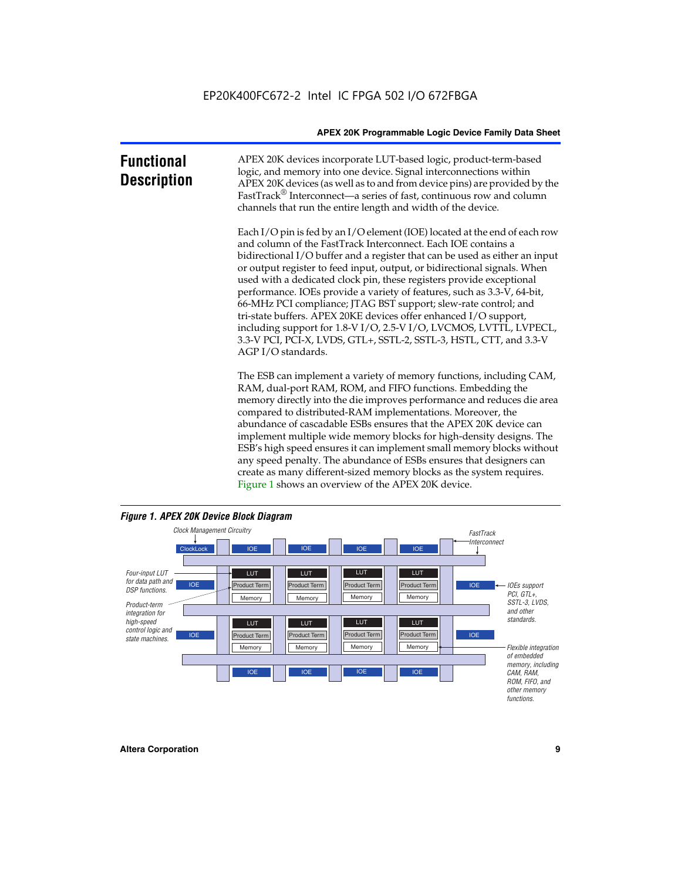| <b>Functional</b><br><b>Description</b> | APEX 20K devices incorporate LUT-based logic, product-term-based<br>logic, and memory into one device. Signal interconnections within<br>APEX 20K devices (as well as to and from device pins) are provided by the<br>FastTrack <sup>®</sup> Interconnect—a series of fast, continuous row and column<br>channels that run the entire length and width of the device.                                                                                                                                                                                                                                                                                                                                                                                              |
|-----------------------------------------|--------------------------------------------------------------------------------------------------------------------------------------------------------------------------------------------------------------------------------------------------------------------------------------------------------------------------------------------------------------------------------------------------------------------------------------------------------------------------------------------------------------------------------------------------------------------------------------------------------------------------------------------------------------------------------------------------------------------------------------------------------------------|
|                                         | Each I/O pin is fed by an I/O element (IOE) located at the end of each row<br>and column of the FastTrack Interconnect. Each IOE contains a<br>bidirectional I/O buffer and a register that can be used as either an input<br>or output register to feed input, output, or bidirectional signals. When<br>used with a dedicated clock pin, these registers provide exceptional<br>performance. IOEs provide a variety of features, such as 3.3-V, 64-bit,<br>66-MHz PCI compliance; JTAG BST support; slew-rate control; and<br>tri-state buffers. APEX 20KE devices offer enhanced I/O support,<br>including support for 1.8-V I/O, 2.5-V I/O, LVCMOS, LVTTL, LVPECL,<br>3.3-V PCI, PCI-X, LVDS, GTL+, SSTL-2, SSTL-3, HSTL, CTT, and 3.3-V<br>AGP I/O standards. |
|                                         | The ESB can implement a variety of memory functions, including CAM,<br>RAM, dual-port RAM, ROM, and FIFO functions. Embedding the<br>memory directly into the die improves performance and reduces die area<br>compared to distributed-RAM implementations. Moreover, the<br>abundance of cascadable ESBs ensures that the APEX 20K device can<br>implement multiple wide memory blocks for high-density designs. The<br>ESB's high speed ensures it can implement small memory blocks without<br>any speed penalty. The abundance of ESBs ensures that designers can<br>create as many different-sized memory blocks as the system requires.                                                                                                                      |



Figure 1 shows an overview of the APEX 20K device.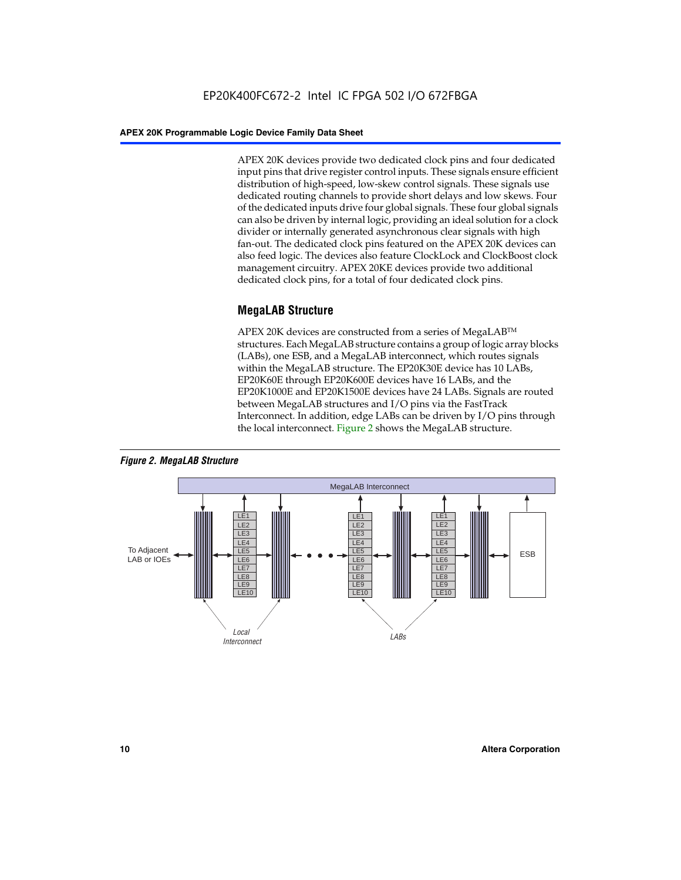APEX 20K devices provide two dedicated clock pins and four dedicated input pins that drive register control inputs. These signals ensure efficient distribution of high-speed, low-skew control signals. These signals use dedicated routing channels to provide short delays and low skews. Four of the dedicated inputs drive four global signals. These four global signals can also be driven by internal logic, providing an ideal solution for a clock divider or internally generated asynchronous clear signals with high fan-out. The dedicated clock pins featured on the APEX 20K devices can also feed logic. The devices also feature ClockLock and ClockBoost clock management circuitry. APEX 20KE devices provide two additional dedicated clock pins, for a total of four dedicated clock pins.

#### **MegaLAB Structure**

APEX 20K devices are constructed from a series of MegaLAB<sup>™</sup> structures. Each MegaLAB structure contains a group of logic array blocks (LABs), one ESB, and a MegaLAB interconnect, which routes signals within the MegaLAB structure. The EP20K30E device has 10 LABs, EP20K60E through EP20K600E devices have 16 LABs, and the EP20K1000E and EP20K1500E devices have 24 LABs. Signals are routed between MegaLAB structures and I/O pins via the FastTrack Interconnect. In addition, edge LABs can be driven by I/O pins through the local interconnect. Figure 2 shows the MegaLAB structure.



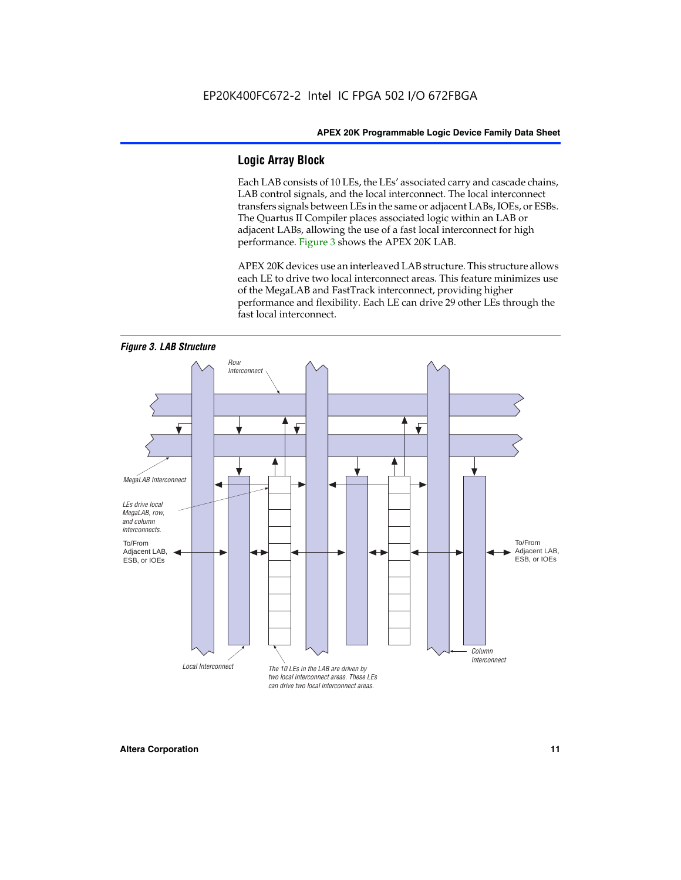#### **Logic Array Block**

Each LAB consists of 10 LEs, the LEs' associated carry and cascade chains, LAB control signals, and the local interconnect. The local interconnect transfers signals between LEs in the same or adjacent LABs, IOEs, or ESBs. The Quartus II Compiler places associated logic within an LAB or adjacent LABs, allowing the use of a fast local interconnect for high performance. Figure 3 shows the APEX 20K LAB.

APEX 20K devices use an interleaved LAB structure. This structure allows each LE to drive two local interconnect areas. This feature minimizes use of the MegaLAB and FastTrack interconnect, providing higher performance and flexibility. Each LE can drive 29 other LEs through the fast local interconnect.

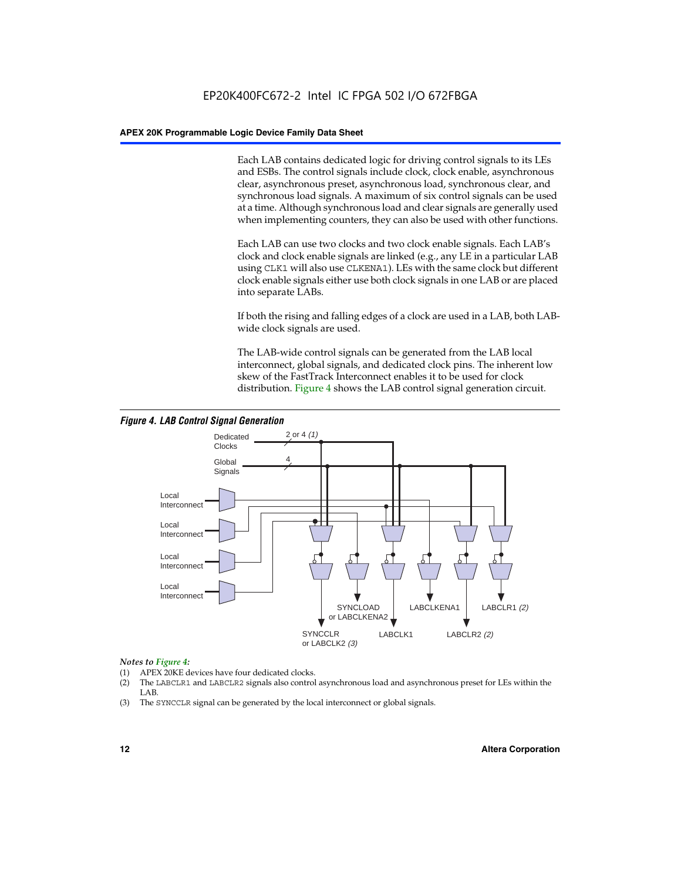Each LAB contains dedicated logic for driving control signals to its LEs and ESBs. The control signals include clock, clock enable, asynchronous clear, asynchronous preset, asynchronous load, synchronous clear, and synchronous load signals. A maximum of six control signals can be used at a time. Although synchronous load and clear signals are generally used when implementing counters, they can also be used with other functions.

Each LAB can use two clocks and two clock enable signals. Each LAB's clock and clock enable signals are linked (e.g., any LE in a particular LAB using CLK1 will also use CLKENA1). LEs with the same clock but different clock enable signals either use both clock signals in one LAB or are placed into separate LABs.

If both the rising and falling edges of a clock are used in a LAB, both LABwide clock signals are used.

The LAB-wide control signals can be generated from the LAB local interconnect, global signals, and dedicated clock pins. The inherent low skew of the FastTrack Interconnect enables it to be used for clock distribution. Figure 4 shows the LAB control signal generation circuit.



#### *Figure 4. LAB Control Signal Generation*

#### *Notes to Figure 4:*

- (1) APEX 20KE devices have four dedicated clocks.
- (2) The LABCLR1 and LABCLR2 signals also control asynchronous load and asynchronous preset for LEs within the LAB.
- (3) The SYNCCLR signal can be generated by the local interconnect or global signals.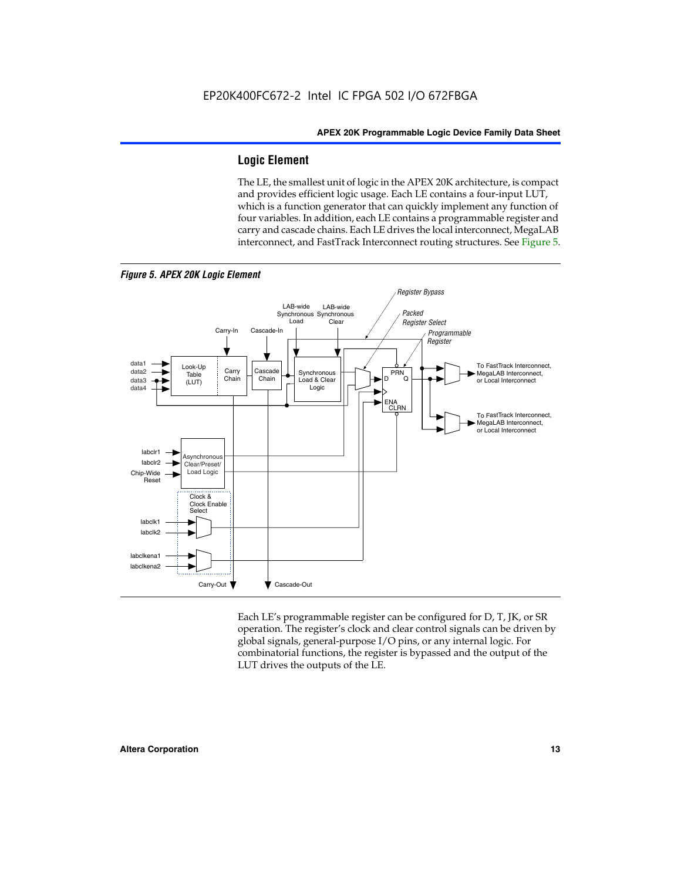#### **Logic Element**

The LE, the smallest unit of logic in the APEX 20K architecture, is compact and provides efficient logic usage. Each LE contains a four-input LUT, which is a function generator that can quickly implement any function of four variables. In addition, each LE contains a programmable register and carry and cascade chains. Each LE drives the local interconnect, MegaLAB interconnect, and FastTrack Interconnect routing structures. See Figure 5.



Each LE's programmable register can be configured for D, T, JK, or SR operation. The register's clock and clear control signals can be driven by global signals, general-purpose I/O pins, or any internal logic. For combinatorial functions, the register is bypassed and the output of the LUT drives the outputs of the LE.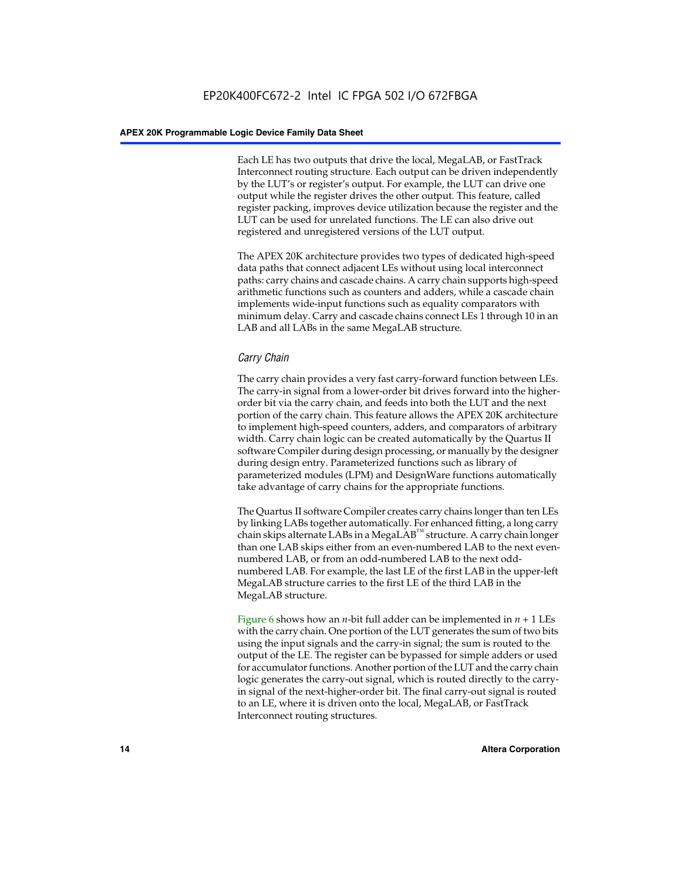Each LE has two outputs that drive the local, MegaLAB, or FastTrack Interconnect routing structure. Each output can be driven independently by the LUT's or register's output. For example, the LUT can drive one output while the register drives the other output. This feature, called register packing, improves device utilization because the register and the LUT can be used for unrelated functions. The LE can also drive out registered and unregistered versions of the LUT output.

The APEX 20K architecture provides two types of dedicated high-speed data paths that connect adjacent LEs without using local interconnect paths: carry chains and cascade chains. A carry chain supports high-speed arithmetic functions such as counters and adders, while a cascade chain implements wide-input functions such as equality comparators with minimum delay. Carry and cascade chains connect LEs 1 through 10 in an LAB and all LABs in the same MegaLAB structure.

#### *Carry Chain*

The carry chain provides a very fast carry-forward function between LEs. The carry-in signal from a lower-order bit drives forward into the higherorder bit via the carry chain, and feeds into both the LUT and the next portion of the carry chain. This feature allows the APEX 20K architecture to implement high-speed counters, adders, and comparators of arbitrary width. Carry chain logic can be created automatically by the Quartus II software Compiler during design processing, or manually by the designer during design entry. Parameterized functions such as library of parameterized modules (LPM) and DesignWare functions automatically take advantage of carry chains for the appropriate functions.

The Quartus II software Compiler creates carry chains longer than ten LEs by linking LABs together automatically. For enhanced fitting, a long carry chain skips alternate LABs in a MegaLAB<sup>™</sup> structure. A carry chain longer than one LAB skips either from an even-numbered LAB to the next evennumbered LAB, or from an odd-numbered LAB to the next oddnumbered LAB. For example, the last LE of the first LAB in the upper-left MegaLAB structure carries to the first LE of the third LAB in the MegaLAB structure.

Figure 6 shows how an *n*-bit full adder can be implemented in *n* + 1 LEs with the carry chain. One portion of the LUT generates the sum of two bits using the input signals and the carry-in signal; the sum is routed to the output of the LE. The register can be bypassed for simple adders or used for accumulator functions. Another portion of the LUT and the carry chain logic generates the carry-out signal, which is routed directly to the carryin signal of the next-higher-order bit. The final carry-out signal is routed to an LE, where it is driven onto the local, MegaLAB, or FastTrack Interconnect routing structures.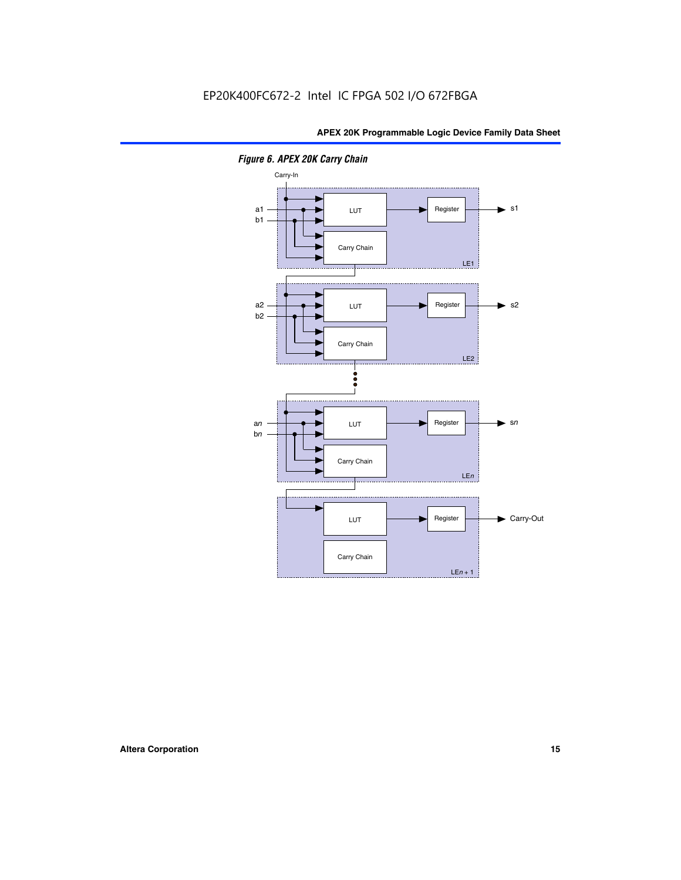

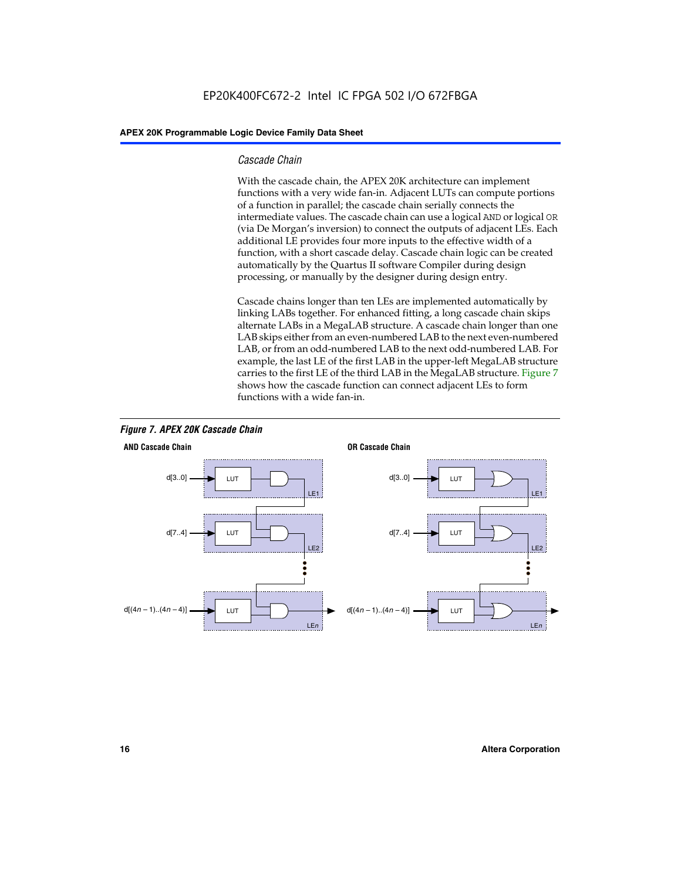#### *Cascade Chain*

With the cascade chain, the APEX 20K architecture can implement functions with a very wide fan-in. Adjacent LUTs can compute portions of a function in parallel; the cascade chain serially connects the intermediate values. The cascade chain can use a logical AND or logical OR (via De Morgan's inversion) to connect the outputs of adjacent LEs. Each additional LE provides four more inputs to the effective width of a function, with a short cascade delay. Cascade chain logic can be created automatically by the Quartus II software Compiler during design processing, or manually by the designer during design entry.

Cascade chains longer than ten LEs are implemented automatically by linking LABs together. For enhanced fitting, a long cascade chain skips alternate LABs in a MegaLAB structure. A cascade chain longer than one LAB skips either from an even-numbered LAB to the next even-numbered LAB, or from an odd-numbered LAB to the next odd-numbered LAB. For example, the last LE of the first LAB in the upper-left MegaLAB structure carries to the first LE of the third LAB in the MegaLAB structure. Figure 7 shows how the cascade function can connect adjacent LEs to form functions with a wide fan-in.



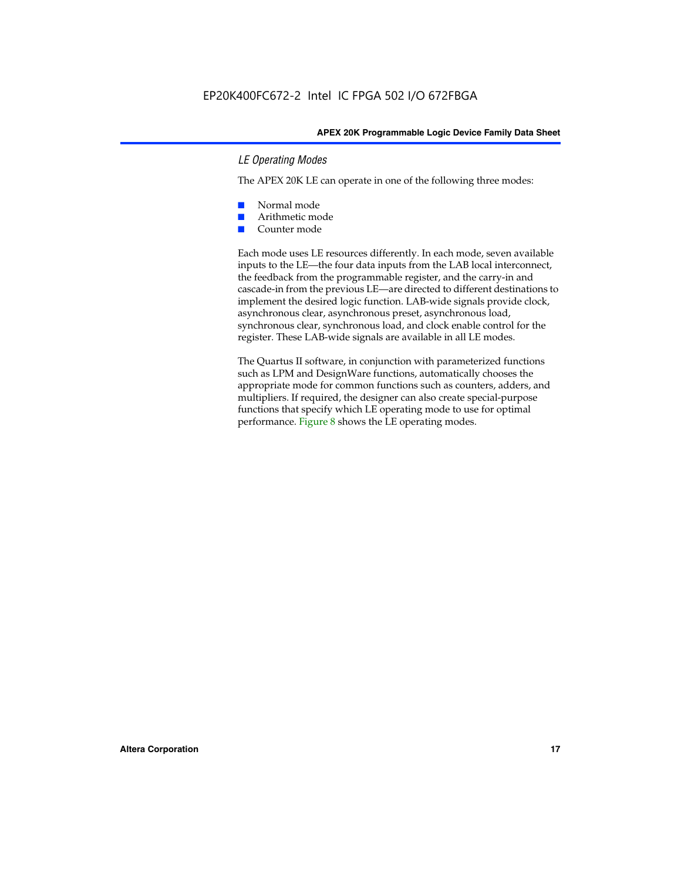#### *LE Operating Modes*

The APEX 20K LE can operate in one of the following three modes:

- Normal mode
- Arithmetic mode
- Counter mode

Each mode uses LE resources differently. In each mode, seven available inputs to the LE—the four data inputs from the LAB local interconnect, the feedback from the programmable register, and the carry-in and cascade-in from the previous LE—are directed to different destinations to implement the desired logic function. LAB-wide signals provide clock, asynchronous clear, asynchronous preset, asynchronous load, synchronous clear, synchronous load, and clock enable control for the register. These LAB-wide signals are available in all LE modes.

The Quartus II software, in conjunction with parameterized functions such as LPM and DesignWare functions, automatically chooses the appropriate mode for common functions such as counters, adders, and multipliers. If required, the designer can also create special-purpose functions that specify which LE operating mode to use for optimal performance. Figure 8 shows the LE operating modes.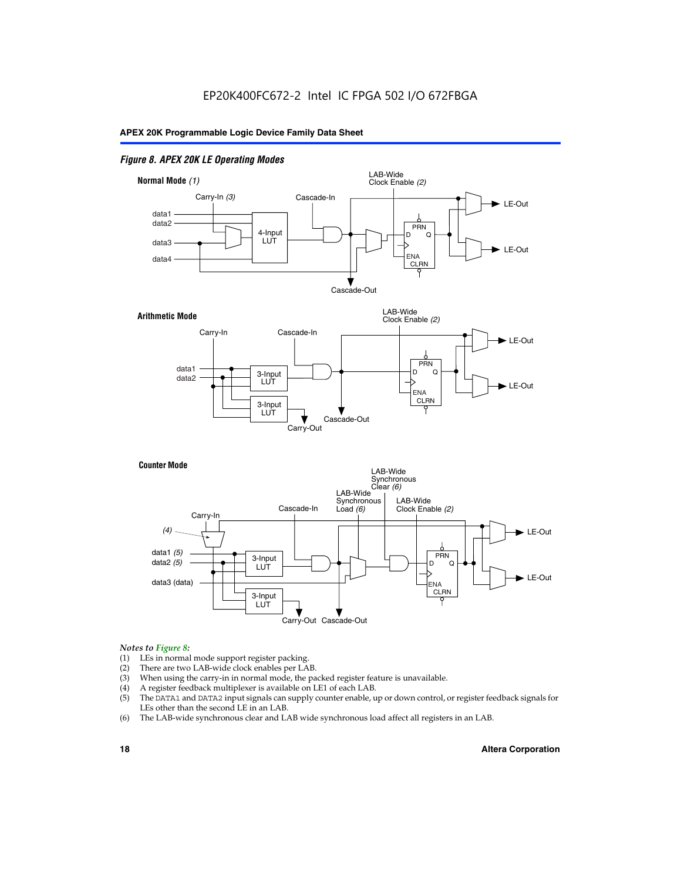#### *Figure 8. APEX 20K LE Operating Modes*



#### *Notes to Figure 8:*

- (1) LEs in normal mode support register packing.
- (2) There are two LAB-wide clock enables per LAB.
- (3) When using the carry-in in normal mode, the packed register feature is unavailable.
- (4) A register feedback multiplexer is available on LE1 of each LAB.
- (5) The DATA1 and DATA2 input signals can supply counter enable, up or down control, or register feedback signals for LEs other than the second LE in an LAB.
- (6) The LAB-wide synchronous clear and LAB wide synchronous load affect all registers in an LAB.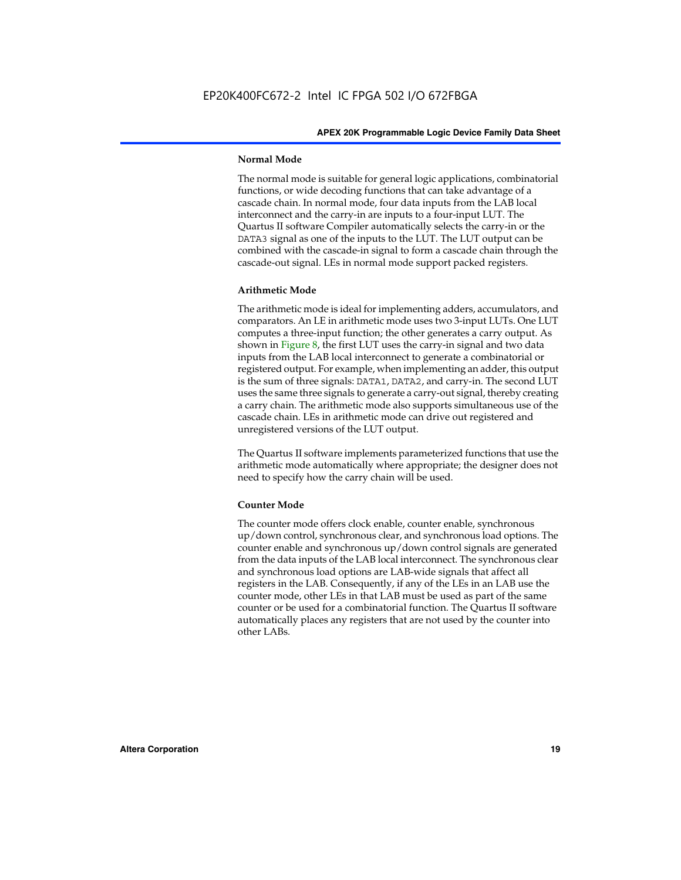#### **Normal Mode**

The normal mode is suitable for general logic applications, combinatorial functions, or wide decoding functions that can take advantage of a cascade chain. In normal mode, four data inputs from the LAB local interconnect and the carry-in are inputs to a four-input LUT. The Quartus II software Compiler automatically selects the carry-in or the DATA3 signal as one of the inputs to the LUT. The LUT output can be combined with the cascade-in signal to form a cascade chain through the cascade-out signal. LEs in normal mode support packed registers.

#### **Arithmetic Mode**

The arithmetic mode is ideal for implementing adders, accumulators, and comparators. An LE in arithmetic mode uses two 3-input LUTs. One LUT computes a three-input function; the other generates a carry output. As shown in Figure 8, the first LUT uses the carry-in signal and two data inputs from the LAB local interconnect to generate a combinatorial or registered output. For example, when implementing an adder, this output is the sum of three signals: DATA1, DATA2, and carry-in. The second LUT uses the same three signals to generate a carry-out signal, thereby creating a carry chain. The arithmetic mode also supports simultaneous use of the cascade chain. LEs in arithmetic mode can drive out registered and unregistered versions of the LUT output.

The Quartus II software implements parameterized functions that use the arithmetic mode automatically where appropriate; the designer does not need to specify how the carry chain will be used.

#### **Counter Mode**

The counter mode offers clock enable, counter enable, synchronous up/down control, synchronous clear, and synchronous load options. The counter enable and synchronous up/down control signals are generated from the data inputs of the LAB local interconnect. The synchronous clear and synchronous load options are LAB-wide signals that affect all registers in the LAB. Consequently, if any of the LEs in an LAB use the counter mode, other LEs in that LAB must be used as part of the same counter or be used for a combinatorial function. The Quartus II software automatically places any registers that are not used by the counter into other LABs.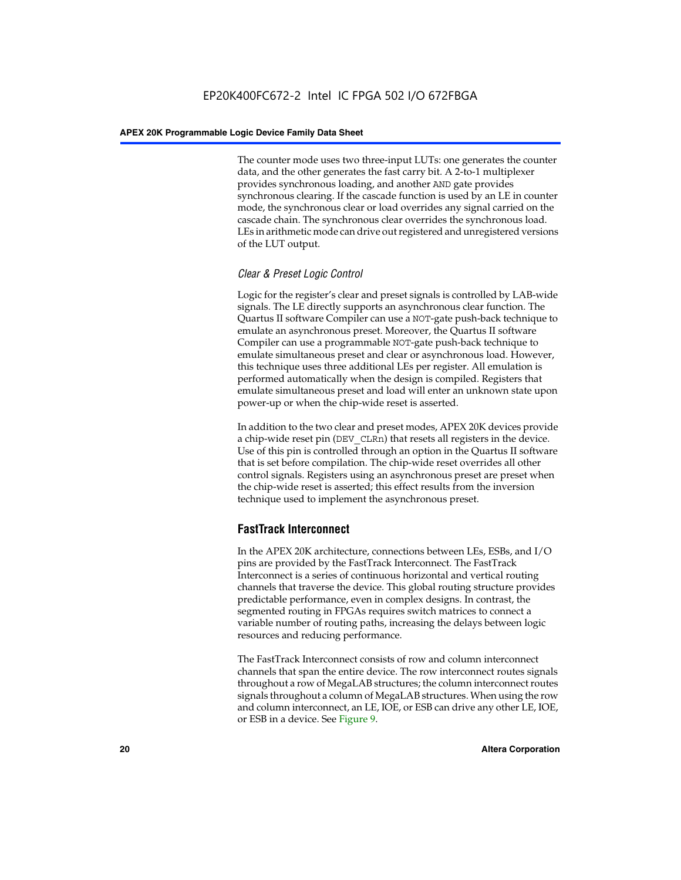The counter mode uses two three-input LUTs: one generates the counter data, and the other generates the fast carry bit. A 2-to-1 multiplexer provides synchronous loading, and another AND gate provides synchronous clearing. If the cascade function is used by an LE in counter mode, the synchronous clear or load overrides any signal carried on the cascade chain. The synchronous clear overrides the synchronous load. LEs in arithmetic mode can drive out registered and unregistered versions of the LUT output.

#### *Clear & Preset Logic Control*

Logic for the register's clear and preset signals is controlled by LAB-wide signals. The LE directly supports an asynchronous clear function. The Quartus II software Compiler can use a NOT-gate push-back technique to emulate an asynchronous preset. Moreover, the Quartus II software Compiler can use a programmable NOT-gate push-back technique to emulate simultaneous preset and clear or asynchronous load. However, this technique uses three additional LEs per register. All emulation is performed automatically when the design is compiled. Registers that emulate simultaneous preset and load will enter an unknown state upon power-up or when the chip-wide reset is asserted.

In addition to the two clear and preset modes, APEX 20K devices provide a chip-wide reset pin (DEV\_CLRn) that resets all registers in the device. Use of this pin is controlled through an option in the Quartus II software that is set before compilation. The chip-wide reset overrides all other control signals. Registers using an asynchronous preset are preset when the chip-wide reset is asserted; this effect results from the inversion technique used to implement the asynchronous preset.

#### **FastTrack Interconnect**

In the APEX 20K architecture, connections between LEs, ESBs, and I/O pins are provided by the FastTrack Interconnect. The FastTrack Interconnect is a series of continuous horizontal and vertical routing channels that traverse the device. This global routing structure provides predictable performance, even in complex designs. In contrast, the segmented routing in FPGAs requires switch matrices to connect a variable number of routing paths, increasing the delays between logic resources and reducing performance.

The FastTrack Interconnect consists of row and column interconnect channels that span the entire device. The row interconnect routes signals throughout a row of MegaLAB structures; the column interconnect routes signals throughout a column of MegaLAB structures. When using the row and column interconnect, an LE, IOE, or ESB can drive any other LE, IOE, or ESB in a device. See Figure 9.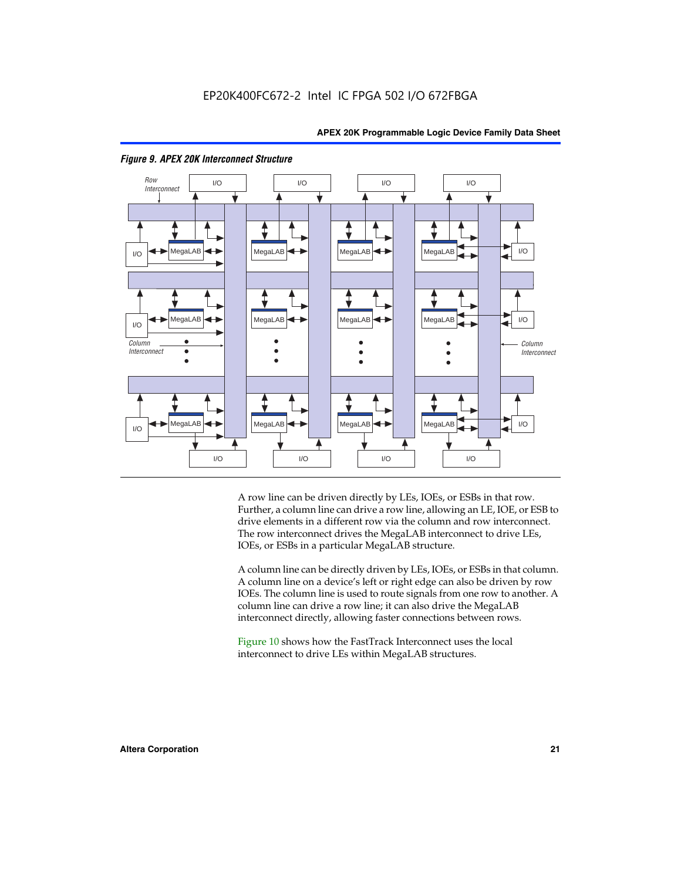

#### *Figure 9. APEX 20K Interconnect Structure*

A row line can be driven directly by LEs, IOEs, or ESBs in that row. Further, a column line can drive a row line, allowing an LE, IOE, or ESB to drive elements in a different row via the column and row interconnect. The row interconnect drives the MegaLAB interconnect to drive LEs, IOEs, or ESBs in a particular MegaLAB structure.

A column line can be directly driven by LEs, IOEs, or ESBs in that column. A column line on a device's left or right edge can also be driven by row IOEs. The column line is used to route signals from one row to another. A column line can drive a row line; it can also drive the MegaLAB interconnect directly, allowing faster connections between rows.

Figure 10 shows how the FastTrack Interconnect uses the local interconnect to drive LEs within MegaLAB structures.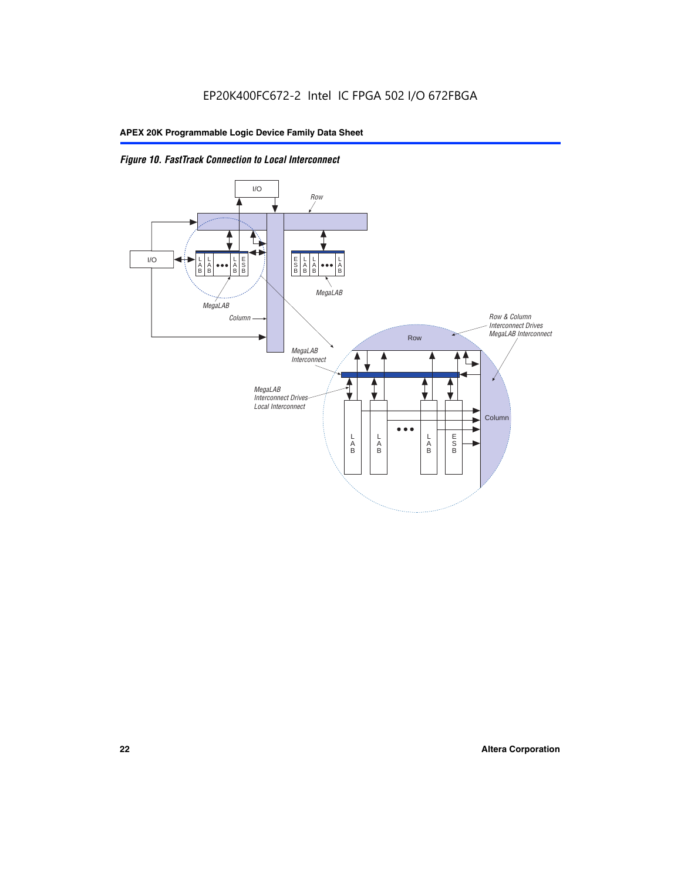

*Figure 10. FastTrack Connection to Local Interconnect*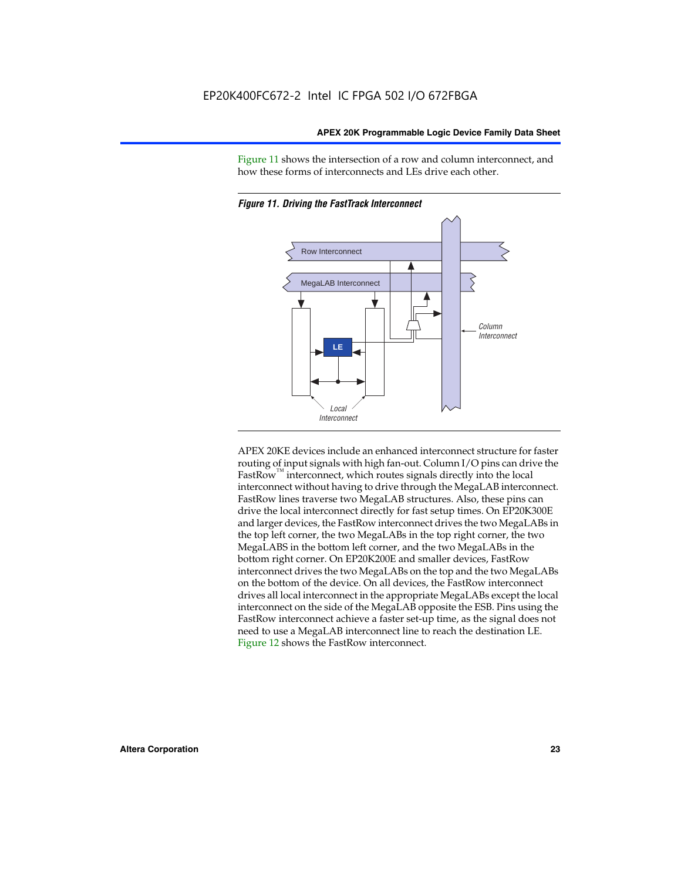Figure 11 shows the intersection of a row and column interconnect, and how these forms of interconnects and LEs drive each other.



*Figure 11. Driving the FastTrack Interconnect*

APEX 20KE devices include an enhanced interconnect structure for faster routing of input signals with high fan-out. Column I/O pins can drive the FastRow<sup>™</sup> interconnect, which routes signals directly into the local interconnect without having to drive through the MegaLAB interconnect. FastRow lines traverse two MegaLAB structures. Also, these pins can drive the local interconnect directly for fast setup times. On EP20K300E and larger devices, the FastRow interconnect drives the two MegaLABs in the top left corner, the two MegaLABs in the top right corner, the two MegaLABS in the bottom left corner, and the two MegaLABs in the bottom right corner. On EP20K200E and smaller devices, FastRow interconnect drives the two MegaLABs on the top and the two MegaLABs on the bottom of the device. On all devices, the FastRow interconnect drives all local interconnect in the appropriate MegaLABs except the local interconnect on the side of the MegaLAB opposite the ESB. Pins using the FastRow interconnect achieve a faster set-up time, as the signal does not need to use a MegaLAB interconnect line to reach the destination LE. Figure 12 shows the FastRow interconnect.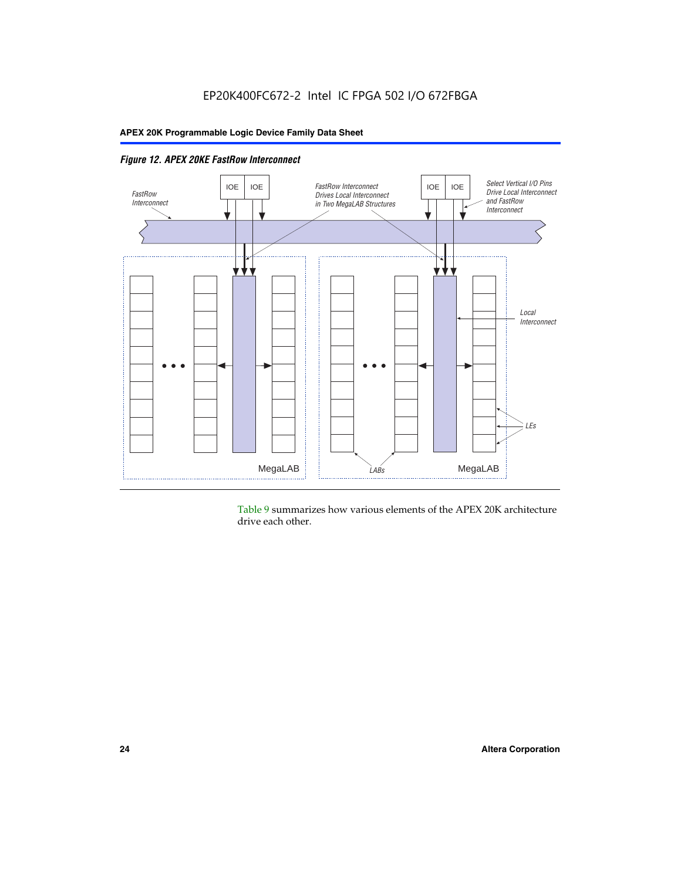

Table 9 summarizes how various elements of the APEX 20K architecture drive each other.

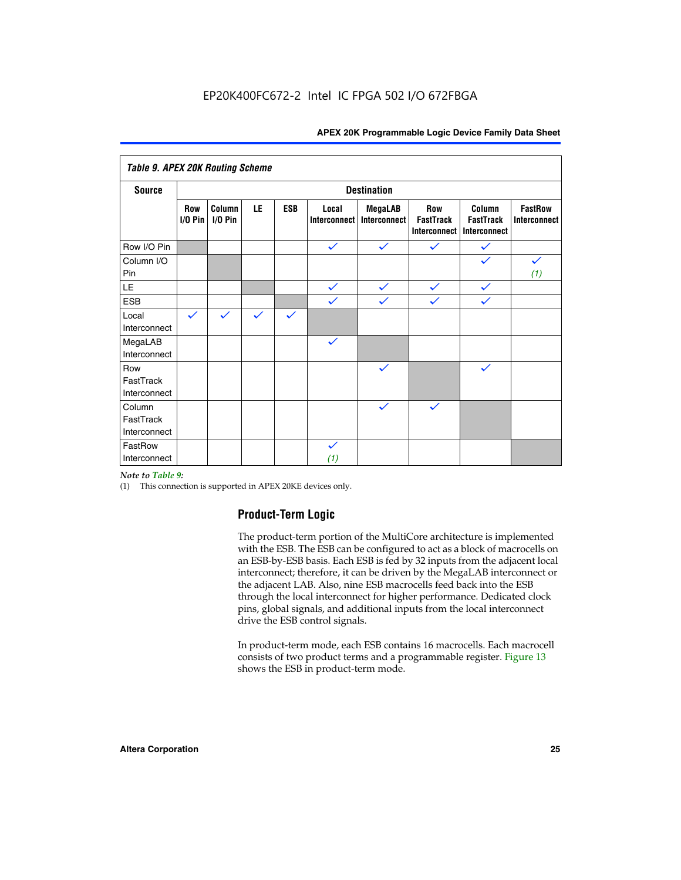| <b>Table 9. APEX 20K Routing Scheme</b> |                  |                   |              |              |                              |                                |                                                |                                            |                                |
|-----------------------------------------|------------------|-------------------|--------------|--------------|------------------------------|--------------------------------|------------------------------------------------|--------------------------------------------|--------------------------------|
| <b>Source</b>                           |                  |                   |              |              |                              | <b>Destination</b>             |                                                |                                            |                                |
|                                         | Row<br>$1/0$ Pin | Column<br>I/O Pin | LE           | <b>ESB</b>   | Local<br><b>Interconnect</b> | <b>MegaLAB</b><br>Interconnect | Row<br><b>FastTrack</b><br><b>Interconnect</b> | Column<br><b>FastTrack</b><br>Interconnect | <b>FastRow</b><br>Interconnect |
| Row I/O Pin                             |                  |                   |              |              | $\checkmark$                 | $\checkmark$                   | $\checkmark$                                   | $\checkmark$                               |                                |
| Column I/O<br>Pin                       |                  |                   |              |              |                              |                                |                                                | $\checkmark$                               | $\checkmark$<br>(1)            |
| LE                                      |                  |                   |              |              | $\checkmark$                 | $\checkmark$                   | $\checkmark$                                   | $\checkmark$                               |                                |
| <b>ESB</b>                              |                  |                   |              |              | $\checkmark$                 | $\checkmark$                   | $\checkmark$                                   | $\checkmark$                               |                                |
| Local<br>Interconnect                   | $\checkmark$     | $\checkmark$      | $\checkmark$ | $\checkmark$ |                              |                                |                                                |                                            |                                |
| MegaLAB<br>Interconnect                 |                  |                   |              |              | $\checkmark$                 |                                |                                                |                                            |                                |
| Row<br>FastTrack<br>Interconnect        |                  |                   |              |              |                              | $\checkmark$                   |                                                | $\checkmark$                               |                                |
| Column<br>FastTrack<br>Interconnect     |                  |                   |              |              |                              | $\checkmark$                   | $\checkmark$                                   |                                            |                                |
| FastRow<br>Interconnect                 |                  |                   |              |              | $\checkmark$<br>(1)          |                                |                                                |                                            |                                |

#### *Note to Table 9:*

(1) This connection is supported in APEX 20KE devices only.

#### **Product-Term Logic**

The product-term portion of the MultiCore architecture is implemented with the ESB. The ESB can be configured to act as a block of macrocells on an ESB-by-ESB basis. Each ESB is fed by 32 inputs from the adjacent local interconnect; therefore, it can be driven by the MegaLAB interconnect or the adjacent LAB. Also, nine ESB macrocells feed back into the ESB through the local interconnect for higher performance. Dedicated clock pins, global signals, and additional inputs from the local interconnect drive the ESB control signals.

In product-term mode, each ESB contains 16 macrocells. Each macrocell consists of two product terms and a programmable register. Figure 13 shows the ESB in product-term mode.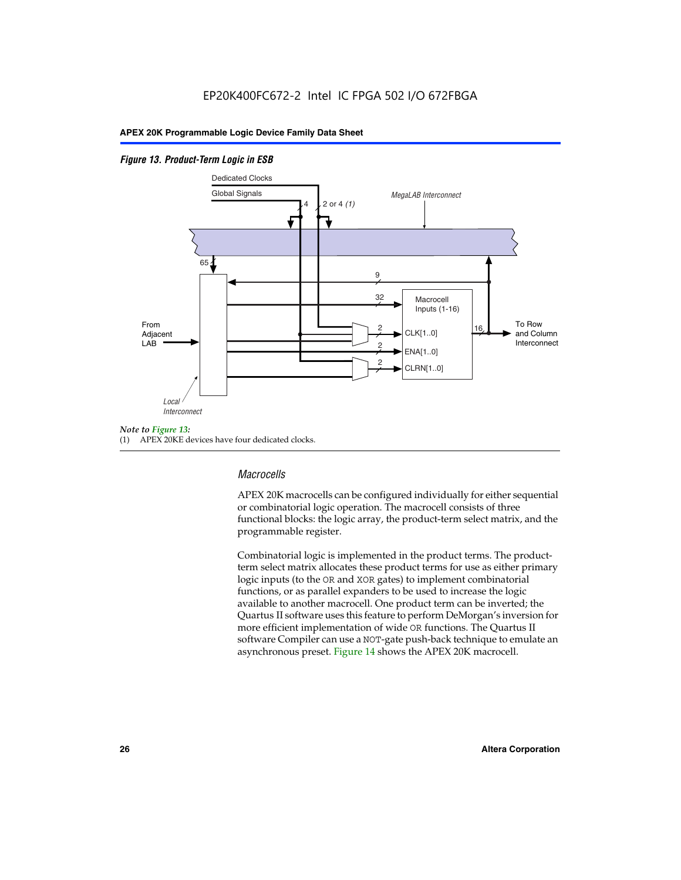#### *Figure 13. Product-Term Logic in ESB*



(1) APEX 20KE devices have four dedicated clocks.

#### *Macrocells*

APEX 20K macrocells can be configured individually for either sequential or combinatorial logic operation. The macrocell consists of three functional blocks: the logic array, the product-term select matrix, and the programmable register.

Combinatorial logic is implemented in the product terms. The productterm select matrix allocates these product terms for use as either primary logic inputs (to the OR and XOR gates) to implement combinatorial functions, or as parallel expanders to be used to increase the logic available to another macrocell. One product term can be inverted; the Quartus II software uses this feature to perform DeMorgan's inversion for more efficient implementation of wide OR functions. The Quartus II software Compiler can use a NOT-gate push-back technique to emulate an asynchronous preset. Figure 14 shows the APEX 20K macrocell.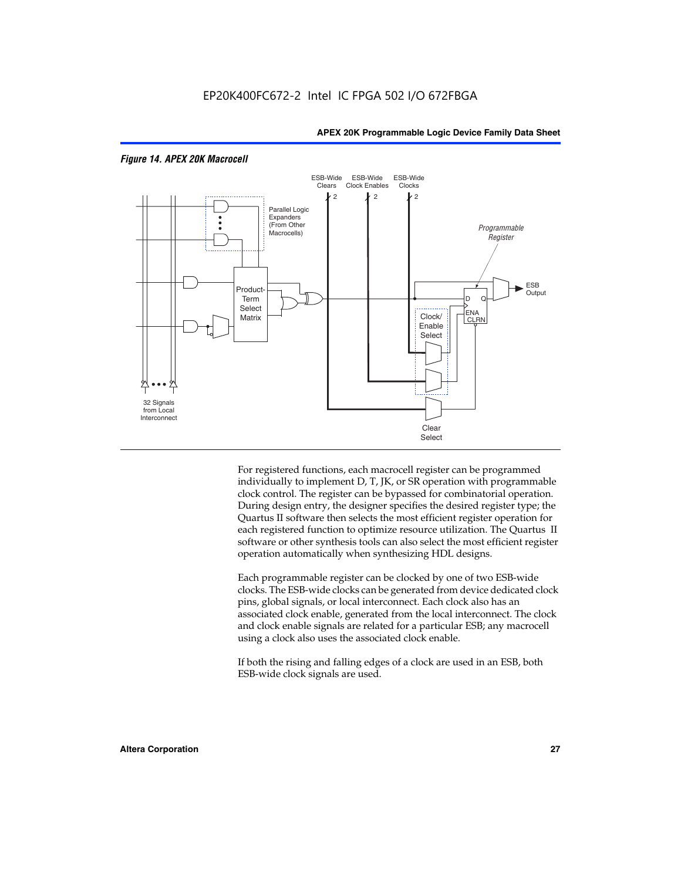

#### *Figure 14. APEX 20K Macrocell*

For registered functions, each macrocell register can be programmed individually to implement D, T, JK, or SR operation with programmable clock control. The register can be bypassed for combinatorial operation. During design entry, the designer specifies the desired register type; the Quartus II software then selects the most efficient register operation for each registered function to optimize resource utilization. The Quartus II software or other synthesis tools can also select the most efficient register operation automatically when synthesizing HDL designs.

Each programmable register can be clocked by one of two ESB-wide clocks. The ESB-wide clocks can be generated from device dedicated clock pins, global signals, or local interconnect. Each clock also has an associated clock enable, generated from the local interconnect. The clock and clock enable signals are related for a particular ESB; any macrocell using a clock also uses the associated clock enable.

If both the rising and falling edges of a clock are used in an ESB, both ESB-wide clock signals are used.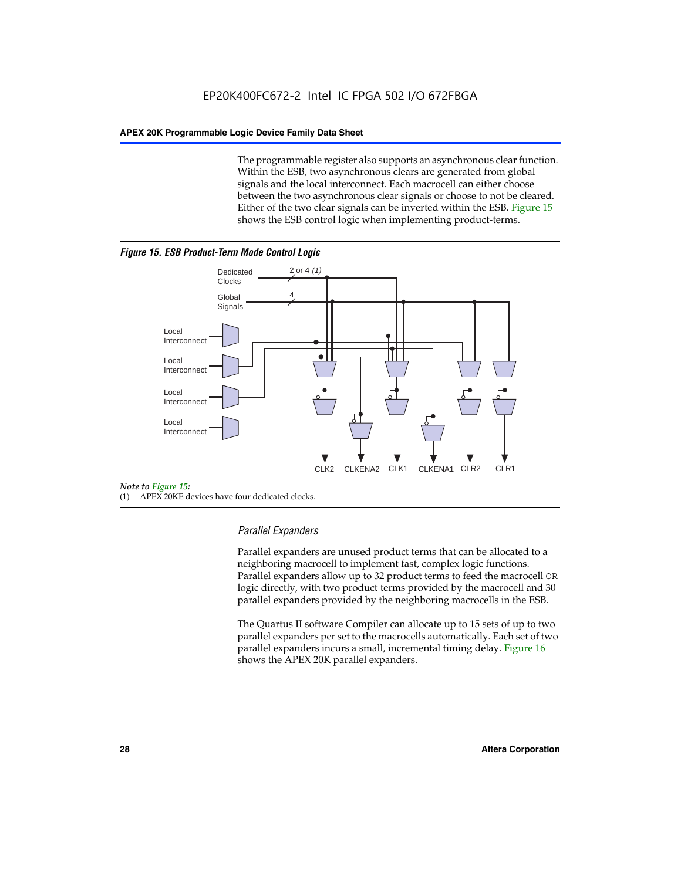The programmable register also supports an asynchronous clear function. Within the ESB, two asynchronous clears are generated from global signals and the local interconnect. Each macrocell can either choose between the two asynchronous clear signals or choose to not be cleared. Either of the two clear signals can be inverted within the ESB. Figure 15 shows the ESB control logic when implementing product-terms.





(1) APEX 20KE devices have four dedicated clocks.

#### *Parallel Expanders*

Parallel expanders are unused product terms that can be allocated to a neighboring macrocell to implement fast, complex logic functions. Parallel expanders allow up to 32 product terms to feed the macrocell OR logic directly, with two product terms provided by the macrocell and 30 parallel expanders provided by the neighboring macrocells in the ESB.

The Quartus II software Compiler can allocate up to 15 sets of up to two parallel expanders per set to the macrocells automatically. Each set of two parallel expanders incurs a small, incremental timing delay. Figure 16 shows the APEX 20K parallel expanders.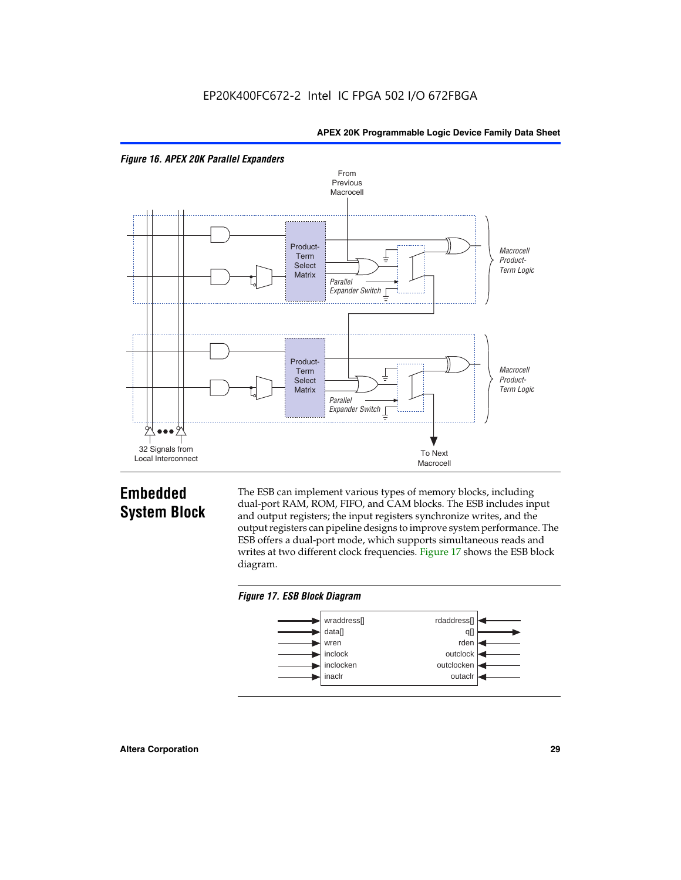



## **Embedded System Block**

The ESB can implement various types of memory blocks, including dual-port RAM, ROM, FIFO, and CAM blocks. The ESB includes input and output registers; the input registers synchronize writes, and the output registers can pipeline designs to improve system performance. The ESB offers a dual-port mode, which supports simultaneous reads and writes at two different clock frequencies. Figure 17 shows the ESB block diagram.



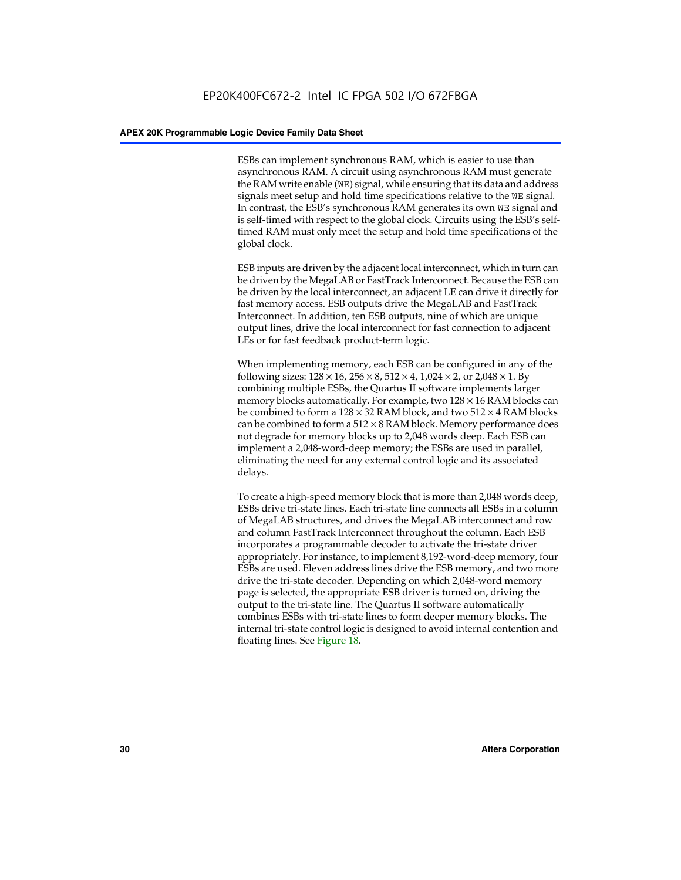ESBs can implement synchronous RAM, which is easier to use than asynchronous RAM. A circuit using asynchronous RAM must generate the RAM write enable (WE) signal, while ensuring that its data and address signals meet setup and hold time specifications relative to the WE signal. In contrast, the ESB's synchronous RAM generates its own WE signal and is self-timed with respect to the global clock. Circuits using the ESB's selftimed RAM must only meet the setup and hold time specifications of the global clock.

ESB inputs are driven by the adjacent local interconnect, which in turn can be driven by the MegaLAB or FastTrack Interconnect. Because the ESB can be driven by the local interconnect, an adjacent LE can drive it directly for fast memory access. ESB outputs drive the MegaLAB and FastTrack Interconnect. In addition, ten ESB outputs, nine of which are unique output lines, drive the local interconnect for fast connection to adjacent LEs or for fast feedback product-term logic.

When implementing memory, each ESB can be configured in any of the following sizes:  $128 \times 16$ ,  $256 \times 8$ ,  $512 \times 4$ ,  $1,024 \times 2$ , or  $2,048 \times 1$ . By combining multiple ESBs, the Quartus II software implements larger memory blocks automatically. For example, two  $128 \times 16$  RAM blocks can be combined to form a  $128 \times 32$  RAM block, and two  $512 \times 4$  RAM blocks can be combined to form a  $512 \times 8$  RAM block. Memory performance does not degrade for memory blocks up to 2,048 words deep. Each ESB can implement a 2,048-word-deep memory; the ESBs are used in parallel, eliminating the need for any external control logic and its associated delays.

To create a high-speed memory block that is more than 2,048 words deep, ESBs drive tri-state lines. Each tri-state line connects all ESBs in a column of MegaLAB structures, and drives the MegaLAB interconnect and row and column FastTrack Interconnect throughout the column. Each ESB incorporates a programmable decoder to activate the tri-state driver appropriately. For instance, to implement 8,192-word-deep memory, four ESBs are used. Eleven address lines drive the ESB memory, and two more drive the tri-state decoder. Depending on which 2,048-word memory page is selected, the appropriate ESB driver is turned on, driving the output to the tri-state line. The Quartus II software automatically combines ESBs with tri-state lines to form deeper memory blocks. The internal tri-state control logic is designed to avoid internal contention and floating lines. See Figure 18.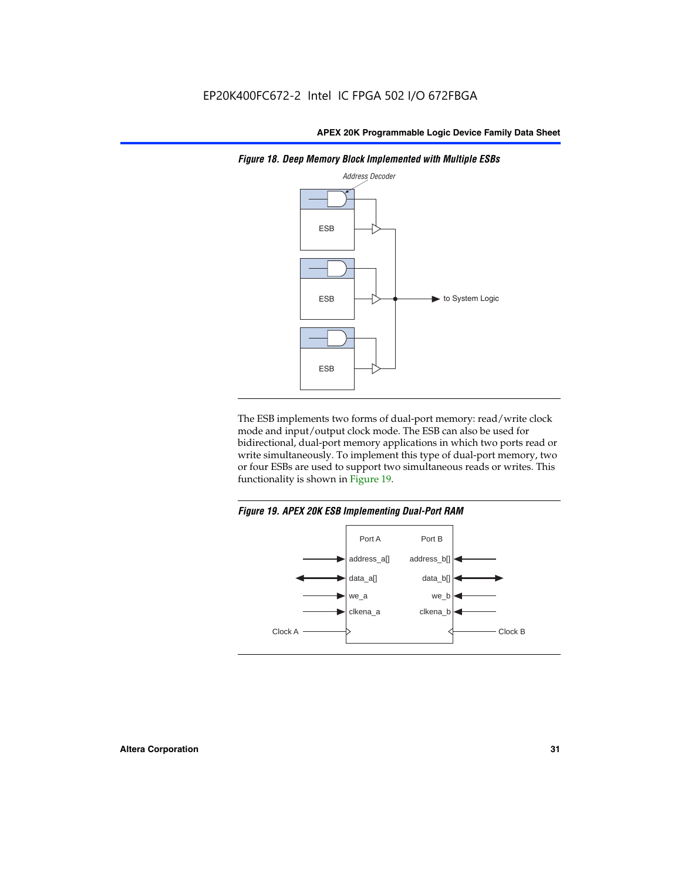

*Figure 18. Deep Memory Block Implemented with Multiple ESBs*

The ESB implements two forms of dual-port memory: read/write clock mode and input/output clock mode. The ESB can also be used for bidirectional, dual-port memory applications in which two ports read or write simultaneously. To implement this type of dual-port memory, two or four ESBs are used to support two simultaneous reads or writes. This functionality is shown in Figure 19.

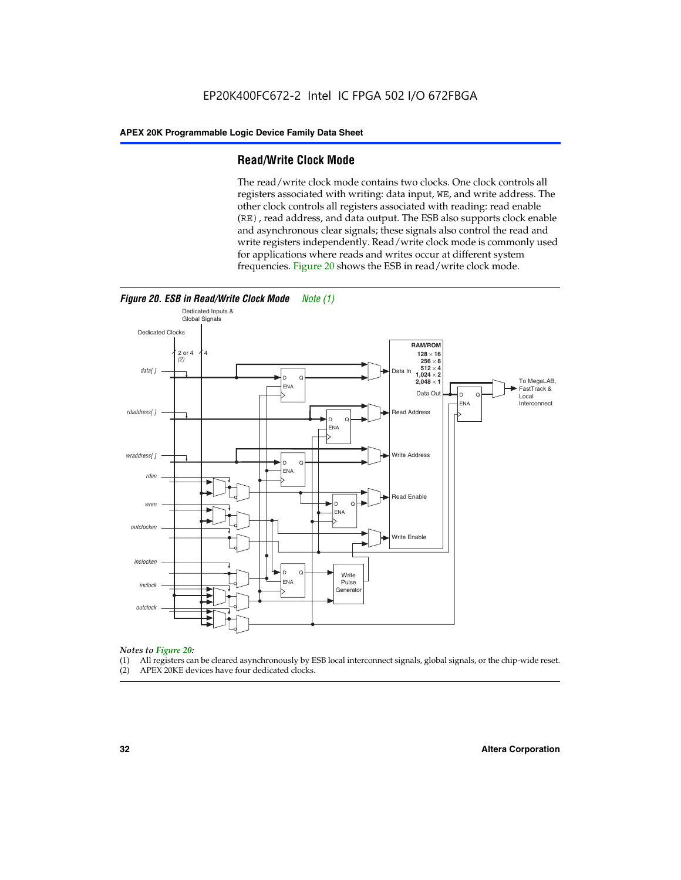#### **Read/Write Clock Mode**

The read/write clock mode contains two clocks. One clock controls all registers associated with writing: data input, WE, and write address. The other clock controls all registers associated with reading: read enable (RE), read address, and data output. The ESB also supports clock enable and asynchronous clear signals; these signals also control the read and write registers independently. Read/write clock mode is commonly used for applications where reads and writes occur at different system frequencies. Figure 20 shows the ESB in read/write clock mode.



## *Notes to Figure 20:*

- (1) All registers can be cleared asynchronously by ESB local interconnect signals, global signals, or the chip-wide reset.
- (2) APEX 20KE devices have four dedicated clocks.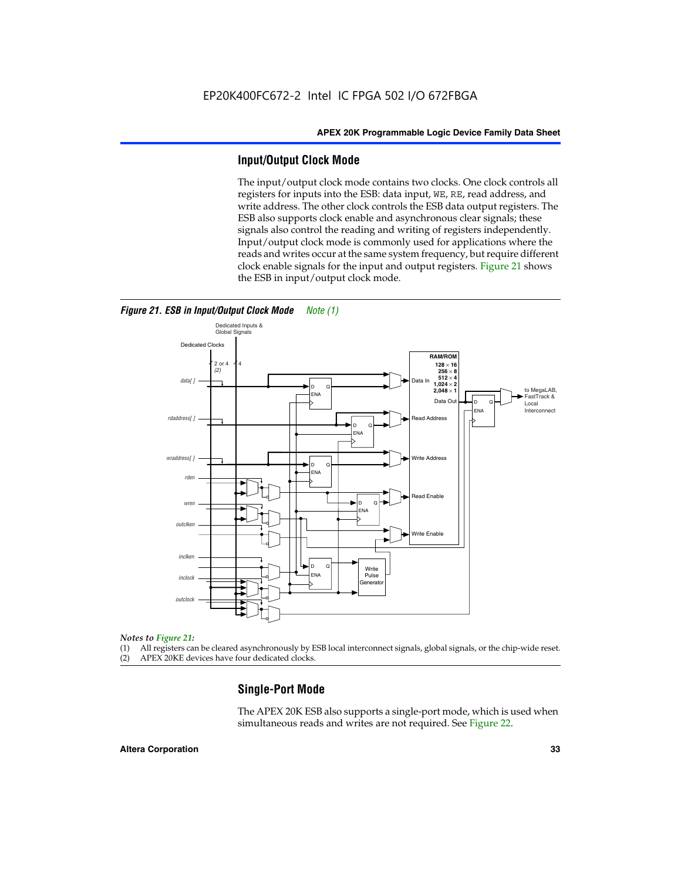#### **Input/Output Clock Mode**

The input/output clock mode contains two clocks. One clock controls all registers for inputs into the ESB: data input, WE, RE, read address, and write address. The other clock controls the ESB data output registers. The ESB also supports clock enable and asynchronous clear signals; these signals also control the reading and writing of registers independently. Input/output clock mode is commonly used for applications where the reads and writes occur at the same system frequency, but require different clock enable signals for the input and output registers. Figure 21 shows the ESB in input/output clock mode.



*Figure 21. ESB in Input/Output Clock Mode Note (1)*

#### *Notes to Figure 21:*

(1) All registers can be cleared asynchronously by ESB local interconnect signals, global signals, or the chip-wide reset.

(2) APEX 20KE devices have four dedicated clocks.

#### **Single-Port Mode**

The APEX 20K ESB also supports a single-port mode, which is used when simultaneous reads and writes are not required. See Figure 22.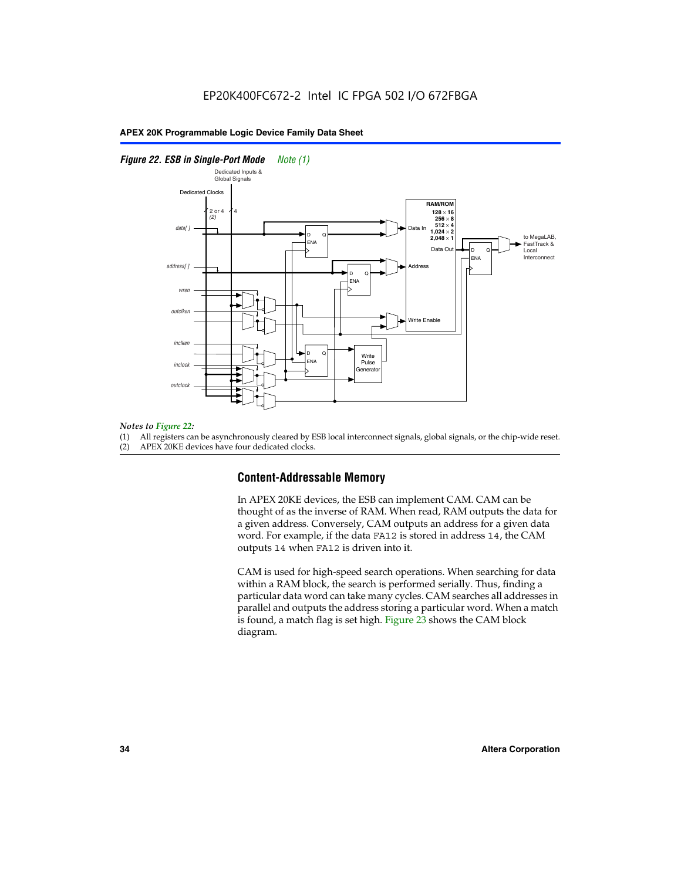#### *Figure 22. ESB in Single-Port Mode Note (1)*



#### *Notes to Figure 22:*

(1) All registers can be asynchronously cleared by ESB local interconnect signals, global signals, or the chip-wide reset.

(2) APEX 20KE devices have four dedicated clocks.

#### **Content-Addressable Memory**

In APEX 20KE devices, the ESB can implement CAM. CAM can be thought of as the inverse of RAM. When read, RAM outputs the data for a given address. Conversely, CAM outputs an address for a given data word. For example, if the data FA12 is stored in address 14, the CAM outputs 14 when FA12 is driven into it.

CAM is used for high-speed search operations. When searching for data within a RAM block, the search is performed serially. Thus, finding a particular data word can take many cycles. CAM searches all addresses in parallel and outputs the address storing a particular word. When a match is found, a match flag is set high. Figure 23 shows the CAM block diagram.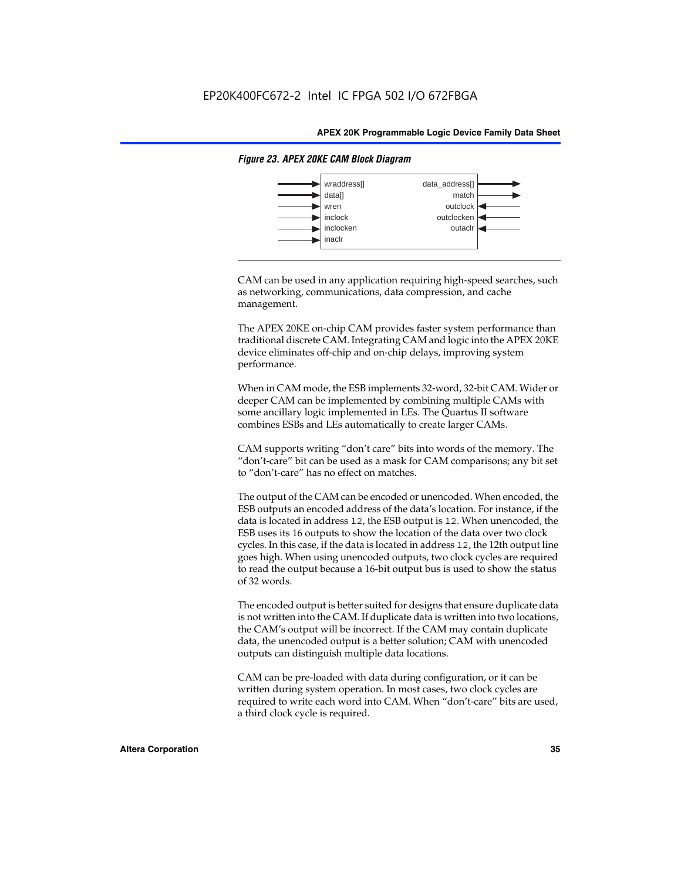

#### *Figure 23. APEX 20KE CAM Block Diagram*

CAM can be used in any application requiring high-speed searches, such as networking, communications, data compression, and cache management.

The APEX 20KE on-chip CAM provides faster system performance than traditional discrete CAM. Integrating CAM and logic into the APEX 20KE device eliminates off-chip and on-chip delays, improving system performance.

When in CAM mode, the ESB implements 32-word, 32-bit CAM. Wider or deeper CAM can be implemented by combining multiple CAMs with some ancillary logic implemented in LEs. The Quartus II software combines ESBs and LEs automatically to create larger CAMs.

CAM supports writing "don't care" bits into words of the memory. The "don't-care" bit can be used as a mask for CAM comparisons; any bit set to "don't-care" has no effect on matches.

The output of the CAM can be encoded or unencoded. When encoded, the ESB outputs an encoded address of the data's location. For instance, if the data is located in address 12, the ESB output is 12. When unencoded, the ESB uses its 16 outputs to show the location of the data over two clock cycles. In this case, if the data is located in address 12, the 12th output line goes high. When using unencoded outputs, two clock cycles are required to read the output because a 16-bit output bus is used to show the status of 32 words.

The encoded output is better suited for designs that ensure duplicate data is not written into the CAM. If duplicate data is written into two locations, the CAM's output will be incorrect. If the CAM may contain duplicate data, the unencoded output is a better solution; CAM with unencoded outputs can distinguish multiple data locations.

CAM can be pre-loaded with data during configuration, or it can be written during system operation. In most cases, two clock cycles are required to write each word into CAM. When "don't-care" bits are used, a third clock cycle is required.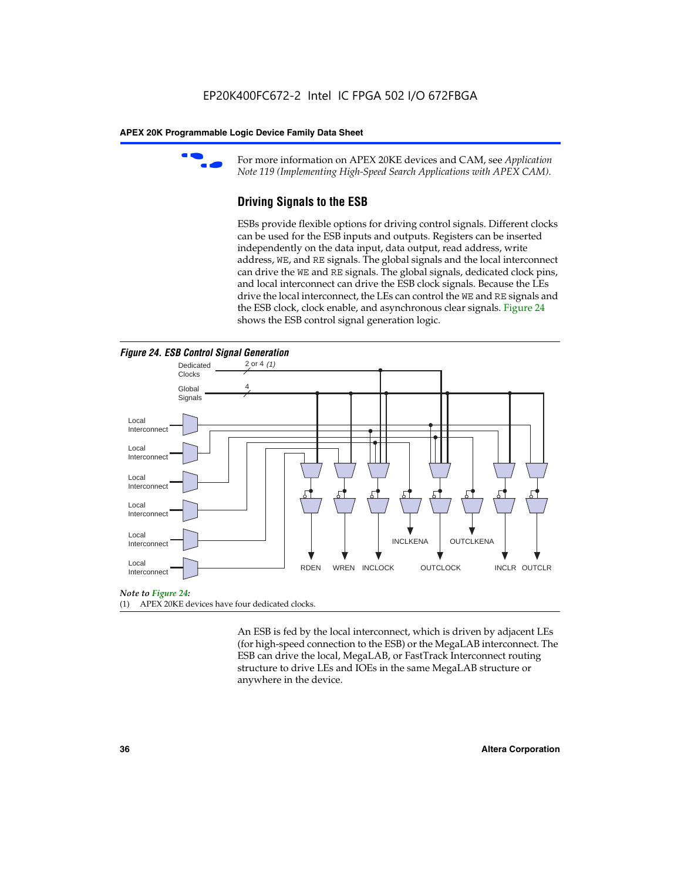

For more information on APEX 20KE devices and CAM, see *Application Note 119 (Implementing High-Speed Search Applications with APEX CAM).*

# **Driving Signals to the ESB**

ESBs provide flexible options for driving control signals. Different clocks can be used for the ESB inputs and outputs. Registers can be inserted independently on the data input, data output, read address, write address, WE, and RE signals. The global signals and the local interconnect can drive the WE and RE signals. The global signals, dedicated clock pins, and local interconnect can drive the ESB clock signals. Because the LEs drive the local interconnect, the LEs can control the WE and RE signals and the ESB clock, clock enable, and asynchronous clear signals. Figure 24 shows the ESB control signal generation logic.





#### *Note to Figure 24:*

(1) APEX 20KE devices have four dedicated clocks.

An ESB is fed by the local interconnect, which is driven by adjacent LEs (for high-speed connection to the ESB) or the MegaLAB interconnect. The ESB can drive the local, MegaLAB, or FastTrack Interconnect routing structure to drive LEs and IOEs in the same MegaLAB structure or anywhere in the device.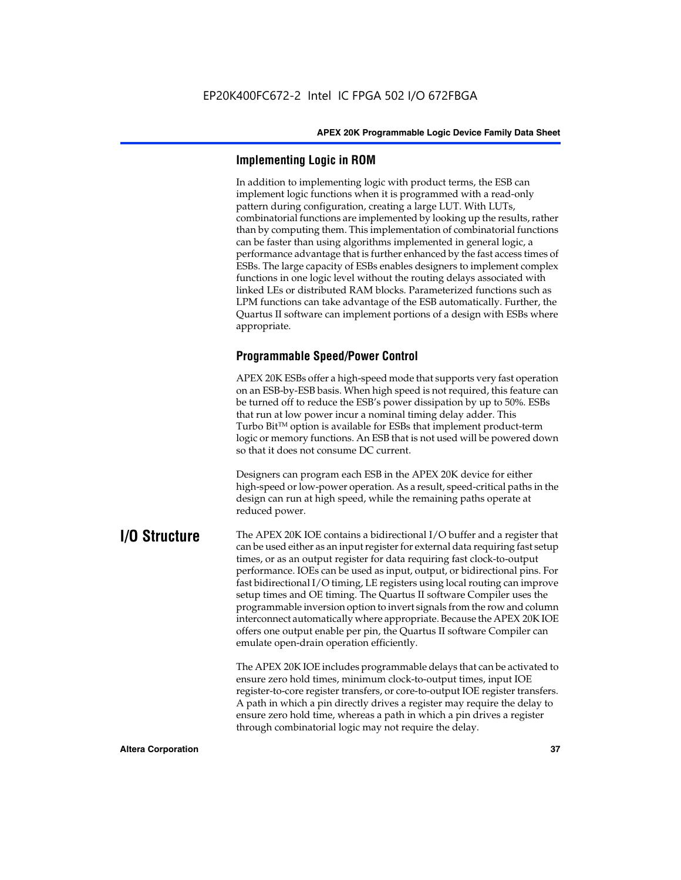# **Implementing Logic in ROM**

In addition to implementing logic with product terms, the ESB can implement logic functions when it is programmed with a read-only pattern during configuration, creating a large LUT. With LUTs, combinatorial functions are implemented by looking up the results, rather than by computing them. This implementation of combinatorial functions can be faster than using algorithms implemented in general logic, a performance advantage that is further enhanced by the fast access times of ESBs. The large capacity of ESBs enables designers to implement complex functions in one logic level without the routing delays associated with linked LEs or distributed RAM blocks. Parameterized functions such as LPM functions can take advantage of the ESB automatically. Further, the Quartus II software can implement portions of a design with ESBs where appropriate.

# **Programmable Speed/Power Control**

APEX 20K ESBs offer a high-speed mode that supports very fast operation on an ESB-by-ESB basis. When high speed is not required, this feature can be turned off to reduce the ESB's power dissipation by up to 50%. ESBs that run at low power incur a nominal timing delay adder. This Turbo  $Bit^{TM}$  option is available for ESBs that implement product-term logic or memory functions. An ESB that is not used will be powered down so that it does not consume DC current.

Designers can program each ESB in the APEX 20K device for either high-speed or low-power operation. As a result, speed-critical paths in the design can run at high speed, while the remaining paths operate at reduced power.

**I/O Structure** The APEX 20K IOE contains a bidirectional I/O buffer and a register that can be used either as an input register for external data requiring fast setup times, or as an output register for data requiring fast clock-to-output performance. IOEs can be used as input, output, or bidirectional pins. For fast bidirectional I/O timing, LE registers using local routing can improve setup times and OE timing. The Quartus II software Compiler uses the programmable inversion option to invert signals from the row and column interconnect automatically where appropriate. Because the APEX 20K IOE offers one output enable per pin, the Quartus II software Compiler can emulate open-drain operation efficiently.

> The APEX 20K IOE includes programmable delays that can be activated to ensure zero hold times, minimum clock-to-output times, input IOE register-to-core register transfers, or core-to-output IOE register transfers. A path in which a pin directly drives a register may require the delay to ensure zero hold time, whereas a path in which a pin drives a register through combinatorial logic may not require the delay.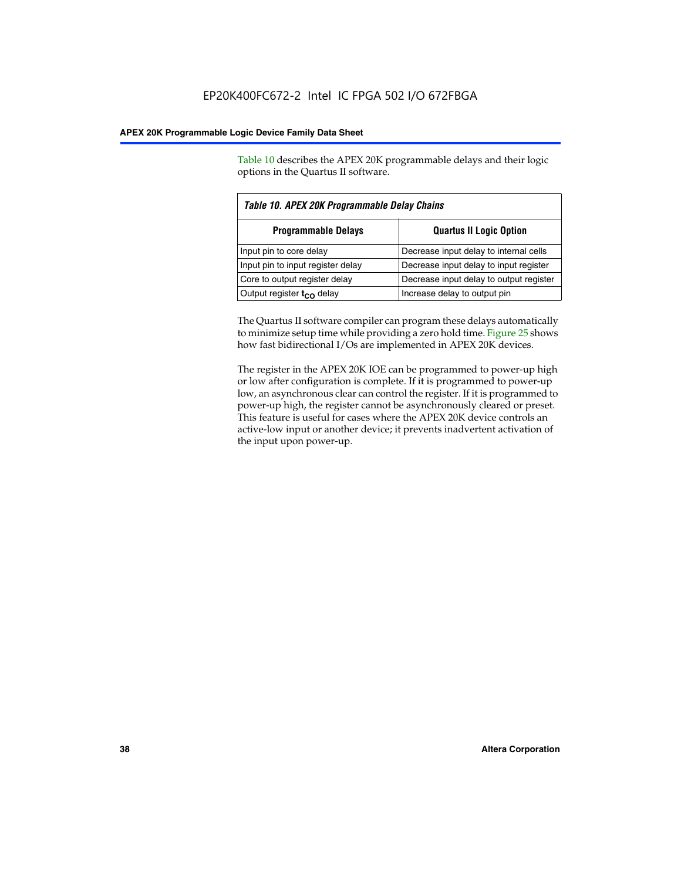Table 10 describes the APEX 20K programmable delays and their logic options in the Quartus II software.

| Table 10. APEX 20K Programmable Delay Chains |                                         |  |  |  |
|----------------------------------------------|-----------------------------------------|--|--|--|
| <b>Programmable Delays</b>                   | <b>Quartus II Logic Option</b>          |  |  |  |
| Input pin to core delay                      | Decrease input delay to internal cells  |  |  |  |
| Input pin to input register delay            | Decrease input delay to input register  |  |  |  |
| Core to output register delay                | Decrease input delay to output register |  |  |  |
| Output register $t_{\rm CO}$ delay           | Increase delay to output pin            |  |  |  |

The Quartus II software compiler can program these delays automatically to minimize setup time while providing a zero hold time. Figure 25 shows how fast bidirectional I/Os are implemented in APEX 20K devices.

The register in the APEX 20K IOE can be programmed to power-up high or low after configuration is complete. If it is programmed to power-up low, an asynchronous clear can control the register. If it is programmed to power-up high, the register cannot be asynchronously cleared or preset. This feature is useful for cases where the APEX 20K device controls an active-low input or another device; it prevents inadvertent activation of the input upon power-up.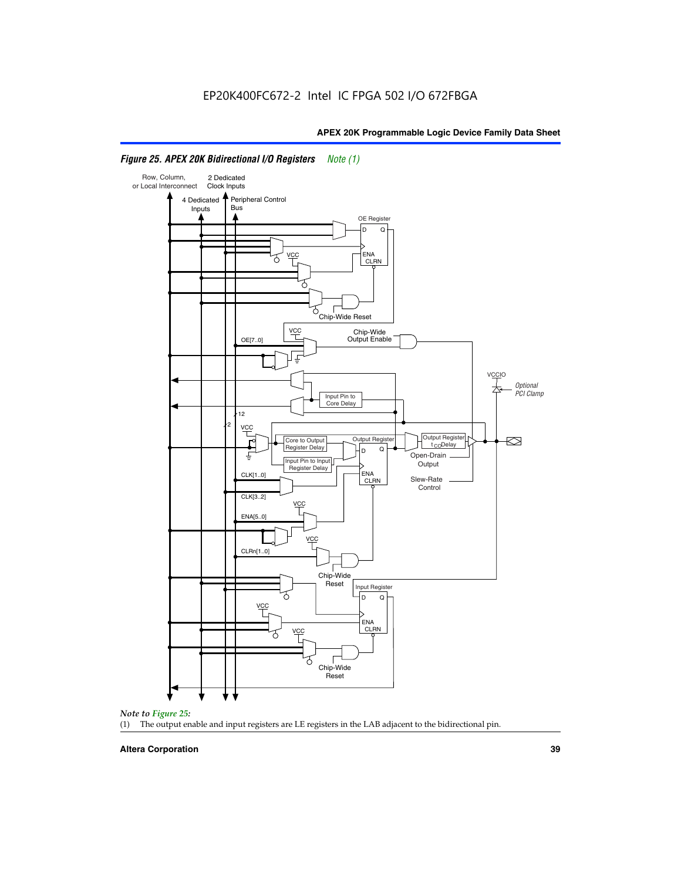

# *Figure 25. APEX 20K Bidirectional I/O Registers Note (1)*



#### **Altera Corporation 39**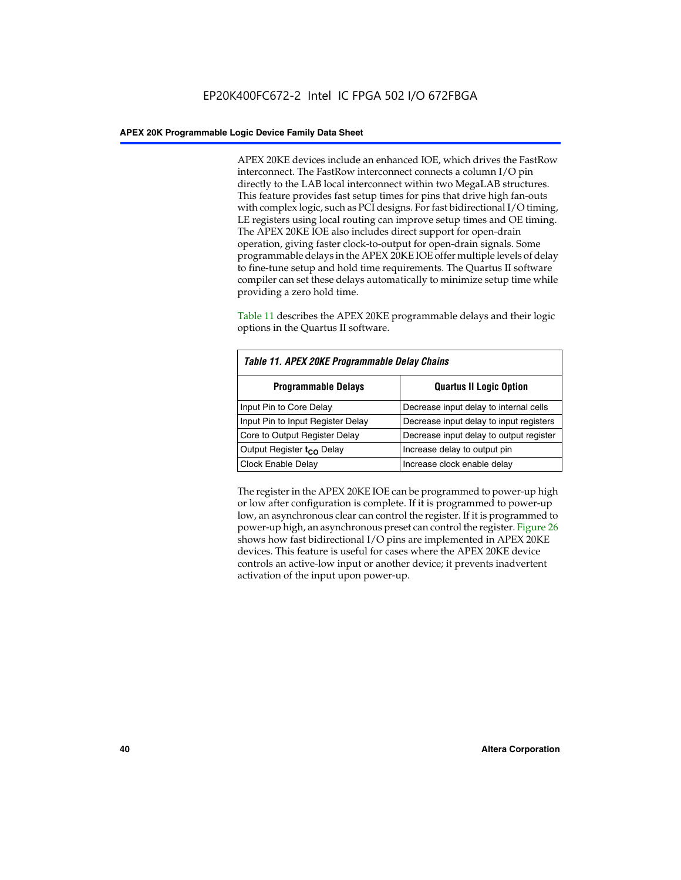APEX 20KE devices include an enhanced IOE, which drives the FastRow interconnect. The FastRow interconnect connects a column I/O pin directly to the LAB local interconnect within two MegaLAB structures. This feature provides fast setup times for pins that drive high fan-outs with complex logic, such as PCI designs. For fast bidirectional I/O timing, LE registers using local routing can improve setup times and OE timing. The APEX 20KE IOE also includes direct support for open-drain operation, giving faster clock-to-output for open-drain signals. Some programmable delays in the APEX 20KE IOE offer multiple levels of delay to fine-tune setup and hold time requirements. The Quartus II software compiler can set these delays automatically to minimize setup time while providing a zero hold time.

Table 11 describes the APEX 20KE programmable delays and their logic options in the Quartus II software.

| Table 11. APEX 20KE Programmable Delay Chains |                                         |  |  |  |
|-----------------------------------------------|-----------------------------------------|--|--|--|
| <b>Programmable Delays</b>                    | <b>Quartus II Logic Option</b>          |  |  |  |
| Input Pin to Core Delay                       | Decrease input delay to internal cells  |  |  |  |
| Input Pin to Input Register Delay             | Decrease input delay to input registers |  |  |  |
| Core to Output Register Delay                 | Decrease input delay to output register |  |  |  |
| Output Register t <sub>CO</sub> Delay         | Increase delay to output pin            |  |  |  |
| <b>Clock Enable Delay</b>                     | Increase clock enable delay             |  |  |  |

The register in the APEX 20KE IOE can be programmed to power-up high or low after configuration is complete. If it is programmed to power-up low, an asynchronous clear can control the register. If it is programmed to power-up high, an asynchronous preset can control the register. Figure 26 shows how fast bidirectional I/O pins are implemented in APEX 20KE devices. This feature is useful for cases where the APEX 20KE device controls an active-low input or another device; it prevents inadvertent activation of the input upon power-up.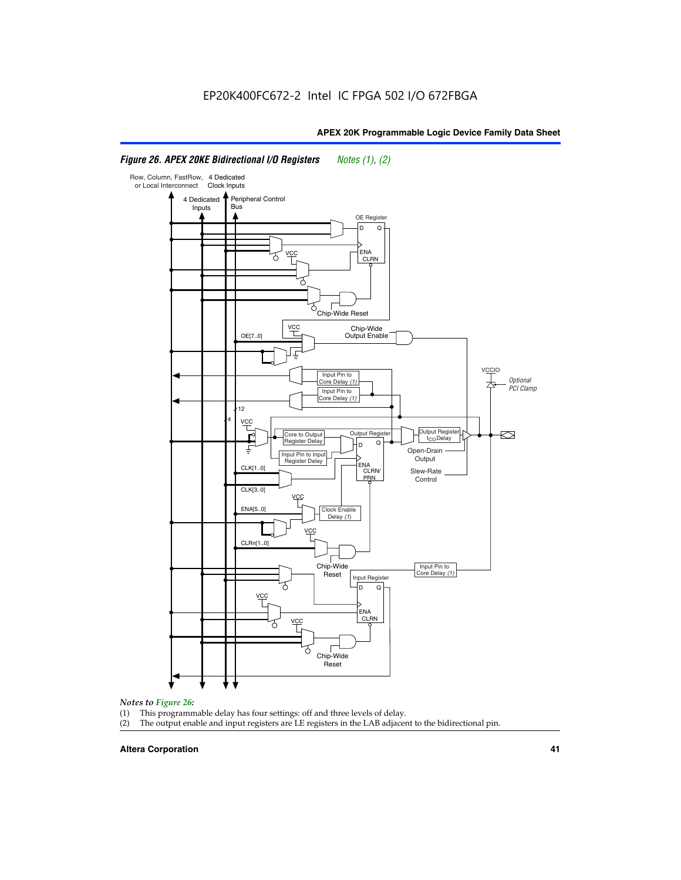#### Row, Column, FastRow, 4 Dedicated or Local Interconnect Clock Inputs Peripheral Control 4 Dedicated **Bus** Inputs OE Register D Q ENA VCC CLRN 7 Chip-Wide Reset vcc Chip-Wide Output Enable OE[7..0] VC Input Pin to **Optional** Core Delay (1) PCI Clamp Input Pin to Core Delay (1) 12 4 **VCC** Output Register **Output Registe**  $\approx$ Core to Output | Output Hegister | Durbut Tropieding | Contput Tropieding | Durbut Tropieding | Output Tropied<br>Register Delay | Durbut Tropieding | Contput Tropieding | Contput Tropieding | O t<sub>CO</sub>Delay  $D$  Q ŧ Open-Drain Input Pin to Input **Output** Register Delay ENA CLK[1..0] CLRN/ Slew-Rate PR<sub>N</sub> Control CLK[3..0] VCC ENA[5..0] Clock Enable Delay (1) VCC CLRn[1..0] Chip-Wide Input Pin to Core Delay (1) Reset Input Register D Q <u>vcc</u> .<br>ENA CLRN **VCC** Chip-Wide Reset

# *Figure 26. APEX 20KE Bidirectional I/O Registers Notes (1), (2)*

#### *Notes to Figure 26:*

- 
- (1) This programmable delay has four settings: off and three levels of delay.<br>(2) The output enable and input registers are LE registers in the LAB adjacer The output enable and input registers are LE registers in the LAB adjacent to the bidirectional pin.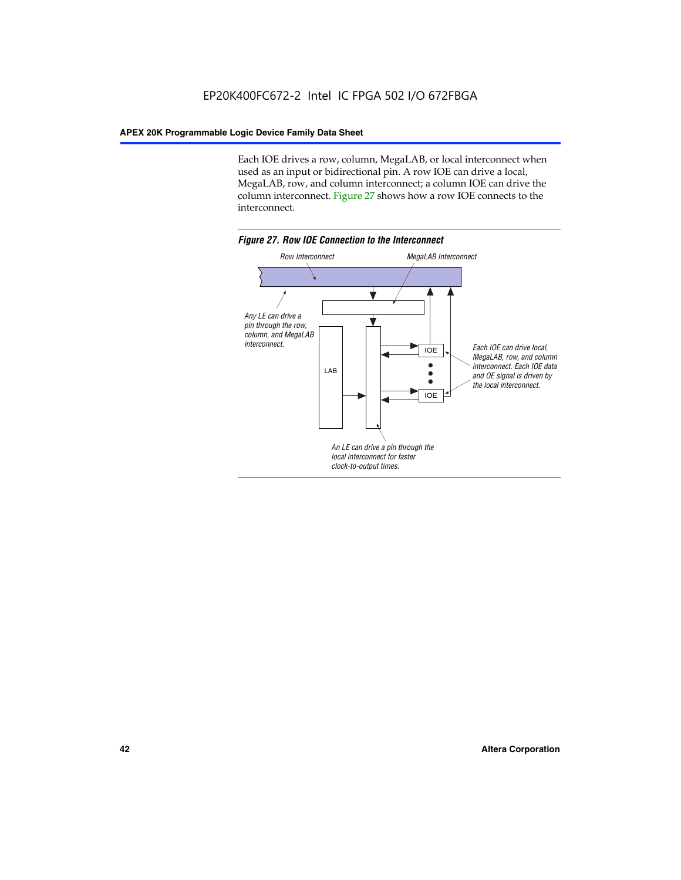Each IOE drives a row, column, MegaLAB, or local interconnect when used as an input or bidirectional pin. A row IOE can drive a local, MegaLAB, row, and column interconnect; a column IOE can drive the column interconnect. Figure 27 shows how a row IOE connects to the interconnect.

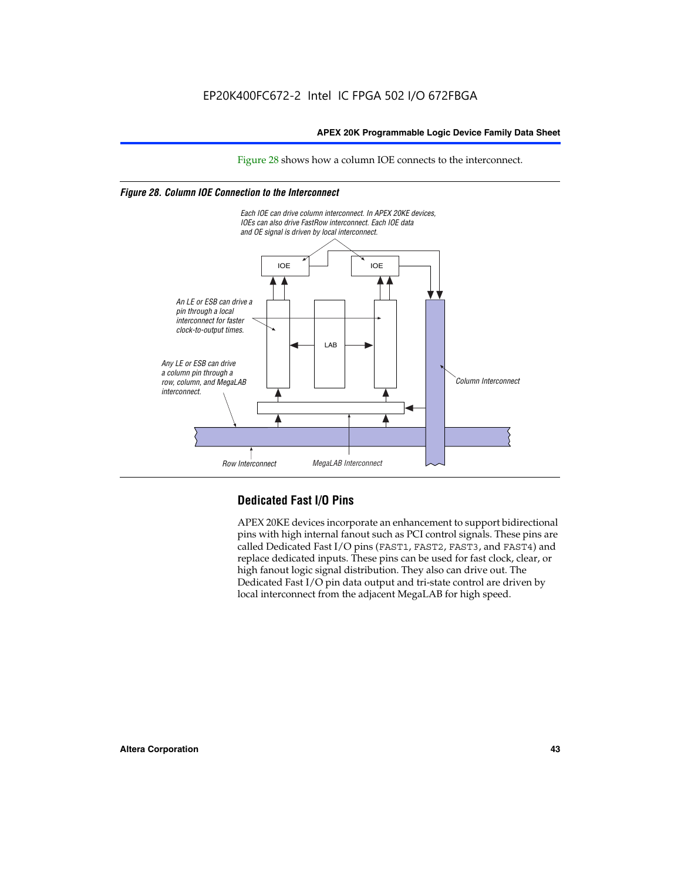Figure 28 shows how a column IOE connects to the interconnect.

# *Figure 28. Column IOE Connection to the Interconnect*



# **Dedicated Fast I/O Pins**

APEX 20KE devices incorporate an enhancement to support bidirectional pins with high internal fanout such as PCI control signals. These pins are called Dedicated Fast I/O pins (FAST1, FAST2, FAST3, and FAST4) and replace dedicated inputs. These pins can be used for fast clock, clear, or high fanout logic signal distribution. They also can drive out. The Dedicated Fast I/O pin data output and tri-state control are driven by local interconnect from the adjacent MegaLAB for high speed.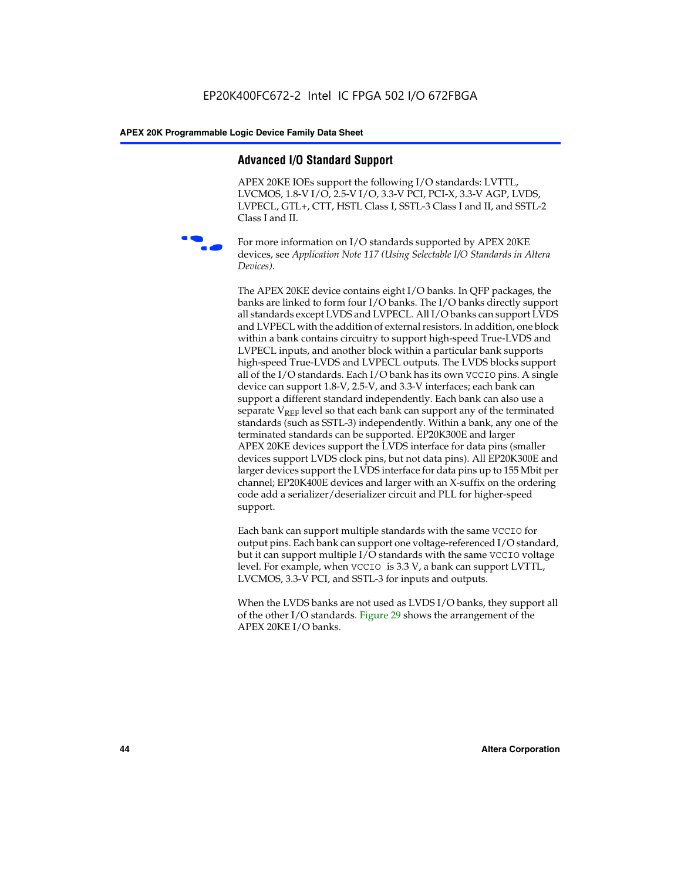# **Advanced I/O Standard Support**

APEX 20KE IOEs support the following I/O standards: LVTTL, LVCMOS, 1.8-V I/O, 2.5-V I/O, 3.3-V PCI, PCI-X, 3.3-V AGP, LVDS, LVPECL, GTL+, CTT, HSTL Class I, SSTL-3 Class I and II, and SSTL-2 Class I and II.



For more information on I/O standards supported by APEX 20KE devices, see *Application Note 117 (Using Selectable I/O Standards in Altera Devices)*.

The APEX 20KE device contains eight I/O banks. In QFP packages, the banks are linked to form four I/O banks. The I/O banks directly support all standards except LVDS and LVPECL. All I/O banks can support LVDS and LVPECL with the addition of external resistors. In addition, one block within a bank contains circuitry to support high-speed True-LVDS and LVPECL inputs, and another block within a particular bank supports high-speed True-LVDS and LVPECL outputs. The LVDS blocks support all of the I/O standards. Each I/O bank has its own VCCIO pins. A single device can support 1.8-V, 2.5-V, and 3.3-V interfaces; each bank can support a different standard independently. Each bank can also use a separate  $V_{\text{REF}}$  level so that each bank can support any of the terminated standards (such as SSTL-3) independently. Within a bank, any one of the terminated standards can be supported. EP20K300E and larger APEX 20KE devices support the LVDS interface for data pins (smaller devices support LVDS clock pins, but not data pins). All EP20K300E and larger devices support the LVDS interface for data pins up to 155 Mbit per channel; EP20K400E devices and larger with an X-suffix on the ordering code add a serializer/deserializer circuit and PLL for higher-speed support.

Each bank can support multiple standards with the same VCCIO for output pins. Each bank can support one voltage-referenced I/O standard, but it can support multiple I/O standards with the same VCCIO voltage level. For example, when VCCIO is 3.3 V, a bank can support LVTTL, LVCMOS, 3.3-V PCI, and SSTL-3 for inputs and outputs.

When the LVDS banks are not used as LVDS I/O banks, they support all of the other I/O standards. Figure 29 shows the arrangement of the APEX 20KE I/O banks.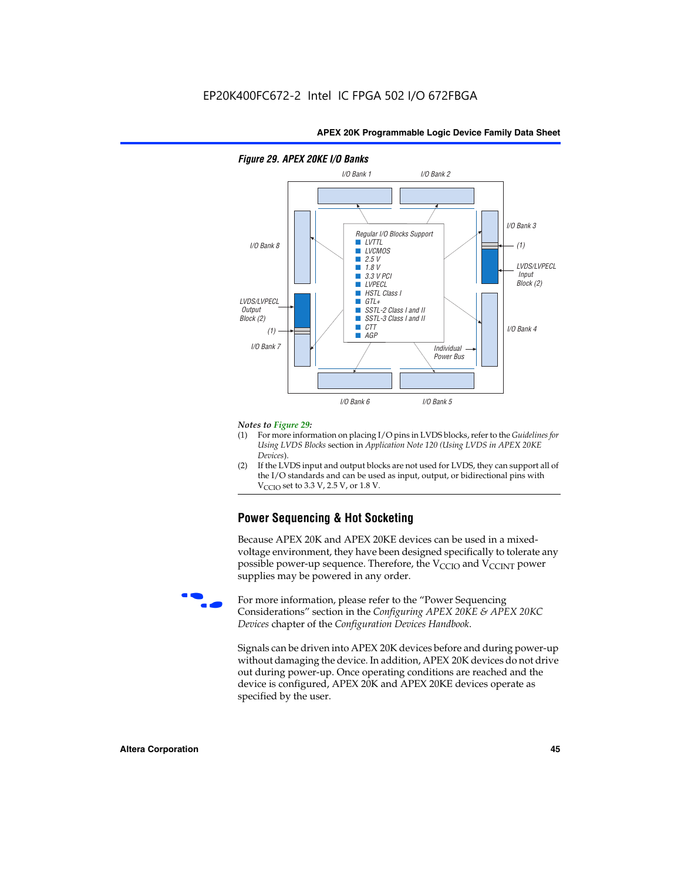

# *Figure 29. APEX 20KE I/O Banks*

#### *Notes to Figure 29:*

- (1) For more information on placing I/O pins in LVDS blocks, refer to the *Guidelines for Using LVDS Blocks* section in *Application Note 120 (Using LVDS in APEX 20KE Devices*).
- (2) If the LVDS input and output blocks are not used for LVDS, they can support all of the I/O standards and can be used as input, output, or bidirectional pins with  $V_{\text{C} \cap \text{O}}$  set to 3.3 V, 2.5 V, or 1.8 V.

# **Power Sequencing & Hot Socketing**

Because APEX 20K and APEX 20KE devices can be used in a mixedvoltage environment, they have been designed specifically to tolerate any possible power-up sequence. Therefore, the  $V_{\text{CCIO}}$  and  $V_{\text{CCINT}}$  power supplies may be powered in any order.

For more information, please refer to the "Power Sequencing Considerations" section in the *Configuring APEX 20KE & APEX 20KC Devices* chapter of the *Configuration Devices Handbook*.

Signals can be driven into APEX 20K devices before and during power-up without damaging the device. In addition, APEX 20K devices do not drive out during power-up. Once operating conditions are reached and the device is configured, APEX 20K and APEX 20KE devices operate as specified by the user.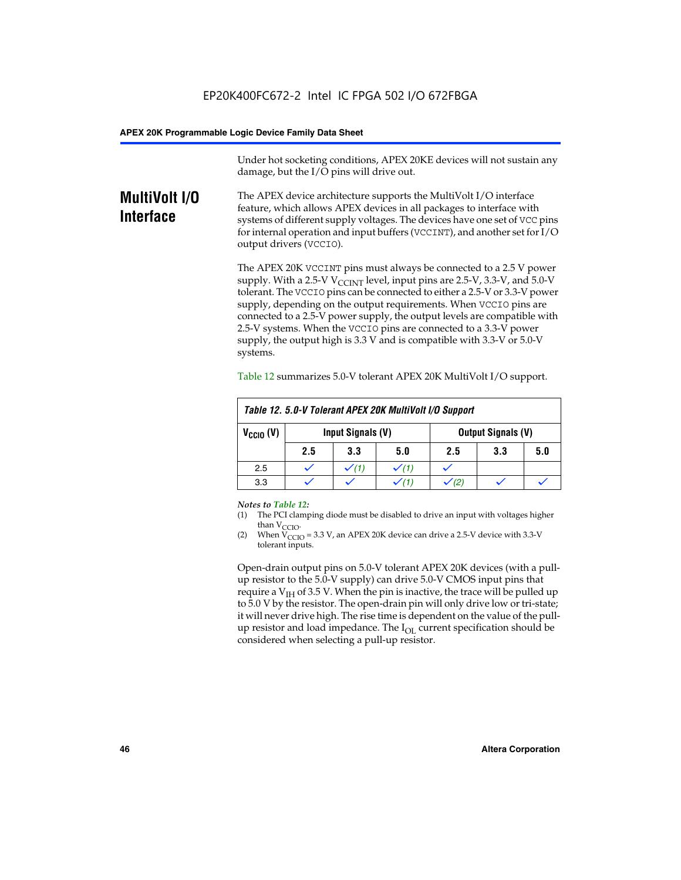Under hot socketing conditions, APEX 20KE devices will not sustain any damage, but the I/O pins will drive out.

# **MultiVolt I/O Interface**

The APEX device architecture supports the MultiVolt I/O interface feature, which allows APEX devices in all packages to interface with systems of different supply voltages. The devices have one set of VCC pins for internal operation and input buffers (VCCINT), and another set for I/O output drivers (VCCIO).

The APEX 20K VCCINT pins must always be connected to a 2.5 V power supply. With a 2.5-V  $V_{\text{CCMT}}$  level, input pins are 2.5-V, 3.3-V, and 5.0-V tolerant. The VCCIO pins can be connected to either a 2.5-V or 3.3-V power supply, depending on the output requirements. When VCCIO pins are connected to a 2.5-V power supply, the output levels are compatible with 2.5-V systems. When the VCCIO pins are connected to a 3.3-V power supply, the output high is 3.3 V and is compatible with 3.3-V or 5.0-V systems.

| Table 12. 5.0-V Tolerant APEX 20K MultiVolt I/O Support |                                                |                  |     |     |     |     |
|---------------------------------------------------------|------------------------------------------------|------------------|-----|-----|-----|-----|
| $V_{\text{CCIO}}(V)$                                    | Input Signals (V)<br><b>Output Signals (V)</b> |                  |     |     |     |     |
|                                                         | 2.5                                            | 3.3              | 5.0 | 2.5 | 3.3 | 5.0 |
| 2.5                                                     |                                                | $\checkmark$ (1) |     |     |     |     |
| 3.3                                                     |                                                |                  |     |     |     |     |

Table 12 summarizes 5.0-V tolerant APEX 20K MultiVolt I/O support.

#### *Notes to Table 12:*

- (1) The PCI clamping diode must be disabled to drive an input with voltages higher than  $V_{CCIO}$ .
- (2) When  $V_{CCIO} = 3.3 V$ , an APEX 20K device can drive a 2.5-V device with 3.3-V tolerant inputs.

Open-drain output pins on 5.0-V tolerant APEX 20K devices (with a pullup resistor to the 5.0-V supply) can drive 5.0-V CMOS input pins that require a  $V_{IH}$  of 3.5 V. When the pin is inactive, the trace will be pulled up to 5.0 V by the resistor. The open-drain pin will only drive low or tri-state; it will never drive high. The rise time is dependent on the value of the pullup resistor and load impedance. The  $I_{OI}$  current specification should be considered when selecting a pull-up resistor.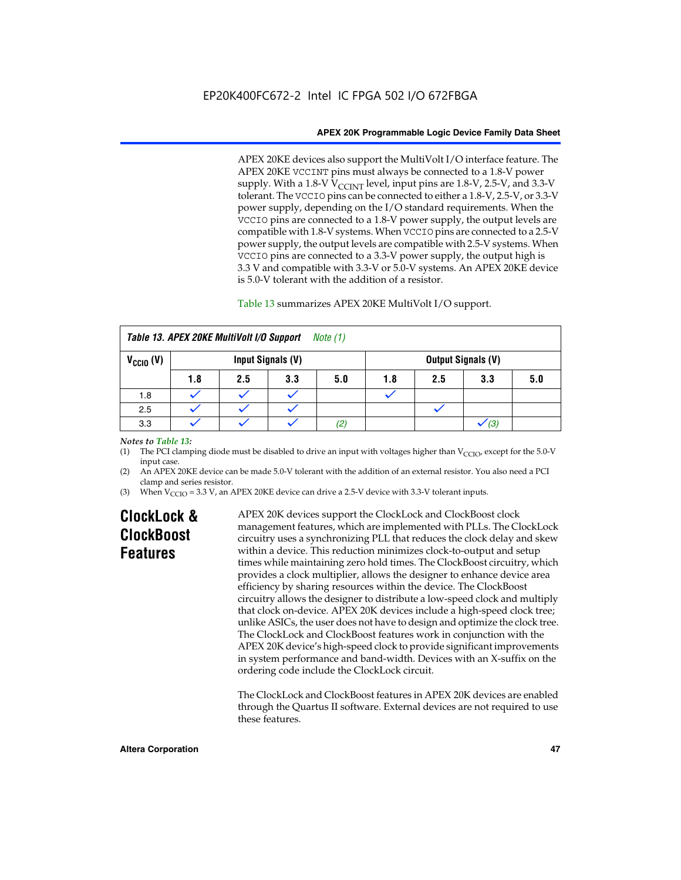APEX 20KE devices also support the MultiVolt I/O interface feature. The APEX 20KE VCCINT pins must always be connected to a 1.8-V power supply. With a 1.8-V  $V_{\text{CCINT}}$  level, input pins are 1.8-V, 2.5-V, and 3.3-V tolerant. The VCCIO pins can be connected to either a 1.8-V, 2.5-V, or 3.3-V power supply, depending on the I/O standard requirements. When the VCCIO pins are connected to a 1.8-V power supply, the output levels are compatible with 1.8-V systems. When VCCIO pins are connected to a 2.5-V power supply, the output levels are compatible with 2.5-V systems. When VCCIO pins are connected to a 3.3-V power supply, the output high is 3.3 V and compatible with 3.3-V or 5.0-V systems. An APEX 20KE device is 5.0-V tolerant with the addition of a resistor.

# Table 13 summarizes APEX 20KE MultiVolt I/O support.

|                                           | Table 13. APEX 20KE MultiVolt I/O Support<br><i>Note</i> $(1)$ |     |     |     |     |     |                           |     |
|-------------------------------------------|----------------------------------------------------------------|-----|-----|-----|-----|-----|---------------------------|-----|
| $V_{\text{CCIO}}(V)$<br>Input Signals (V) |                                                                |     |     |     |     |     | <b>Output Signals (V)</b> |     |
|                                           | 1.8                                                            | 2.5 | 3.3 | 5.0 | 1.8 | 2.5 | 3.3                       | 5.0 |
| 1.8                                       |                                                                |     |     |     |     |     |                           |     |
| 2.5                                       |                                                                |     |     |     |     |     |                           |     |
| 3.3                                       |                                                                |     |     | (2) |     |     | (3)                       |     |

# *Notes to Table 13:*

(1) The PCI clamping diode must be disabled to drive an input with voltages higher than  $V_{CCIO}$ , except for the 5.0-V input case.

(2) An APEX 20KE device can be made 5.0-V tolerant with the addition of an external resistor. You also need a PCI clamp and series resistor.

(3) When  $V_{\text{CCIO}} = 3.3$  V, an APEX 20KE device can drive a 2.5-V device with 3.3-V tolerant inputs.

# **ClockLock & ClockBoost Features**

APEX 20K devices support the ClockLock and ClockBoost clock management features, which are implemented with PLLs. The ClockLock circuitry uses a synchronizing PLL that reduces the clock delay and skew within a device. This reduction minimizes clock-to-output and setup times while maintaining zero hold times. The ClockBoost circuitry, which provides a clock multiplier, allows the designer to enhance device area efficiency by sharing resources within the device. The ClockBoost circuitry allows the designer to distribute a low-speed clock and multiply that clock on-device. APEX 20K devices include a high-speed clock tree; unlike ASICs, the user does not have to design and optimize the clock tree. The ClockLock and ClockBoost features work in conjunction with the APEX 20K device's high-speed clock to provide significant improvements in system performance and band-width. Devices with an X-suffix on the ordering code include the ClockLock circuit.

The ClockLock and ClockBoost features in APEX 20K devices are enabled through the Quartus II software. External devices are not required to use these features.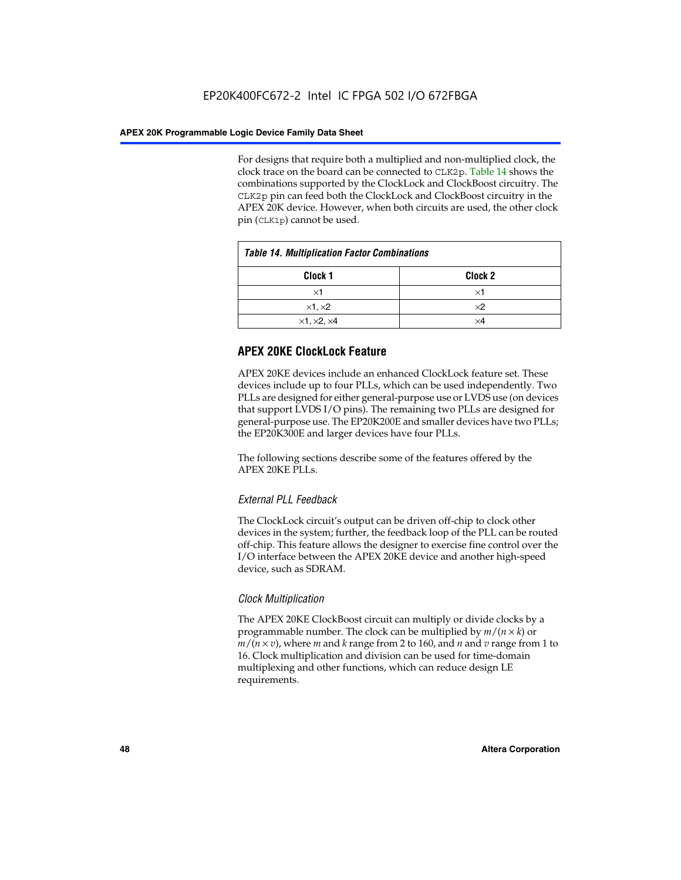For designs that require both a multiplied and non-multiplied clock, the clock trace on the board can be connected to CLK2p. Table 14 shows the combinations supported by the ClockLock and ClockBoost circuitry. The CLK2p pin can feed both the ClockLock and ClockBoost circuitry in the APEX 20K device. However, when both circuits are used, the other clock pin (CLK1p) cannot be used.

| <b>Table 14. Multiplication Factor Combinations</b> |                    |  |
|-----------------------------------------------------|--------------------|--|
| Clock 1                                             | Clock <sub>2</sub> |  |
| ×1                                                  | ×1                 |  |
| $\times$ 1, $\times$ 2                              | $\times 2$         |  |
| $\times$ 1, $\times$ 2, $\times$ 4                  | ×4                 |  |

# **APEX 20KE ClockLock Feature**

APEX 20KE devices include an enhanced ClockLock feature set. These devices include up to four PLLs, which can be used independently. Two PLLs are designed for either general-purpose use or LVDS use (on devices that support LVDS I/O pins). The remaining two PLLs are designed for general-purpose use. The EP20K200E and smaller devices have two PLLs; the EP20K300E and larger devices have four PLLs.

The following sections describe some of the features offered by the APEX 20KE PLLs.

# *External PLL Feedback*

The ClockLock circuit's output can be driven off-chip to clock other devices in the system; further, the feedback loop of the PLL can be routed off-chip. This feature allows the designer to exercise fine control over the I/O interface between the APEX 20KE device and another high-speed device, such as SDRAM.

# *Clock Multiplication*

The APEX 20KE ClockBoost circuit can multiply or divide clocks by a programmable number. The clock can be multiplied by *m*/(*n* × *k*) or  $m/(n \times v)$ , where *m* and *k* range from 2 to 160, and *n* and *v* range from 1 to 16. Clock multiplication and division can be used for time-domain multiplexing and other functions, which can reduce design LE requirements.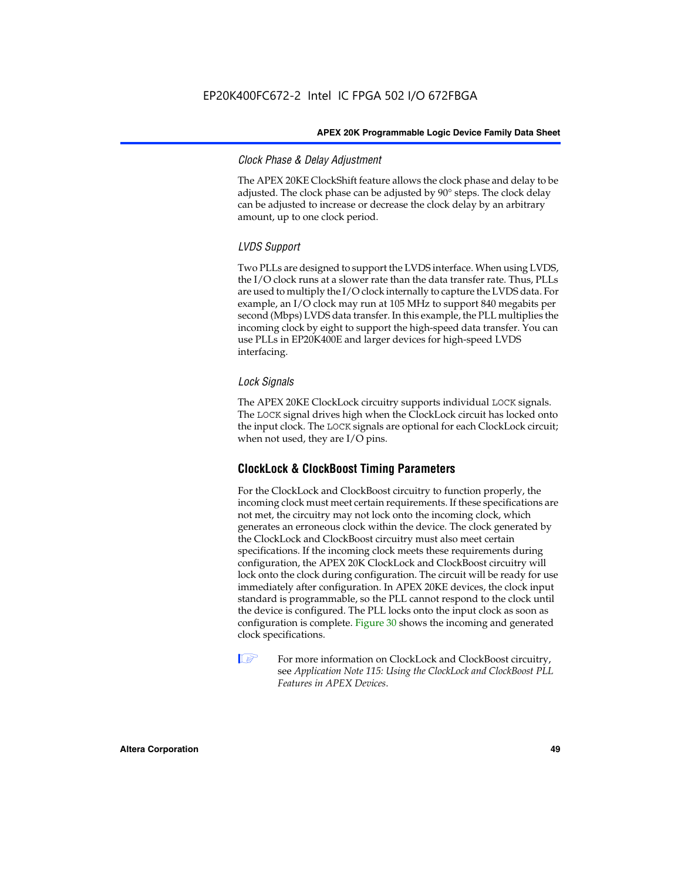# *Clock Phase & Delay Adjustment*

The APEX 20KE ClockShift feature allows the clock phase and delay to be adjusted. The clock phase can be adjusted by 90° steps. The clock delay can be adjusted to increase or decrease the clock delay by an arbitrary amount, up to one clock period.

# *LVDS Support*

Two PLLs are designed to support the LVDS interface. When using LVDS, the I/O clock runs at a slower rate than the data transfer rate. Thus, PLLs are used to multiply the I/O clock internally to capture the LVDS data. For example, an I/O clock may run at 105 MHz to support 840 megabits per second (Mbps) LVDS data transfer. In this example, the PLL multiplies the incoming clock by eight to support the high-speed data transfer. You can use PLLs in EP20K400E and larger devices for high-speed LVDS interfacing.

# *Lock Signals*

The APEX 20KE ClockLock circuitry supports individual LOCK signals. The LOCK signal drives high when the ClockLock circuit has locked onto the input clock. The LOCK signals are optional for each ClockLock circuit; when not used, they are I/O pins.

# **ClockLock & ClockBoost Timing Parameters**

For the ClockLock and ClockBoost circuitry to function properly, the incoming clock must meet certain requirements. If these specifications are not met, the circuitry may not lock onto the incoming clock, which generates an erroneous clock within the device. The clock generated by the ClockLock and ClockBoost circuitry must also meet certain specifications. If the incoming clock meets these requirements during configuration, the APEX 20K ClockLock and ClockBoost circuitry will lock onto the clock during configuration. The circuit will be ready for use immediately after configuration. In APEX 20KE devices, the clock input standard is programmable, so the PLL cannot respond to the clock until the device is configured. The PLL locks onto the input clock as soon as configuration is complete. Figure 30 shows the incoming and generated clock specifications.

 $\mathbb{I} \mathcal{F}$  For more information on ClockLock and ClockBoost circuitry, see *Application Note 115: Using the ClockLock and ClockBoost PLL Features in APEX Devices*.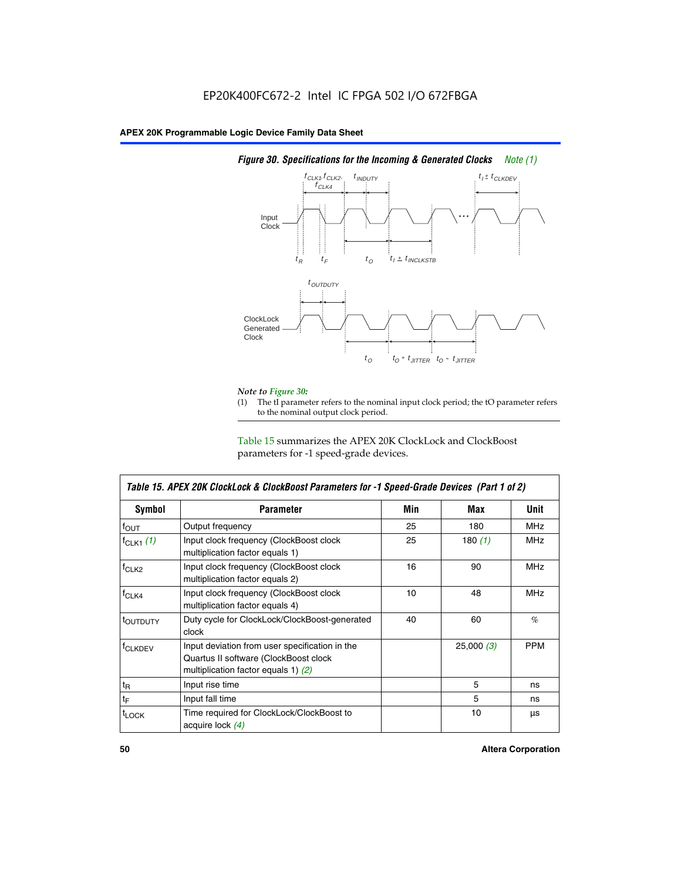

# *Figure 30. Specifications for the Incoming & Generated Clocks Note (1)*

# *Note to Figure 30:*

The tI parameter refers to the nominal input clock period; the tO parameter refers to the nominal output clock period.

Table 15 summarizes the APEX 20K ClockLock and ClockBoost parameters for -1 speed-grade devices.

| <b>Symbol</b>                                                                                                                                       | <b>Parameter</b>                                                           | Min | Max       | <b>Unit</b> |
|-----------------------------------------------------------------------------------------------------------------------------------------------------|----------------------------------------------------------------------------|-----|-----------|-------------|
| $f_{OUT}$                                                                                                                                           | Output frequency                                                           | 25  | 180       | MHz         |
| $f_{CLK1}$ $(1)$                                                                                                                                    | Input clock frequency (ClockBoost clock<br>multiplication factor equals 1) | 25  | 180 $(1)$ | <b>MHz</b>  |
| $f_{CLK2}$                                                                                                                                          | Input clock frequency (ClockBoost clock<br>multiplication factor equals 2) | 16  | 90        | <b>MHz</b>  |
| $f_{CLK4}$                                                                                                                                          | Input clock frequency (ClockBoost clock<br>multiplication factor equals 4) | 10  | 48        | <b>MHz</b>  |
| toutputy                                                                                                                                            | Duty cycle for ClockLock/ClockBoost-generated<br>clock                     | 40  | 60        | %           |
| Input deviation from user specification in the<br><b>f</b> CLKDEV<br>Quartus II software (ClockBoost clock<br>multiplication factor equals 1) $(2)$ |                                                                            |     | 25,000(3) | <b>PPM</b>  |
| $t_{\mathsf{R}}$                                                                                                                                    | Input rise time                                                            |     | 5         | ns          |
| $t_{\mathsf{F}}$                                                                                                                                    | Input fall time                                                            |     | 5         | ns          |
| <sup>t</sup> LOCK                                                                                                                                   | Time required for ClockLock/ClockBoost to<br>acquire lock (4)              |     | 10        | μs          |

 $\mathsf I$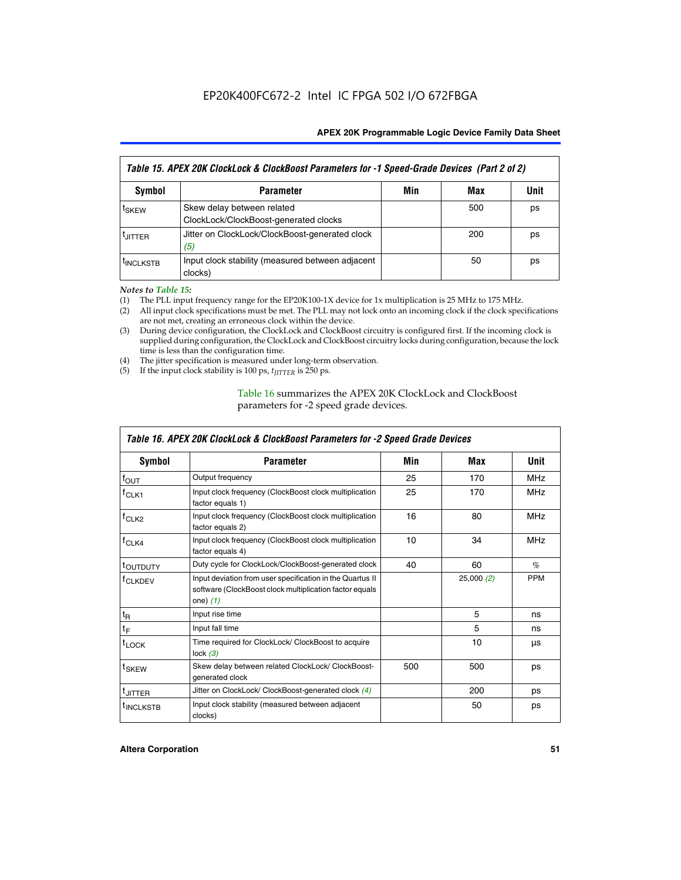| Table 15. APEX 20K ClockLock & ClockBoost Parameters for -1 Speed-Grade Devices (Part 2 of 2) |                                                                     |     |     |      |
|-----------------------------------------------------------------------------------------------|---------------------------------------------------------------------|-----|-----|------|
| <b>Symbol</b>                                                                                 | <b>Parameter</b>                                                    | Min | Max | Unit |
| t <sub>SKEW</sub>                                                                             | Skew delay between related<br>ClockLock/ClockBoost-generated clocks |     | 500 | ps   |
| <b>UITTER</b>                                                                                 | Jitter on ClockLock/ClockBoost-generated clock<br>(5)               |     | 200 | ps   |
| <b>INCLKSTB</b>                                                                               | Input clock stability (measured between adjacent<br>clocks)         |     | 50  | ps   |

*Notes to Table 15:*

- (1) The PLL input frequency range for the EP20K100-1X device for 1x multiplication is 25 MHz to 175 MHz.
- (2) All input clock specifications must be met. The PLL may not lock onto an incoming clock if the clock specifications are not met, creating an erroneous clock within the device.
- (3) During device configuration, the ClockLock and ClockBoost circuitry is configured first. If the incoming clock is supplied during configuration, the ClockLock and ClockBoost circuitry locks during configuration, because the lock time is less than the configuration time.
- (4) The jitter specification is measured under long-term observation.
- (5) If the input clock stability is 100 ps,  $t_{\text{JITTER}}$  is 250 ps.

# Table 16 summarizes the APEX 20K ClockLock and ClockBoost parameters for -2 speed grade devices.

| Symbol                                                                                                                                                    | <b>Parameter</b>                                                           | Min | Max       | Unit       |
|-----------------------------------------------------------------------------------------------------------------------------------------------------------|----------------------------------------------------------------------------|-----|-----------|------------|
| f <sub>ouт</sub>                                                                                                                                          | Output frequency                                                           | 25  | 170       | <b>MHz</b> |
| Input clock frequency (ClockBoost clock multiplication<br>$f_{CLK1}$<br>factor equals 1)                                                                  |                                                                            | 25  | 170       | <b>MHz</b> |
| $f_{CLK2}$                                                                                                                                                | Input clock frequency (ClockBoost clock multiplication<br>factor equals 2) |     | 80        | <b>MHz</b> |
| Input clock frequency (ClockBoost clock multiplication<br>$f_{CLK4}$<br>factor equals 4)                                                                  |                                                                            | 10  | 34        | <b>MHz</b> |
| <sup>t</sup> OUTDUTY                                                                                                                                      | Duty cycle for ClockLock/ClockBoost-generated clock                        | 40  | 60        | $\%$       |
| Input deviation from user specification in the Quartus II<br><sup>T</sup> CLKDEV<br>software (ClockBoost clock multiplication factor equals<br>one) $(1)$ |                                                                            |     | 25,000(2) | <b>PPM</b> |
| $t_{\mathsf{R}}$                                                                                                                                          | Input rise time                                                            |     | 5         | ns         |
| $t_F$                                                                                                                                                     | Input fall time                                                            |     | 5         | ns         |
| $t_{\text{LOCK}}$                                                                                                                                         | Time required for ClockLock/ ClockBoost to acquire<br>lock $(3)$           |     | 10        | μs         |
| t <sub>SKEW</sub>                                                                                                                                         | Skew delay between related ClockLock/ ClockBoost-<br>generated clock       | 500 | 500       | ps         |
| t <sub>JITTER</sub>                                                                                                                                       | Jitter on ClockLock/ ClockBoost-generated clock (4)                        |     | 200       | ps         |
| <sup>I</sup> INCLKSTB                                                                                                                                     | Input clock stability (measured between adjacent<br>clocks)                |     | 50        | ps         |

# *Table 16. APEX 20K ClockLock & ClockBoost Parameters for -2 Speed Grade Devices*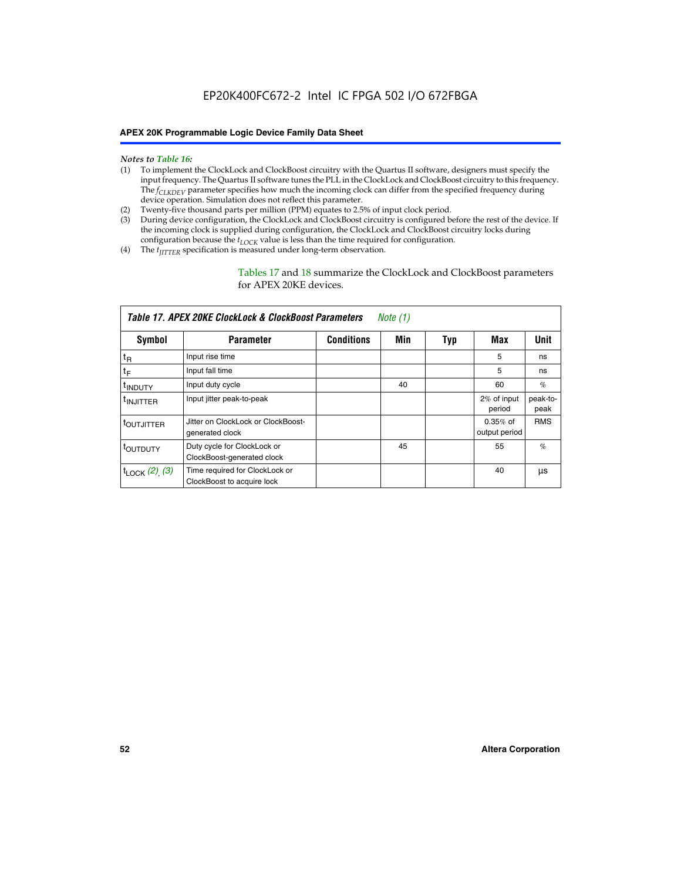- *Notes to Table 16:* (1) To implement the ClockLock and ClockBoost circuitry with the Quartus II software, designers must specify the input frequency. The Quartus II software tunes the PLL in the ClockLock and ClockBoost circuitry to this frequency. The *f<sub>CLKDEV</sub>* parameter specifies how much the incoming clock can differ from the specified frequency during device operation. Simulation does not reflect this parameter.
- (2) Twenty-five thousand parts per million (PPM) equates to 2.5% of input clock period.
- (3) During device configuration, the ClockLock and ClockBoost circuitry is configured before the rest of the device. If the incoming clock is supplied during configuration, the ClockLock and ClockBoost circuitry locks during configuration because the  $t_{LOCK}$  value is less than the time required for configuration.
- (4) The  $t_{\text{ITTTER}}$  specification is measured under long-term observation.

Tables 17 and 18 summarize the ClockLock and ClockBoost parameters for APEX 20KE devices.

|                            | Table 17. APEX 20KE ClockLock & ClockBoost Parameters        |                   | Note (1) |     |                             |                  |
|----------------------------|--------------------------------------------------------------|-------------------|----------|-----|-----------------------------|------------------|
| Symbol                     | <b>Parameter</b>                                             | <b>Conditions</b> | Min      | Typ | Max                         | <b>Unit</b>      |
| $t_{R}$                    | Input rise time                                              |                   |          |     | 5                           | ns               |
| tF                         | Input fall time                                              |                   |          |     | 5                           | ns               |
| <sup>t</sup> INDUTY        | Input duty cycle                                             |                   | 40       |     | 60                          | %                |
| <sup>t</sup> INJITTER      | Input jitter peak-to-peak                                    |                   |          |     | 2% of input<br>period       | peak-to-<br>peak |
| <sup>t</sup> OUTJITTER     | Jitter on ClockLock or ClockBoost-<br>generated clock        |                   |          |     | $0.35%$ of<br>output period | <b>RMS</b>       |
| t <sub>outputy</sub>       | Duty cycle for ClockLock or<br>ClockBoost-generated clock    |                   | 45       |     | 55                          | $\%$             |
| $t_{\text{LOCK}}$ (2), (3) | Time required for ClockLock or<br>ClockBoost to acquire lock |                   |          |     | 40                          | μs               |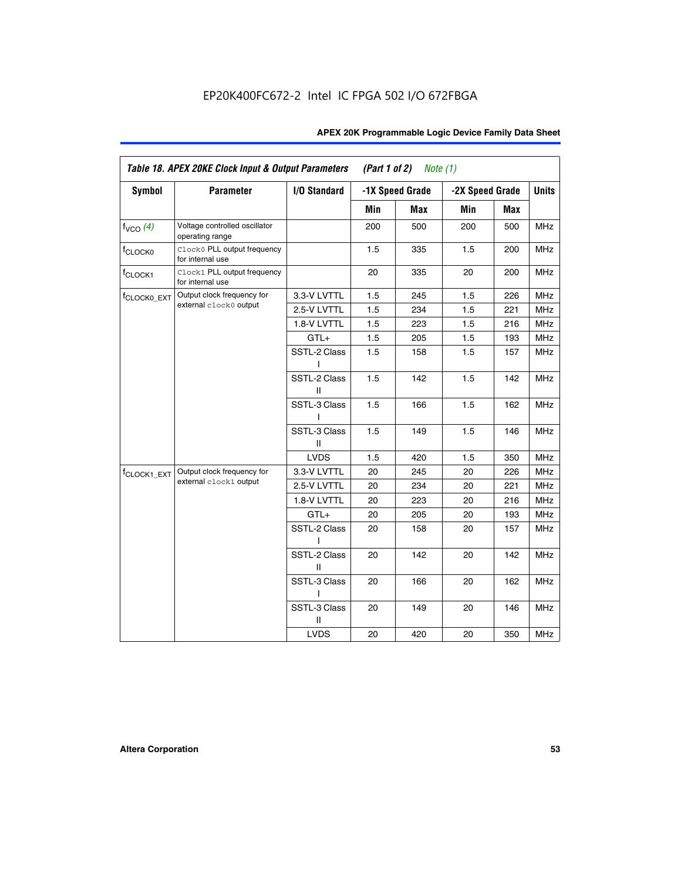| <b>Symbol</b>           | <b>Parameter</b>                                 | I/O Standard      |     | -1X Speed Grade | -2X Speed Grade |     | <b>Units</b> |
|-------------------------|--------------------------------------------------|-------------------|-----|-----------------|-----------------|-----|--------------|
|                         |                                                  |                   |     |                 |                 |     |              |
|                         |                                                  |                   | Min | Max             | Min             | Max |              |
| $f_{VCO}$ $(4)$         | Voltage controlled oscillator<br>operating range |                   | 200 | 500             | 200             | 500 | <b>MHz</b>   |
| f <sub>CLOCK0</sub>     | Clock0 PLL output frequency<br>for internal use  |                   | 1.5 | 335             | 1.5             | 200 | MHz          |
| f <sub>CLOCK1</sub>     | Clock1 PLL output frequency<br>for internal use  |                   | 20  | 335             | 20              | 200 | MHz          |
| f <sub>CLOCK0_EXT</sub> | Output clock frequency for                       | 3.3-V LVTTL       | 1.5 | 245             | 1.5             | 226 | <b>MHz</b>   |
|                         | external clock0 output                           | 2.5-V LVTTL       | 1.5 | 234             | 1.5             | 221 | <b>MHz</b>   |
|                         |                                                  | 1.8-V LVTTL       | 1.5 | 223             | 1.5             | 216 | <b>MHz</b>   |
|                         |                                                  | $GTL+$            | 1.5 | 205             | 1.5             | 193 | <b>MHz</b>   |
|                         |                                                  | SSTL-2 Class<br>L | 1.5 | 158             | 1.5             | 157 | <b>MHz</b>   |
|                         |                                                  | SSTL-2 Class<br>Ш | 1.5 | 142             | 1.5             | 142 | <b>MHz</b>   |
|                         |                                                  | SSTL-3 Class<br>I | 1.5 | 166             | 1.5             | 162 | <b>MHz</b>   |
|                         |                                                  | SSTL-3 Class<br>Ш | 1.5 | 149             | 1.5             | 146 | <b>MHz</b>   |
|                         |                                                  | <b>LVDS</b>       | 1.5 | 420             | 1.5             | 350 | <b>MHz</b>   |
| f <sub>CLOCK1_EXT</sub> | Output clock frequency for                       | 3.3-V LVTTL       | 20  | 245             | 20              | 226 | <b>MHz</b>   |
|                         | external clock1 output                           | 2.5-V LVTTL       | 20  | 234             | 20              | 221 | <b>MHz</b>   |
|                         |                                                  | 1.8-V LVTTL       | 20  | 223             | 20              | 216 | <b>MHz</b>   |
|                         |                                                  | $GTL+$            | 20  | 205             | 20              | 193 | MHz          |
|                         |                                                  | SSTL-2 Class      | 20  | 158             | 20              | 157 | <b>MHz</b>   |
|                         |                                                  | SSTL-2 Class<br>Ш | 20  | 142             | 20              | 142 | <b>MHz</b>   |
|                         |                                                  | SSTL-3 Class      | 20  | 166             | 20              | 162 | <b>MHz</b>   |
|                         |                                                  | SSTL-3 Class<br>Ш | 20  | 149             | 20              | 146 | <b>MHz</b>   |
|                         |                                                  | <b>LVDS</b>       | 20  | 420             | 20              | 350 | MHz          |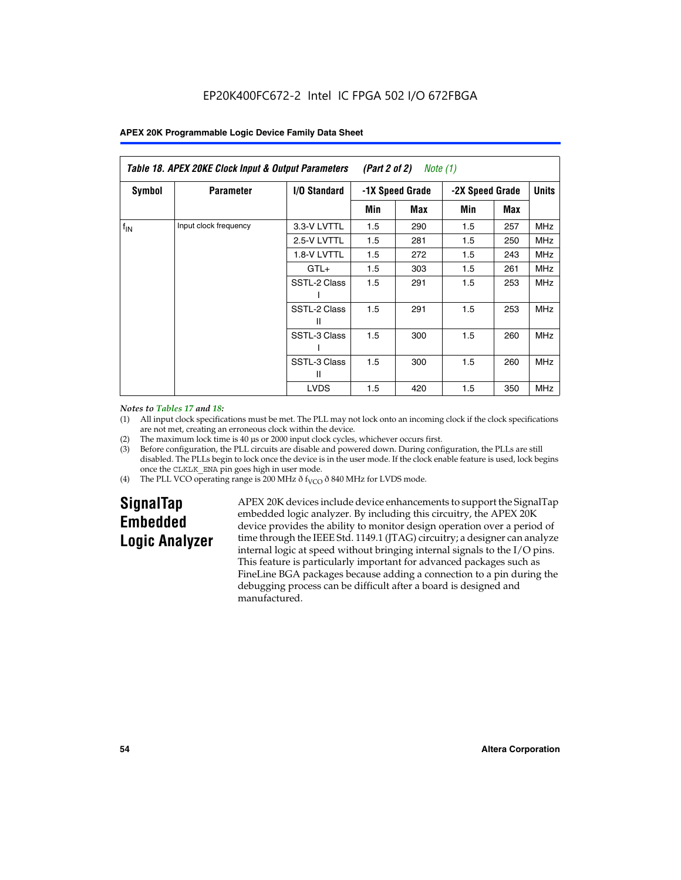| Table 18. APEX 20KE Clock Input & Output Parameters<br>(Part 2 of 2)<br>Note (1) |                       |                   |     |                 |     |                 |              |
|----------------------------------------------------------------------------------|-----------------------|-------------------|-----|-----------------|-----|-----------------|--------------|
| <b>Symbol</b>                                                                    | <b>Parameter</b>      | I/O Standard      |     | -1X Speed Grade |     | -2X Speed Grade | <b>Units</b> |
|                                                                                  |                       |                   | Min | Max             | Min | Max             |              |
| $f_{IN}$                                                                         | Input clock frequency | 3.3-V LVTTL       | 1.5 | 290             | 1.5 | 257             | <b>MHz</b>   |
|                                                                                  |                       | 2.5-V LVTTL       | 1.5 | 281             | 1.5 | 250             | <b>MHz</b>   |
|                                                                                  |                       | 1.8-V LVTTL       | 1.5 | 272             | 1.5 | 243             | <b>MHz</b>   |
|                                                                                  |                       | $GTL+$            | 1.5 | 303             | 1.5 | 261             | <b>MHz</b>   |
|                                                                                  |                       | SSTL-2 Class      | 1.5 | 291             | 1.5 | 253             | <b>MHz</b>   |
|                                                                                  |                       | SSTL-2 Class<br>Ш | 1.5 | 291             | 1.5 | 253             | <b>MHz</b>   |
|                                                                                  |                       | SSTL-3 Class      | 1.5 | 300             | 1.5 | 260             | <b>MHz</b>   |
|                                                                                  |                       | SSTL-3 Class<br>Ш | 1.5 | 300             | 1.5 | 260             | <b>MHz</b>   |
|                                                                                  |                       | <b>LVDS</b>       | 1.5 | 420             | 1.5 | 350             | <b>MHz</b>   |

#### *Notes to Tables 17 and 18:*

(1) All input clock specifications must be met. The PLL may not lock onto an incoming clock if the clock specifications are not met, creating an erroneous clock within the device.

- (2) The maximum lock time is 40 µs or 2000 input clock cycles, whichever occurs first.
- (3) Before configuration, the PLL circuits are disable and powered down. During configuration, the PLLs are still disabled. The PLLs begin to lock once the device is in the user mode. If the clock enable feature is used, lock begins once the CLKLK\_ENA pin goes high in user mode.
- (4) The PLL VCO operating range is 200 MHz  $\eth$  f<sub>VCO</sub>  $\eth$  840 MHz for LVDS mode.

# **SignalTap Embedded Logic Analyzer**

APEX 20K devices include device enhancements to support the SignalTap embedded logic analyzer. By including this circuitry, the APEX 20K device provides the ability to monitor design operation over a period of time through the IEEE Std. 1149.1 (JTAG) circuitry; a designer can analyze internal logic at speed without bringing internal signals to the I/O pins. This feature is particularly important for advanced packages such as FineLine BGA packages because adding a connection to a pin during the debugging process can be difficult after a board is designed and manufactured.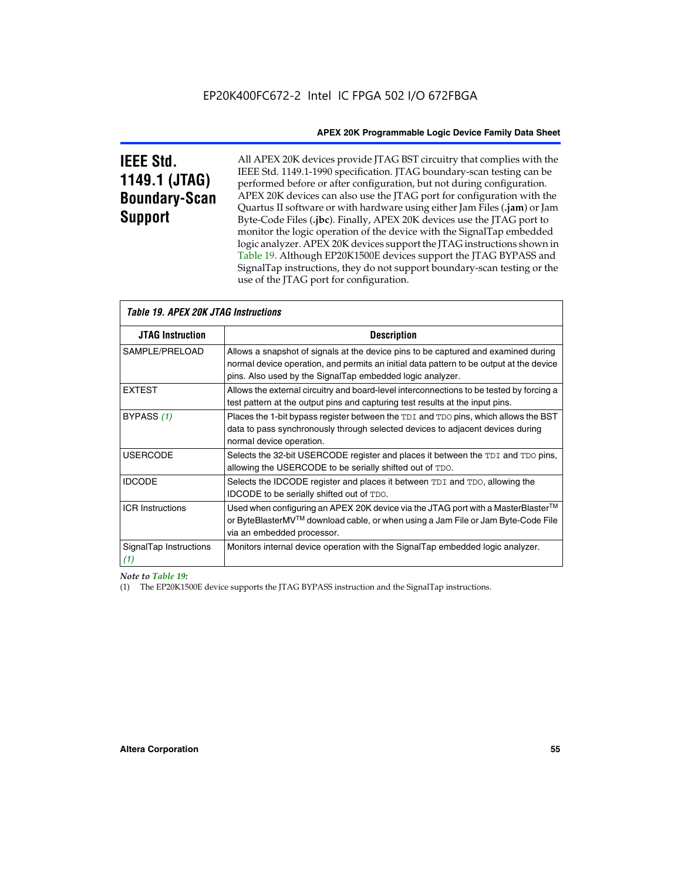# **IEEE Std. 1149.1 (JTAG) Boundary-Scan Support**

All APEX 20K devices provide JTAG BST circuitry that complies with the IEEE Std. 1149.1-1990 specification. JTAG boundary-scan testing can be performed before or after configuration, but not during configuration. APEX 20K devices can also use the JTAG port for configuration with the Quartus II software or with hardware using either Jam Files (**.jam**) or Jam Byte-Code Files (**.jbc**). Finally, APEX 20K devices use the JTAG port to monitor the logic operation of the device with the SignalTap embedded logic analyzer. APEX 20K devices support the JTAG instructions shown in Table 19. Although EP20K1500E devices support the JTAG BYPASS and SignalTap instructions, they do not support boundary-scan testing or the use of the JTAG port for configuration.

| <i><b>Table 19. APEX 20K JTAG Instructions</b></i> |                                                                                                                                                                                                                                            |
|----------------------------------------------------|--------------------------------------------------------------------------------------------------------------------------------------------------------------------------------------------------------------------------------------------|
| <b>JTAG Instruction</b>                            | <b>Description</b>                                                                                                                                                                                                                         |
| SAMPLE/PRELOAD                                     | Allows a snapshot of signals at the device pins to be captured and examined during<br>normal device operation, and permits an initial data pattern to be output at the device<br>pins. Also used by the SignalTap embedded logic analyzer. |
| <b>EXTEST</b>                                      | Allows the external circuitry and board-level interconnections to be tested by forcing a<br>test pattern at the output pins and capturing test results at the input pins.                                                                  |
| BYPASS (1)                                         | Places the 1-bit bypass register between the TDI and TDO pins, which allows the BST<br>data to pass synchronously through selected devices to adjacent devices during<br>normal device operation.                                          |
| <b>USERCODE</b>                                    | Selects the 32-bit USERCODE register and places it between the TDI and TDO pins,<br>allowing the USERCODE to be serially shifted out of TDO.                                                                                               |
| <b>IDCODE</b>                                      | Selects the IDCODE register and places it between TDI and TDO, allowing the<br>IDCODE to be serially shifted out of TDO.                                                                                                                   |
| <b>ICR Instructions</b>                            | Used when configuring an APEX 20K device via the JTAG port with a MasterBlaster™<br>or ByteBlasterMV™ download cable, or when using a Jam File or Jam Byte-Code File<br>via an embedded processor.                                         |
| SignalTap Instructions<br>(1)                      | Monitors internal device operation with the SignalTap embedded logic analyzer.                                                                                                                                                             |

 $\overline{\phantom{a}}$ 

# *Note to Table 19:*

(1) The EP20K1500E device supports the JTAG BYPASS instruction and the SignalTap instructions.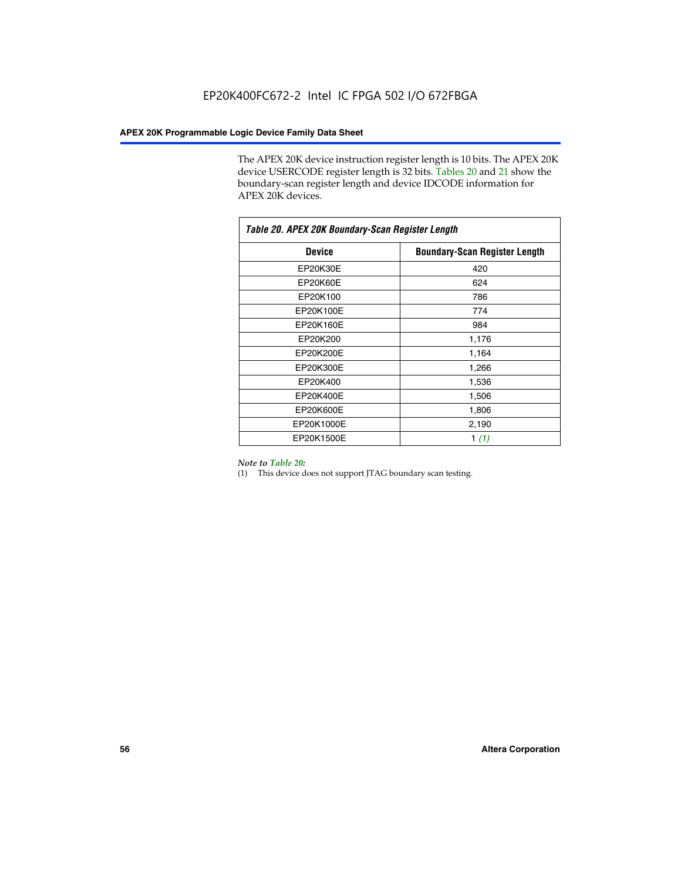The APEX 20K device instruction register length is 10 bits. The APEX 20K device USERCODE register length is 32 bits. Tables 20 and 21 show the boundary-scan register length and device IDCODE information for APEX 20K devices.

| Table 20. APEX 20K Boundary-Scan Register Length |                                      |  |  |  |
|--------------------------------------------------|--------------------------------------|--|--|--|
| <b>Device</b>                                    | <b>Boundary-Scan Register Length</b> |  |  |  |
| EP20K30E                                         | 420                                  |  |  |  |
| EP20K60E                                         | 624                                  |  |  |  |
| EP20K100                                         | 786                                  |  |  |  |
| EP20K100E                                        | 774                                  |  |  |  |
| EP20K160E                                        | 984                                  |  |  |  |
| EP20K200                                         | 1,176                                |  |  |  |
| EP20K200E                                        | 1,164                                |  |  |  |
| EP20K300E                                        | 1,266                                |  |  |  |
| EP20K400                                         | 1,536                                |  |  |  |
| EP20K400E                                        | 1,506                                |  |  |  |
| EP20K600E                                        | 1,806                                |  |  |  |
| EP20K1000E                                       | 2,190                                |  |  |  |
| EP20K1500E                                       | 1 $(1)$                              |  |  |  |

#### *Note to Table 20:*

(1) This device does not support JTAG boundary scan testing.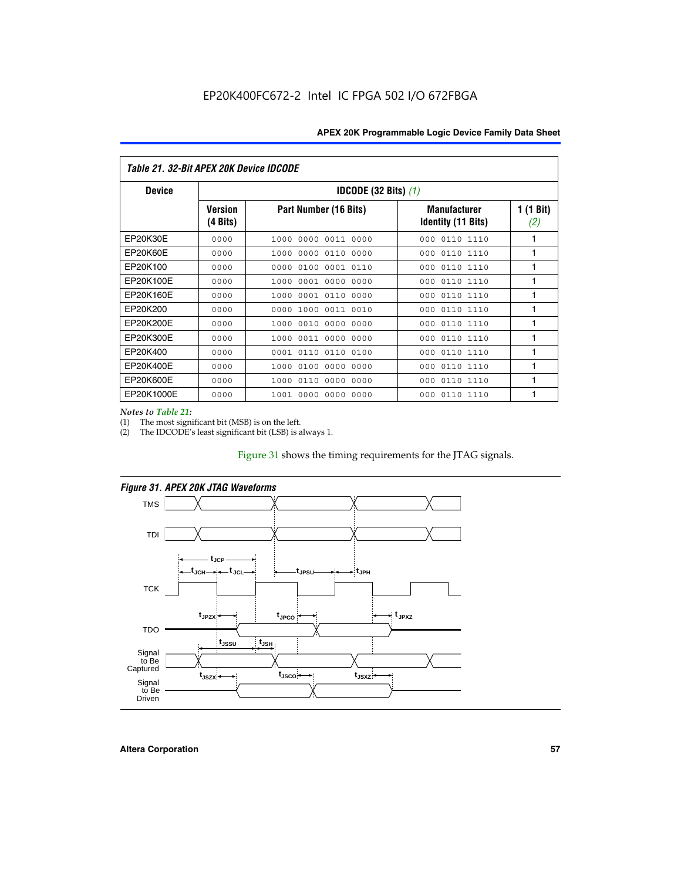| Table 21. 32-Bit APEX 20K Device IDCODE |                                          |                              |                                                  |                  |  |  |
|-----------------------------------------|------------------------------------------|------------------------------|--------------------------------------------------|------------------|--|--|
| <b>Device</b>                           | <b>IDCODE (32 Bits) <math>(1)</math></b> |                              |                                                  |                  |  |  |
|                                         | <b>Version</b><br>(4 Bits)               | Part Number (16 Bits)        | <b>Manufacturer</b><br><b>Identity (11 Bits)</b> | 1 (1 Bit)<br>(2) |  |  |
| EP20K30E                                | 0000                                     | 0000 0011 0000<br>1000       | 0110 1110<br>000                                 | 1                |  |  |
| EP20K60E                                | 0000                                     | 1000<br>0000 0110<br>0000    | 0110 1110<br>000                                 | 1                |  |  |
| EP20K100                                | 0000                                     | 0000<br>0100<br>0001 0110    | 000<br>0110 1110                                 | 1                |  |  |
| EP20K100E                               | 0000                                     | 1000<br>0001 0000<br>0000    | 0110 1110<br>000                                 | 1                |  |  |
| EP20K160E                               | 0000                                     | 0001 0110<br>0000<br>1000    | 000<br>0110 1110                                 | 1                |  |  |
| EP20K200                                | 0000                                     | 1000<br>0011 0010<br>0000    | 0110 1110<br>000                                 | 1                |  |  |
| EP20K200E                               | 0000                                     | 0010<br>0000<br>0000<br>1000 | 0110 1110<br>000                                 | 1                |  |  |
| EP20K300E                               | 0000                                     | 0011 0000<br>0000<br>1000    | 0110 1110<br>000                                 | 1                |  |  |
| EP20K400                                | 0000                                     | 0001<br>0110<br>0110<br>0100 | 0110 1110<br>000                                 | 1                |  |  |
| EP20K400E                               | 0000                                     | 0100<br>0000<br>0000<br>1000 | 0110 1110<br>000                                 | 1                |  |  |
| EP20K600E                               | 0000                                     | 1000<br>0110<br>0000<br>0000 | 0110 1110<br>000                                 | 1                |  |  |
| EP20K1000E                              | 0000                                     | 0000<br>0000<br>0000<br>1001 | 000<br>0110 1110                                 | 1                |  |  |

*Notes to Table 21:*

The most significant bit (MSB) is on the left.

(2) The IDCODE's least significant bit (LSB) is always 1.

# Figure 31 shows the timing requirements for the JTAG signals.



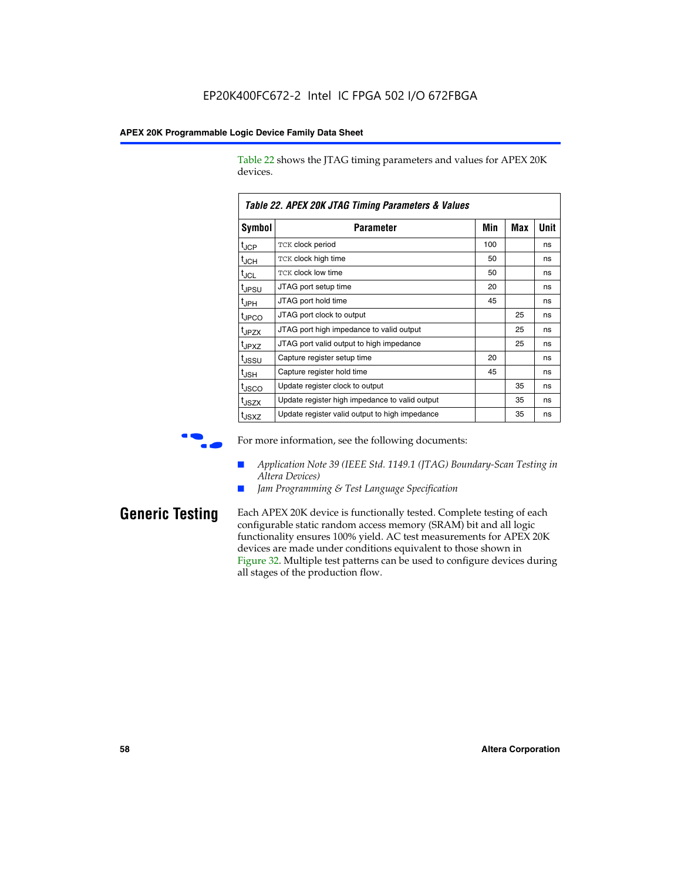Table 22 shows the JTAG timing parameters and values for APEX 20K devices.

|                   | TADIG LL. AF LA LUN JTAU THIIHIY FAIAHIGIGIS & VAIUGS |     |     |      |  |  |  |
|-------------------|-------------------------------------------------------|-----|-----|------|--|--|--|
| Symbol            | Parameter                                             | Min | Max | Unit |  |  |  |
| $t_{JCP}$         | <b>TCK clock period</b>                               | 100 |     | ns   |  |  |  |
| $t_{\text{JCH}}$  | TCK clock high time                                   | 50  |     | ns   |  |  |  |
| $t_{JCL}$         | TCK clock low time                                    | 50  |     | ns   |  |  |  |
| t <sub>JPSU</sub> | JTAG port setup time                                  | 20  |     | ns   |  |  |  |
| $t_{\rm JPH}$     | JTAG port hold time                                   | 45  |     | ns   |  |  |  |
| <sup>t</sup> JPCO | JTAG port clock to output                             |     | 25  | ns   |  |  |  |
| t <sub>JPZX</sub> | JTAG port high impedance to valid output              |     | 25  | ns   |  |  |  |
| t <sub>JPXZ</sub> | JTAG port valid output to high impedance              |     | 25  | ns   |  |  |  |
| tussu             | Capture register setup time                           | 20  |     | ns   |  |  |  |
| $t_{\rm JSH}$     | Capture register hold time                            | 45  |     | ns   |  |  |  |
| t <sub>JSCO</sub> | Update register clock to output                       |     | 35  | ns   |  |  |  |
| t <sub>JSZX</sub> | Update register high impedance to valid output        |     | 35  | ns   |  |  |  |
| t <sub>JSXZ</sub> | Update register valid output to high impedance        |     | 35  | ns   |  |  |  |

*Table 22. APEX 20K JTAG Timing Parameters & Values*

For more information, see the following documents:

- *Application Note 39 (IEEE Std. 1149.1 (JTAG) Boundary-Scan Testing in Altera Devices)*
- Jam Programming & Test Language Specification

**Generic Testing** Each APEX 20K device is functionally tested. Complete testing of each configurable static random access memory (SRAM) bit and all logic functionality ensures 100% yield. AC test measurements for APEX 20K devices are made under conditions equivalent to those shown in Figure 32. Multiple test patterns can be used to configure devices during all stages of the production flow.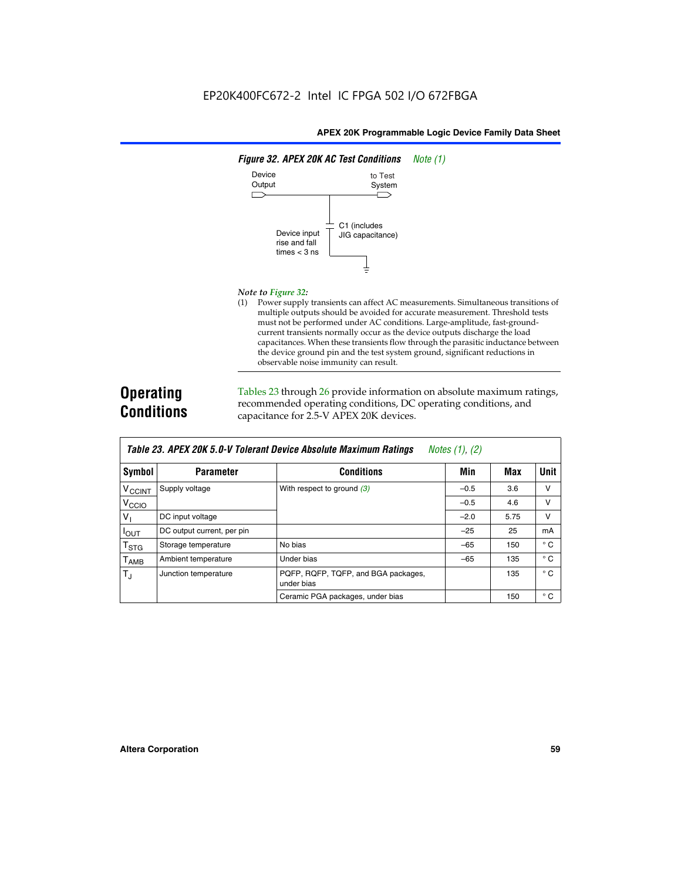

#### *Note to Figure 32:*

(1) Power supply transients can affect AC measurements. Simultaneous transitions of multiple outputs should be avoided for accurate measurement. Threshold tests must not be performed under AC conditions. Large-amplitude, fast-groundcurrent transients normally occur as the device outputs discharge the load capacitances. When these transients flow through the parasitic inductance between the device ground pin and the test system ground, significant reductions in observable noise immunity can result.

# **Operating Conditions**

Tables 23 through 26 provide information on absolute maximum ratings, recommended operating conditions, DC operating conditions, and capacitance for 2.5-V APEX 20K devices.

|                           | TUDIO LO: TH LA LOR 0.0 T TUIUIUM DUTIUU HUUUMIU MUAMMUM HUUMIYU<br>$110100 + 11, 141$ |                                                   |        |      |              |  |  |
|---------------------------|----------------------------------------------------------------------------------------|---------------------------------------------------|--------|------|--------------|--|--|
| Symbol                    | <b>Parameter</b>                                                                       | <b>Conditions</b>                                 | Min    | Max  | <b>Unit</b>  |  |  |
| <b>V<sub>CCINT</sub></b>  | Supply voltage                                                                         | With respect to ground $(3)$                      | $-0.5$ | 3.6  | v            |  |  |
| V <sub>CCIO</sub>         |                                                                                        |                                                   | $-0.5$ | 4.6  | $\vee$       |  |  |
| $V_{1}$                   | DC input voltage                                                                       |                                                   | $-2.0$ | 5.75 | v            |  |  |
| $I_{\text{OUT}}$          | DC output current, per pin                                                             |                                                   | $-25$  | 25   | mA           |  |  |
| $\mathsf{T}_{\text{STG}}$ | Storage temperature                                                                    | No bias                                           | $-65$  | 150  | $^{\circ}$ C |  |  |
| Т <sub>АМВ</sub>          | Ambient temperature                                                                    | Under bias                                        | $-65$  | 135  | $^{\circ}$ C |  |  |
| $T_{\rm J}$               | Junction temperature                                                                   | PQFP, RQFP, TQFP, and BGA packages,<br>under bias |        | 135  | $^{\circ}$ C |  |  |
|                           |                                                                                        | Ceramic PGA packages, under bias                  |        | 150  | $^{\circ}$ C |  |  |

| Table 23. APEX 20K 5.0-V Tolerant Device Absolute Maximum Ratings Notes (1), (2) |  |
|----------------------------------------------------------------------------------|--|
|----------------------------------------------------------------------------------|--|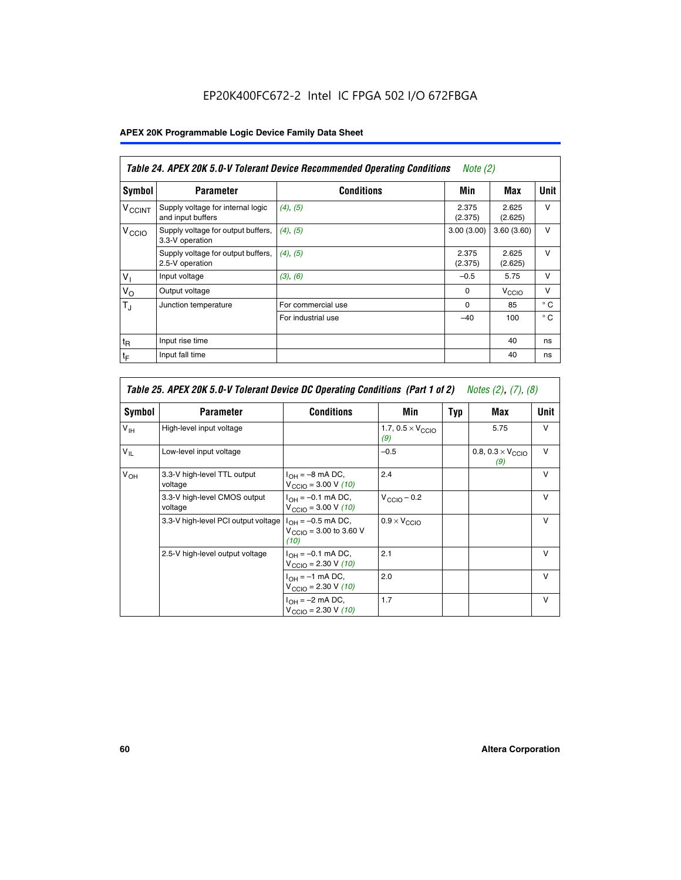# EP20K400FC672-2 Intel IC FPGA 502 I/O 672FBGA

# **APEX 20K Programmable Logic Device Family Data Sheet**

|                          | Table 24. APEX 20K 5.0-V Tolerant Device Recommended Operating Conditions<br>Note $(2)$ |                    |                  |                   |              |  |
|--------------------------|-----------------------------------------------------------------------------------------|--------------------|------------------|-------------------|--------------|--|
| <b>Symbol</b>            | <b>Parameter</b>                                                                        | <b>Conditions</b>  | Min              | Max               | <b>Unit</b>  |  |
| <b>V<sub>CCINT</sub></b> | Supply voltage for internal logic<br>and input buffers                                  | (4), (5)           | 2.375<br>(2.375) | 2.625<br>(2.625)  | $\vee$       |  |
| V <sub>CCIO</sub>        | Supply voltage for output buffers,<br>3.3-V operation                                   | (4), (5)           | 3.00(3.00)       | 3.60(3.60)        | $\vee$       |  |
|                          | Supply voltage for output buffers,<br>2.5-V operation                                   | (4), (5)           | 2.375<br>(2.375) | 2.625<br>(2.625)  | $\vee$       |  |
| $V_1$                    | Input voltage                                                                           | (3), (6)           | $-0.5$           | 5.75              | $\vee$       |  |
| $V_{\rm O}$              | Output voltage                                                                          |                    | $\Omega$         | V <sub>CCIO</sub> | $\vee$       |  |
| $T_{\rm J}$              | Junction temperature                                                                    | For commercial use | $\Omega$         | 85                | $^{\circ}$ C |  |
|                          |                                                                                         | For industrial use | $-40$            | 100               | $^{\circ}$ C |  |
| $t_{R}$                  | Input rise time                                                                         |                    |                  | 40                | ns           |  |
| $t_F$                    | Input fall time                                                                         |                    |                  | 40                | ns           |  |

| Table 25. APEX 20K 5.0-V Tolerant Device DC Operating Conditions (Part 1 of 2) Notes (2), (7), (8) |                                         |                                                                        |                                          |     |                                          |              |  |
|----------------------------------------------------------------------------------------------------|-----------------------------------------|------------------------------------------------------------------------|------------------------------------------|-----|------------------------------------------|--------------|--|
| Symbol                                                                                             | <b>Parameter</b>                        | <b>Conditions</b>                                                      | Min                                      | Typ | Max                                      | Unit         |  |
| $V_{\text{IH}}$                                                                                    | High-level input voltage                |                                                                        | 1.7, $0.5 \times V_{\text{CCIO}}$<br>(9) |     | 5.75                                     | $\mathsf{V}$ |  |
| $V_{\parallel}$                                                                                    | Low-level input voltage                 |                                                                        | $-0.5$                                   |     | 0.8, $0.3 \times V_{\text{CCIO}}$<br>(9) | $\mathsf{V}$ |  |
| $V_{OH}$                                                                                           | 3.3-V high-level TTL output<br>voltage  | $I_{OH} = -8$ mA DC,<br>$V_{\text{CCIO}} = 3.00 V (10)$                | 2.4                                      |     |                                          | $\mathsf{V}$ |  |
|                                                                                                    | 3.3-V high-level CMOS output<br>voltage | $I_{OH} = -0.1$ mA DC,<br>$V_{\text{CCIO}} = 3.00 \text{ V} (10)$      | $V_{\text{CCIO}} - 0.2$                  |     |                                          | $\mathsf{v}$ |  |
|                                                                                                    | 3.3-V high-level PCI output voltage     | $I_{OH} = -0.5$ mA DC,<br>$V_{\text{GClO}} = 3.00$ to 3.60 V<br>(10)   | $0.9 \times V_{\text{CCIO}}$             |     |                                          | $\mathsf{V}$ |  |
|                                                                                                    | 2.5-V high-level output voltage         | $I_{OH} = -0.1$ mA DC,<br>$V_{\text{CCIO}} = 2.30 \text{ V} (10)$      | 2.1                                      |     |                                          | $\mathsf{V}$ |  |
|                                                                                                    |                                         | $I_{\text{OH}} = -1 \text{ mA DC},$<br>$V_{\text{CCIO}} = 2.30 V (10)$ | 2.0                                      |     |                                          | v            |  |
|                                                                                                    |                                         | $I_{OH} = -2$ mA DC,<br>$V_{\text{CCIO}} = 2.30 V (10)$                | 1.7                                      |     |                                          | v            |  |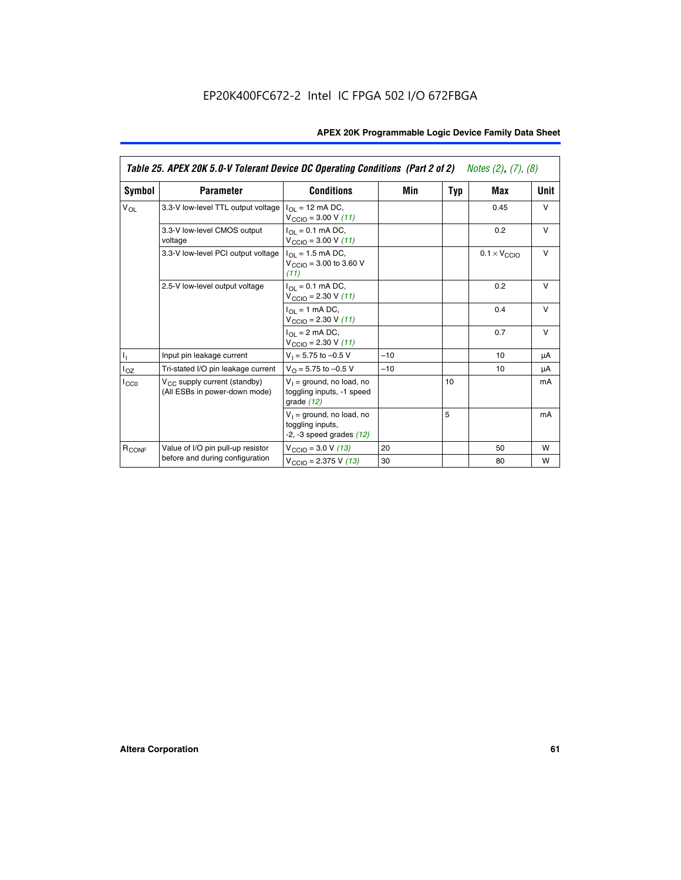|                   | Table 25. APEX 20K 5.0-V Tolerant Device DC Operating Conditions (Part 2 of 2) Notes (2), (7), (8) |                                                                                    |       |     |                              |        |  |  |
|-------------------|----------------------------------------------------------------------------------------------------|------------------------------------------------------------------------------------|-------|-----|------------------------------|--------|--|--|
| Symbol            | <b>Parameter</b>                                                                                   | <b>Conditions</b>                                                                  | Min   | Typ | Max                          | Unit   |  |  |
| $V_{OL}$          | 3.3-V low-level TTL output voltage                                                                 | $I_{\Omega}$ = 12 mA DC,<br>$V_{\text{CCIO}} = 3.00 V (11)$                        |       |     | 0.45                         | $\vee$ |  |  |
|                   | 3.3-V low-level CMOS output<br>voltage                                                             | $I_{\Omega I} = 0.1$ mA DC,<br>$V_{\text{CCIO}} = 3.00 V (11)$                     |       |     | 0.2                          | $\vee$ |  |  |
|                   | 3.3-V low-level PCI output voltage                                                                 | $I_{\Omega}$ = 1.5 mA DC,<br>$V_{CClO}$ = 3.00 to 3.60 V<br>(11)                   |       |     | $0.1 \times V_{\text{CCLO}}$ | $\vee$ |  |  |
|                   | 2.5-V low-level output voltage                                                                     | $I_{\Omega I} = 0.1$ mA DC,<br>$V_{\text{CCIO}} = 2.30 V (11)$                     |       |     | 0.2                          | $\vee$ |  |  |
|                   |                                                                                                    | $I_{\Omega}$ = 1 mA DC,<br>$V_{\text{CCIO}} = 2.30 V (11)$                         |       |     | 0.4                          | $\vee$ |  |  |
|                   |                                                                                                    | $I_{\Omega}$ = 2 mA DC,<br>$V_{\text{CCIO}} = 2.30 V (11)$                         |       |     | 0.7                          | $\vee$ |  |  |
| Τ,                | Input pin leakage current                                                                          | $V_1 = 5.75$ to $-0.5$ V                                                           | $-10$ |     | 10                           | μA     |  |  |
| $I_{OZ}$          | Tri-stated I/O pin leakage current                                                                 | $V_{\Omega}$ = 5.75 to -0.5 V                                                      | $-10$ |     | 10                           | μA     |  |  |
| $I_{CC0}$         | $V_{CC}$ supply current (standby)<br>(All ESBs in power-down mode)                                 | $V_1$ = ground, no load, no<br>toggling inputs, -1 speed<br>grade $(12)$           |       | 10  |                              | mA     |  |  |
|                   |                                                                                                    | $V_1$ = ground, no load, no<br>toggling inputs,<br>$-2$ , $-3$ speed grades $(12)$ |       | 5   |                              | mA     |  |  |
| R <sub>CONF</sub> | Value of I/O pin pull-up resistor                                                                  | $V_{\text{CCIO}} = 3.0 V (13)$                                                     | 20    |     | 50                           | W      |  |  |
|                   | before and during configuration                                                                    | $V_{\text{CCIO}} = 2.375 \text{ V} (13)$                                           | 30    |     | 80                           | W      |  |  |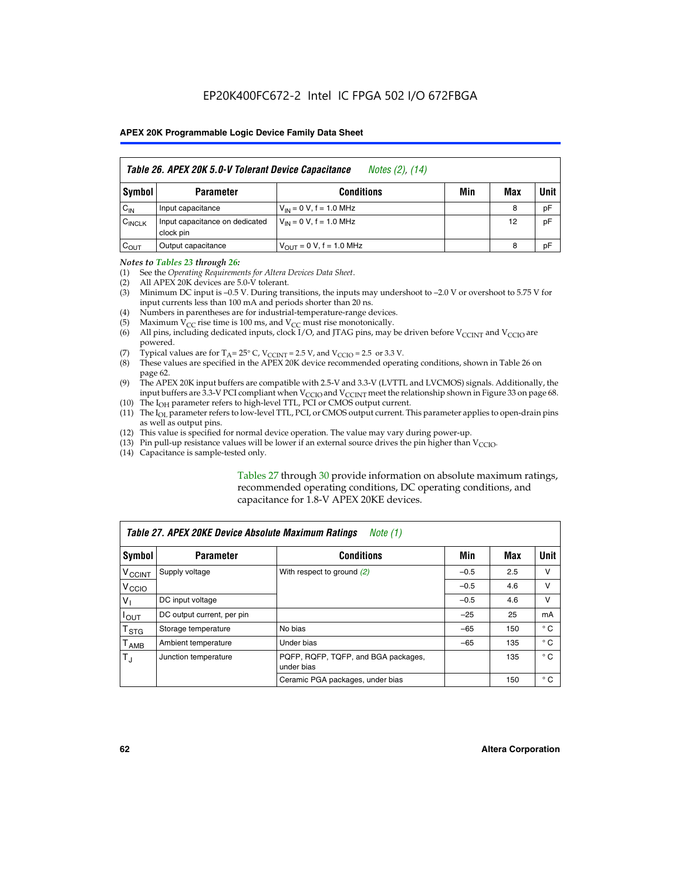|                    | Table 26. APEX 20K 5.0-V Tolerant Device Capacitance<br>Notes (2), (14) |                                     |     |     |      |  |
|--------------------|-------------------------------------------------------------------------|-------------------------------------|-----|-----|------|--|
| Symbol             | <b>Parameter</b>                                                        | <b>Conditions</b>                   | Min | Max | Unit |  |
| $C_{IN}$           | Input capacitance                                                       | $V_{1N} = 0 V$ , f = 1.0 MHz        |     | 8   | pF   |  |
| $C_{\text{INCLK}}$ | Input capacitance on dedicated<br>clock pin                             | $V_{IN} = 0 V$ , f = 1.0 MHz        |     | 12  | pF   |  |
| $C_{OUT}$          | Output capacitance                                                      | $V_{\text{OUT}} = 0 V, f = 1.0 MHz$ |     | 8   | pF   |  |

#### *Notes to Tables 23 through 26:*

- (1) See the *Operating Requirements for Altera Devices Data Sheet*.
- (2) All APEX 20K devices are 5.0-V tolerant.
- (3) Minimum DC input is –0.5 V. During transitions, the inputs may undershoot to –2.0 V or overshoot to 5.75 V for input currents less than 100 mA and periods shorter than 20 ns.
- (4) Numbers in parentheses are for industrial-temperature-range devices.
- (5) Maximum  $V_{CC}$  rise time is 100 ms, and  $V_{CC}$  must rise monotonically.<br>(6) All pins, including dedicated inputs, clock I/O, and JTAG pins, may b
- All pins, including dedicated inputs, clock I/O, and JTAG pins, may be driven before  $V_{\text{CCINT}}$  and  $V_{\text{CCIO}}$  are powered.
- (7) Typical values are for  $T_A = 25^\circ$  C, V<sub>CCINT</sub> = 2.5 V, and V<sub>CCIO</sub> = 2.5 or 3.3 V.<br>(8) These values are specified in the APEX 20K device recommended operat
- These values are specified in the APEX 20K device recommended operating conditions, shown in Table 26 on page 62.
- (9) The APEX 20K input buffers are compatible with 2.5-V and 3.3-V (LVTTL and LVCMOS) signals. Additionally, the input buffers are 3.3-V PCI compliant when  $V_{\text{CCIO}}$  and  $V_{\text{CCINI}}$  meet the relationship shown in Figure 33 on page 68.
- (10) The  $I<sub>OH</sub>$  parameter refers to high-level TTL, PCI or CMOS output current.
- (11) The I<sub>OL</sub> parameter refers to low-level TTL, PCI, or CMOS output current. This parameter applies to open-drain pins as well as output pins.
- (12) This value is specified for normal device operation. The value may vary during power-up.
- (13) Pin pull-up resistance values will be lower if an external source drives the pin higher than  $V_{\text{CCIO}}$ .
- (14) Capacitance is sample-tested only.

Tables 27 through 30 provide information on absolute maximum ratings, recommended operating conditions, DC operating conditions, and capacitance for 1.8-V APEX 20KE devices.

| Table 27. APEX 20KE Device Absolute Maximum Ratings<br>Note (1) |                            |                                                   |        |     |              |  |
|-----------------------------------------------------------------|----------------------------|---------------------------------------------------|--------|-----|--------------|--|
| Symbol                                                          | <b>Parameter</b>           | <b>Conditions</b>                                 | Min    | Max | Unit         |  |
| $V_{\text{CCINT}}$                                              | Supply voltage             | With respect to ground (2)                        | $-0.5$ | 2.5 | v            |  |
| V <sub>CCIO</sub>                                               |                            |                                                   | $-0.5$ | 4.6 | v            |  |
| $V_{1}$                                                         | DC input voltage           |                                                   | $-0.5$ | 4.6 | $\vee$       |  |
| $I_{OUT}$                                                       | DC output current, per pin |                                                   | $-25$  | 25  | mA           |  |
| $\mathsf{T}_{\texttt{STG}}$                                     | Storage temperature        | No bias                                           | $-65$  | 150 | $^{\circ}$ C |  |
| Т <sub>АМВ</sub>                                                | Ambient temperature        | Under bias                                        | $-65$  | 135 | $^{\circ}$ C |  |
| $\mathsf{T}_{\text{d}}$                                         | Junction temperature       | PQFP, RQFP, TQFP, and BGA packages,<br>under bias |        | 135 | $^{\circ}$ C |  |
|                                                                 |                            | Ceramic PGA packages, under bias                  |        | 150 | $^{\circ}$ C |  |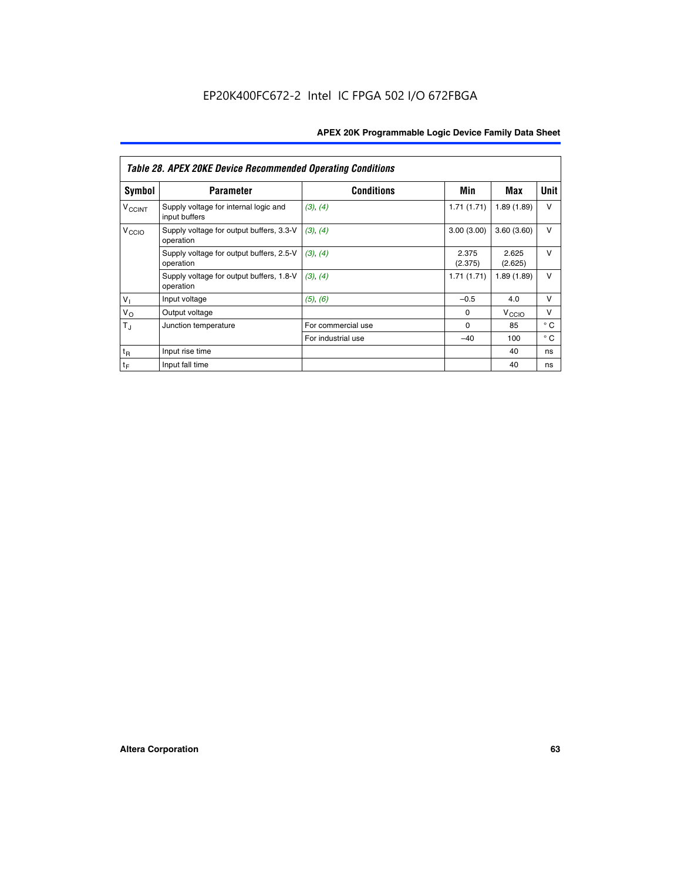|                             | <b>Table 28. APEX 20KE Device Recommended Operating Conditions</b> |                    |                  |                   |              |  |  |
|-----------------------------|--------------------------------------------------------------------|--------------------|------------------|-------------------|--------------|--|--|
| <b>Symbol</b>               | <b>Parameter</b>                                                   | <b>Conditions</b>  | Min              | Max               | <b>Unit</b>  |  |  |
| <b>V<sub>CCINT</sub></b>    | Supply voltage for internal logic and<br>input buffers             | (3), (4)           | 1.71(1.71)       | 1.89(1.89)        | $\vee$       |  |  |
| V <sub>CCIO</sub>           | Supply voltage for output buffers, 3.3-V<br>operation              | (3), (4)           | 3.00(3.00)       | 3.60(3.60)        | $\vee$       |  |  |
|                             | Supply voltage for output buffers, 2.5-V<br>operation              | (3), (4)           | 2.375<br>(2.375) | 2.625<br>(2.625)  | $\vee$       |  |  |
|                             | Supply voltage for output buffers, 1.8-V<br>operation              | (3), (4)           | 1.71(1.71)       | 1.89(1.89)        | $\vee$       |  |  |
| $V_1$                       | Input voltage                                                      | (5), (6)           | $-0.5$           | 4.0               | $\vee$       |  |  |
| $V_{\rm O}$                 | Output voltage                                                     |                    | $\Omega$         | V <sub>CCIO</sub> | v            |  |  |
| $T_{\rm J}$                 | Junction temperature                                               | For commercial use | $\Omega$         | 85                | $^{\circ}$ C |  |  |
|                             |                                                                    | For industrial use | $-40$            | 100               | $^{\circ}$ C |  |  |
| $t_{R}$                     | Input rise time                                                    |                    |                  | 40                | ns           |  |  |
| $\mathfrak{t}_{\mathsf{F}}$ | Input fall time                                                    |                    |                  | 40                | ns           |  |  |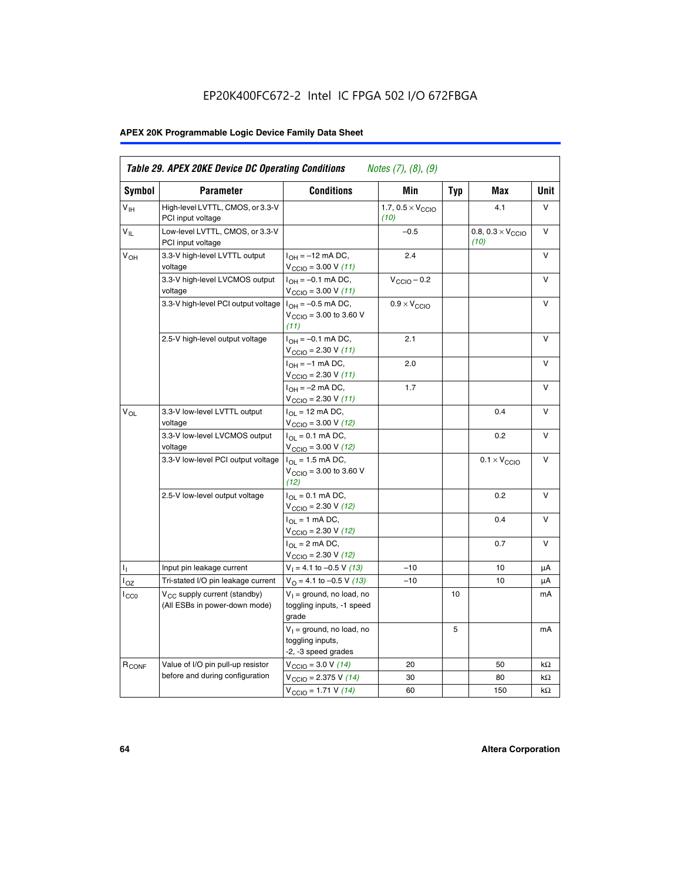# EP20K400FC672-2 Intel IC FPGA 502 I/O 672FBGA

# **APEX 20K Programmable Logic Device Family Data Sheet**

| Symbol            | <b>Parameter</b>                                                   | <b>Conditions</b>                                                                    | Min                                       | <b>Typ</b> | Max                                       | Unit   |
|-------------------|--------------------------------------------------------------------|--------------------------------------------------------------------------------------|-------------------------------------------|------------|-------------------------------------------|--------|
| $V_{\text{H}}$    | High-level LVTTL, CMOS, or 3.3-V<br>PCI input voltage              |                                                                                      | 1.7, $0.5 \times V_{\text{CCIO}}$<br>(10) |            | 4.1                                       | V      |
| $V_{IL}$          | Low-level LVTTL, CMOS, or 3.3-V<br>PCI input voltage               |                                                                                      | $-0.5$                                    |            | 0.8, $0.3 \times V_{\text{CCIO}}$<br>(10) | v      |
| V <sub>OH</sub>   | 3.3-V high-level LVTTL output<br>voltage                           | $I_{OH} = -12$ mA DC,<br>$V_{\text{CCIO}} = 3.00 V (11)$                             | 2.4                                       |            |                                           | $\vee$ |
|                   | 3.3-V high-level LVCMOS output<br>voltage                          | $I_{OH} = -0.1$ mA DC,<br>$V_{\text{CCIO}} = 3.00 V (11)$                            | $V_{\text{CCIO}} - 0.2$                   |            |                                           | v      |
|                   | 3.3-V high-level PCI output voltage $ I_{OH} = -0.5$ mA DC,        | $V_{CGIO} = 3.00$ to 3.60 V<br>(11)                                                  | $0.9 \times V_{\text{CCIO}}$              |            |                                           | $\vee$ |
|                   | 2.5-V high-level output voltage                                    | $I_{OH} = -0.1$ mA DC,<br>$V_{\text{CCIO}} = 2.30 V (11)$                            | 2.1                                       |            |                                           | V      |
|                   |                                                                    | $I_{OH} = -1$ mA DC,<br>$V_{\text{CCIO}} = 2.30 V (11)$                              | 2.0                                       |            |                                           | $\vee$ |
|                   |                                                                    | $I_{OH} = -2$ mA DC,<br>$V_{\text{CCIO}}$ = 2.30 V (11)                              | 1.7                                       |            |                                           | $\vee$ |
| $V_{OL}$          | 3.3-V low-level LVTTL output<br>voltage                            | $I_{\Omega I}$ = 12 mA DC,<br>$V_{\text{CCIO}} = 3.00 V (12)$                        |                                           |            | 0.4                                       | v      |
|                   | 3.3-V low-level LVCMOS output<br>voltage                           | $I_{\text{OL}} = 0.1 \text{ mA DC}$ ,<br>$V_{\text{CCIO}} = 3.00 V (12)$             |                                           |            | 0.2                                       | $\vee$ |
|                   | 3.3-V low-level PCI output voltage                                 | $I_{OL}$ = 1.5 mA DC,<br>$V_{\text{CCIO}} = 3.00 \text{ to } 3.60 \text{ V}$<br>(12) |                                           |            | $0.1 \times V_{\text{CCIO}}$              | v      |
|                   | 2.5-V low-level output voltage                                     | $I_{\Omega} = 0.1$ mA DC,<br>$V_{\text{CCIO}}$ = 2.30 V (12)                         |                                           |            | 0.2                                       | $\vee$ |
|                   |                                                                    | $I_{\Omega I}$ = 1 mA DC,<br>$V_{\text{CCIO}} = 2.30 V (12)$                         |                                           |            | 0.4                                       | $\vee$ |
|                   |                                                                    | $I_{OL}$ = 2 mA DC,<br>$V_{\text{CCIO}} = 2.30 V (12)$                               |                                           |            | 0.7                                       | $\vee$ |
| Τ,                | Input pin leakage current                                          | $V_1 = 4.1$ to -0.5 V (13)                                                           | $-10$                                     |            | 10                                        | μA     |
| l <sub>OZ</sub>   | Tri-stated I/O pin leakage current                                 | $V_{\Omega}$ = 4.1 to -0.5 V (13)                                                    | $-10$                                     |            | 10                                        | μA     |
| $_{\rm l_{CC0}}$  | $V_{CC}$ supply current (standby)<br>(All ESBs in power-down mode) | $V_1$ = ground, no load, no<br>toggling inputs, -1 speed<br>grade                    |                                           | 10         |                                           | mA     |
|                   |                                                                    | $V_1$ = ground, no load, no<br>toggling inputs,<br>-2, -3 speed grades               |                                           | 5          |                                           | mA     |
| R <sub>CONF</sub> | Value of I/O pin pull-up resistor                                  | $V_{\text{CCIO}} = 3.0 V (14)$                                                       | 20                                        |            | 50                                        | kΩ     |
|                   | before and during configuration                                    | $V_{\text{CCIO}} = 2.375 V (14)$                                                     | 30                                        |            | 80                                        | kΩ     |
|                   |                                                                    | $V_{\text{CCIO}} = 1.71 V (14)$                                                      | 60                                        |            | 150                                       | kΩ     |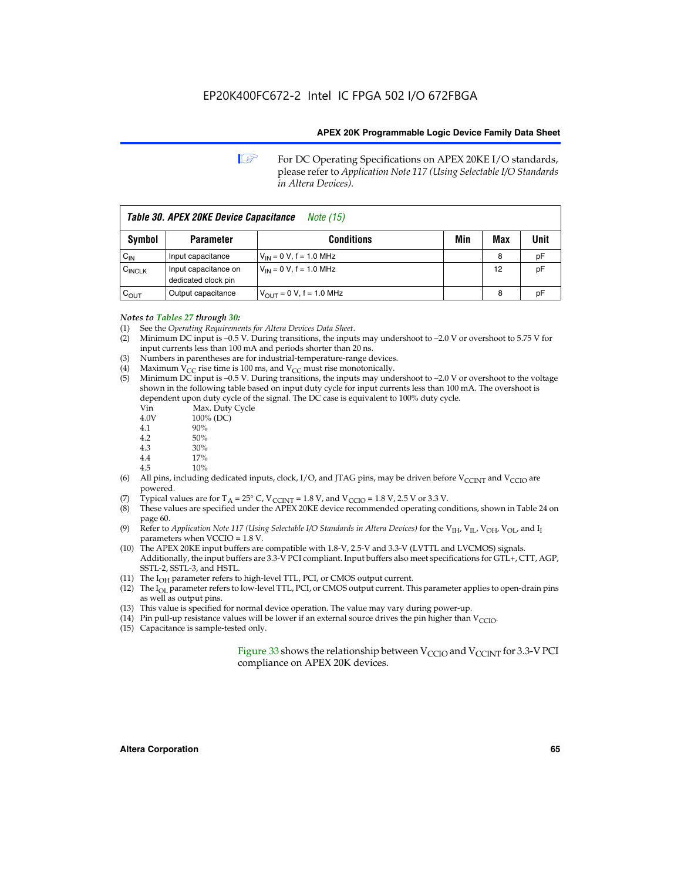**1 For DC Operating Specifications on APEX 20KE I/O standards,** please refer to *Application Note 117 (Using Selectable I/O Standards in Altera Devices).*

| Table 30. APEX 20KE Device Capacitance<br><i>Note</i> (15) |                                             |                                |     |     |      |  |
|------------------------------------------------------------|---------------------------------------------|--------------------------------|-----|-----|------|--|
| Symbol                                                     | <b>Parameter</b>                            | <b>Conditions</b>              | Min | Max | Unit |  |
| $C_{IN}$                                                   | Input capacitance                           | $V_{IN} = 0 V$ , f = 1.0 MHz   |     | 8   | pF   |  |
| $C_{\text{INCLK}}$                                         | Input capacitance on<br>dedicated clock pin | $V_{IN} = 0 V$ , f = 1.0 MHz   |     | 12  | pF   |  |
| $C_{OUT}$                                                  | Output capacitance                          | $V_{OUIT} = 0 V$ , f = 1.0 MHz |     | 8   | рF   |  |

- *Notes to Tables 27 through 30:* (1) See the *Operating Requirements for Altera Devices Data Sheet*.
- (2) Minimum DC input is –0.5 V. During transitions, the inputs may undershoot to –2.0 V or overshoot to 5.75 V for input currents less than 100 mA and periods shorter than 20 ns.
- (3) Numbers in parentheses are for industrial-temperature-range devices.
- (4) Maximum  $V_{CC}$  rise time is 100 ms, and  $V_{CC}$  must rise monotonically.<br>(5) Minimum DC input is -0.5 V. During transitions, the inputs may und
- Minimum DC input is  $-0.5$  V. During transitions, the inputs may undershoot to  $-2.0$  V or overshoot to the voltage shown in the following table based on input duty cycle for input currents less than 100 mA. The overshoot is dependent upon duty cycle of the signal. The DC case is equivalent to 100% duty cycle.

| Vin  | Max. Duty Cycle |
|------|-----------------|
| 4.0V | 100% (DC)       |
| 4.1  | 90%             |
| 4.2  | 50%             |
| 4.3  | 30%             |
| . .  |                 |

- 4.4  $17\%$ <br>4.5  $10\%$
- 10%
- (6) All pins, including dedicated inputs, clock, I/O, and JTAG pins, may be driven before  $V_{\text{CCINT}}$  and  $V_{\text{CCIO}}$  are powered.
- (7) Typical values are for  $T_A = 25^\circ$  C, V<sub>CCINT</sub> = 1.8 V, and V<sub>CCIO</sub> = 1.8 V, 2.5 V or 3.3 V.
- (8) These values are specified under the APEX 20KE device recommended operating conditions, shown in Table 24 on page 60.
- (9) Refer to *Application Note 117 (Using Selectable I/O Standards in Altera Devices)* for the V<sub>IH</sub>, V<sub>IL</sub>, V<sub>OH</sub>, V<sub>OL</sub>, and I<sub>I</sub> parameters when VCCIO = 1.8 V.
- (10) The APEX 20KE input buffers are compatible with 1.8-V, 2.5-V and 3.3-V (LVTTL and LVCMOS) signals. Additionally, the input buffers are 3.3-V PCI compliant. Input buffers also meet specifications for GTL+, CTT, AGP, SSTL-2, SSTL-3, and HSTL.
- (11) The  $I_{OH}$  parameter refers to high-level TTL, PCI, or CMOS output current.
- (12) The I<sub>OL</sub> parameter refers to low-level TTL, PCI, or CMOS output current. This parameter applies to open-drain pins as well as output pins.
- (13) This value is specified for normal device operation. The value may vary during power-up.
- (14) Pin pull-up resistance values will be lower if an external source drives the pin higher than  $V_{CCIO}$ .
- (15) Capacitance is sample-tested only.

Figure 33 shows the relationship between  $V_{\text{CCIO}}$  and  $V_{\text{CCINT}}$  for 3.3-V PCI compliance on APEX 20K devices.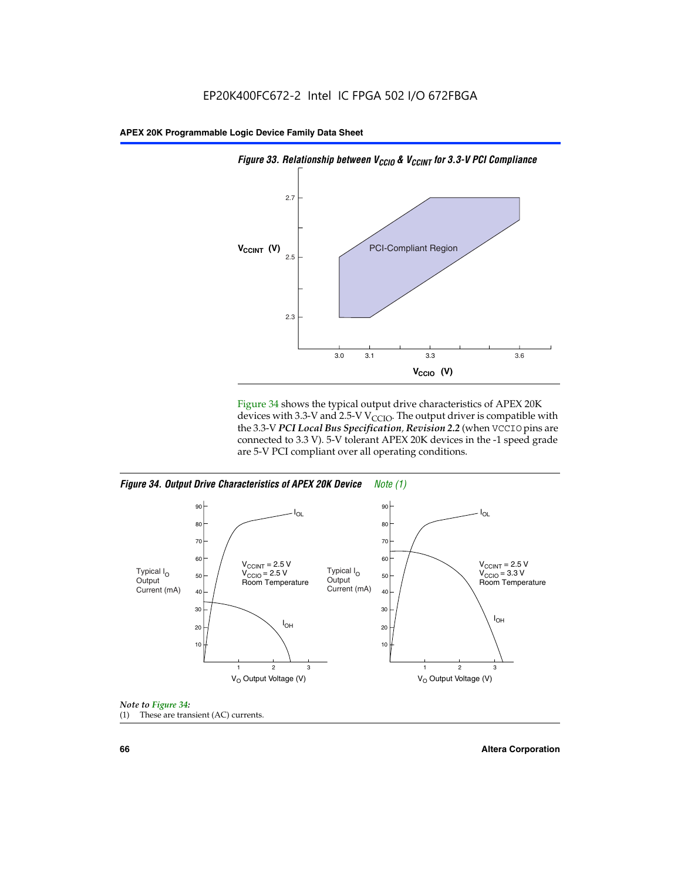

Figure 34 shows the typical output drive characteristics of APEX 20K devices with 3.3-V and 2.5-V V<sub>CCIO</sub>. The output driver is compatible with the 3.3-V *PCI Local Bus Specification, Revision 2.2* (when VCCIO pins are connected to 3.3 V). 5-V tolerant APEX 20K devices in the -1 speed grade are 5-V PCI compliant over all operating conditions.







**66 Altera Corporation**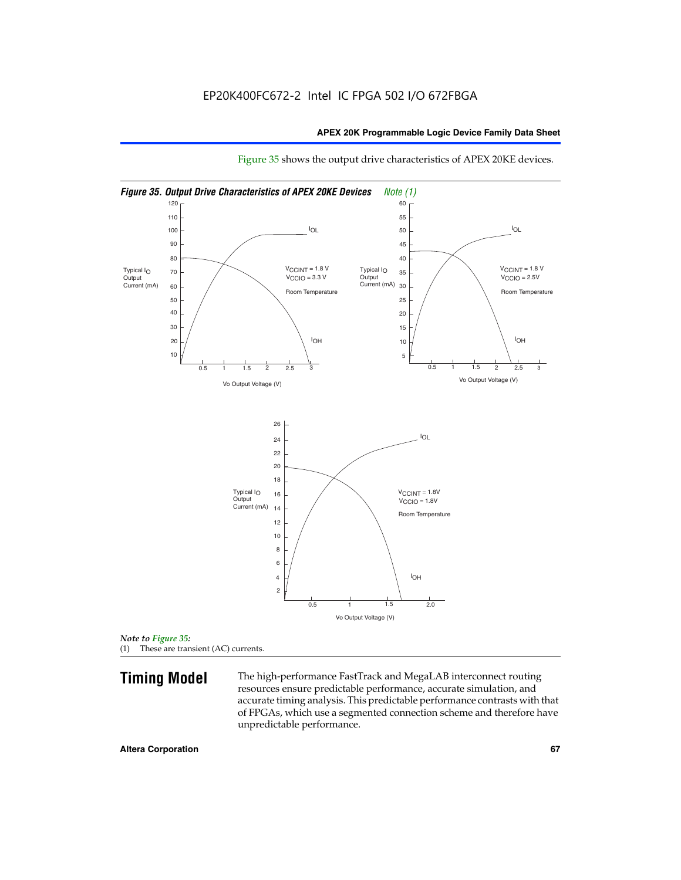

Figure 35 shows the output drive characteristics of APEX 20KE devices.

*Note to Figure 35:* (1) These are transient (AC) currents.

**Timing Model** The high-performance FastTrack and MegaLAB interconnect routing resources ensure predictable performance, accurate simulation, and accurate timing analysis. This predictable performance contrasts with that of FPGAs, which use a segmented connection scheme and therefore have unpredictable performance.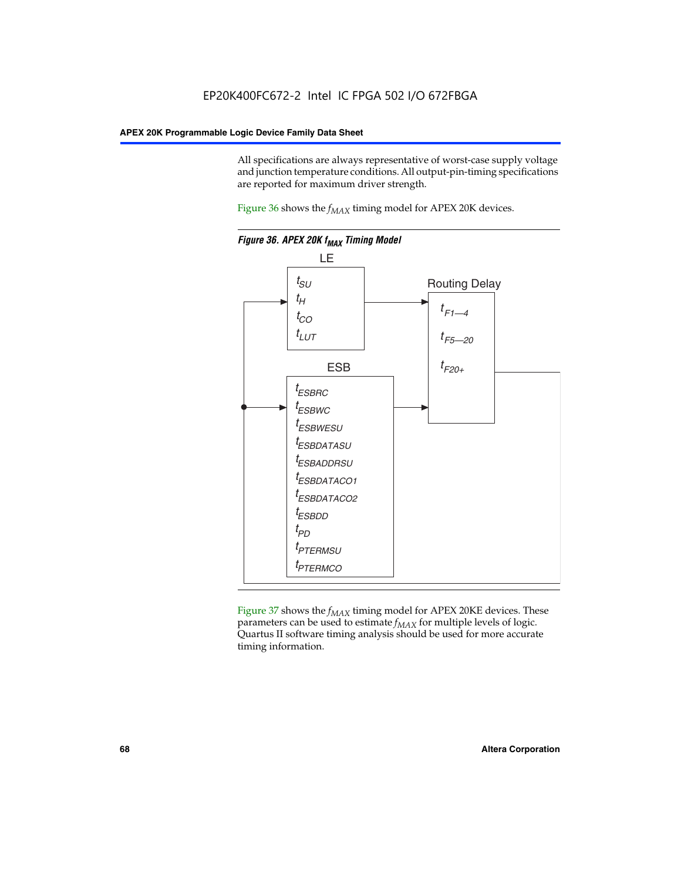All specifications are always representative of worst-case supply voltage and junction temperature conditions. All output-pin-timing specifications are reported for maximum driver strength.

Figure  $36$  shows the  $f_{MAX}$  timing model for APEX 20K devices.



Figure 37 shows the  $f_{MAX}$  timing model for APEX 20KE devices. These parameters can be used to estimate  $f_{MAX}$  for multiple levels of logic. Quartus II software timing analysis should be used for more accurate timing information.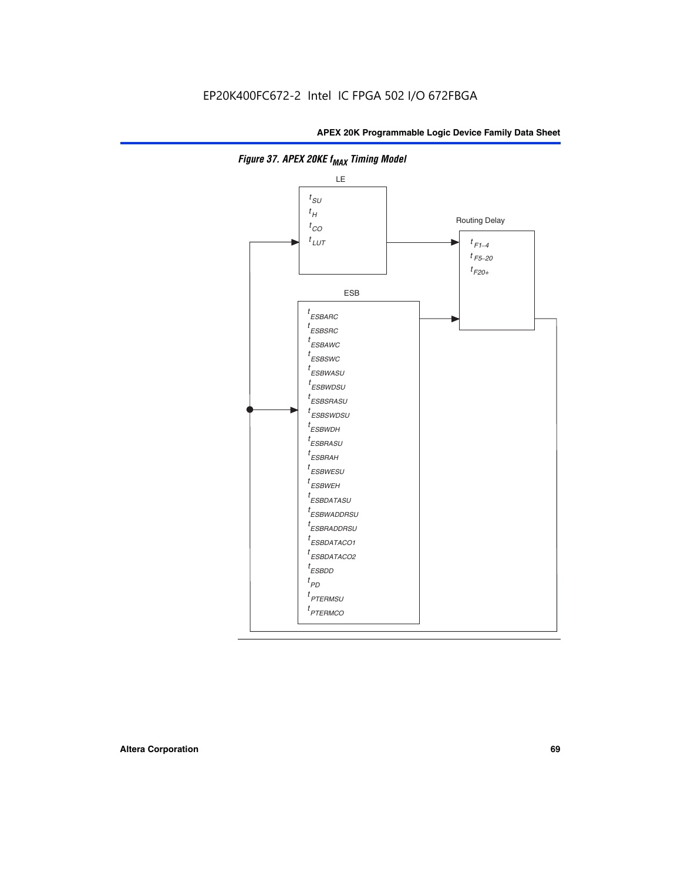

**Figure 37. APEX 20KE f<sub>MAX</sub> Timing Model**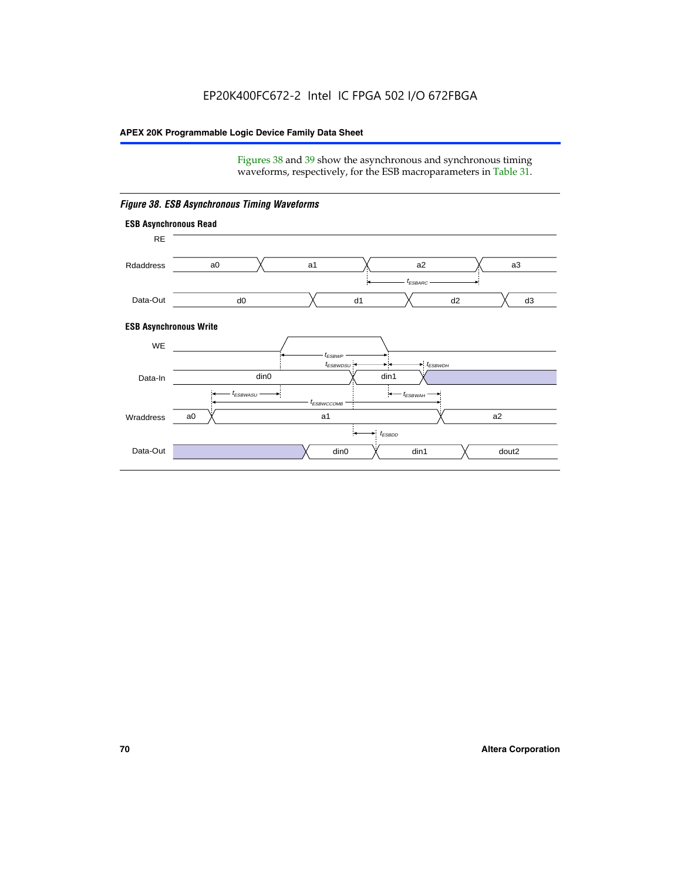Figures 38 and 39 show the asynchronous and synchronous timing waveforms, respectively, for the ESB macroparameters in Table 31.



*Figure 38. ESB Asynchronous Timing Waveforms*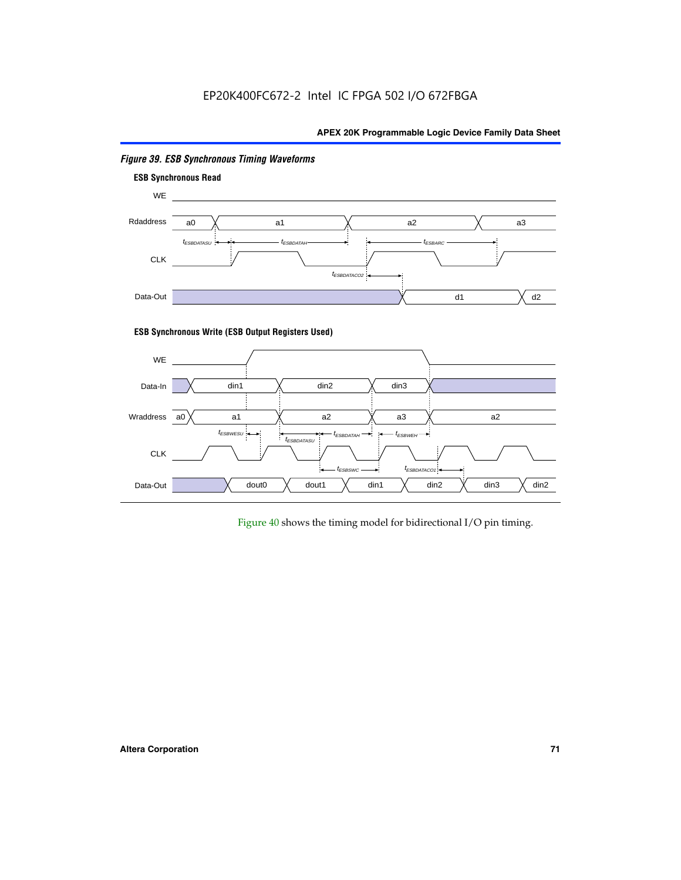

# *Figure 39. ESB Synchronous Timing Waveforms*

# **ESB Synchronous Write (ESB Output Registers Used)**



Figure 40 shows the timing model for bidirectional I/O pin timing.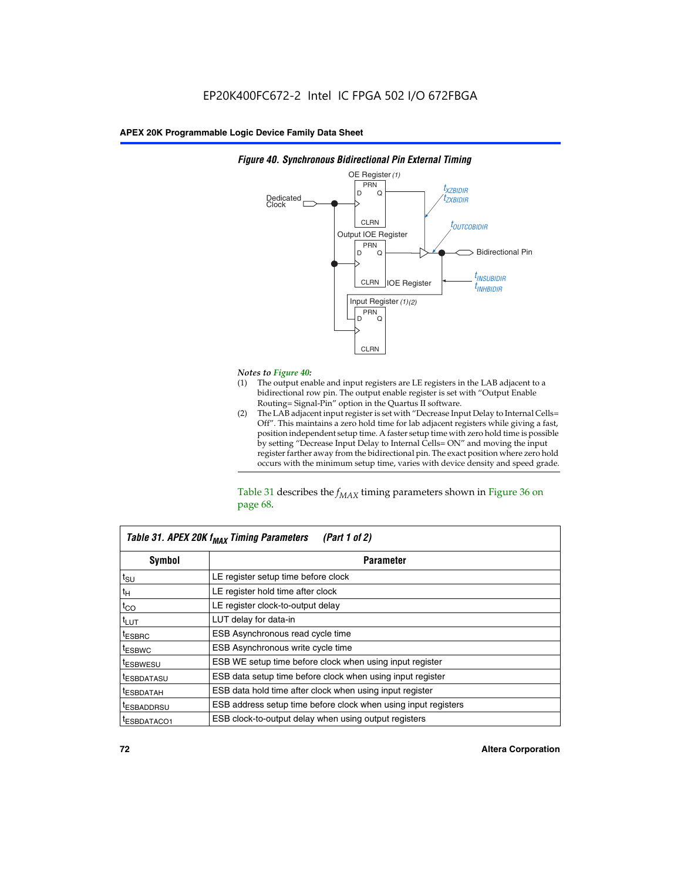

### *Figure 40. Synchronous Bidirectional Pin External Timing*

# *Notes to Figure 40:*

- The output enable and input registers are LE registers in the LAB adjacent to a bidirectional row pin. The output enable register is set with "Output Enable Routing= Signal-Pin" option in the Quartus II software.
- (2) The LAB adjacent input register is set with "Decrease Input Delay to Internal Cells= Off". This maintains a zero hold time for lab adjacent registers while giving a fast, position independent setup time. A faster setup time with zero hold time is possible by setting "Decrease Input Delay to Internal Cells= ON" and moving the input register farther away from the bidirectional pin. The exact position where zero hold occurs with the minimum setup time, varies with device density and speed grade.

Table 31 describes the  $f_{MAX}$  timing parameters shown in Figure 36 on page 68.

| Table 31. APEX 20K f <sub>MAX</sub> Timing Parameters<br>(Part 1 of 2) |                                                                |  |  |  |  |
|------------------------------------------------------------------------|----------------------------------------------------------------|--|--|--|--|
| Symbol                                                                 | <b>Parameter</b>                                               |  |  |  |  |
| $t_{\text{SU}}$                                                        | LE register setup time before clock                            |  |  |  |  |
| $t_H$                                                                  | LE register hold time after clock                              |  |  |  |  |
| $t_{CO}$                                                               | LE register clock-to-output delay                              |  |  |  |  |
| t <sub>LUT</sub>                                                       | LUT delay for data-in                                          |  |  |  |  |
| <sup>t</sup> ESBRC                                                     | ESB Asynchronous read cycle time                               |  |  |  |  |
| <sup>t</sup> ESBWC                                                     | ESB Asynchronous write cycle time                              |  |  |  |  |
| <sup>t</sup> ESBWESU                                                   | ESB WE setup time before clock when using input register       |  |  |  |  |
| <sup>t</sup> ESBDATASU                                                 | ESB data setup time before clock when using input register     |  |  |  |  |
| <sup>t</sup> ESBDATAH                                                  | ESB data hold time after clock when using input register       |  |  |  |  |
| <sup>t</sup> ESBADDRSU                                                 | ESB address setup time before clock when using input registers |  |  |  |  |
| ESBDATACO1                                                             | ESB clock-to-output delay when using output registers          |  |  |  |  |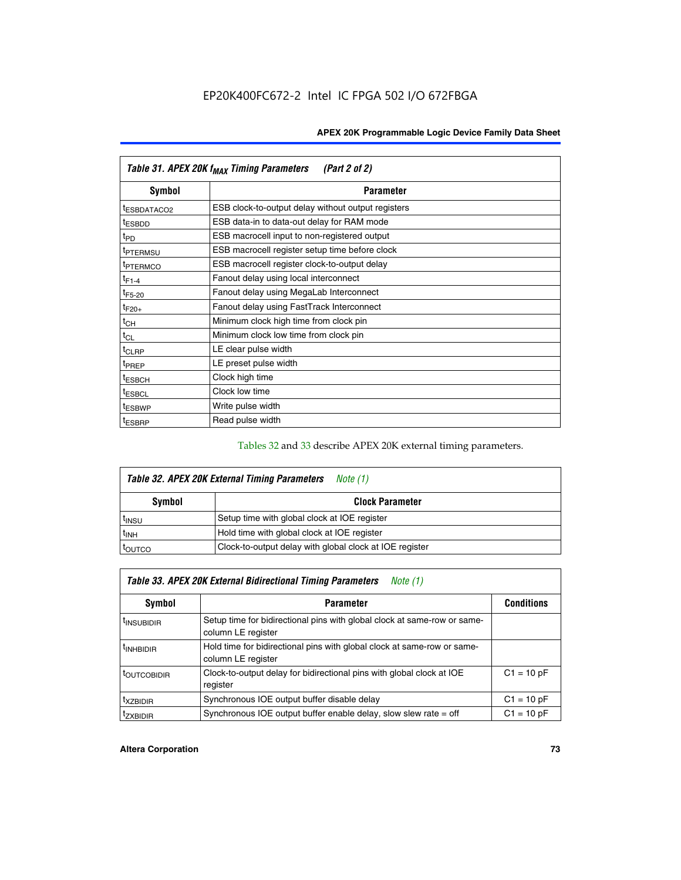| Table 31. APEX 20K f <sub>MAX</sub> Timing Parameters<br>(Part 2 of 2) |                                                    |  |  |  |  |
|------------------------------------------------------------------------|----------------------------------------------------|--|--|--|--|
| Symbol                                                                 | <b>Parameter</b>                                   |  |  |  |  |
| t <sub>ESBDATACO2</sub>                                                | ESB clock-to-output delay without output registers |  |  |  |  |
| <sup>t</sup> ESBDD                                                     | ESB data-in to data-out delay for RAM mode         |  |  |  |  |
| t <sub>PD</sub>                                                        | ESB macrocell input to non-registered output       |  |  |  |  |
| <sup>t</sup> PTERMSU                                                   | ESB macrocell register setup time before clock     |  |  |  |  |
| <sup>t</sup> PTERMCO                                                   | ESB macrocell register clock-to-output delay       |  |  |  |  |
| $t_{F1-4}$                                                             | Fanout delay using local interconnect              |  |  |  |  |
| $t_{F5-20}$                                                            | Fanout delay using MegaLab Interconnect            |  |  |  |  |
| $t_{F20+}$                                                             | Fanout delay using FastTrack Interconnect          |  |  |  |  |
| $t_{CH}$                                                               | Minimum clock high time from clock pin             |  |  |  |  |
| $t_{CL}$                                                               | Minimum clock low time from clock pin              |  |  |  |  |
| $t_{CLRP}$                                                             | LE clear pulse width                               |  |  |  |  |
| t <sub>PREP</sub>                                                      | LE preset pulse width                              |  |  |  |  |
| <sup>t</sup> ESBCH                                                     | Clock high time                                    |  |  |  |  |
| <sup>t</sup> ESBCL                                                     | Clock low time                                     |  |  |  |  |
| <sup>t</sup> ESBWP                                                     | Write pulse width                                  |  |  |  |  |
| <sup>t</sup> ESBRP                                                     | Read pulse width                                   |  |  |  |  |

## Tables 32 and 33 describe APEX 20K external timing parameters.

| Table 32. APEX 20K External Timing Parameters<br>Note (1) |                                                         |  |  |  |  |
|-----------------------------------------------------------|---------------------------------------------------------|--|--|--|--|
| Symbol                                                    | <b>Clock Parameter</b>                                  |  |  |  |  |
| <sup>t</sup> insu                                         | Setup time with global clock at IOE register            |  |  |  |  |
| $t_{\mathsf{INH}}$                                        | Hold time with global clock at IOE register             |  |  |  |  |
| toutco                                                    | Clock-to-output delay with global clock at IOE register |  |  |  |  |

| Table 33. APEX 20K External Bidirectional Timing Parameters<br>Note (1) |                                                                                                |              |  |  |  |
|-------------------------------------------------------------------------|------------------------------------------------------------------------------------------------|--------------|--|--|--|
| Symbol<br><b>Conditions</b><br><b>Parameter</b>                         |                                                                                                |              |  |  |  |
| <sup>I</sup> INSUBIDIR                                                  | Setup time for bidirectional pins with global clock at same-row or same-<br>column LE register |              |  |  |  |
| <sup>t</sup> INHBIDIR                                                   | Hold time for bidirectional pins with global clock at same-row or same-<br>column LE register  |              |  |  |  |
| <sup>t</sup> OUTCOBIDIR                                                 | Clock-to-output delay for bidirectional pins with global clock at IOE<br>register              | $C1 = 10 pF$ |  |  |  |
| <sup>T</sup> XZBIDIR                                                    | Synchronous IOE output buffer disable delay                                                    | $C1 = 10 pF$ |  |  |  |
| <sup>I</sup> ZXBIDIR                                                    | Synchronous IOE output buffer enable delay, slow slew rate $=$ off                             | $C1 = 10 pF$ |  |  |  |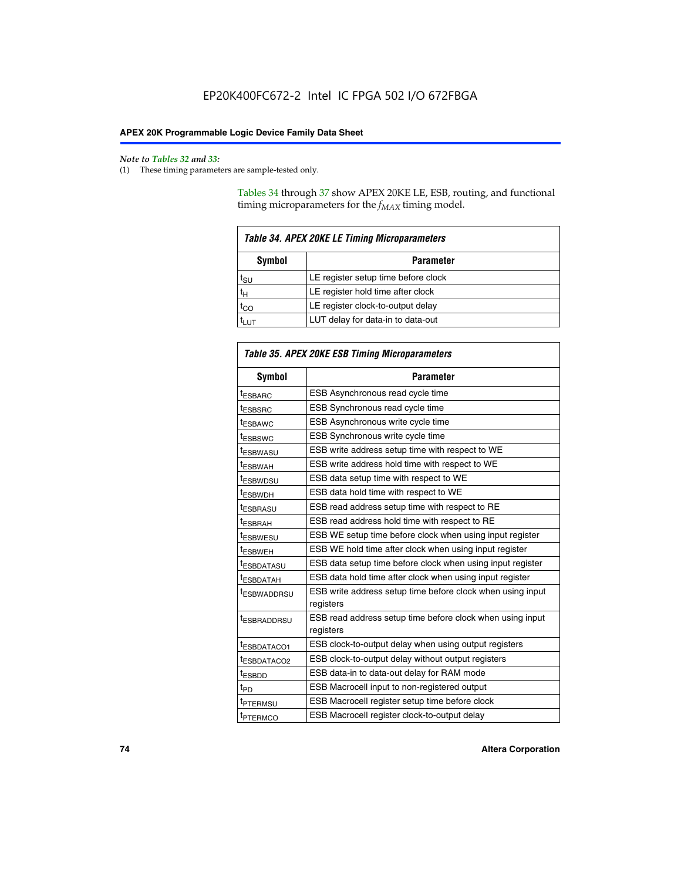$\mathbf{r}$ 

#### *Note to Tables 32 and 33:*

(1) These timing parameters are sample-tested only.

Tables 34 through 37 show APEX 20KE LE, ESB, routing, and functional timing microparameters for the  $f_{MAX}$  timing model.

| <b>Table 34. APEX 20KE LE Timing Microparameters</b> |                                     |  |  |  |  |
|------------------------------------------------------|-------------------------------------|--|--|--|--|
| Symbol<br><b>Parameter</b>                           |                                     |  |  |  |  |
| t <sub>SU</sub>                                      | LE register setup time before clock |  |  |  |  |
| $t_H$                                                | LE register hold time after clock   |  |  |  |  |
| $t_{CO}$                                             | LE register clock-to-output delay   |  |  |  |  |
|                                                      | LUT delay for data-in to data-out   |  |  |  |  |

| Table 35. APEX 20KE ESB Timing Microparameters |                                                            |  |  |  |
|------------------------------------------------|------------------------------------------------------------|--|--|--|
| Symbol                                         | <b>Parameter</b>                                           |  |  |  |
| <sup>t</sup> ESBARC                            | ESB Asynchronous read cycle time                           |  |  |  |
| <sup>t</sup> ESBSRC                            | ESB Synchronous read cycle time                            |  |  |  |
| <b><i>ESBAWC</i></b>                           | ESB Asynchronous write cycle time                          |  |  |  |
| t <sub>ESBSWC</sub>                            | ESB Synchronous write cycle time                           |  |  |  |
| t <sub>ESBWASU</sub>                           | ESB write address setup time with respect to WE            |  |  |  |
| <sup>t</sup> ESBWAH                            | ESB write address hold time with respect to WE             |  |  |  |
| t <sub>ESBWDSU</sub>                           | ESB data setup time with respect to WE                     |  |  |  |
| <sup>t</sup> ESBWDH                            | ESB data hold time with respect to WE                      |  |  |  |
| tESBRASU                                       | ESB read address setup time with respect to RE             |  |  |  |
| <sup>t</sup> ESBRAH                            | ESB read address hold time with respect to RE              |  |  |  |
| <i>ESBWESU</i>                                 | ESB WE setup time before clock when using input register   |  |  |  |
| t <sub>ESBWEH</sub>                            | ESB WE hold time after clock when using input register     |  |  |  |
| <b><i>t</i>ESBDATASU</b>                       | ESB data setup time before clock when using input register |  |  |  |
| t <sub>ESBDATAH</sub>                          | ESB data hold time after clock when using input register   |  |  |  |
| t <sub>ESBWADDRSU</sub>                        | ESB write address setup time before clock when using input |  |  |  |
|                                                | registers                                                  |  |  |  |
| <i><b>LESBRADDRSU</b></i>                      | ESB read address setup time before clock when using input  |  |  |  |
|                                                | registers                                                  |  |  |  |
| t <sub>ESBDATACO1</sub>                        | ESB clock-to-output delay when using output registers      |  |  |  |
| t <sub>ESBDATACO2</sub>                        | ESB clock-to-output delay without output registers         |  |  |  |
| $t_{ESBDD}$                                    | ESB data-in to data-out delay for RAM mode                 |  |  |  |
| $t_{\mathsf{PD}}$                              | ESB Macrocell input to non-registered output               |  |  |  |
| t <sub>PTERMSU</sub>                           | ESB Macrocell register setup time before clock             |  |  |  |
| t <sub>PTERMCO</sub>                           | ESB Macrocell register clock-to-output delay               |  |  |  |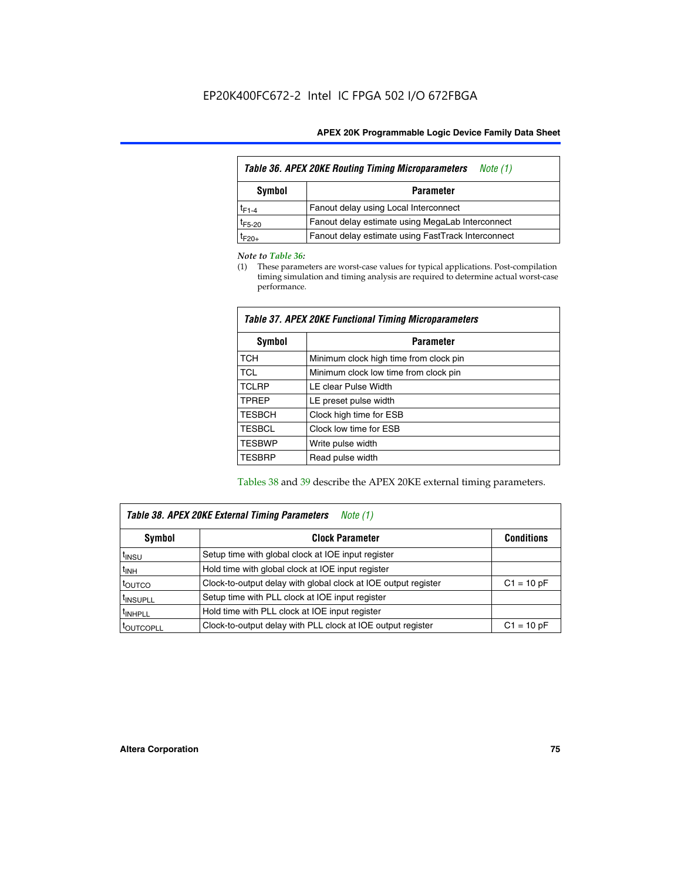| Table 36. APEX 20KE Routing Timing Microparameters<br>Note (1) |                                                    |  |  |  |  |
|----------------------------------------------------------------|----------------------------------------------------|--|--|--|--|
| Symbol<br><b>Parameter</b>                                     |                                                    |  |  |  |  |
| $t_{F1-4}$                                                     | Fanout delay using Local Interconnect              |  |  |  |  |
| $t_{F5-20}$                                                    | Fanout delay estimate using MegaLab Interconnect   |  |  |  |  |
| t <sub>F20+</sub>                                              | Fanout delay estimate using FastTrack Interconnect |  |  |  |  |

#### *Note to Table 36:*

(1) These parameters are worst-case values for typical applications. Post-compilation timing simulation and timing analysis are required to determine actual worst-case performance.

| Symbol        | <b>Parameter</b>                       |  |  |  |  |  |
|---------------|----------------------------------------|--|--|--|--|--|
| <b>TCH</b>    | Minimum clock high time from clock pin |  |  |  |  |  |
| <b>TCL</b>    | Minimum clock low time from clock pin  |  |  |  |  |  |
| <b>TCLRP</b>  | LE clear Pulse Width                   |  |  |  |  |  |
| <b>TPREP</b>  | LE preset pulse width                  |  |  |  |  |  |
| <b>TESBCH</b> | Clock high time for ESB                |  |  |  |  |  |
| <b>TESBCL</b> | Clock low time for ESB                 |  |  |  |  |  |
| <b>TESBWP</b> | Write pulse width                      |  |  |  |  |  |
| <b>TESBRP</b> | Read pulse width                       |  |  |  |  |  |

### *Table 37. APEX 20KE Functional Timing Microparameters*

Tables 38 and 39 describe the APEX 20KE external timing parameters.

| Table 38. APEX 20KE External Timing Parameters<br>Note (1) |                                                                |              |  |  |  |  |
|------------------------------------------------------------|----------------------------------------------------------------|--------------|--|--|--|--|
| <b>Clock Parameter</b><br><b>Conditions</b><br>Symbol      |                                                                |              |  |  |  |  |
| <sup>t</sup> insu                                          | Setup time with global clock at IOE input register             |              |  |  |  |  |
| $t_{\text{INH}}$                                           | Hold time with global clock at IOE input register              |              |  |  |  |  |
| t <sub>outco</sub>                                         | Clock-to-output delay with global clock at IOE output register | $C1 = 10 pF$ |  |  |  |  |
| <sup>t</sup> INSUPLL                                       | Setup time with PLL clock at IOE input register                |              |  |  |  |  |
| <sup>t</sup> INHPLL                                        | Hold time with PLL clock at IOE input register                 |              |  |  |  |  |
| <b><i>LOUTCOPLL</i></b>                                    | Clock-to-output delay with PLL clock at IOE output register    | $C1 = 10 pF$ |  |  |  |  |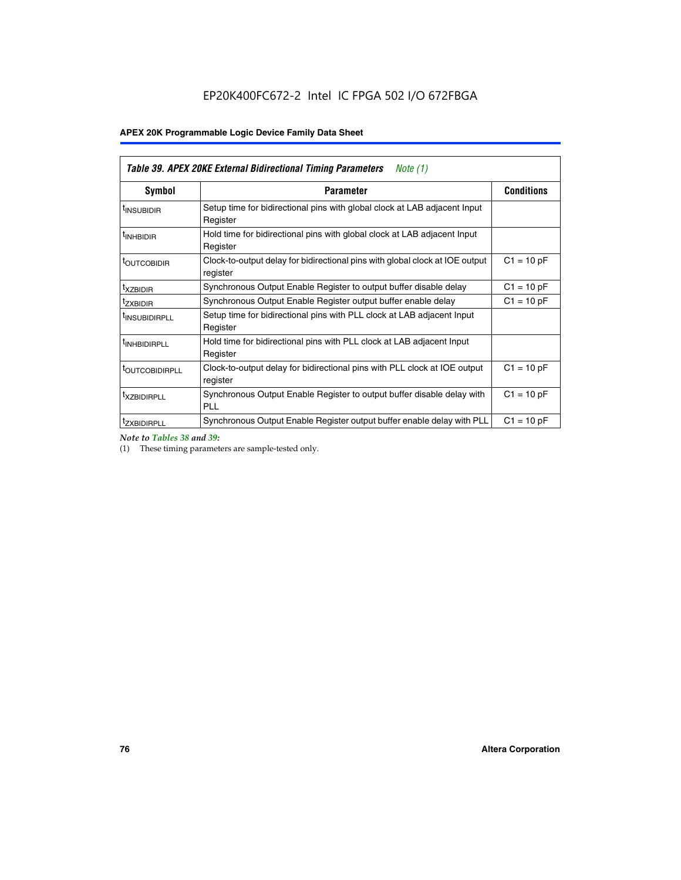| Table 39. APEX 20KE External Bidirectional Timing Parameters<br>Note $(1)$ |                                                                                                          |              |  |  |  |  |  |  |
|----------------------------------------------------------------------------|----------------------------------------------------------------------------------------------------------|--------------|--|--|--|--|--|--|
| <b>Symbol</b>                                                              | <b>Conditions</b><br><b>Parameter</b>                                                                    |              |  |  |  |  |  |  |
| <sup>t</sup> INSUBIDIR                                                     | Setup time for bidirectional pins with global clock at LAB adjacent Input<br>Register                    |              |  |  |  |  |  |  |
| <sup>t</sup> INHBIDIR                                                      | Hold time for bidirectional pins with global clock at LAB adjacent Input<br>Register                     |              |  |  |  |  |  |  |
| <b><i>LOUTCOBIDIR</i></b>                                                  | $C1 = 10 pF$<br>Clock-to-output delay for bidirectional pins with global clock at IOE output<br>register |              |  |  |  |  |  |  |
| t <sub>XZBIDIR</sub>                                                       | $C1 = 10 pF$<br>Synchronous Output Enable Register to output buffer disable delay                        |              |  |  |  |  |  |  |
| <sup>t</sup> zxbidir                                                       | Synchronous Output Enable Register output buffer enable delay                                            | $C1 = 10 pF$ |  |  |  |  |  |  |
| <sup>I</sup> INSUBIDIRPLL                                                  | Setup time for bidirectional pins with PLL clock at LAB adjacent Input<br>Register                       |              |  |  |  |  |  |  |
| <sup>t</sup> INHBIDIRPLL                                                   | Hold time for bidirectional pins with PLL clock at LAB adjacent Input<br>Register                        |              |  |  |  |  |  |  |
| <sup>t</sup> OUTCOBIDIRPLL                                                 | Clock-to-output delay for bidirectional pins with PLL clock at IOE output<br>register                    | $C1 = 10 pF$ |  |  |  |  |  |  |
| <sup>t</sup> XZBIDIRPLL                                                    | Synchronous Output Enable Register to output buffer disable delay with<br><b>PLL</b>                     | $C1 = 10 pF$ |  |  |  |  |  |  |
| <sup>I</sup> ZXBIDIRPLL                                                    | Synchronous Output Enable Register output buffer enable delay with PLL                                   | $C1 = 10 pF$ |  |  |  |  |  |  |

*Note to Tables 38 and 39:*

(1) These timing parameters are sample-tested only.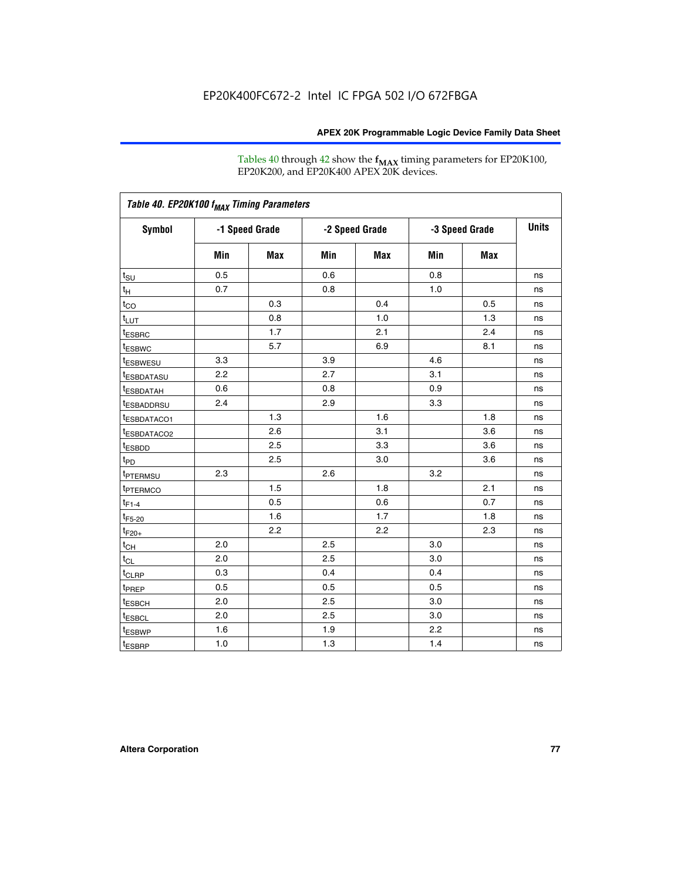Tables 40 through 42 show the **f<sub>MAX</sub>** timing parameters for EP20K100, EP20K200, and EP20K400 APEX 20K devices.

| Table 40. EP20K100 f <sub>MAX</sub> Timing Parameters |                |     |                |     |                |            |              |
|-------------------------------------------------------|----------------|-----|----------------|-----|----------------|------------|--------------|
| <b>Symbol</b>                                         | -1 Speed Grade |     | -2 Speed Grade |     | -3 Speed Grade |            | <b>Units</b> |
|                                                       | Min            | Max | Min            | Max | Min            | <b>Max</b> |              |
| $t_{\text{SU}}$                                       | 0.5            |     | 0.6            |     | 0.8            |            | ns           |
| $t_H$                                                 | 0.7            |     | 0.8            |     | 1.0            |            | ns           |
| $t_{CO}$                                              |                | 0.3 |                | 0.4 |                | 0.5        | ns           |
| $t_{LUT}$                                             |                | 0.8 |                | 1.0 |                | 1.3        | ns           |
| <sup>t</sup> ESBRC                                    |                | 1.7 |                | 2.1 |                | 2.4        | ns           |
| t <sub>ESBWC</sub>                                    |                | 5.7 |                | 6.9 |                | 8.1        | ns           |
| t <sub>ESBWESU</sub>                                  | 3.3            |     | 3.9            |     | 4.6            |            | ns           |
| <sup>t</sup> ESBDATASU                                | 2.2            |     | 2.7            |     | 3.1            |            | ns           |
| <sup>t</sup> ESBDATAH                                 | 0.6            |     | 0.8            |     | 0.9            |            | ns           |
| <sup>t</sup> ESBADDRSU                                | 2.4            |     | 2.9            |     | 3.3            |            | ns           |
| <sup>t</sup> ESBDATACO1                               |                | 1.3 |                | 1.6 |                | 1.8        | ns           |
| t <sub>ESBDATACO2</sub>                               |                | 2.6 |                | 3.1 |                | 3.6        | ns           |
| t <sub>ESBDD</sub>                                    |                | 2.5 |                | 3.3 |                | 3.6        | ns           |
| $t_{PD}$                                              |                | 2.5 |                | 3.0 |                | 3.6        | ns           |
| t <sub>PTERMSU</sub>                                  | 2.3            |     | 2.6            |     | 3.2            |            | ns           |
| t <sub>PTERMCO</sub>                                  |                | 1.5 |                | 1.8 |                | 2.1        | ns           |
| $t_{F1-4}$                                            |                | 0.5 |                | 0.6 |                | 0.7        | ns           |
| $t_{F5-20}$                                           |                | 1.6 |                | 1.7 |                | 1.8        | ns           |
| $t_{F20+}$                                            |                | 2.2 |                | 2.2 |                | 2.3        | ns           |
| $t_{\mathsf{CH}}$                                     | 2.0            |     | 2.5            |     | 3.0            |            | ns           |
| $t_{CL}$                                              | 2.0            |     | 2.5            |     | 3.0            |            | ns           |
| t <sub>CLRP</sub>                                     | 0.3            |     | 0.4            |     | 0.4            |            | ns           |
| t <sub>PREP</sub>                                     | 0.5            |     | 0.5            |     | 0.5            |            | ns           |
| <sup>t</sup> ESBCH                                    | 2.0            |     | 2.5            |     | 3.0            |            | ns           |
| <b>t</b> ESBCL                                        | 2.0            |     | 2.5            |     | 3.0            |            | ns           |
| t <sub>ESBWP</sub>                                    | 1.6            |     | 1.9            |     | 2.2            |            | ns           |
| $t_{ESBRP}$                                           | 1.0            |     | 1.3            |     | 1.4            |            | ns           |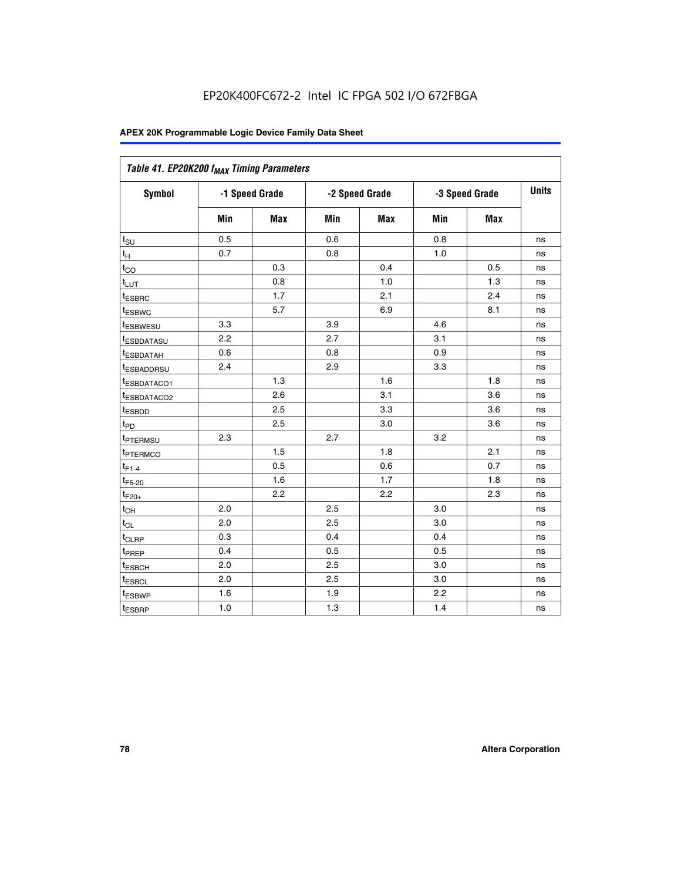| Table 41. EP20K200 f <sub>MAX</sub> Timing Parameters |                |     |     |                |     |                |    |
|-------------------------------------------------------|----------------|-----|-----|----------------|-----|----------------|----|
| Symbol                                                | -1 Speed Grade |     |     | -2 Speed Grade |     | -3 Speed Grade |    |
|                                                       | Min            | Max | Min | <b>Max</b>     | Min | Max            |    |
| $t_{\text{SU}}$                                       | 0.5            |     | 0.6 |                | 0.8 |                | ns |
| $t_H$                                                 | 0.7            |     | 0.8 |                | 1.0 |                | ns |
| $t_{CO}$                                              |                | 0.3 |     | 0.4            |     | 0.5            | ns |
| $t_{LUT}$                                             |                | 0.8 |     | 1.0            |     | 1.3            | ns |
| t <sub>ESBRC</sub>                                    |                | 1.7 |     | 2.1            |     | 2.4            | ns |
| t <sub>ESBWC</sub>                                    |                | 5.7 |     | 6.9            |     | 8.1            | ns |
| t <sub>ESBWESU</sub>                                  | 3.3            |     | 3.9 |                | 4.6 |                | ns |
| <sup>t</sup> ESBDATASU                                | 2.2            |     | 2.7 |                | 3.1 |                | ns |
| t <sub>ESBDATAH</sub>                                 | 0.6            |     | 0.8 |                | 0.9 |                | ns |
| t <sub>ESBADDRSU</sub>                                | 2.4            |     | 2.9 |                | 3.3 |                | ns |
| <u>t<sub>ESBDATACO1</sub></u>                         |                | 1.3 |     | 1.6            |     | 1.8            | ns |
| <sup>t</sup> ESBDATACO2                               |                | 2.6 |     | 3.1            |     | 3.6            | ns |
| t <sub>ESBDD</sub>                                    |                | 2.5 |     | 3.3            |     | 3.6            | ns |
| t <sub>PD</sub>                                       |                | 2.5 |     | 3.0            |     | 3.6            | ns |
| t <sub>PTERMSU</sub>                                  | 2.3            |     | 2.7 |                | 3.2 |                | ns |
| t <sub>PTERMCO</sub>                                  |                | 1.5 |     | 1.8            |     | 2.1            | ns |
| $t_{F1-4}$                                            |                | 0.5 |     | 0.6            |     | 0.7            | ns |
| $t_{F5-20}$                                           |                | 1.6 |     | 1.7            |     | 1.8            | ns |
| $t_{F20+}$                                            |                | 2.2 |     | 2.2            |     | 2.3            | ns |
| $\textnormal{t}_{\textnormal{CH}}$                    | 2.0            |     | 2.5 |                | 3.0 |                | ns |
| $t_{CL}$                                              | 2.0            |     | 2.5 |                | 3.0 |                | ns |
| t <sub>CLRP</sub>                                     | 0.3            |     | 0.4 |                | 0.4 |                | ns |
| t <sub>PREP</sub>                                     | 0.4            |     | 0.5 |                | 0.5 |                | ns |
| t <sub>ESBCH</sub>                                    | 2.0            |     | 2.5 |                | 3.0 |                | ns |
| t <sub>ESBCL</sub>                                    | 2.0            |     | 2.5 |                | 3.0 |                | ns |
| t <sub>ESBWP</sub>                                    | 1.6            |     | 1.9 |                | 2.2 |                | ns |
| t <sub>ESBRP</sub>                                    | 1.0            |     | 1.3 |                | 1.4 |                | ns |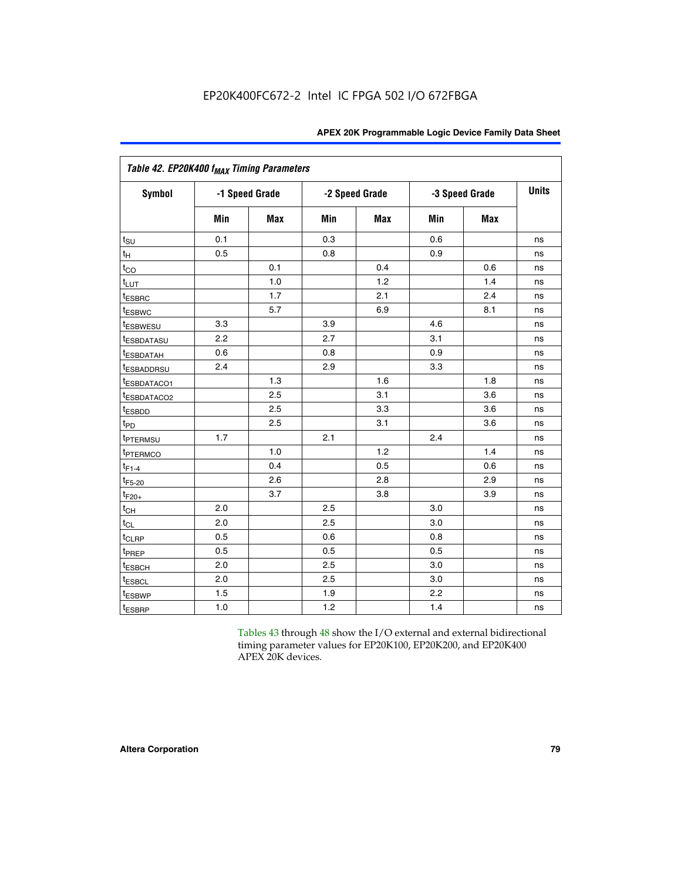| Table 42. EP20K400 f <sub>MAX</sub> Timing Parameters |     |                |     |                |     |                |              |
|-------------------------------------------------------|-----|----------------|-----|----------------|-----|----------------|--------------|
| <b>Symbol</b>                                         |     | -1 Speed Grade |     | -2 Speed Grade |     | -3 Speed Grade | <b>Units</b> |
|                                                       | Min | Max            | Min | <b>Max</b>     | Min | <b>Max</b>     |              |
| $t_{\text{SU}}$                                       | 0.1 |                | 0.3 |                | 0.6 |                | ns           |
| $t_H$                                                 | 0.5 |                | 0.8 |                | 0.9 |                | ns           |
| $t_{CO}$                                              |     | 0.1            |     | 0.4            |     | 0.6            | ns           |
| $t_{LUT}$                                             |     | 1.0            |     | 1.2            |     | 1.4            | ns           |
| t <sub>ESBRC</sub>                                    |     | 1.7            |     | 2.1            |     | 2.4            | ns           |
| t <sub>ESBWC</sub>                                    |     | 5.7            |     | 6.9            |     | 8.1            | ns           |
| <i>t</i> ESBWESU                                      | 3.3 |                | 3.9 |                | 4.6 |                | ns           |
| <i>t</i> ESBDATASU                                    | 2.2 |                | 2.7 |                | 3.1 |                | ns           |
| <sup>t</sup> ESBDATAH                                 | 0.6 |                | 0.8 |                | 0.9 |                | ns           |
| <sup>t</sup> ESBADDRSU                                | 2.4 |                | 2.9 |                | 3.3 |                | ns           |
| t <sub>ESBDATACO1</sub>                               |     | 1.3            |     | 1.6            |     | 1.8            | ns           |
| t <sub>ESBDATACO2</sub>                               |     | 2.5            |     | 3.1            |     | 3.6            | ns           |
| t <sub>ESBDD</sub>                                    |     | 2.5            |     | 3.3            |     | 3.6            | ns           |
| t <sub>PD</sub>                                       |     | 2.5            |     | 3.1            |     | 3.6            | ns           |
| t <sub>PTERMSU</sub>                                  | 1.7 |                | 2.1 |                | 2.4 |                | ns           |
| <sup>t</sup> PTERMCO                                  |     | 1.0            |     | 1.2            |     | 1.4            | ns           |
| $t_{F1-4}$                                            |     | 0.4            |     | 0.5            |     | 0.6            | ns           |
| $t_{F5-20}$                                           |     | 2.6            |     | 2.8            |     | 2.9            | ns           |
| $t_{F20+}$                                            |     | 3.7            |     | 3.8            |     | 3.9            | ns           |
| $t_{CH}$                                              | 2.0 |                | 2.5 |                | 3.0 |                | ns           |
| $t_{CL}$                                              | 2.0 |                | 2.5 |                | 3.0 |                | ns           |
| $t_{CLRP}$                                            | 0.5 |                | 0.6 |                | 0.8 |                | ns           |
| t <sub>PREP</sub>                                     | 0.5 |                | 0.5 |                | 0.5 |                | ns           |
| <sup>t</sup> ESBCH                                    | 2.0 |                | 2.5 |                | 3.0 |                | ns           |
| t <sub>ESBCL</sub>                                    | 2.0 |                | 2.5 |                | 3.0 |                | ns           |
| t <sub>ESBWP</sub>                                    | 1.5 |                | 1.9 |                | 2.2 |                | ns           |
| t <sub>ESBRP</sub>                                    | 1.0 |                | 1.2 |                | 1.4 |                | ns           |

Tables 43 through 48 show the I/O external and external bidirectional timing parameter values for EP20K100, EP20K200, and EP20K400 APEX 20K devices.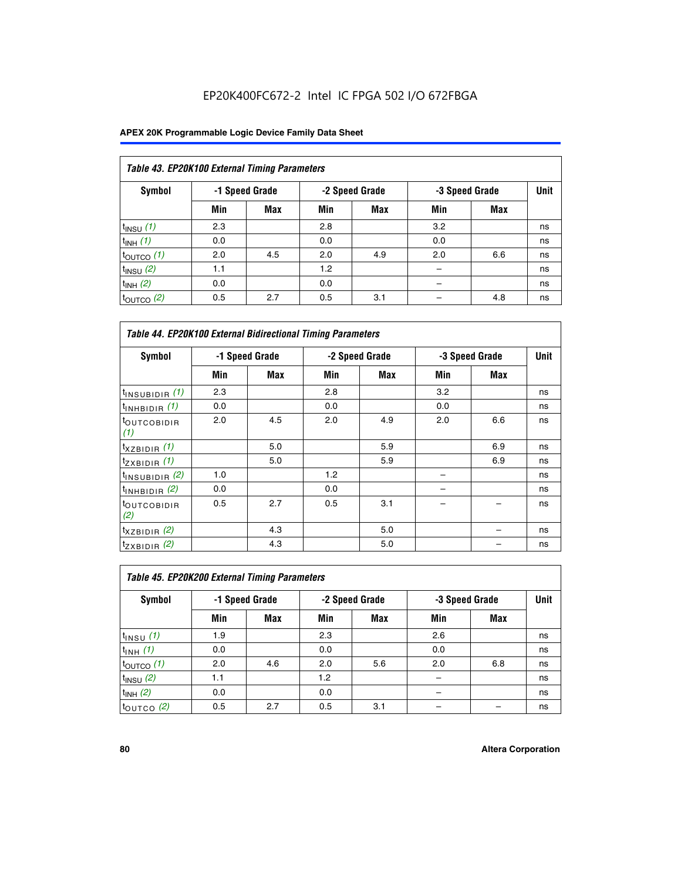## EP20K400FC672-2 Intel IC FPGA 502 I/O 672FBGA

| Table 43. EP20K100 External Timing Parameters |     |                |     |                |     |                |             |  |  |  |  |
|-----------------------------------------------|-----|----------------|-----|----------------|-----|----------------|-------------|--|--|--|--|
| Symbol                                        |     | -1 Speed Grade |     | -2 Speed Grade |     | -3 Speed Grade | <b>Unit</b> |  |  |  |  |
|                                               | Min | Max            | Min | <b>Max</b>     | Min | <b>Max</b>     |             |  |  |  |  |
| $t_{INSU}$ (1)                                | 2.3 |                | 2.8 |                | 3.2 |                | ns          |  |  |  |  |
| $t_{INH}$ (1)                                 | 0.0 |                | 0.0 |                | 0.0 |                | ns          |  |  |  |  |
| $t_{\text{OUTCO}}(1)$                         | 2.0 | 4.5            | 2.0 | 4.9            | 2.0 | 6.6            | ns          |  |  |  |  |
| $t_{IN}$ su $(2)$                             | 1.1 |                | 1.2 |                |     |                | ns          |  |  |  |  |
| $t_{INH}$ (2)                                 | 0.0 |                | 0.0 |                |     |                | ns          |  |  |  |  |
| $t_{\text{OUTCO}}$ (2)                        | 0.5 | 2.7            | 0.5 | 3.1            |     | 4.8            | ns          |  |  |  |  |

|                                | <b>Table 44. EP20K100 External Bidirectional Timing Parameters</b> |                |     |                |     |                |             |  |  |  |  |
|--------------------------------|--------------------------------------------------------------------|----------------|-----|----------------|-----|----------------|-------------|--|--|--|--|
| Symbol                         |                                                                    | -1 Speed Grade |     | -2 Speed Grade |     | -3 Speed Grade | <b>Unit</b> |  |  |  |  |
|                                | Min                                                                | Max            | Min | Max            | Min | Max            |             |  |  |  |  |
| $t_{\text{INSUBIDIR}}(1)$      | 2.3                                                                |                | 2.8 |                | 3.2 |                | ns          |  |  |  |  |
| $t_{INHBIDIR}$ (1)             | 0.0                                                                |                | 0.0 |                | 0.0 |                | ns          |  |  |  |  |
| <sup>t</sup> OUTCOBIDIR<br>(1) | 2.0                                                                | 4.5            | 2.0 | 4.9            | 2.0 | 6.6            | ns          |  |  |  |  |
| $t_{XZBIDIR}$ (1)              |                                                                    | 5.0            |     | 5.9            |     | 6.9            | ns          |  |  |  |  |
| $t_{ZXBIDIR}$ (1)              |                                                                    | 5.0            |     | 5.9            |     | 6.9            | ns          |  |  |  |  |
| $t_{INSUBIDIR}$ (2)            | 1.0                                                                |                | 1.2 |                |     |                | ns          |  |  |  |  |
| $t_{\text{INHBIDIR}}$ (2)      | 0.0                                                                |                | 0.0 |                |     |                | ns          |  |  |  |  |
| <sup>t</sup> OUTCOBIDIR<br>(2) | 0.5                                                                | 2.7            | 0.5 | 3.1            |     |                | ns          |  |  |  |  |
| $t_{XZBIDIR}$ (2)              |                                                                    | 4.3            |     | 5.0            |     |                | ns          |  |  |  |  |
| $t_{ZXBIDIR}$ (2)              |                                                                    | 4.3            |     | 5.0            |     |                | ns          |  |  |  |  |

| Table 45. EP20K200 External Timing Parameters |     |                |     |                |     |                |             |  |  |  |  |
|-----------------------------------------------|-----|----------------|-----|----------------|-----|----------------|-------------|--|--|--|--|
| Symbol                                        |     | -1 Speed Grade |     | -2 Speed Grade |     | -3 Speed Grade | <b>Unit</b> |  |  |  |  |
|                                               | Min | Max            | Min | <b>Max</b>     | Min | <b>Max</b>     |             |  |  |  |  |
| $t_{INSU}$ (1)                                | 1.9 |                | 2.3 |                | 2.6 |                | ns          |  |  |  |  |
| $t_{INH}$ (1)                                 | 0.0 |                | 0.0 |                | 0.0 |                | ns          |  |  |  |  |
| $t_{\text{OUTCO}}(1)$                         | 2.0 | 4.6            | 2.0 | 5.6            | 2.0 | 6.8            | ns          |  |  |  |  |
| $t_{INSU}$ (2)                                | 1.1 |                | 1.2 |                |     |                | ns          |  |  |  |  |
| $t_{INH}$ (2)                                 | 0.0 |                | 0.0 |                |     |                | ns          |  |  |  |  |
| $t_{\text{OUTCO}}$ (2)                        | 0.5 | 2.7            | 0.5 | 3.1            |     |                | ns          |  |  |  |  |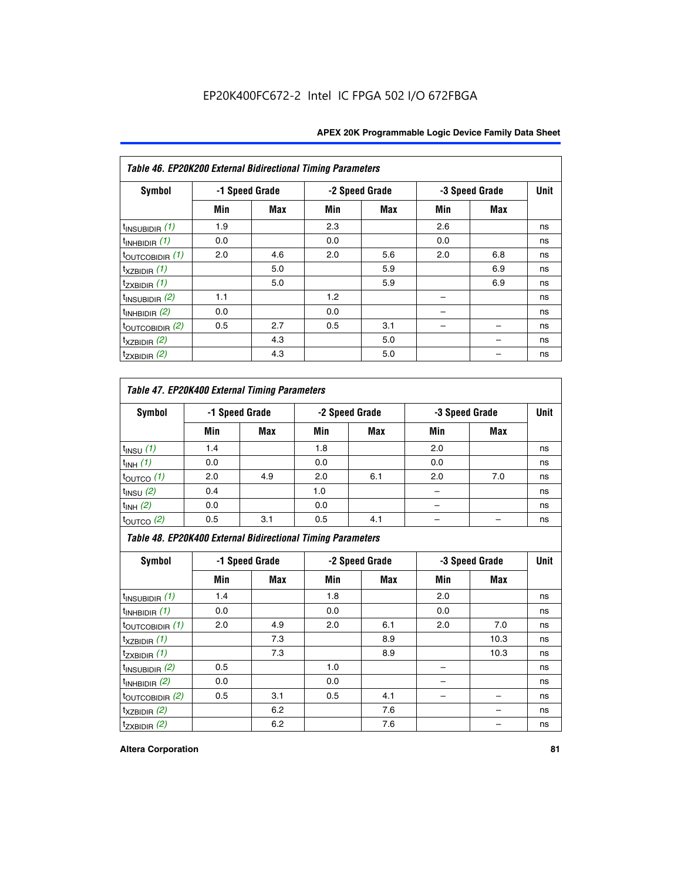| Table 46. EP20K200 External Bidirectional Timing Parameters |     |                |     |                |     |                |             |
|-------------------------------------------------------------|-----|----------------|-----|----------------|-----|----------------|-------------|
| Symbol                                                      |     | -1 Speed Grade |     | -2 Speed Grade |     | -3 Speed Grade | <b>Unit</b> |
|                                                             | Min | Max            | Min | Max            | Min | Max            |             |
| $t_{\text{INSUBIDIR}}(1)$                                   | 1.9 |                | 2.3 |                | 2.6 |                | ns          |
| $t_{INHBIDIR}$ (1)                                          | 0.0 |                | 0.0 |                | 0.0 |                | ns          |
| $t_{\text{OUTCOBIDIR}}(1)$                                  | 2.0 | 4.6            | 2.0 | 5.6            | 2.0 | 6.8            | ns          |
| $t_{XZBIDIR}$ (1)                                           |     | 5.0            |     | 5.9            |     | 6.9            | ns          |
| $t_{ZXBIDIR}$ (1)                                           |     | 5.0            |     | 5.9            |     | 6.9            | ns          |
| $t_{\text{INSUBIDIR}}(2)$                                   | 1.1 |                | 1.2 |                |     |                | ns          |
| $t_{INHBIDIR}$ (2)                                          | 0.0 |                | 0.0 |                |     |                | ns          |
| $t_{\text{OUTCOBIDIR}}(2)$                                  | 0.5 | 2.7            | 0.5 | 3.1            |     |                | ns          |
| $t_{XZBIDIR}$ (2)                                           |     | 4.3            |     | 5.0            |     |                | ns          |
| $t_{ZXBIDIR}$ (2)                                           |     | 4.3            |     | 5.0            |     |                | ns          |

## *Table 47. EP20K400 External Timing Parameters*

| Symbol                | -1 Speed Grade |            | -2 Speed Grade |            | -3 Speed Grade | <b>Unit</b> |    |
|-----------------------|----------------|------------|----------------|------------|----------------|-------------|----|
|                       | Min            | <b>Max</b> | Min            | <b>Max</b> | Min            | <b>Max</b>  |    |
| $t_{INSU}$ (1)        | 1.4            |            | 1.8            |            | 2.0            |             | ns |
| $t_{INH}$ (1)         | 0.0            |            | 0.0            |            | 0.0            |             | ns |
| $t_{\text{OUTCO}}(1)$ | 2.0            | 4.9        | 2.0            | 6.1        | 2.0            | 7.0         | ns |
| $t_{INSU}$ (2)        | 0.4            |            | 1.0            |            |                |             | ns |
| $t_{INH}$ (2)         | 0.0            |            | 0.0            |            | -              |             | ns |
| $t_{\text{OUTCO}}(2)$ | 0.5            | 3.1        | 0.5            | 4.1        |                |             | ns |

*Table 48. EP20K400 External Bidirectional Timing Parameters*

| Symbol                      | -1 Speed Grade |     | -2 Speed Grade |     |     | -3 Speed Grade | <b>Unit</b> |
|-----------------------------|----------------|-----|----------------|-----|-----|----------------|-------------|
|                             | Min            | Max | Min            | Max | Min | Max            |             |
| $t_{\text{INSUBIDIR}}(1)$   | 1.4            |     | 1.8            |     | 2.0 |                | ns          |
| $t_{INHBIDIR}$ (1)          | 0.0            |     | 0.0            |     | 0.0 |                | ns          |
| $t_{\text{OUTCOBIDIR}}(1)$  | 2.0            | 4.9 | 2.0            | 6.1 | 2.0 | 7.0            | ns          |
| $t_{XZBIDIR}$ (1)           |                | 7.3 |                | 8.9 |     | 10.3           | ns          |
| $t_{ZXBIDIR}$ (1)           |                | 7.3 |                | 8.9 |     | 10.3           | ns          |
| $t_{\text{INSUBIDIR}}(2)$   | 0.5            |     | 1.0            |     |     |                | ns          |
| $t_{INHBIDIR}$ (2)          | 0.0            |     | 0.0            |     |     |                | ns          |
| $t_{\text{OUTCOBIDIR}}$ (2) | 0.5            | 3.1 | 0.5            | 4.1 |     |                | ns          |
| $t_{XZBIDIR}$ (2)           |                | 6.2 |                | 7.6 |     |                | ns          |
| $t_{ZXBIDIR}$ (2)           |                | 6.2 |                | 7.6 |     |                | ns          |

#### **Altera Corporation 81**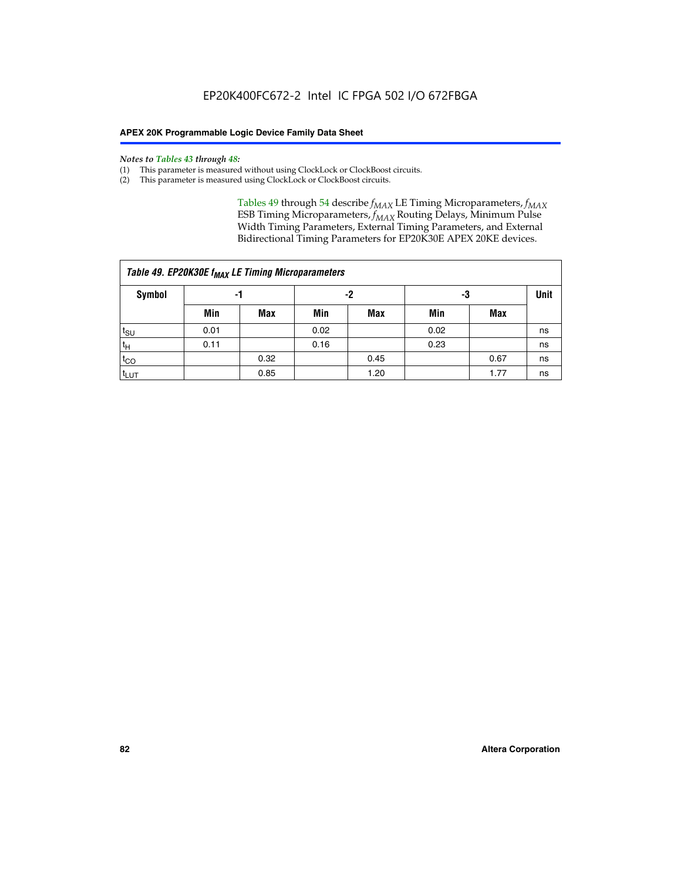#### *Notes to Tables 43 through 48:*

- (1) This parameter is measured without using ClockLock or ClockBoost circuits.
- (2) This parameter is measured using ClockLock or ClockBoost circuits.

Tables 49 through 54 describe  $f_{MAX}$  LE Timing Microparameters,  $f_{MAX}$ ESB Timing Microparameters, *f<sub>MAX</sub>* Routing Delays, Minimum Pulse Width Timing Parameters, External Timing Parameters, and External Bidirectional Timing Parameters for EP20K30E APEX 20KE devices.

|                  | Table 49. EP20K30E f <sub>MAX</sub> LE Timing Microparameters |      |      |            |      |      |    |  |  |  |  |  |
|------------------|---------------------------------------------------------------|------|------|------------|------|------|----|--|--|--|--|--|
| <b>Symbol</b>    |                                                               | -1   |      | -2         |      | -3   |    |  |  |  |  |  |
|                  | Min                                                           | Max  | Min  | <b>Max</b> | Min  | Max  |    |  |  |  |  |  |
| t <sub>SU</sub>  | 0.01                                                          |      | 0.02 |            | 0.02 |      | ns |  |  |  |  |  |
| 't <sub>H</sub>  | 0.11                                                          |      | 0.16 |            | 0.23 |      | ns |  |  |  |  |  |
| $t_{CO}$         |                                                               | 0.32 |      | 0.45       |      | 0.67 | ns |  |  |  |  |  |
| t <sub>LUT</sub> |                                                               | 0.85 |      | 1.20       |      | 1.77 | ns |  |  |  |  |  |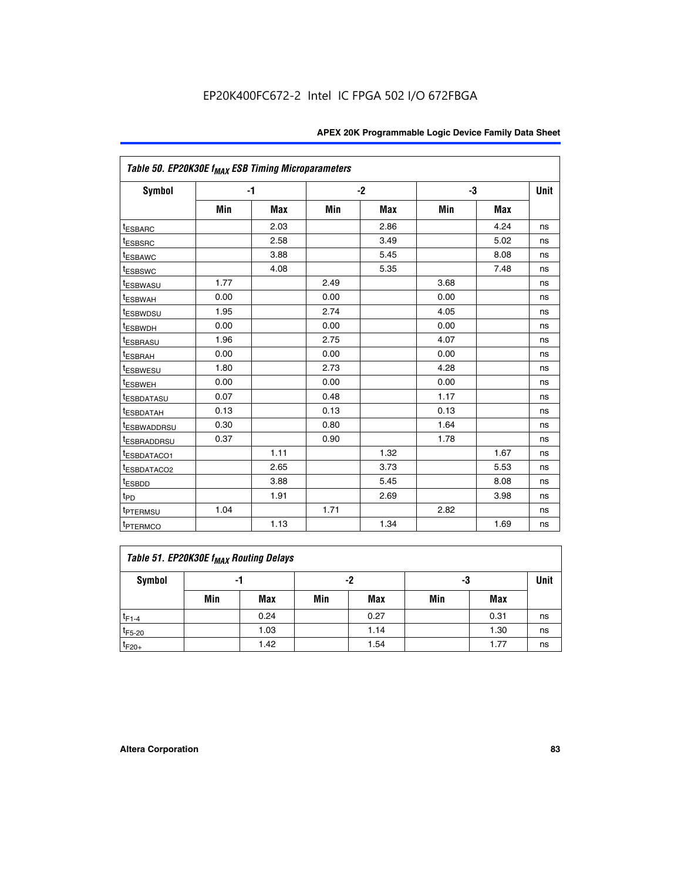| Table 50. EP20K30E f <sub>MAX</sub> ESB Timing Microparameters |      |            |      |            |      |            |             |
|----------------------------------------------------------------|------|------------|------|------------|------|------------|-------------|
| Symbol                                                         |      | $-1$       |      | $-2$       |      | -3         | <b>Unit</b> |
|                                                                | Min  | <b>Max</b> | Min  | <b>Max</b> | Min  | <b>Max</b> |             |
| <sup>t</sup> ESBARC                                            |      | 2.03       |      | 2.86       |      | 4.24       | ns          |
| <sup>t</sup> ESBSRC                                            |      | 2.58       |      | 3.49       |      | 5.02       | ns          |
| <sup>t</sup> ESBAWC                                            |      | 3.88       |      | 5.45       |      | 8.08       | ns          |
| <sup>t</sup> ESBSWC                                            |      | 4.08       |      | 5.35       |      | 7.48       | ns          |
| <sup>t</sup> ESBWASU                                           | 1.77 |            | 2.49 |            | 3.68 |            | ns          |
| t <sub>ESBWAH</sub>                                            | 0.00 |            | 0.00 |            | 0.00 |            | ns          |
| <sup>t</sup> ESBWDSU                                           | 1.95 |            | 2.74 |            | 4.05 |            | ns          |
| t <sub>ESBWDH</sub>                                            | 0.00 |            | 0.00 |            | 0.00 |            | ns          |
| <sup>t</sup> ESBRASU                                           | 1.96 |            | 2.75 |            | 4.07 |            | ns          |
| <sup>t</sup> ESBRAH                                            | 0.00 |            | 0.00 |            | 0.00 |            | ns          |
| <i>t</i> <sub>ESBWESU</sub>                                    | 1.80 |            | 2.73 |            | 4.28 |            | ns          |
| <sup>t</sup> ESBWEH                                            | 0.00 |            | 0.00 |            | 0.00 |            | ns          |
| t <sub>ESBDATASU</sub>                                         | 0.07 |            | 0.48 |            | 1.17 |            | ns          |
| <sup>t</sup> ESBDATAH                                          | 0.13 |            | 0.13 |            | 0.13 |            | ns          |
| <sup>t</sup> ESBWADDRSU                                        | 0.30 |            | 0.80 |            | 1.64 |            | ns          |
| <sup>t</sup> ESBRADDRSU                                        | 0.37 |            | 0.90 |            | 1.78 |            | ns          |
| <sup>t</sup> ESBDATACO1                                        |      | 1.11       |      | 1.32       |      | 1.67       | ns          |
| <sup>t</sup> ESBDATACO2                                        |      | 2.65       |      | 3.73       |      | 5.53       | ns          |
| <sup>t</sup> ESBDD                                             |      | 3.88       |      | 5.45       |      | 8.08       | ns          |
| $t_{PD}$                                                       |      | 1.91       |      | 2.69       |      | 3.98       | ns          |
| <sup>t</sup> PTERMSU                                           | 1.04 |            | 1.71 |            | 2.82 |            | ns          |
| t <sub>PTERMCO</sub>                                           |      | 1.13       |      | 1.34       |      | 1.69       | ns          |

## **Table 51. EP20K30E f<sub>MAX</sub> Routing Delays**

| Symbol      | .,  |            | -2  |            | -3  |            | Unit |
|-------------|-----|------------|-----|------------|-----|------------|------|
|             | Min | <b>Max</b> | Min | <b>Max</b> | Min | <b>Max</b> |      |
| $t_{F1-4}$  |     | 0.24       |     | 0.27       |     | 0.31       | ns   |
| $t_{F5-20}$ |     | 1.03       |     | 1.14       |     | 1.30       | ns   |
| $t_{F20+}$  |     | 1.42       |     | 1.54       |     | 1.77       | ns   |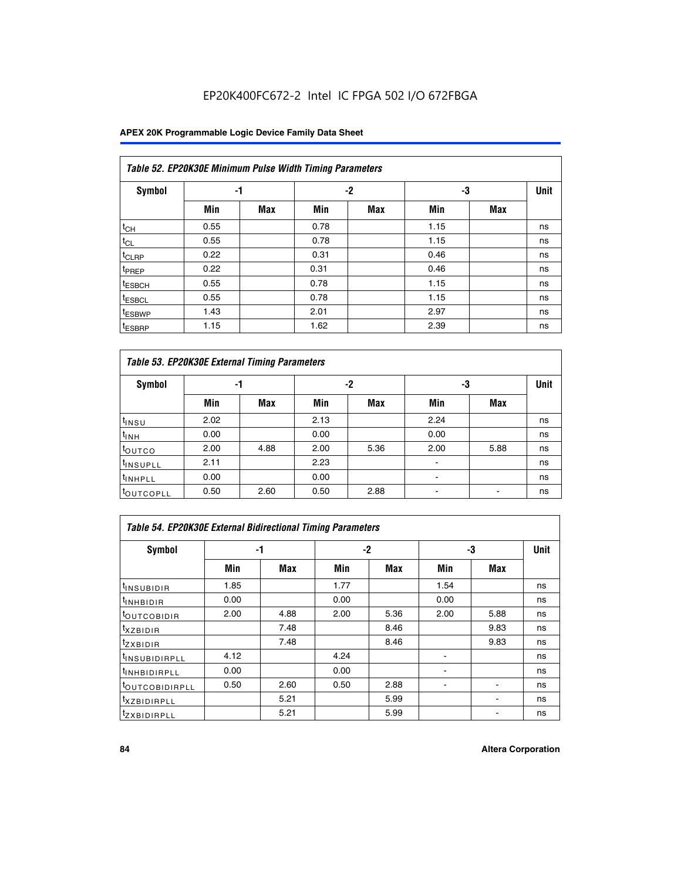## EP20K400FC672-2 Intel IC FPGA 502 I/O 672FBGA

### **APEX 20K Programmable Logic Device Family Data Sheet**

|                    | Table 52. EP20K30E Minimum Pulse Width Timing Parameters |            |      |            |      |            |             |  |  |  |  |  |
|--------------------|----------------------------------------------------------|------------|------|------------|------|------------|-------------|--|--|--|--|--|
| <b>Symbol</b>      | -1                                                       |            |      | $-2$       | -3   |            | <b>Unit</b> |  |  |  |  |  |
|                    | Min                                                      | <b>Max</b> | Min  | <b>Max</b> | Min  | <b>Max</b> |             |  |  |  |  |  |
| $t_{CH}$           | 0.55                                                     |            | 0.78 |            | 1.15 |            | ns          |  |  |  |  |  |
| $t_{CL}$           | 0.55                                                     |            | 0.78 |            | 1.15 |            | ns          |  |  |  |  |  |
| $t_{CLRP}$         | 0.22                                                     |            | 0.31 |            | 0.46 |            | ns          |  |  |  |  |  |
| <sup>t</sup> PREP  | 0.22                                                     |            | 0.31 |            | 0.46 |            | ns          |  |  |  |  |  |
| <sup>t</sup> ESBCH | 0.55                                                     |            | 0.78 |            | 1.15 |            | ns          |  |  |  |  |  |
| <sup>t</sup> ESBCL | 0.55                                                     |            | 0.78 |            | 1.15 |            | ns          |  |  |  |  |  |
| <sup>t</sup> ESBWP | 1.43                                                     |            | 2.01 |            | 2.97 |            | ns          |  |  |  |  |  |
| <sup>t</sup> ESBRP | 1.15                                                     |            | 1.62 |            | 2.39 |            | ns          |  |  |  |  |  |

|                      | Table 53. EP20K30E External Timing Parameters |            |      |            |                |            |             |  |  |  |  |  |
|----------------------|-----------------------------------------------|------------|------|------------|----------------|------------|-------------|--|--|--|--|--|
| <b>Symbol</b>        | -1                                            |            |      | -2         |                | -3         | <b>Unit</b> |  |  |  |  |  |
|                      | Min                                           | <b>Max</b> | Min  | <b>Max</b> | Min            | <b>Max</b> |             |  |  |  |  |  |
| $t_{INSU}$           | 2.02                                          |            | 2.13 |            | 2.24           |            | ns          |  |  |  |  |  |
| $t_{\rm INH}$        | 0.00                                          |            | 0.00 |            | 0.00           |            | ns          |  |  |  |  |  |
| <b>t</b> outco       | 2.00                                          | 4.88       | 2.00 | 5.36       | 2.00           | 5.88       | ns          |  |  |  |  |  |
| <sup>t</sup> INSUPLL | 2.11                                          |            | 2.23 |            |                |            | ns          |  |  |  |  |  |
| <sup>t</sup> INHPLL  | 0.00                                          |            | 0.00 |            | $\blacksquare$ |            | ns          |  |  |  |  |  |
| <b>LOUTCOPLL</b>     | 0.50                                          | 2.60       | 0.50 | 2.88       | -              |            | ns          |  |  |  |  |  |

| Table 54. EP20K30E External Bidirectional Timing Parameters |      |      |      |      |                          |      |             |  |  |  |  |
|-------------------------------------------------------------|------|------|------|------|--------------------------|------|-------------|--|--|--|--|
| Symbol                                                      | -1   |      | $-2$ |      | -3                       |      | <b>Unit</b> |  |  |  |  |
|                                                             | Min  | Max  | Min  | Max  | Min                      | Max  |             |  |  |  |  |
| <sup>t</sup> INSUBIDIR                                      | 1.85 |      | 1.77 |      | 1.54                     |      | ns          |  |  |  |  |
| <b>INHBIDIR</b>                                             | 0.00 |      | 0.00 |      | 0.00                     |      | ns          |  |  |  |  |
| <b>LOUTCOBIDIR</b>                                          | 2.00 | 4.88 | 2.00 | 5.36 | 2.00                     | 5.88 | ns          |  |  |  |  |
| <sup>T</sup> XZBIDIR                                        |      | 7.48 |      | 8.46 |                          | 9.83 | ns          |  |  |  |  |
| <sup>t</sup> zxbidir                                        |      | 7.48 |      | 8.46 |                          | 9.83 | ns          |  |  |  |  |
| <sup>I</sup> INSUBIDIRPLL                                   | 4.12 |      | 4.24 |      | $\overline{\phantom{0}}$ |      | ns          |  |  |  |  |
| <b>INHBIDIRPLL</b>                                          | 0.00 |      | 0.00 |      |                          |      | ns          |  |  |  |  |
| <b><i>COUTCOBIDIRPLL</i></b>                                | 0.50 | 2.60 | 0.50 | 2.88 |                          |      | ns          |  |  |  |  |
| <sup>I</sup> XZBIDIRPLL                                     |      | 5.21 |      | 5.99 |                          |      | ns          |  |  |  |  |
| <sup>I</sup> ZXBIDIRPLL                                     |      | 5.21 |      | 5.99 |                          |      | ns          |  |  |  |  |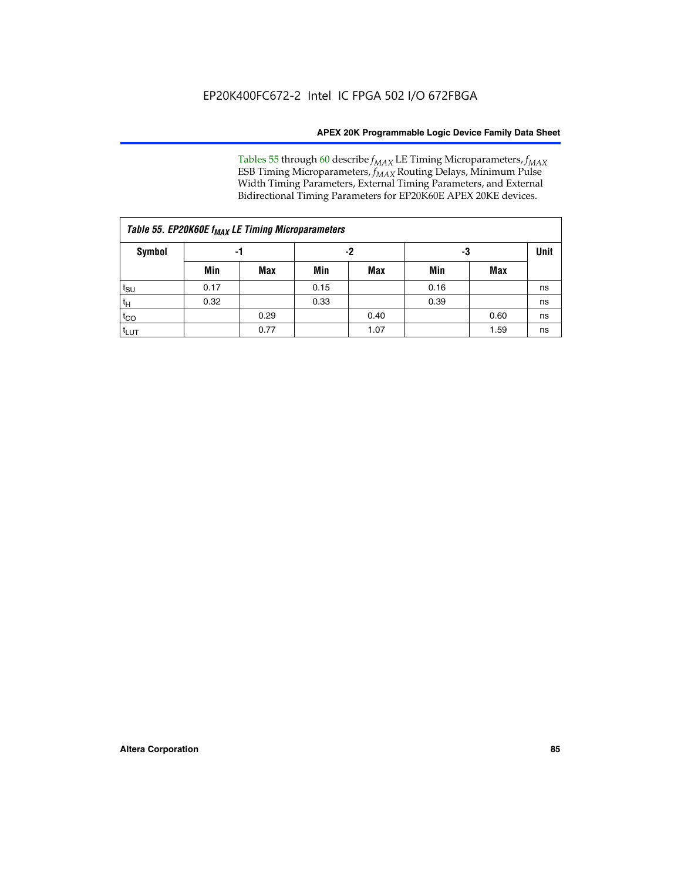Tables 55 through 60 describe *f<sub>MAX</sub>* LE Timing Microparameters, *f<sub>MAX</sub>* ESB Timing Microparameters, *f<sub>MAX</sub>* Routing Delays, Minimum Pulse Width Timing Parameters, External Timing Parameters, and External Bidirectional Timing Parameters for EP20K60E APEX 20KE devices.

| Table 55. EP20K60E f <sub>MAX</sub> LE Timing Microparameters |      |      |      |      |      |      |    |  |  |  |  |
|---------------------------------------------------------------|------|------|------|------|------|------|----|--|--|--|--|
| <b>Symbol</b>                                                 | -1   |      |      | -2   |      | -3   |    |  |  |  |  |
|                                                               | Min  | Max  | Min  | Max  | Min  | Max  |    |  |  |  |  |
| $t_{\text{SU}}$                                               | 0.17 |      | 0.15 |      | 0.16 |      | ns |  |  |  |  |
| $t_H$                                                         | 0.32 |      | 0.33 |      | 0.39 |      | ns |  |  |  |  |
| $t_{CO}$                                                      |      | 0.29 |      | 0.40 |      | 0.60 | ns |  |  |  |  |
| t <sub>lut</sub>                                              |      | 0.77 |      | 1.07 |      | 1.59 | ns |  |  |  |  |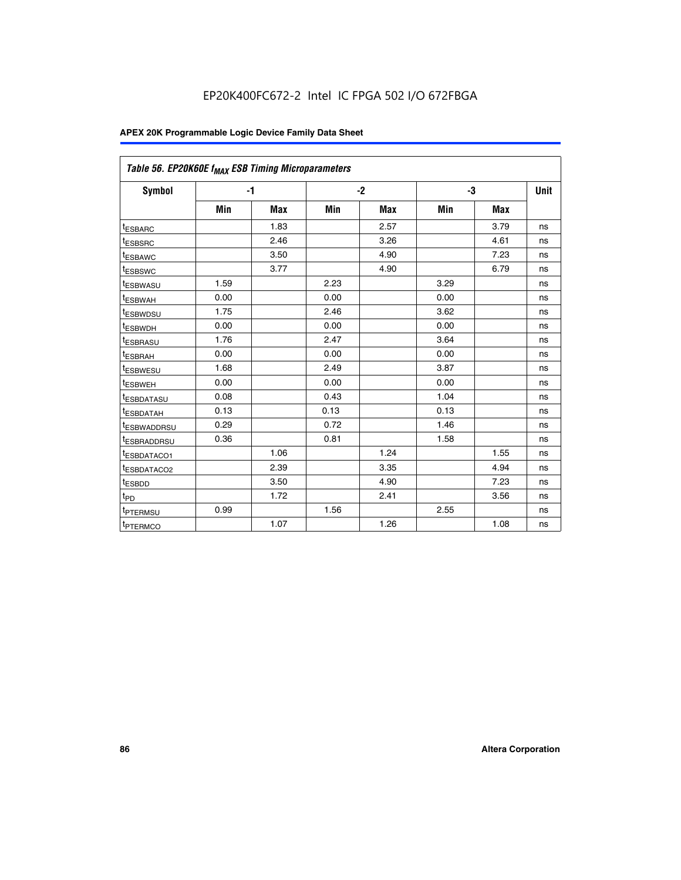| Table 56. EP20K60E f <sub>MAX</sub> ESB Timing Microparameters |      |            |      |            |      |            |             |
|----------------------------------------------------------------|------|------------|------|------------|------|------------|-------------|
| <b>Symbol</b>                                                  |      | $-1$       |      | $-2$       |      | -3         | <b>Unit</b> |
|                                                                | Min  | <b>Max</b> | Min  | <b>Max</b> | Min  | <b>Max</b> |             |
| <sup>t</sup> ESBARC                                            |      | 1.83       |      | 2.57       |      | 3.79       | ns          |
| t <sub>ESBSRC</sub>                                            |      | 2.46       |      | 3.26       |      | 4.61       | ns          |
| t <sub>ESBAWC</sub>                                            |      | 3.50       |      | 4.90       |      | 7.23       | ns          |
| <sup>t</sup> ESBSWC                                            |      | 3.77       |      | 4.90       |      | 6.79       | ns          |
| t <sub>ESBWASU</sub>                                           | 1.59 |            | 2.23 |            | 3.29 |            | ns          |
| <sup>t</sup> ESBWAH                                            | 0.00 |            | 0.00 |            | 0.00 |            | ns          |
| t <sub>ESBWDSU</sub>                                           | 1.75 |            | 2.46 |            | 3.62 |            | ns          |
| t <sub>ESBWDH</sub>                                            | 0.00 |            | 0.00 |            | 0.00 |            | ns          |
| t <sub>ESBRASU</sub>                                           | 1.76 |            | 2.47 |            | 3.64 |            | ns          |
| <sup>t</sup> ESBRAH                                            | 0.00 |            | 0.00 |            | 0.00 |            | ns          |
| t <sub>ESBWESU</sub>                                           | 1.68 |            | 2.49 |            | 3.87 |            | ns          |
| <sup>t</sup> ESBWEH                                            | 0.00 |            | 0.00 |            | 0.00 |            | ns          |
| <sup>t</sup> ESBDATASU                                         | 0.08 |            | 0.43 |            | 1.04 |            | ns          |
| <sup>t</sup> ESBDATAH                                          | 0.13 |            | 0.13 |            | 0.13 |            | ns          |
| <sup>t</sup> ESBWADDRSU                                        | 0.29 |            | 0.72 |            | 1.46 |            | ns          |
| <sup>t</sup> ESBRADDRSU                                        | 0.36 |            | 0.81 |            | 1.58 |            | ns          |
| t <sub>ESBDATACO1</sub>                                        |      | 1.06       |      | 1.24       |      | 1.55       | ns          |
| <sup>t</sup> ESBDATACO2                                        |      | 2.39       |      | 3.35       |      | 4.94       | ns          |
| <sup>t</sup> ESBDD                                             |      | 3.50       |      | 4.90       |      | 7.23       | ns          |
| t <sub>PD</sub>                                                |      | 1.72       |      | 2.41       |      | 3.56       | ns          |
| <sup>t</sup> PTERMSU                                           | 0.99 |            | 1.56 |            | 2.55 |            | ns          |
| t <sub>PTERMCO</sub>                                           |      | 1.07       |      | 1.26       |      | 1.08       | ns          |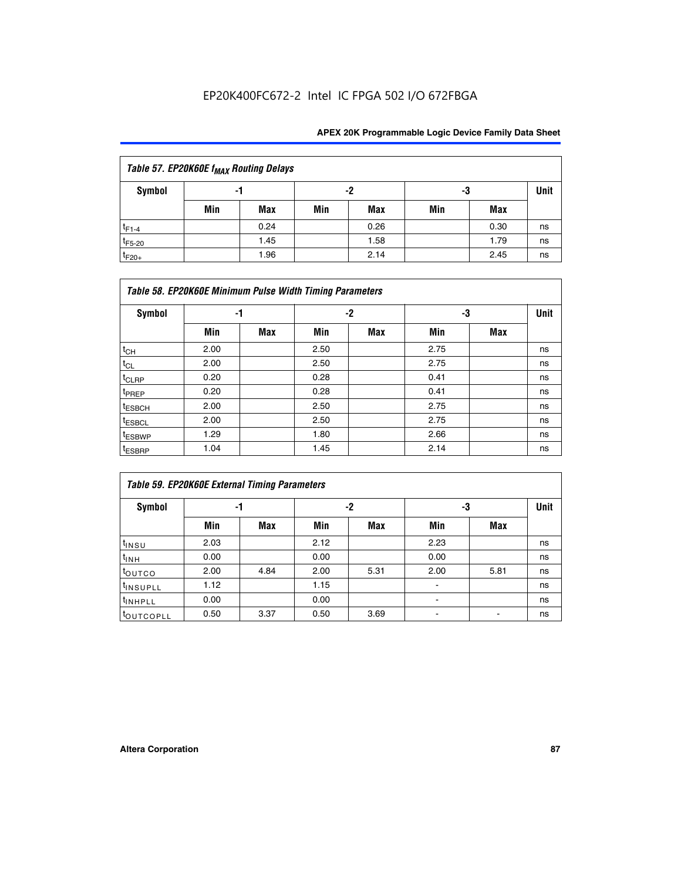## EP20K400FC672-2 Intel IC FPGA 502 I/O 672FBGA

| Table 57. EP20K60E f <sub>MAX</sub> Routing Delays |     |      |     |      |     |      |             |  |  |  |  |
|----------------------------------------------------|-----|------|-----|------|-----|------|-------------|--|--|--|--|
| Symbol                                             | -1  |      | -2  |      | -3  |      | <b>Unit</b> |  |  |  |  |
|                                                    | Min | Max  | Min | Max  | Min | Max  |             |  |  |  |  |
| $t_{F1-4}$                                         |     | 0.24 |     | 0.26 |     | 0.30 | ns          |  |  |  |  |
| $t_{F5-20}$                                        |     | 1.45 |     | 1.58 |     | 1.79 | ns          |  |  |  |  |
| $t_{F20+}$                                         |     | 1.96 |     | 2.14 |     | 2.45 | ns          |  |  |  |  |

|                    | Table 58. EP20K60E Minimum Pulse Width Timing Parameters |            |      |     |      |     |             |  |  |  |  |  |
|--------------------|----------------------------------------------------------|------------|------|-----|------|-----|-------------|--|--|--|--|--|
| Symbol             | -1                                                       |            |      | -2  |      | -3  | <b>Unit</b> |  |  |  |  |  |
|                    | Min                                                      | <b>Max</b> | Min  | Max | Min  | Max |             |  |  |  |  |  |
| $t_{CH}$           | 2.00                                                     |            | 2.50 |     | 2.75 |     | ns          |  |  |  |  |  |
| $t_{CL}$           | 2.00                                                     |            | 2.50 |     | 2.75 |     | ns          |  |  |  |  |  |
| $t_{CLRP}$         | 0.20                                                     |            | 0.28 |     | 0.41 |     | ns          |  |  |  |  |  |
| t <sub>PREP</sub>  | 0.20                                                     |            | 0.28 |     | 0.41 |     | ns          |  |  |  |  |  |
| <sup>t</sup> ESBCH | 2.00                                                     |            | 2.50 |     | 2.75 |     | ns          |  |  |  |  |  |
| <sup>t</sup> ESBCL | 2.00                                                     |            | 2.50 |     | 2.75 |     | ns          |  |  |  |  |  |
| <sup>t</sup> ESBWP | 1.29                                                     |            | 1.80 |     | 2.66 |     | ns          |  |  |  |  |  |
| <sup>t</sup> ESBRP | 1.04                                                     |            | 1.45 |     | 2.14 |     | ns          |  |  |  |  |  |

|                      | Table 59. EP20K60E External Timing Parameters |      |      |      |      |      |    |  |  |  |  |  |
|----------------------|-----------------------------------------------|------|------|------|------|------|----|--|--|--|--|--|
| Symbol               | -1                                            |      |      | -2   | -3   | Unit |    |  |  |  |  |  |
|                      | Min                                           | Max  | Min  | Max  | Min  | Max  |    |  |  |  |  |  |
| $t_{INSU}$           | 2.03                                          |      | 2.12 |      | 2.23 |      | ns |  |  |  |  |  |
| t <sub>INH</sub>     | 0.00                                          |      | 0.00 |      | 0.00 |      | ns |  |  |  |  |  |
| toutco               | 2.00                                          | 4.84 | 2.00 | 5.31 | 2.00 | 5.81 | ns |  |  |  |  |  |
| <sup>t</sup> INSUPLL | 1.12                                          |      | 1.15 |      |      |      | ns |  |  |  |  |  |
| <sup>t</sup> INHPLL  | 0.00                                          |      | 0.00 |      | ۰    |      | ns |  |  |  |  |  |
| toutcopll            | 0.50                                          | 3.37 | 0.50 | 3.69 |      |      | ns |  |  |  |  |  |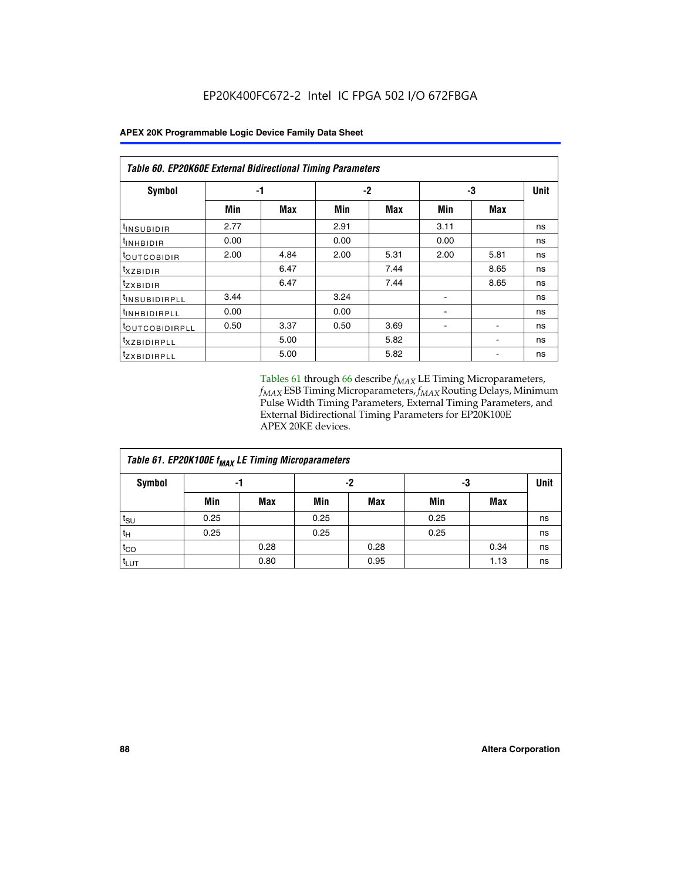|                            | Table 60. EP20K60E External Bidirectional Timing Parameters |      |      |      |      |      |             |  |  |  |  |
|----------------------------|-------------------------------------------------------------|------|------|------|------|------|-------------|--|--|--|--|
| <b>Symbol</b>              | -1                                                          |      |      | -2   | -3   |      | <b>Unit</b> |  |  |  |  |
|                            | Min                                                         | Max  | Min  | Max  | Min  | Max  |             |  |  |  |  |
| t <sub>INSUBIDIR</sub>     | 2.77                                                        |      | 2.91 |      | 3.11 |      | ns          |  |  |  |  |
| $t_{\rm INHBIDIR}$         | 0.00                                                        |      | 0.00 |      | 0.00 |      | ns          |  |  |  |  |
| <sup>t</sup> OUTCOBIDIR    | 2.00                                                        | 4.84 | 2.00 | 5.31 | 2.00 | 5.81 | ns          |  |  |  |  |
| $t_{XZBIDIR}$              |                                                             | 6.47 |      | 7.44 |      | 8.65 | ns          |  |  |  |  |
| tzxbidir                   |                                                             | 6.47 |      | 7.44 |      | 8.65 | ns          |  |  |  |  |
| <sup>t</sup> INSUBIDIRPLL  | 3.44                                                        |      | 3.24 |      |      |      | ns          |  |  |  |  |
| <sup>t</sup> INHBIDIRPLL   | 0.00                                                        |      | 0.00 |      |      |      | ns          |  |  |  |  |
| <sup>t</sup> OUTCOBIDIRPLL | 0.50                                                        | 3.37 | 0.50 | 3.69 |      |      | ns          |  |  |  |  |
| <sup>t</sup> XZBIDIRPLL    |                                                             | 5.00 |      | 5.82 |      |      | ns          |  |  |  |  |
| <sup>t</sup> zxbidirpll    |                                                             | 5.00 |      | 5.82 |      |      | ns          |  |  |  |  |

Tables 61 through 66 describe  $f_{MAX}$  LE Timing Microparameters, *fMAX* ESB Timing Microparameters, *fMAX* Routing Delays, Minimum Pulse Width Timing Parameters, External Timing Parameters, and External Bidirectional Timing Parameters for EP20K100E APEX 20KE devices.

| Table 61. EP20K100E f <sub>MAX</sub> LE Timing Microparameters |      |      |      |            |      |            |             |  |  |  |  |
|----------------------------------------------------------------|------|------|------|------------|------|------------|-------------|--|--|--|--|
| <b>Symbol</b>                                                  |      | -1   |      | -2         | -3   |            | <b>Unit</b> |  |  |  |  |
|                                                                | Min  | Max  | Min  | <b>Max</b> | Min  | <b>Max</b> |             |  |  |  |  |
| $t_{\text{SU}}$                                                | 0.25 |      | 0.25 |            | 0.25 |            | ns          |  |  |  |  |
| tμ                                                             | 0.25 |      | 0.25 |            | 0.25 |            | ns          |  |  |  |  |
| $t_{CO}$                                                       |      | 0.28 |      | 0.28       |      | 0.34       | ns          |  |  |  |  |
| t <sub>LUT</sub>                                               |      | 0.80 |      | 0.95       |      | 1.13       | ns          |  |  |  |  |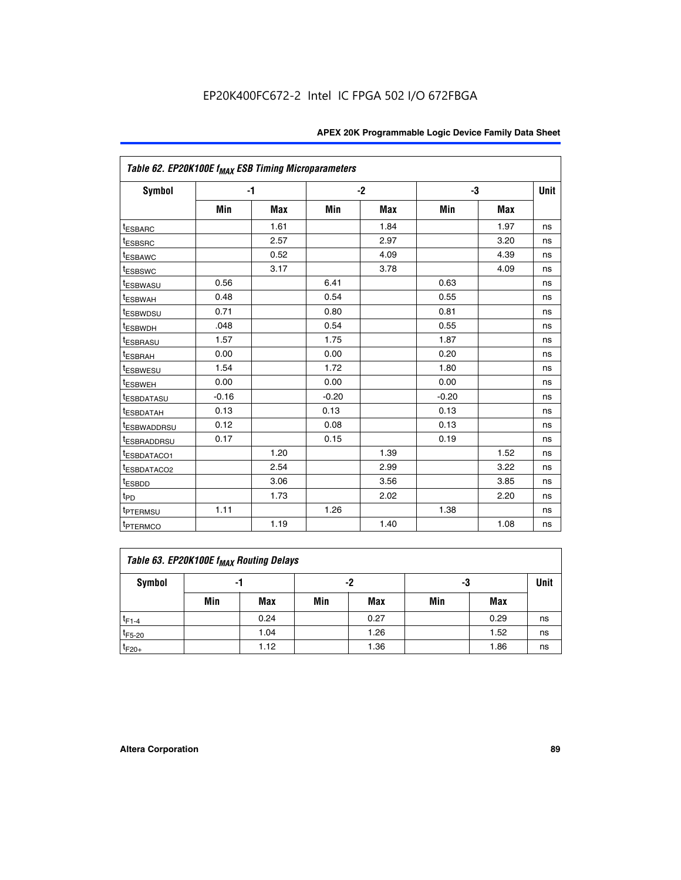|                         | Table 62. EP20K100E f <sub>MAX</sub> ESB Timing Microparameters |            |         |      |         |            |             |  |  |  |  |
|-------------------------|-----------------------------------------------------------------|------------|---------|------|---------|------------|-------------|--|--|--|--|
| <b>Symbol</b>           |                                                                 | $-1$       |         | $-2$ |         | -3         | <b>Unit</b> |  |  |  |  |
|                         | Min                                                             | <b>Max</b> | Min     | Max  | Min     | <b>Max</b> |             |  |  |  |  |
| <sup>t</sup> ESBARC     |                                                                 | 1.61       |         | 1.84 |         | 1.97       | ns          |  |  |  |  |
| <sup>t</sup> ESBSRC     |                                                                 | 2.57       |         | 2.97 |         | 3.20       | ns          |  |  |  |  |
| <sup>t</sup> ESBAWC     |                                                                 | 0.52       |         | 4.09 |         | 4.39       | ns          |  |  |  |  |
| <sup>t</sup> ESBSWC     |                                                                 | 3.17       |         | 3.78 |         | 4.09       | ns          |  |  |  |  |
| <sup>t</sup> ESBWASU    | 0.56                                                            |            | 6.41    |      | 0.63    |            | ns          |  |  |  |  |
| <sup>t</sup> ESBWAH     | 0.48                                                            |            | 0.54    |      | 0.55    |            | ns          |  |  |  |  |
| <sup>t</sup> ESBWDSU    | 0.71                                                            |            | 0.80    |      | 0.81    |            | ns          |  |  |  |  |
| t <sub>ESBWDH</sub>     | .048                                                            |            | 0.54    |      | 0.55    |            | ns          |  |  |  |  |
| <sup>t</sup> ESBRASU    | 1.57                                                            |            | 1.75    |      | 1.87    |            | ns          |  |  |  |  |
| t <sub>ESBRAH</sub>     | 0.00                                                            |            | 0.00    |      | 0.20    |            | ns          |  |  |  |  |
| <b>ESBWESU</b>          | 1.54                                                            |            | 1.72    |      | 1.80    |            | ns          |  |  |  |  |
| t <sub>ESBWEH</sub>     | 0.00                                                            |            | 0.00    |      | 0.00    |            | ns          |  |  |  |  |
| <sup>t</sup> ESBDATASU  | $-0.16$                                                         |            | $-0.20$ |      | $-0.20$ |            | ns          |  |  |  |  |
| <sup>t</sup> ESBDATAH   | 0.13                                                            |            | 0.13    |      | 0.13    |            | ns          |  |  |  |  |
| <sup>t</sup> ESBWADDRSU | 0.12                                                            |            | 0.08    |      | 0.13    |            | ns          |  |  |  |  |
| <sup>t</sup> ESBRADDRSU | 0.17                                                            |            | 0.15    |      | 0.19    |            | ns          |  |  |  |  |
| ESBDATACO1              |                                                                 | 1.20       |         | 1.39 |         | 1.52       | ns          |  |  |  |  |
| <sup>t</sup> ESBDATACO2 |                                                                 | 2.54       |         | 2.99 |         | 3.22       | ns          |  |  |  |  |
| <sup>t</sup> ESBDD      |                                                                 | 3.06       |         | 3.56 |         | 3.85       | ns          |  |  |  |  |
| t <sub>PD</sub>         |                                                                 | 1.73       |         | 2.02 |         | 2.20       | ns          |  |  |  |  |
| t <sub>PTERMSU</sub>    | 1.11                                                            |            | 1.26    |      | 1.38    |            | ns          |  |  |  |  |
| <sup>t</sup> PTERMCO    |                                                                 | 1.19       |         | 1.40 |         | 1.08       | ns          |  |  |  |  |

| Table 63. EP20K100E f <sub>MAX</sub> Routing Delays |     |      |     |            |     |      |    |  |  |  |  |
|-----------------------------------------------------|-----|------|-----|------------|-----|------|----|--|--|--|--|
| Symbol                                              |     | -1   |     | -2         |     | -3   |    |  |  |  |  |
|                                                     | Min | Max  | Min | <b>Max</b> | Min | Max  |    |  |  |  |  |
| $t_{F1-4}$                                          |     | 0.24 |     | 0.27       |     | 0.29 | ns |  |  |  |  |
| $t_{F5-20}$                                         |     | 1.04 |     | 1.26       |     | 1.52 | ns |  |  |  |  |
| $t_{F20+}$                                          |     | 1.12 |     | 1.36       |     | 1.86 | ns |  |  |  |  |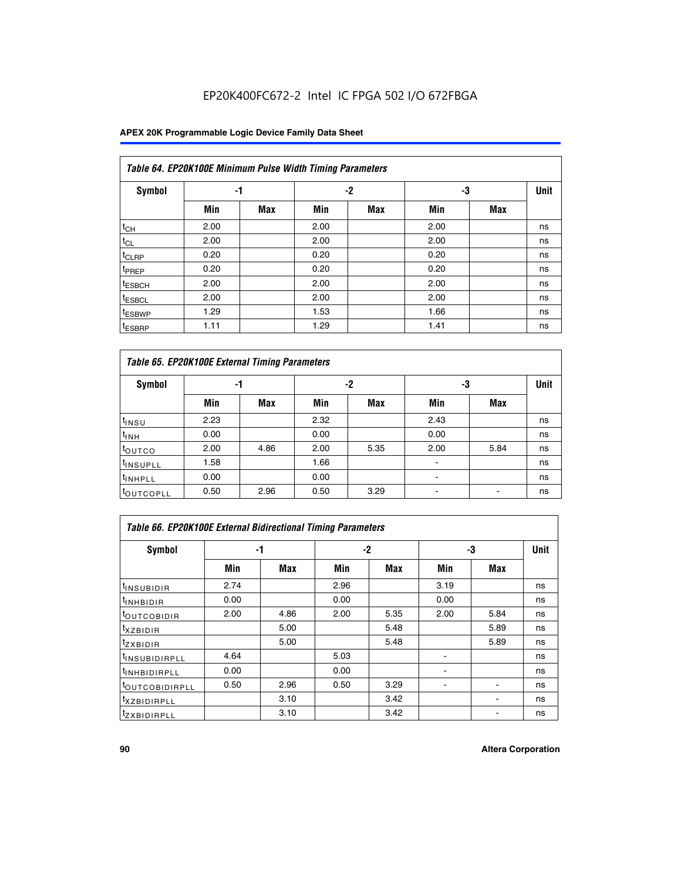## EP20K400FC672-2 Intel IC FPGA 502 I/O 672FBGA

### **APEX 20K Programmable Logic Device Family Data Sheet**

|                    | Table 64. EP20K100E Minimum Pulse Width Timing Parameters |            |      |            |      |            |             |  |  |  |  |  |
|--------------------|-----------------------------------------------------------|------------|------|------------|------|------------|-------------|--|--|--|--|--|
| <b>Symbol</b>      | -1                                                        |            |      | $-2$       | -3   |            | <b>Unit</b> |  |  |  |  |  |
|                    | Min                                                       | <b>Max</b> | Min  | <b>Max</b> | Min  | <b>Max</b> |             |  |  |  |  |  |
| $t_{CH}$           | 2.00                                                      |            | 2.00 |            | 2.00 |            | ns          |  |  |  |  |  |
| $t_{CL}$           | 2.00                                                      |            | 2.00 |            | 2.00 |            | ns          |  |  |  |  |  |
| t <sub>CLRP</sub>  | 0.20                                                      |            | 0.20 |            | 0.20 |            | ns          |  |  |  |  |  |
| <sup>t</sup> PREP  | 0.20                                                      |            | 0.20 |            | 0.20 |            | ns          |  |  |  |  |  |
| <sup>t</sup> ESBCH | 2.00                                                      |            | 2.00 |            | 2.00 |            | ns          |  |  |  |  |  |
| <sup>t</sup> ESBCL | 2.00                                                      |            | 2.00 |            | 2.00 |            | ns          |  |  |  |  |  |
| <sup>t</sup> ESBWP | 1.29                                                      |            | 1.53 |            | 1.66 |            | ns          |  |  |  |  |  |
| <sup>t</sup> ESBRP | 1.11                                                      |            | 1.29 |            | 1.41 |            | ns          |  |  |  |  |  |

|                      | Table 65. EP20K100E External Timing Parameters |            |      |            |                          |            |    |  |  |  |  |  |
|----------------------|------------------------------------------------|------------|------|------------|--------------------------|------------|----|--|--|--|--|--|
| <b>Symbol</b>        | -1                                             |            |      | -2         |                          | -3         |    |  |  |  |  |  |
|                      | Min                                            | <b>Max</b> | Min  | <b>Max</b> | Min                      | <b>Max</b> |    |  |  |  |  |  |
| t <sub>INSU</sub>    | 2.23                                           |            | 2.32 |            | 2.43                     |            | ns |  |  |  |  |  |
| $t_{\rm INH}$        | 0.00                                           |            | 0.00 |            | 0.00                     |            | ns |  |  |  |  |  |
| toutco               | 2.00                                           | 4.86       | 2.00 | 5.35       | 2.00                     | 5.84       | ns |  |  |  |  |  |
| <sup>t</sup> INSUPLL | 1.58                                           |            | 1.66 |            |                          |            | ns |  |  |  |  |  |
| <sup>t</sup> INHPLL  | 0.00                                           |            | 0.00 |            | $\overline{\phantom{a}}$ |            | ns |  |  |  |  |  |
| <b>LOUTCOPLL</b>     | 0.50                                           | 2.96       | 0.50 | 3.29       | -                        |            | ns |  |  |  |  |  |

|                              | Table 66. EP20K100E External Bidirectional Timing Parameters |      |      |      |      |            |      |  |  |  |  |
|------------------------------|--------------------------------------------------------------|------|------|------|------|------------|------|--|--|--|--|
| Symbol                       |                                                              | -1   |      | $-2$ | -3   |            | Unit |  |  |  |  |
|                              | Min                                                          | Max  | Min  | Max  | Min  | <b>Max</b> |      |  |  |  |  |
| <sup>t</sup> INSUBIDIR       | 2.74                                                         |      | 2.96 |      | 3.19 |            | ns   |  |  |  |  |
| <b>TINHBIDIR</b>             | 0.00                                                         |      | 0.00 |      | 0.00 |            | ns   |  |  |  |  |
| <b>LOUTCOBIDIR</b>           | 2.00                                                         | 4.86 | 2.00 | 5.35 | 2.00 | 5.84       | ns   |  |  |  |  |
| <sup>T</sup> XZBIDIR         |                                                              | 5.00 |      | 5.48 |      | 5.89       | ns   |  |  |  |  |
| $I_{Z}$ XBIDIR               |                                                              | 5.00 |      | 5.48 |      | 5.89       | ns   |  |  |  |  |
| <sup>t</sup> INSUBIDIRPLL    | 4.64                                                         |      | 5.03 |      |      |            | ns   |  |  |  |  |
| <sup>I</sup> INHBIDIRPLL     | 0.00                                                         |      | 0.00 |      |      |            | ns   |  |  |  |  |
| <b><i>COUTCOBIDIRPLL</i></b> | 0.50                                                         | 2.96 | 0.50 | 3.29 |      |            | ns   |  |  |  |  |
| <sup>I</sup> XZBIDIRPLL      |                                                              | 3.10 |      | 3.42 |      |            | ns   |  |  |  |  |
| <sup>I</sup> ZXBIDIRPLL      |                                                              | 3.10 |      | 3.42 |      |            | ns   |  |  |  |  |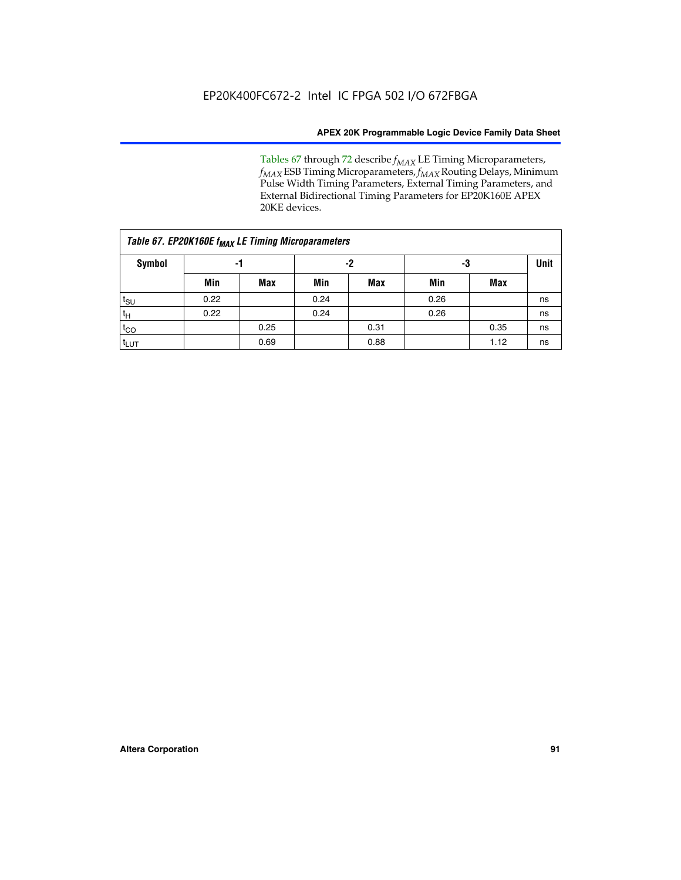Tables 67 through 72 describe *f<sub>MAX</sub>* LE Timing Microparameters, *f<sub>MAX</sub>* ESB Timing Microparameters, *f<sub>MAX</sub>* Routing Delays, Minimum Pulse Width Timing Parameters, External Timing Parameters, and External Bidirectional Timing Parameters for EP20K160E APEX 20KE devices.

|                  | Table 67. EP20K160E f <sub>MAX</sub> LE Timing Microparameters |            |      |            |      |      |             |  |  |  |  |  |
|------------------|----------------------------------------------------------------|------------|------|------------|------|------|-------------|--|--|--|--|--|
| Symbol           | -1                                                             |            |      | -2         |      | -3   | <b>Unit</b> |  |  |  |  |  |
|                  | Min                                                            | <b>Max</b> | Min  | <b>Max</b> | Min  | Max  |             |  |  |  |  |  |
| $t_{\text{SU}}$  | 0.22                                                           |            | 0.24 |            | 0.26 |      | ns          |  |  |  |  |  |
| $t_H$            | 0.22                                                           |            | 0.24 |            | 0.26 |      | ns          |  |  |  |  |  |
| $t_{CO}$         |                                                                | 0.25       |      | 0.31       |      | 0.35 | ns          |  |  |  |  |  |
| t <sub>lut</sub> |                                                                | 0.69       |      | 0.88       |      | 1.12 | ns          |  |  |  |  |  |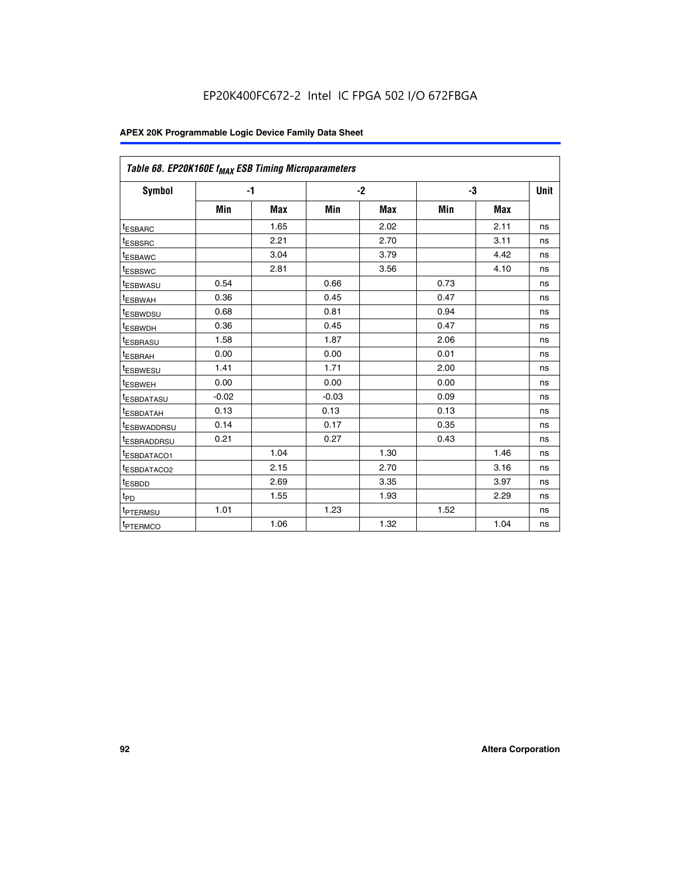| Table 68. EP20K160E f <sub>MAX</sub> ESB Timing Microparameters |         |            |         |            |      |      |      |
|-----------------------------------------------------------------|---------|------------|---------|------------|------|------|------|
| <b>Symbol</b>                                                   |         | $-1$       |         | $-2$       |      | -3   | Unit |
|                                                                 | Min     | <b>Max</b> | Min     | <b>Max</b> | Min  | Max  |      |
| <sup>t</sup> ESBARC                                             |         | 1.65       |         | 2.02       |      | 2.11 | ns   |
| t <sub>ESBSRC</sub>                                             |         | 2.21       |         | 2.70       |      | 3.11 | ns   |
| <sup>t</sup> ESBAWC                                             |         | 3.04       |         | 3.79       |      | 4.42 | ns   |
| t <sub>ESBSWC</sub>                                             |         | 2.81       |         | 3.56       |      | 4.10 | ns   |
| <sup>t</sup> ESBWASU                                            | 0.54    |            | 0.66    |            | 0.73 |      | ns   |
| <sup>t</sup> ESBWAH                                             | 0.36    |            | 0.45    |            | 0.47 |      | ns   |
| t <sub>ESBWDSU</sub>                                            | 0.68    |            | 0.81    |            | 0.94 |      | ns   |
| <sup>t</sup> ESBWDH                                             | 0.36    |            | 0.45    |            | 0.47 |      | ns   |
| t <sub>ESBRASU</sub>                                            | 1.58    |            | 1.87    |            | 2.06 |      | ns   |
| <sup>t</sup> ESBRAH                                             | 0.00    |            | 0.00    |            | 0.01 |      | ns   |
| <sup>t</sup> ESBWESU                                            | 1.41    |            | 1.71    |            | 2.00 |      | ns   |
| t <sub>ESBWEH</sub>                                             | 0.00    |            | 0.00    |            | 0.00 |      | ns   |
| t <sub>ESBDATASU</sub>                                          | $-0.02$ |            | $-0.03$ |            | 0.09 |      | ns   |
| t <sub>ESBDATAH</sub>                                           | 0.13    |            | 0.13    |            | 0.13 |      | ns   |
| t <sub>ESBWADDRSU</sub>                                         | 0.14    |            | 0.17    |            | 0.35 |      | ns   |
| <sup>t</sup> ESBRADDRSU                                         | 0.21    |            | 0.27    |            | 0.43 |      | ns   |
| <sup>I</sup> ESBDATACO1                                         |         | 1.04       |         | 1.30       |      | 1.46 | ns   |
| t <sub>ESBDATACO2</sub>                                         |         | 2.15       |         | 2.70       |      | 3.16 | ns   |
| <sup>t</sup> ESBDD                                              |         | 2.69       |         | 3.35       |      | 3.97 | ns   |
| $t_{\mathsf{PD}}$                                               |         | 1.55       |         | 1.93       |      | 2.29 | ns   |
| t <sub>PTERMSU</sub>                                            | 1.01    |            | 1.23    |            | 1.52 |      | ns   |
| t <sub>PTERMCO</sub>                                            |         | 1.06       |         | 1.32       |      | 1.04 | ns   |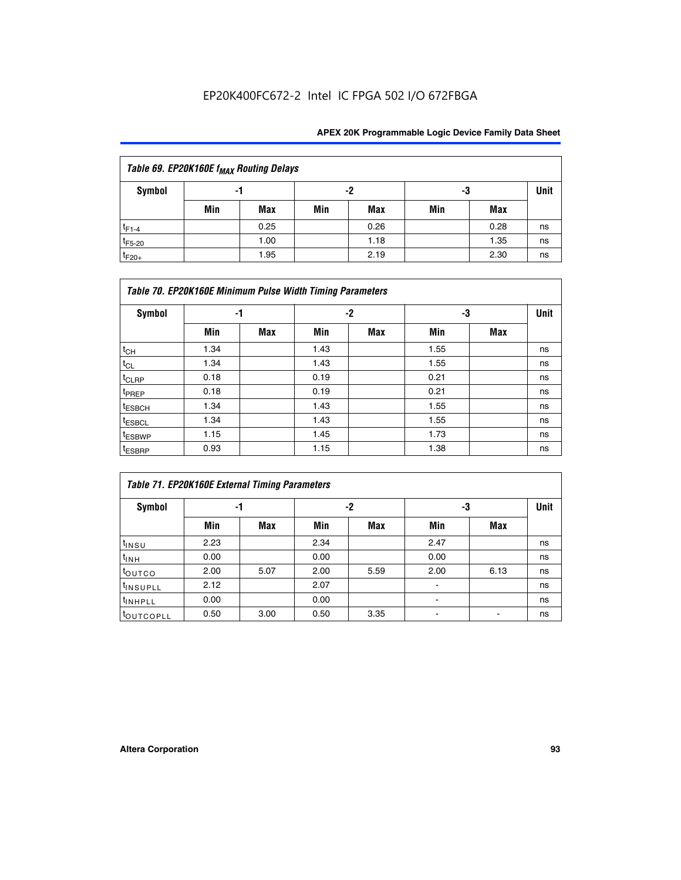## EP20K400FC672-2 Intel IC FPGA 502 I/O 672FBGA

| Table 69. EP20K160E f <sub>MAX</sub> Routing Delays |     |      |     |      |     |      |      |  |  |  |  |
|-----------------------------------------------------|-----|------|-----|------|-----|------|------|--|--|--|--|
| Symbol                                              | -1  |      | -2  |      | -3  |      | Unit |  |  |  |  |
|                                                     | Min | Max  | Min | Max  | Min | Max  |      |  |  |  |  |
| $t_{F1-4}$                                          |     | 0.25 |     | 0.26 |     | 0.28 | ns   |  |  |  |  |
| $t_{F5-20}$                                         |     | 1.00 |     | 1.18 |     | 1.35 | ns   |  |  |  |  |
| $t_{F20+}$                                          |     | 1.95 |     | 2.19 |     | 2.30 | ns   |  |  |  |  |

|                    | Table 70. EP20K160E Minimum Pulse Width Timing Parameters |     |      |      |      |     |             |  |  |  |  |  |
|--------------------|-----------------------------------------------------------|-----|------|------|------|-----|-------------|--|--|--|--|--|
| Symbol             |                                                           | -1  |      | $-2$ |      | -3  | <b>Unit</b> |  |  |  |  |  |
|                    | Min                                                       | Max | Min  | Max  | Min  | Max |             |  |  |  |  |  |
| $t_{CH}$           | 1.34                                                      |     | 1.43 |      | 1.55 |     | ns          |  |  |  |  |  |
| $t_{CL}$           | 1.34                                                      |     | 1.43 |      | 1.55 |     | ns          |  |  |  |  |  |
| $t_{CLRP}$         | 0.18                                                      |     | 0.19 |      | 0.21 |     | ns          |  |  |  |  |  |
| t <sub>PREP</sub>  | 0.18                                                      |     | 0.19 |      | 0.21 |     | ns          |  |  |  |  |  |
| <sup>t</sup> ESBCH | 1.34                                                      |     | 1.43 |      | 1.55 |     | ns          |  |  |  |  |  |
| <sup>t</sup> ESBCL | 1.34                                                      |     | 1.43 |      | 1.55 |     | ns          |  |  |  |  |  |
| <sup>t</sup> ESBWP | 1.15                                                      |     | 1.45 |      | 1.73 |     | ns          |  |  |  |  |  |
| <sup>t</sup> ESBRP | 0.93                                                      |     | 1.15 |      | 1.38 |     | ns          |  |  |  |  |  |

|                      | Table 71. EP20K160E External Timing Parameters |      |      |      |                |      |      |  |  |  |  |  |
|----------------------|------------------------------------------------|------|------|------|----------------|------|------|--|--|--|--|--|
| Symbol               | -1                                             |      |      | -2   |                | -3   | Unit |  |  |  |  |  |
|                      | Min                                            | Max  | Min  | Max  | Min            | Max  |      |  |  |  |  |  |
| $t_{INSU}$           | 2.23                                           |      | 2.34 |      | 2.47           |      | ns   |  |  |  |  |  |
| $t_{INH}$            | 0.00                                           |      | 0.00 |      | 0.00           |      | ns   |  |  |  |  |  |
| toutco               | 2.00                                           | 5.07 | 2.00 | 5.59 | 2.00           | 6.13 | ns   |  |  |  |  |  |
| <sup>t</sup> INSUPLL | 2.12                                           |      | 2.07 |      | $\blacksquare$ |      | ns   |  |  |  |  |  |
| <sup>t</sup> INHPLL  | 0.00                                           |      | 0.00 |      | ۰              |      | ns   |  |  |  |  |  |
| toutcopll            | 0.50                                           | 3.00 | 0.50 | 3.35 |                |      | ns   |  |  |  |  |  |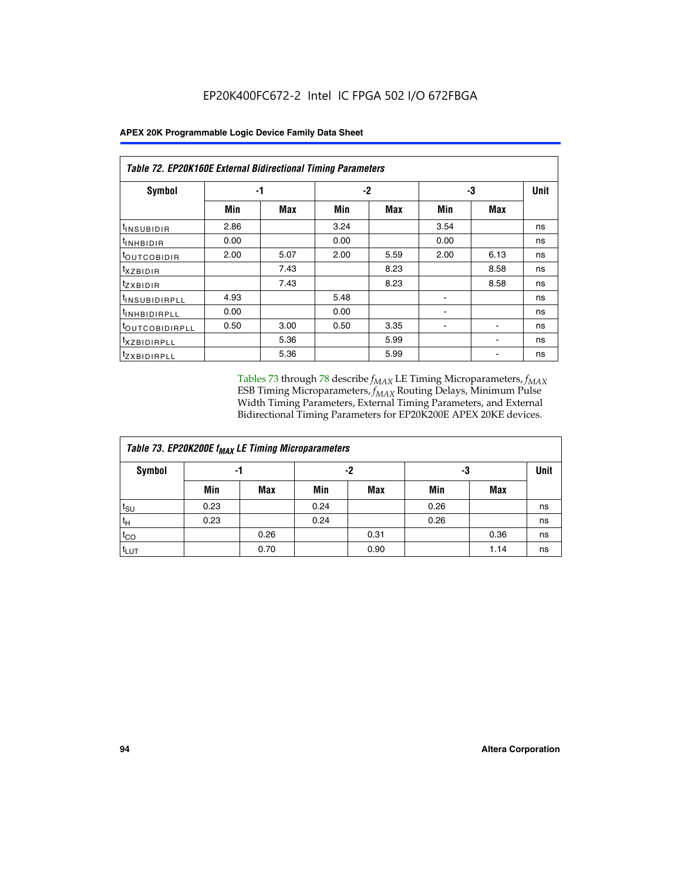| Symbol                       | -1   |      |      | $-2$ | -3   |      | <b>Unit</b> |
|------------------------------|------|------|------|------|------|------|-------------|
|                              | Min  | Max  | Min  | Max  | Min  | Max  |             |
| <sup>t</sup> INSUBIDIR       | 2.86 |      | 3.24 |      | 3.54 |      | ns          |
| <b>UNHBIDIR</b>              | 0.00 |      | 0.00 |      | 0.00 |      | ns          |
| <b>LOUTCOBIDIR</b>           | 2.00 | 5.07 | 2.00 | 5.59 | 2.00 | 6.13 | ns          |
| <sup>T</sup> XZBIDIR         |      | 7.43 |      | 8.23 |      | 8.58 | ns          |
| <sup>t</sup> zxbidir         |      | 7.43 |      | 8.23 |      | 8.58 | ns          |
| <sup>I</sup> INSUBIDIRPLL    | 4.93 |      | 5.48 |      |      |      | ns          |
| <b>INHBIDIRPLL</b>           | 0.00 |      | 0.00 |      |      |      | ns          |
| <b><i>LOUTCOBIDIRPLL</i></b> | 0.50 | 3.00 | 0.50 | 3.35 |      |      | ns          |
| <sup>I</sup> XZBIDIRPLL      |      | 5.36 |      | 5.99 |      |      | ns          |
| <sup>t</sup> ZXBIDIRPLL      |      | 5.36 |      | 5.99 |      |      | ns          |

Tables 73 through 78 describe  $f_{MAX}$  LE Timing Microparameters,  $f_{MAX}$ ESB Timing Microparameters, *f<sub>MAX</sub>* Routing Delays, Minimum Pulse Width Timing Parameters, External Timing Parameters, and External Bidirectional Timing Parameters for EP20K200E APEX 20KE devices.

|                  | Table 73. EP20K200E f <sub>MAX</sub> LE Timing Microparameters |      |      |      |      |      |    |  |  |  |  |  |
|------------------|----------------------------------------------------------------|------|------|------|------|------|----|--|--|--|--|--|
| <b>Symbol</b>    |                                                                | -1   |      | -2   | -3   | Unit |    |  |  |  |  |  |
|                  | Min                                                            | Max  | Min  | Max  | Min  | Max  |    |  |  |  |  |  |
| $t_{\text{SU}}$  | 0.23                                                           |      | 0.24 |      | 0.26 |      | ns |  |  |  |  |  |
| $t_H$            | 0.23                                                           |      | 0.24 |      | 0.26 |      | ns |  |  |  |  |  |
| $t_{CO}$         |                                                                | 0.26 |      | 0.31 |      | 0.36 | ns |  |  |  |  |  |
| t <sub>LUT</sub> |                                                                | 0.70 |      | 0.90 |      | 1.14 | ns |  |  |  |  |  |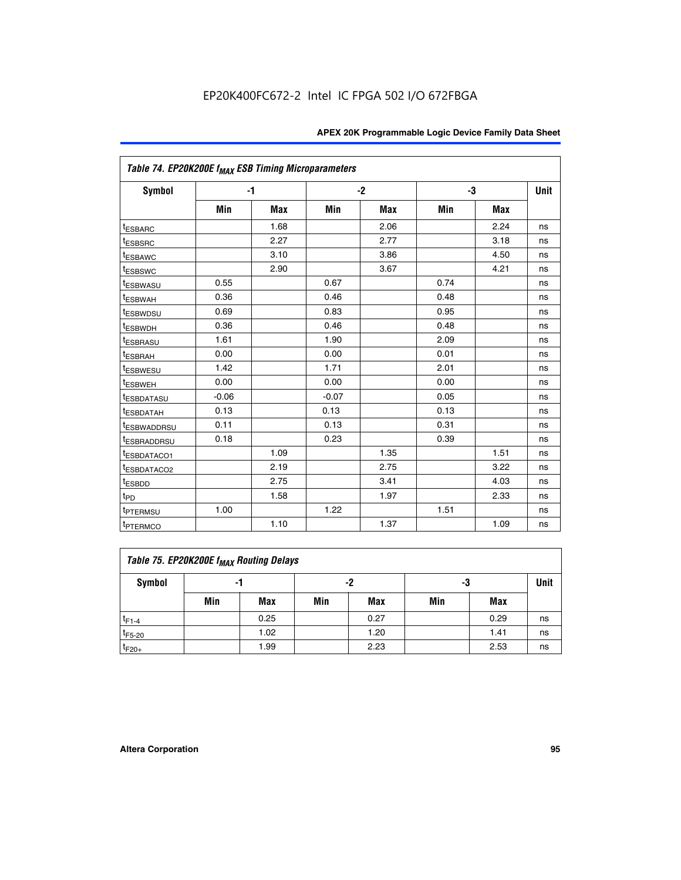| Table 74. EP20K200E f <sub>MAX</sub> ESB Timing Microparameters |         |      |         |            |      |            |             |
|-----------------------------------------------------------------|---------|------|---------|------------|------|------------|-------------|
| Symbol                                                          |         | $-1$ |         | $-2$       | -3   |            | <b>Unit</b> |
|                                                                 | Min     | Max  | Min     | <b>Max</b> | Min  | <b>Max</b> |             |
| <sup>t</sup> ESBARC                                             |         | 1.68 |         | 2.06       |      | 2.24       | ns          |
| <sup>t</sup> ESBSRC                                             |         | 2.27 |         | 2.77       |      | 3.18       | ns          |
| <sup>t</sup> ESBAWC                                             |         | 3.10 |         | 3.86       |      | 4.50       | ns          |
| <sup>t</sup> ESBSWC                                             |         | 2.90 |         | 3.67       |      | 4.21       | ns          |
| <sup>t</sup> ESBWASU                                            | 0.55    |      | 0.67    |            | 0.74 |            | ns          |
| <b><i>LESBWAH</i></b>                                           | 0.36    |      | 0.46    |            | 0.48 |            | ns          |
| <sup>t</sup> ESBWDSU                                            | 0.69    |      | 0.83    |            | 0.95 |            | ns          |
| t <sub>ESBWDH</sub>                                             | 0.36    |      | 0.46    |            | 0.48 |            | ns          |
| <sup>t</sup> ESBRASU                                            | 1.61    |      | 1.90    |            | 2.09 |            | ns          |
| <sup>t</sup> ESBRAH                                             | 0.00    |      | 0.00    |            | 0.01 |            | ns          |
| t <sub>ESBWESU</sub>                                            | 1.42    |      | 1.71    |            | 2.01 |            | ns          |
| <sup>I</sup> ESBWEH                                             | 0.00    |      | 0.00    |            | 0.00 |            | ns          |
| <sup>t</sup> ESBDATASU                                          | $-0.06$ |      | $-0.07$ |            | 0.05 |            | ns          |
| <sup>I</sup> ESBDATAH                                           | 0.13    |      | 0.13    |            | 0.13 |            | ns          |
| <sup>t</sup> ESBWADDRSU                                         | 0.11    |      | 0.13    |            | 0.31 |            | ns          |
| <sup>I</sup> ESBRADDRSU                                         | 0.18    |      | 0.23    |            | 0.39 |            | ns          |
| ESBDATACO1                                                      |         | 1.09 |         | 1.35       |      | 1.51       | ns          |
| <sup>t</sup> ESBDATACO2                                         |         | 2.19 |         | 2.75       |      | 3.22       | ns          |
| t <sub>ESBDD</sub>                                              |         | 2.75 |         | 3.41       |      | 4.03       | ns          |
| t <sub>PD</sub>                                                 |         | 1.58 |         | 1.97       |      | 2.33       | ns          |
| t <sub>PTERMSU</sub>                                            | 1.00    |      | 1.22    |            | 1.51 |            | ns          |
| t <sub>PTERMCO</sub>                                            |         | 1.10 |         | 1.37       |      | 1.09       | ns          |

| Table 75. EP20K200E f <sub>MAX</sub> Routing Delays |     |      |     |            |     |      |             |  |  |  |
|-----------------------------------------------------|-----|------|-----|------------|-----|------|-------------|--|--|--|
| Symbol                                              |     | -1   |     | -2         | -3  |      | <b>Unit</b> |  |  |  |
|                                                     | Min | Max  | Min | <b>Max</b> | Min | Max  |             |  |  |  |
| $t_{F1-4}$                                          |     | 0.25 |     | 0.27       |     | 0.29 | ns          |  |  |  |
| $t_{F5-20}$                                         |     | 1.02 |     | 1.20       |     | 1.41 | ns          |  |  |  |
| $t_{F20+}$                                          |     | 1.99 |     | 2.23       |     | 2.53 | ns          |  |  |  |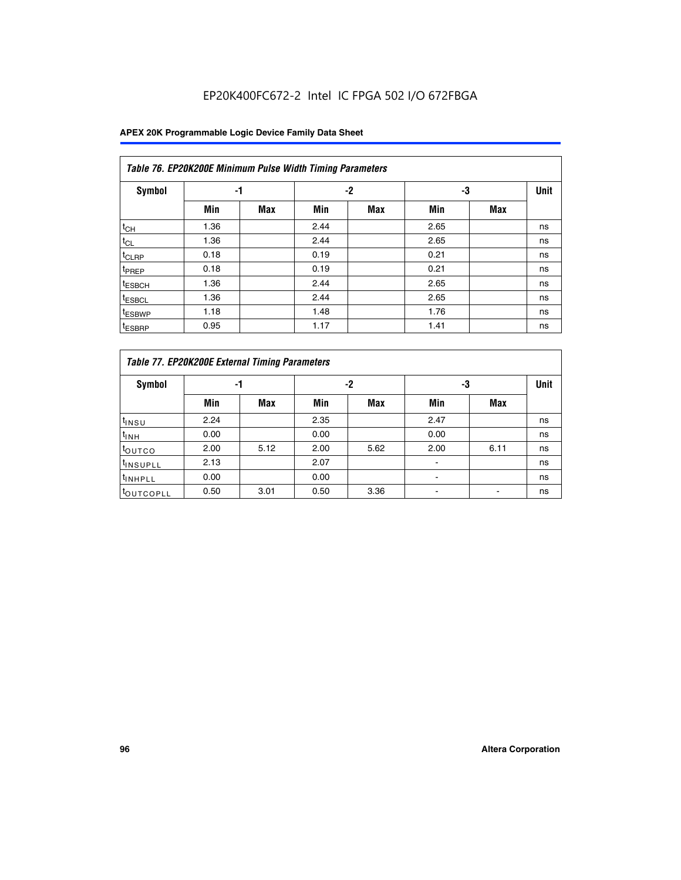## EP20K400FC672-2 Intel IC FPGA 502 I/O 672FBGA

|                    | Table 76. EP20K200E Minimum Pulse Width Timing Parameters |            |      |            |      |            |             |  |  |  |  |  |
|--------------------|-----------------------------------------------------------|------------|------|------------|------|------------|-------------|--|--|--|--|--|
| <b>Symbol</b>      | -1                                                        |            |      | $-2$       |      | -3         | <b>Unit</b> |  |  |  |  |  |
|                    | Min                                                       | <b>Max</b> | Min  | <b>Max</b> | Min  | <b>Max</b> |             |  |  |  |  |  |
| $t_{CH}$           | 1.36                                                      |            | 2.44 |            | 2.65 |            | ns          |  |  |  |  |  |
| $t_{CL}$           | 1.36                                                      |            | 2.44 |            | 2.65 |            | ns          |  |  |  |  |  |
| $t_{CLRP}$         | 0.18                                                      |            | 0.19 |            | 0.21 |            | ns          |  |  |  |  |  |
| t <sub>PREP</sub>  | 0.18                                                      |            | 0.19 |            | 0.21 |            | ns          |  |  |  |  |  |
| <sup>t</sup> ESBCH | 1.36                                                      |            | 2.44 |            | 2.65 |            | ns          |  |  |  |  |  |
| <sup>t</sup> ESBCL | 1.36                                                      |            | 2.44 |            | 2.65 |            | ns          |  |  |  |  |  |
| t <sub>ESBWP</sub> | 1.18                                                      |            | 1.48 |            | 1.76 |            | ns          |  |  |  |  |  |
| <sup>t</sup> ESBRP | 0.95                                                      |            | 1.17 |            | 1.41 |            | ns          |  |  |  |  |  |

|                       | Table 77. EP20K200E External Timing Parameters |            |      |            |      |      |             |  |  |  |  |  |  |
|-----------------------|------------------------------------------------|------------|------|------------|------|------|-------------|--|--|--|--|--|--|
| <b>Symbol</b>         |                                                | -1         |      | -2         |      | -3   | <b>Unit</b> |  |  |  |  |  |  |
|                       | Min                                            | <b>Max</b> | Min  | <b>Max</b> | Min  | Max  |             |  |  |  |  |  |  |
| t <sub>INSU</sub>     | 2.24                                           |            | 2.35 |            | 2.47 |      | ns          |  |  |  |  |  |  |
| $t_{\text{INH}}$      | 0.00                                           |            | 0.00 |            | 0.00 |      | ns          |  |  |  |  |  |  |
| toutco                | 2.00                                           | 5.12       | 2.00 | 5.62       | 2.00 | 6.11 | ns          |  |  |  |  |  |  |
| <sup>t</sup> INSUPLL  | 2.13                                           |            | 2.07 |            |      |      | ns          |  |  |  |  |  |  |
| <sup>t</sup> INHPLL   | 0.00                                           |            | 0.00 |            | -    |      | ns          |  |  |  |  |  |  |
| <sup>I</sup> OUTCOPLL | 0.50                                           | 3.01       | 0.50 | 3.36       |      |      | ns          |  |  |  |  |  |  |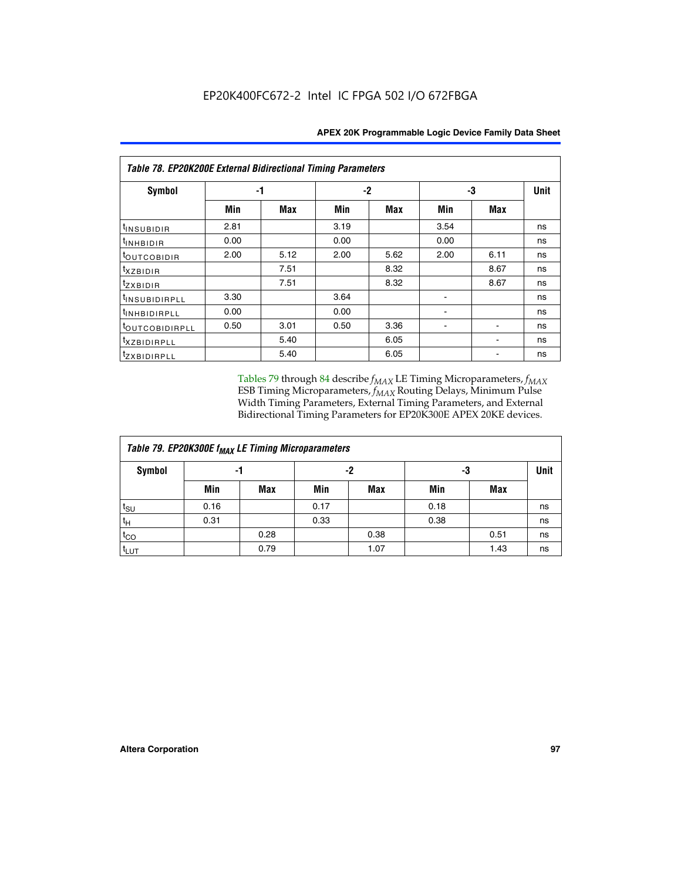| <b>Table 78. EP20K200E External Bidirectional Timing Parameters</b> |      |      |      |      |      |            |             |  |  |  |
|---------------------------------------------------------------------|------|------|------|------|------|------------|-------------|--|--|--|
| Symbol                                                              |      | -1   | $-2$ |      |      | -3         | <b>Unit</b> |  |  |  |
|                                                                     | Min  | Max  | Min  | Max  | Min  | <b>Max</b> |             |  |  |  |
| t <sub>INSUBIDIR</sub>                                              | 2.81 |      | 3.19 |      | 3.54 |            | ns          |  |  |  |
| t <sub>INHBIDIR</sub>                                               | 0.00 |      | 0.00 |      | 0.00 |            | ns          |  |  |  |
| t <sub>outcobidir</sub>                                             | 2.00 | 5.12 | 2.00 | 5.62 | 2.00 | 6.11       | ns          |  |  |  |
| <i>txzbidir</i>                                                     |      | 7.51 |      | 8.32 |      | 8.67       | ns          |  |  |  |
| tzxbidir                                                            |      | 7.51 |      | 8.32 |      | 8.67       | ns          |  |  |  |
| t <sub>INSUBIDIRPLL</sub>                                           | 3.30 |      | 3.64 |      |      |            | ns          |  |  |  |
| tINHBIDIRPLL                                                        | 0.00 |      | 0.00 |      |      |            | ns          |  |  |  |
| toutcobidirpll                                                      | 0.50 | 3.01 | 0.50 | 3.36 |      |            | ns          |  |  |  |
| <i>txzbidirpll</i>                                                  |      | 5.40 |      | 6.05 |      |            | ns          |  |  |  |
| <i>tzxBIDIRPLL</i>                                                  |      | 5.40 |      | 6.05 |      |            | ns          |  |  |  |

Tables 79 through 84 describe  $f_{MAX}$  LE Timing Microparameters,  $f_{MAX}$ ESB Timing Microparameters, *f<sub>MAX</sub>* Routing Delays, Minimum Pulse Width Timing Parameters, External Timing Parameters, and External Bidirectional Timing Parameters for EP20K300E APEX 20KE devices.

| Table 79. EP20K300E f <sub>MAX</sub> LE Timing Microparameters |      |            |      |            |      |            |    |  |  |  |
|----------------------------------------------------------------|------|------------|------|------------|------|------------|----|--|--|--|
| <b>Symbol</b>                                                  |      | -1         |      | -2         |      | -3         |    |  |  |  |
|                                                                | Min  | <b>Max</b> | Min  | <b>Max</b> | Min  | <b>Max</b> |    |  |  |  |
| $t_{\text{SU}}$                                                | 0.16 |            | 0.17 |            | 0.18 |            | ns |  |  |  |
| $t_H$                                                          | 0.31 |            | 0.33 |            | 0.38 |            | ns |  |  |  |
| $t_{CO}$                                                       |      | 0.28       |      | 0.38       |      | 0.51       | ns |  |  |  |
| t <sub>LUT</sub>                                               |      | 0.79       |      | 1.07       |      | 1.43       | ns |  |  |  |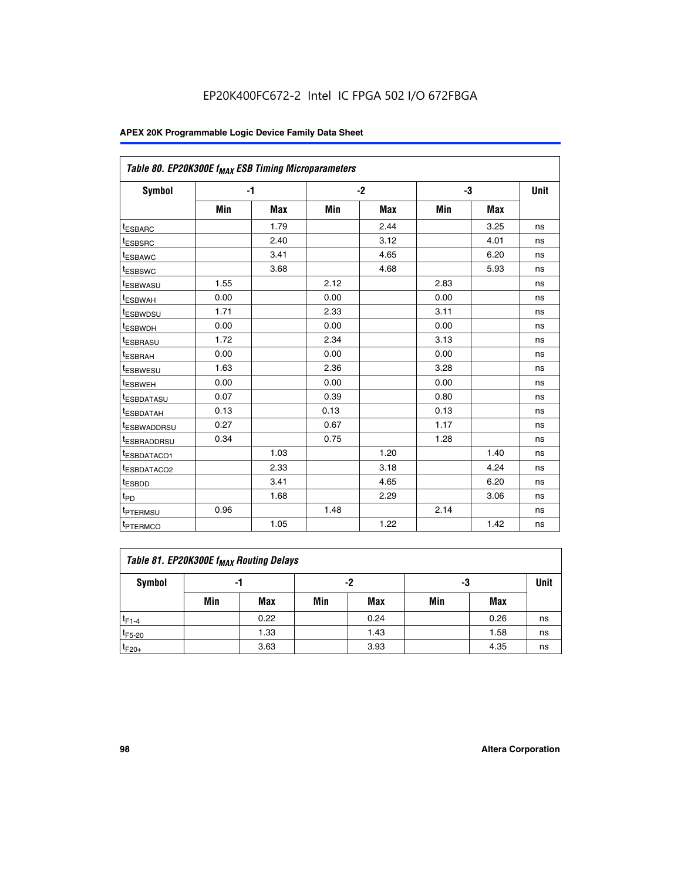| Table 80. EP20K300E f <sub>MAX</sub> ESB Timing Microparameters |      |      |      |      |      |      |      |
|-----------------------------------------------------------------|------|------|------|------|------|------|------|
| <b>Symbol</b>                                                   |      | $-1$ |      | $-2$ |      | -3   | Unit |
|                                                                 | Min  | Max  | Min  | Max  | Min  | Max  |      |
| <sup>t</sup> ESBARC                                             |      | 1.79 |      | 2.44 |      | 3.25 | ns   |
| t <sub>ESBSRC</sub>                                             |      | 2.40 |      | 3.12 |      | 4.01 | ns   |
| t <sub>ESBAWC</sub>                                             |      | 3.41 |      | 4.65 |      | 6.20 | ns   |
| <sup>t</sup> ESBSWC                                             |      | 3.68 |      | 4.68 |      | 5.93 | ns   |
| t <sub>ESBWASU</sub>                                            | 1.55 |      | 2.12 |      | 2.83 |      | ns   |
| t <sub>ESBWAH</sub>                                             | 0.00 |      | 0.00 |      | 0.00 |      | ns   |
| <sup>t</sup> ESBWDSU                                            | 1.71 |      | 2.33 |      | 3.11 |      | ns   |
| <sup>t</sup> ESBWDH                                             | 0.00 |      | 0.00 |      | 0.00 |      | ns   |
| t <sub>ESBRASU</sub>                                            | 1.72 |      | 2.34 |      | 3.13 |      | ns   |
| <sup>t</sup> ESBRAH                                             | 0.00 |      | 0.00 |      | 0.00 |      | ns   |
| t <sub>ESBWESU</sub>                                            | 1.63 |      | 2.36 |      | 3.28 |      | ns   |
| <sup>t</sup> ESBWEH                                             | 0.00 |      | 0.00 |      | 0.00 |      | ns   |
| <sup>t</sup> ESBDATASU                                          | 0.07 |      | 0.39 |      | 0.80 |      | ns   |
| <sup>t</sup> ESBDATAH                                           | 0.13 |      | 0.13 |      | 0.13 |      | ns   |
| <sup>t</sup> ESBWADDRSU                                         | 0.27 |      | 0.67 |      | 1.17 |      | ns   |
| tESBRADDRSU                                                     | 0.34 |      | 0.75 |      | 1.28 |      | ns   |
| <sup>I</sup> ESBDATACO1                                         |      | 1.03 |      | 1.20 |      | 1.40 | ns   |
| <sup>t</sup> ESBDATACO2                                         |      | 2.33 |      | 3.18 |      | 4.24 | ns   |
| <sup>t</sup> ESBDD                                              |      | 3.41 |      | 4.65 |      | 6.20 | ns   |
| t <sub>PD</sub>                                                 |      | 1.68 |      | 2.29 |      | 3.06 | ns   |
| t <sub>PTERMSU</sub>                                            | 0.96 |      | 1.48 |      | 2.14 |      | ns   |
| t <sub>PTERMCO</sub>                                            |      | 1.05 |      | 1.22 |      | 1.42 | ns   |

| Table 81. EP20K300E f <sub>MAX</sub> Routing Delays |                |      |     |      |     |      |    |  |  |  |  |
|-----------------------------------------------------|----------------|------|-----|------|-----|------|----|--|--|--|--|
| Symbol                                              | -2<br>-3<br>-1 |      |     |      |     |      |    |  |  |  |  |
|                                                     | Min            | Max  | Min | Max  | Min | Max  |    |  |  |  |  |
| $t_{F1-4}$                                          |                | 0.22 |     | 0.24 |     | 0.26 | ns |  |  |  |  |
| $t_{F5-20}$                                         |                | 1.33 |     | 1.43 |     | 1.58 | ns |  |  |  |  |
| $t_{F20+}$                                          |                | 3.63 |     | 3.93 |     | 4.35 | ns |  |  |  |  |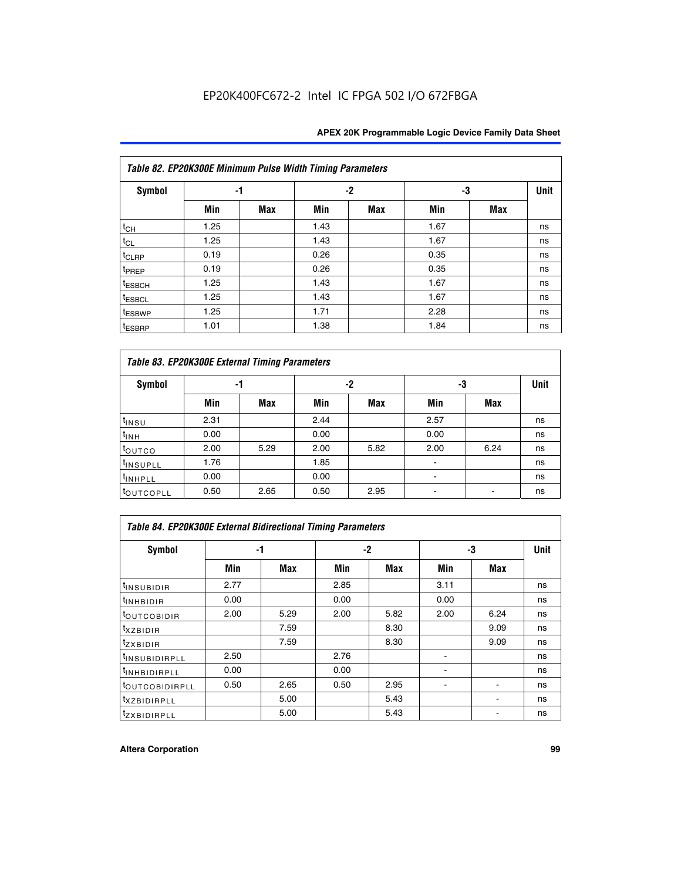|                    | Table 82. EP20K300E Minimum Pulse Width Timing Parameters |            |      |      |      |     |             |  |  |  |  |  |
|--------------------|-----------------------------------------------------------|------------|------|------|------|-----|-------------|--|--|--|--|--|
| <b>Symbol</b>      | -1                                                        |            |      | $-2$ | -3   |     | <b>Unit</b> |  |  |  |  |  |
|                    | Min                                                       | <b>Max</b> | Min  | Max  | Min  | Max |             |  |  |  |  |  |
| $t_{CH}$           | 1.25                                                      |            | 1.43 |      | 1.67 |     | ns          |  |  |  |  |  |
| $t_{CL}$           | 1.25                                                      |            | 1.43 |      | 1.67 |     | ns          |  |  |  |  |  |
| t <sub>CLRP</sub>  | 0.19                                                      |            | 0.26 |      | 0.35 |     | ns          |  |  |  |  |  |
| t <sub>PREP</sub>  | 0.19                                                      |            | 0.26 |      | 0.35 |     | ns          |  |  |  |  |  |
| t <sub>ESBCH</sub> | 1.25                                                      |            | 1.43 |      | 1.67 |     | ns          |  |  |  |  |  |
| <sup>t</sup> ESBCL | 1.25                                                      |            | 1.43 |      | 1.67 |     | ns          |  |  |  |  |  |
| <sup>t</sup> ESBWP | 1.25                                                      |            | 1.71 |      | 2.28 |     | ns          |  |  |  |  |  |
| <sup>t</sup> ESBRP | 1.01                                                      |            | 1.38 |      | 1.84 |     | ns          |  |  |  |  |  |

| Table 83. EP20K300E External Timing Parameters |      |      |      |      |      |            |             |  |  |  |  |  |
|------------------------------------------------|------|------|------|------|------|------------|-------------|--|--|--|--|--|
| Symbol                                         |      | -1   |      | -2   |      | -3         | <b>Unit</b> |  |  |  |  |  |
|                                                | Min  | Max  | Min  | Max  | Min  | <b>Max</b> |             |  |  |  |  |  |
| t <sub>INSU</sub>                              | 2.31 |      | 2.44 |      | 2.57 |            | ns          |  |  |  |  |  |
| $t_{INH}$                                      | 0.00 |      | 0.00 |      | 0.00 |            | ns          |  |  |  |  |  |
| toutco                                         | 2.00 | 5.29 | 2.00 | 5.82 | 2.00 | 6.24       | ns          |  |  |  |  |  |
| <sup>t</sup> INSUPLL                           | 1.76 |      | 1.85 |      |      |            | ns          |  |  |  |  |  |
| <sup>t</sup> INHPLL                            | 0.00 |      | 0.00 |      | -    |            | ns          |  |  |  |  |  |
| <sup>t</sup> OUTCOPLL                          | 0.50 | 2.65 | 0.50 | 2.95 |      |            | ns          |  |  |  |  |  |

| Table 84. EP20K300E External Bidirectional Timing Parameters |      |      |      |      |      |             |    |  |  |  |
|--------------------------------------------------------------|------|------|------|------|------|-------------|----|--|--|--|
| Symbol                                                       | -1   |      | -2   |      | -3   | <b>Unit</b> |    |  |  |  |
|                                                              | Min  | Max  | Min  | Max  | Min  | Max         |    |  |  |  |
| <sup>t</sup> INSUBIDIR                                       | 2.77 |      | 2.85 |      | 3.11 |             | ns |  |  |  |
| <b>TINHBIDIR</b>                                             | 0.00 |      | 0.00 |      | 0.00 |             | ns |  |  |  |
| <sup>t</sup> OUTCOBIDIR                                      | 2.00 | 5.29 | 2.00 | 5.82 | 2.00 | 6.24        | ns |  |  |  |
| KZBIDIR                                                      |      | 7.59 |      | 8.30 |      | 9.09        | ns |  |  |  |
| $t_{Z}$ <i>x</i> BIDIR                                       |      | 7.59 |      | 8.30 |      | 9.09        | ns |  |  |  |
| <sup>I</sup> INSUBIDIRPLL                                    | 2.50 |      | 2.76 |      |      |             | ns |  |  |  |
| <sup>t</sup> INHBIDIRPLL                                     | 0.00 |      | 0.00 |      |      |             | ns |  |  |  |
| <b><i>LOUTCOBIDIRPLL</i></b>                                 | 0.50 | 2.65 | 0.50 | 2.95 |      |             | ns |  |  |  |
| <sup>T</sup> XZBIDIRPLL                                      |      | 5.00 |      | 5.43 |      |             | ns |  |  |  |
| <sup>t</sup> ZXBIDIRPLL                                      |      | 5.00 |      | 5.43 |      |             | ns |  |  |  |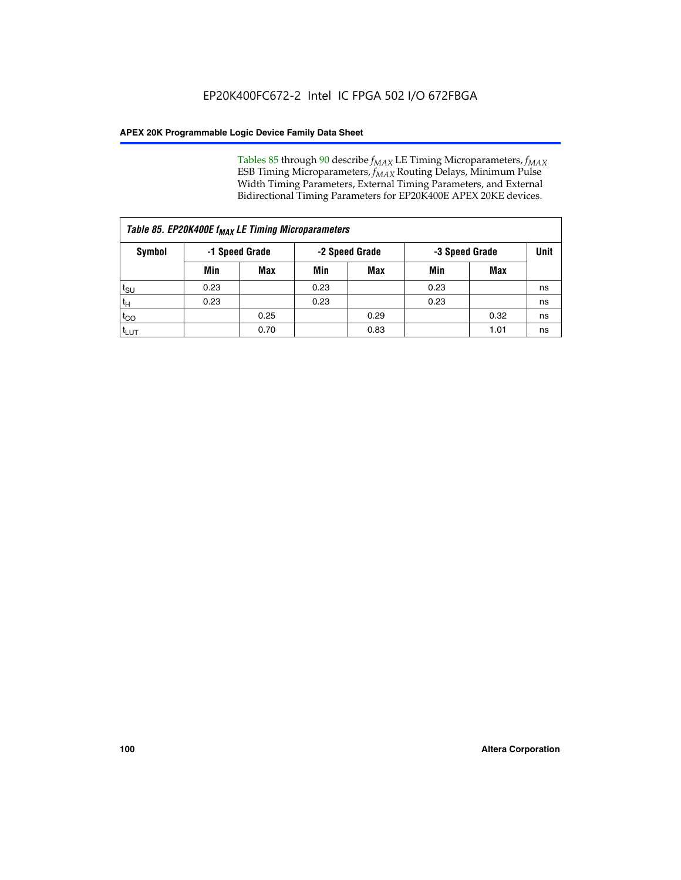Tables 85 through 90 describe  $f_{MAX}$  LE Timing Microparameters,  $f_{MAX}$ ESB Timing Microparameters, *f<sub>MAX</sub>* Routing Delays, Minimum Pulse Width Timing Parameters, External Timing Parameters, and External Bidirectional Timing Parameters for EP20K400E APEX 20KE devices.

|                    | Table 85. EP20K400E f <sub>MAX</sub> LE Timing Microparameters |            |                |            |                |      |      |  |  |  |  |  |  |
|--------------------|----------------------------------------------------------------|------------|----------------|------------|----------------|------|------|--|--|--|--|--|--|
| Symbol             | -1 Speed Grade                                                 |            | -2 Speed Grade |            | -3 Speed Grade |      | Unit |  |  |  |  |  |  |
|                    | Min                                                            | <b>Max</b> | Min            | <b>Max</b> | Min            | Max  |      |  |  |  |  |  |  |
| $t_{\text{SU}}$    | 0.23                                                           |            | 0.23           |            | 0.23           |      | ns   |  |  |  |  |  |  |
| $t_H$              | 0.23                                                           |            | 0.23           |            | 0.23           |      | ns   |  |  |  |  |  |  |
| $t_{CO}$           |                                                                | 0.25       |                | 0.29       |                | 0.32 | ns   |  |  |  |  |  |  |
| ι <sup>t</sup> ιυτ |                                                                | 0.70       |                | 0.83       |                | 1.01 | ns   |  |  |  |  |  |  |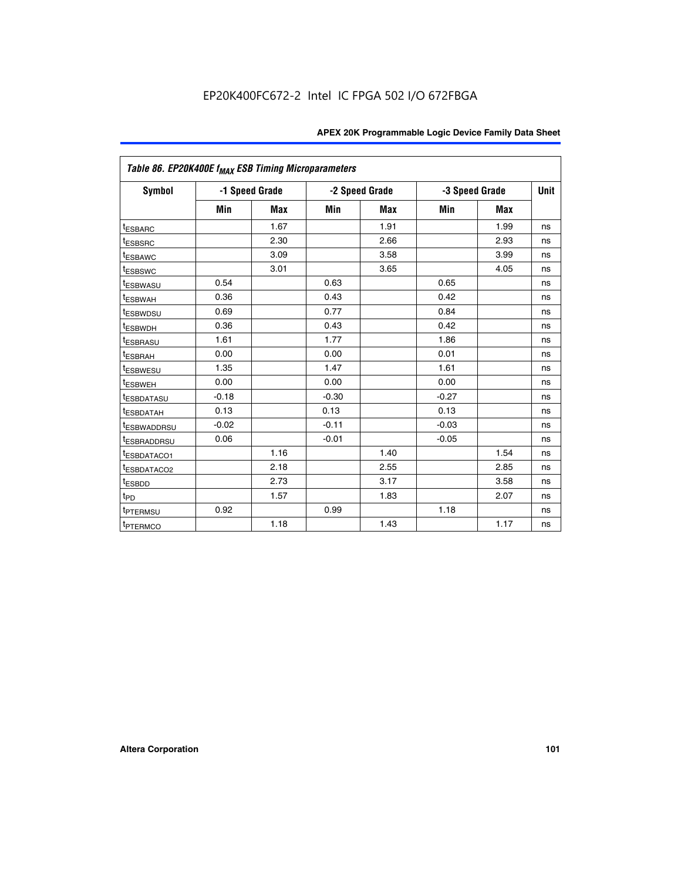|                         | Table 86. EP20K400E f <sub>MAX</sub> ESB Timing Microparameters |                |         |                |         |                |      |  |  |  |  |
|-------------------------|-----------------------------------------------------------------|----------------|---------|----------------|---------|----------------|------|--|--|--|--|
| Symbol                  |                                                                 | -1 Speed Grade |         | -2 Speed Grade |         | -3 Speed Grade | Unit |  |  |  |  |
|                         | Min                                                             | <b>Max</b>     | Min     | Max            | Min     | <b>Max</b>     |      |  |  |  |  |
| <b>tESBARC</b>          |                                                                 | 1.67           |         | 1.91           |         | 1.99           | ns   |  |  |  |  |
| <sup>t</sup> ESBSRC     |                                                                 | 2.30           |         | 2.66           |         | 2.93           | ns   |  |  |  |  |
| <sup>t</sup> ESBAWC     |                                                                 | 3.09           |         | 3.58           |         | 3.99           | ns   |  |  |  |  |
| <sup>t</sup> ESBSWC     |                                                                 | 3.01           |         | 3.65           |         | 4.05           | ns   |  |  |  |  |
| <sup>t</sup> ESBWASU    | 0.54                                                            |                | 0.63    |                | 0.65    |                | ns   |  |  |  |  |
| t <sub>ESBWAH</sub>     | 0.36                                                            |                | 0.43    |                | 0.42    |                | ns   |  |  |  |  |
| <sup>t</sup> ESBWDSU    | 0.69                                                            |                | 0.77    |                | 0.84    |                | ns   |  |  |  |  |
| <sup>I</sup> ESBWDH     | 0.36                                                            |                | 0.43    |                | 0.42    |                | ns   |  |  |  |  |
| t <sub>ESBRASU</sub>    | 1.61                                                            |                | 1.77    |                | 1.86    |                | ns   |  |  |  |  |
| t <sub>ESBRAH</sub>     | 0.00                                                            |                | 0.00    |                | 0.01    |                | ns   |  |  |  |  |
| <sup>t</sup> ESBWESU    | 1.35                                                            |                | 1.47    |                | 1.61    |                | ns   |  |  |  |  |
| t <sub>ESBWEH</sub>     | 0.00                                                            |                | 0.00    |                | 0.00    |                | ns   |  |  |  |  |
| <sup>I</sup> ESBDATASU  | $-0.18$                                                         |                | $-0.30$ |                | $-0.27$ |                | ns   |  |  |  |  |
| <b>ESBDATAH</b>         | 0.13                                                            |                | 0.13    |                | 0.13    |                | ns   |  |  |  |  |
| <sup>T</sup> ESBWADDRSU | $-0.02$                                                         |                | $-0.11$ |                | $-0.03$ |                | ns   |  |  |  |  |
| <sup>T</sup> ESBRADDRSU | 0.06                                                            |                | $-0.01$ |                | $-0.05$ |                | ns   |  |  |  |  |
| <sup>t</sup> ESBDATACO1 |                                                                 | 1.16           |         | 1.40           |         | 1.54           | ns   |  |  |  |  |
| <sup>t</sup> ESBDATACO2 |                                                                 | 2.18           |         | 2.55           |         | 2.85           | ns   |  |  |  |  |
| <sup>t</sup> ESBDD      |                                                                 | 2.73           |         | 3.17           |         | 3.58           | ns   |  |  |  |  |
| $t_{P\underline{D}}$    |                                                                 | 1.57           |         | 1.83           |         | 2.07           | ns   |  |  |  |  |
| t <sub>PTERMSU</sub>    | 0.92                                                            |                | 0.99    |                | 1.18    |                | ns   |  |  |  |  |
| <sup>t</sup> PTERMCO    |                                                                 | 1.18           |         | 1.43           |         | 1.17           | ns   |  |  |  |  |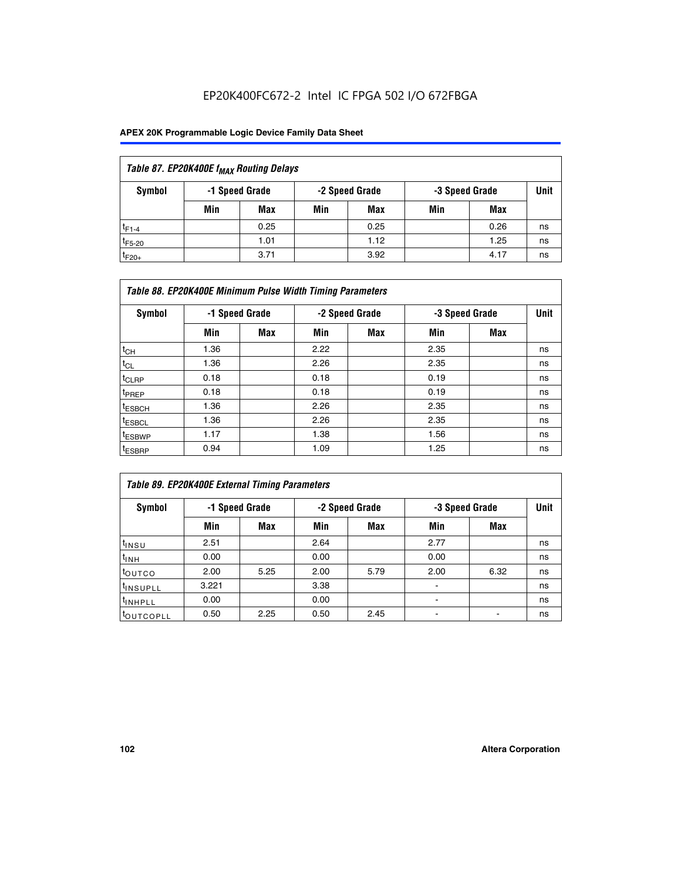## EP20K400FC672-2 Intel IC FPGA 502 I/O 672FBGA

| Table 87. EP20K400E f <sub>MAX</sub> Routing Delays |     |                |     |                |                |      |             |  |  |  |  |
|-----------------------------------------------------|-----|----------------|-----|----------------|----------------|------|-------------|--|--|--|--|
| Symbol                                              |     | -1 Speed Grade |     | -2 Speed Grade | -3 Speed Grade |      | <b>Unit</b> |  |  |  |  |
|                                                     | Min | <b>Max</b>     | Min | Max            | Min            | Max  |             |  |  |  |  |
| $t_{F1-4}$                                          |     | 0.25           |     | 0.25           |                | 0.26 | ns          |  |  |  |  |
| $t_{F5-20}$                                         |     | 1.01           |     | 1.12           |                | 1.25 | ns          |  |  |  |  |
| $t_{F20+}$                                          |     | 3.71           |     | 3.92           |                | 4.17 | ns          |  |  |  |  |

|                    | Table 88. EP20K400E Minimum Pulse Width Timing Parameters |                |      |                |      |                |    |  |  |  |  |  |
|--------------------|-----------------------------------------------------------|----------------|------|----------------|------|----------------|----|--|--|--|--|--|
| Symbol             |                                                           | -1 Speed Grade |      | -2 Speed Grade |      | -3 Speed Grade |    |  |  |  |  |  |
|                    | Min                                                       | <b>Max</b>     | Min  | <b>Max</b>     | Min  | Max            |    |  |  |  |  |  |
| $t_{CH}$           | 1.36                                                      |                | 2.22 |                | 2.35 |                | ns |  |  |  |  |  |
| $t_{\rm CL}$       | 1.36                                                      |                | 2.26 |                | 2.35 |                | ns |  |  |  |  |  |
| $t_{CLRP}$         | 0.18                                                      |                | 0.18 |                | 0.19 |                | ns |  |  |  |  |  |
| <sup>t</sup> PREP  | 0.18                                                      |                | 0.18 |                | 0.19 |                | ns |  |  |  |  |  |
| t <sub>ESBCH</sub> | 1.36                                                      |                | 2.26 |                | 2.35 |                | ns |  |  |  |  |  |
| <sup>t</sup> ESBCL | 1.36                                                      |                | 2.26 |                | 2.35 |                | ns |  |  |  |  |  |
| <sup>t</sup> ESBWP | 1.17                                                      |                | 1.38 |                | 1.56 |                | ns |  |  |  |  |  |
| <sup>t</sup> ESBRP | 0.94                                                      |                | 1.09 |                | 1.25 |                | ns |  |  |  |  |  |

| Table 89. EP20K400E External Timing Parameters |       |                |      |                |      |                |             |  |  |  |  |
|------------------------------------------------|-------|----------------|------|----------------|------|----------------|-------------|--|--|--|--|
| Symbol                                         |       | -1 Speed Grade |      | -2 Speed Grade |      | -3 Speed Grade | <b>Unit</b> |  |  |  |  |
|                                                | Min   | Max            | Min  | <b>Max</b>     | Min  | Max            |             |  |  |  |  |
| t <sub>INSU</sub>                              | 2.51  |                | 2.64 |                | 2.77 |                | ns          |  |  |  |  |
| $t_{INH}$                                      | 0.00  |                | 0.00 |                | 0.00 |                | ns          |  |  |  |  |
| t <sub>outco</sub>                             | 2.00  | 5.25           | 2.00 | 5.79           | 2.00 | 6.32           | ns          |  |  |  |  |
| <sup>t</sup> INSUPLL                           | 3.221 |                | 3.38 |                |      |                | ns          |  |  |  |  |
| <sup>t</sup> INHPLL                            | 0.00  |                | 0.00 |                | -    |                | ns          |  |  |  |  |
| toutcopll                                      | 0.50  | 2.25           | 0.50 | 2.45           |      |                | ns          |  |  |  |  |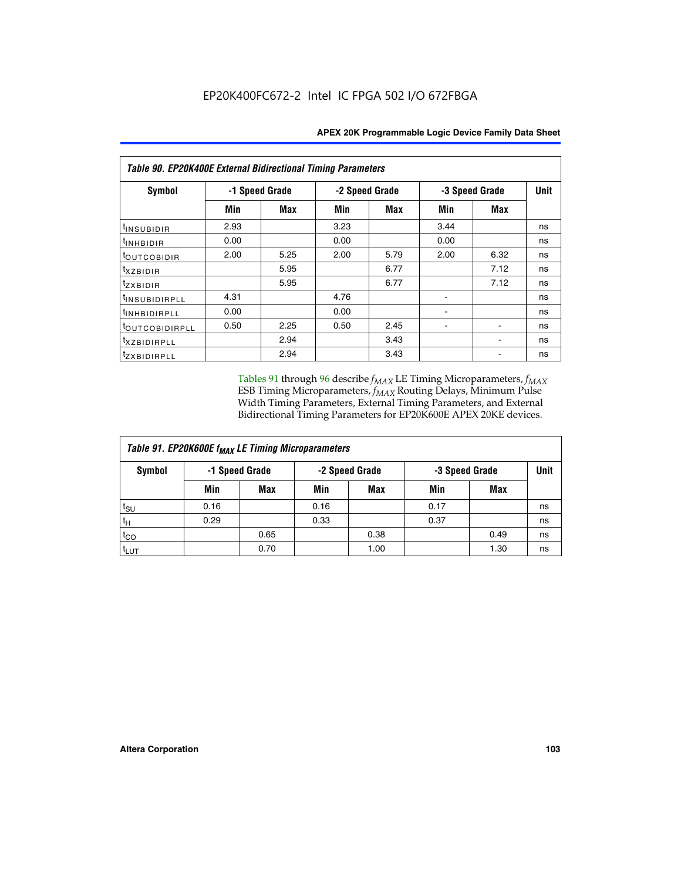| Table 90. EP20K400E External Bidirectional Timing Parameters |                |      |      |                |                |      |    |  |  |  |
|--------------------------------------------------------------|----------------|------|------|----------------|----------------|------|----|--|--|--|
| Symbol                                                       | -1 Speed Grade |      |      | -2 Speed Grade | -3 Speed Grade | Unit |    |  |  |  |
|                                                              | Min            | Max  | Min  | <b>Max</b>     | Min            | Max  |    |  |  |  |
| $t_{INSUBIDIR}$                                              | 2.93           |      | 3.23 |                | 3.44           |      | ns |  |  |  |
| <sup>t</sup> INHBIDIR                                        | 0.00           |      | 0.00 |                | 0.00           |      | ns |  |  |  |
| t <sub>outcobidir</sub>                                      | 2.00           | 5.25 | 2.00 | 5.79           | 2.00           | 6.32 | ns |  |  |  |
| <i>txzbidir</i>                                              |                | 5.95 |      | 6.77           |                | 7.12 | ns |  |  |  |
| tzxbidir                                                     |                | 5.95 |      | 6.77           |                | 7.12 | ns |  |  |  |
| t <sub>INSUBIDIRPLL</sub>                                    | 4.31           |      | 4.76 |                |                |      | ns |  |  |  |
| tINHBIDIRPLL                                                 | 0.00           |      | 0.00 |                |                |      | ns |  |  |  |
| tout COBIDIRPLL                                              | 0.50           | 2.25 | 0.50 | 2.45           |                |      | ns |  |  |  |
| <i>txzBIDIRPLL</i>                                           |                | 2.94 |      | 3.43           |                |      | ns |  |  |  |
| tzxBIDIRPLL                                                  |                | 2.94 |      | 3.43           |                |      | ns |  |  |  |

Tables 91 through 96 describe  $f_{MAX}$  LE Timing Microparameters,  $f_{MAX}$ ESB Timing Microparameters, *f<sub>MAX</sub>* Routing Delays, Minimum Pulse Width Timing Parameters, External Timing Parameters, and External Bidirectional Timing Parameters for EP20K600E APEX 20KE devices.

| Table 91. EP20K600E f <sub>MAX</sub> LE Timing Microparameters |                |            |                |            |                |      |             |  |  |  |  |
|----------------------------------------------------------------|----------------|------------|----------------|------------|----------------|------|-------------|--|--|--|--|
| Symbol                                                         | -1 Speed Grade |            | -2 Speed Grade |            | -3 Speed Grade |      | <b>Unit</b> |  |  |  |  |
|                                                                | Min            | <b>Max</b> | Min            | <b>Max</b> | Min            | Max  |             |  |  |  |  |
| $t_{\sf SU}$                                                   | 0.16           |            | 0.16           |            | 0.17           |      | ns          |  |  |  |  |
| $t_H$                                                          | 0.29           |            | 0.33           |            | 0.37           |      | ns          |  |  |  |  |
| $t_{CO}$                                                       |                | 0.65       |                | 0.38       |                | 0.49 | ns          |  |  |  |  |
| <sup>t</sup> LUT                                               |                | 0.70       |                | 1.00       |                | 1.30 | ns          |  |  |  |  |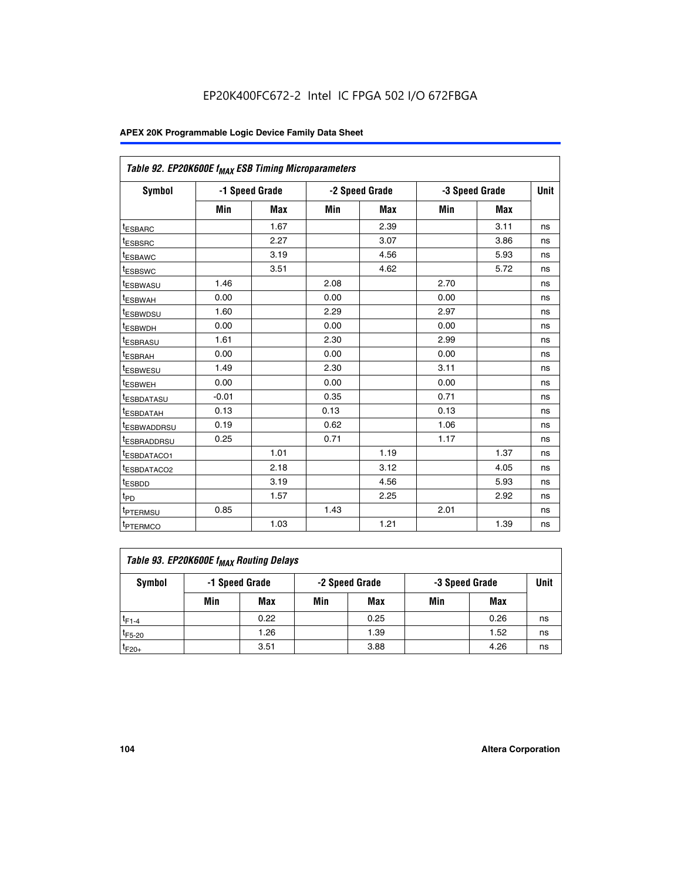| Table 92. EP20K600E f <sub>MAX</sub> ESB Timing Microparameters |         |                |      |                |      |                |             |
|-----------------------------------------------------------------|---------|----------------|------|----------------|------|----------------|-------------|
| <b>Symbol</b>                                                   |         | -1 Speed Grade |      | -2 Speed Grade |      | -3 Speed Grade | <b>Unit</b> |
|                                                                 | Min     | <b>Max</b>     | Min  | <b>Max</b>     | Min  | <b>Max</b>     |             |
| t <sub>ESBARC</sub>                                             |         | 1.67           |      | 2.39           |      | 3.11           | ns          |
| t <sub>ESBSRC</sub>                                             |         | 2.27           |      | 3.07           |      | 3.86           | ns          |
| <sup>t</sup> ESBAWC                                             |         | 3.19           |      | 4.56           |      | 5.93           | ns          |
| t <sub>ESBSWC</sub>                                             |         | 3.51           |      | 4.62           |      | 5.72           | ns          |
| <sup>t</sup> ESBWASU                                            | 1.46    |                | 2.08 |                | 2.70 |                | ns          |
| t <sub>ESBWAH</sub>                                             | 0.00    |                | 0.00 |                | 0.00 |                | ns          |
| t <sub>ESBWDSU</sub>                                            | 1.60    |                | 2.29 |                | 2.97 |                | ns          |
| <sup>t</sup> ESBWDH                                             | 0.00    |                | 0.00 |                | 0.00 |                | ns          |
| <sup>t</sup> ESBRASU                                            | 1.61    |                | 2.30 |                | 2.99 |                | ns          |
| t <sub>ESBRAH</sub>                                             | 0.00    |                | 0.00 |                | 0.00 |                | ns          |
| t <sub>ESBWESU</sub>                                            | 1.49    |                | 2.30 |                | 3.11 |                | ns          |
| <sup>t</sup> ESBWEH                                             | 0.00    |                | 0.00 |                | 0.00 |                | ns          |
| <sup>t</sup> ESBDATASU                                          | $-0.01$ |                | 0.35 |                | 0.71 |                | ns          |
| <sup>t</sup> ESBDATAH                                           | 0.13    |                | 0.13 |                | 0.13 |                | ns          |
| <sup>t</sup> ESBWADDRSU                                         | 0.19    |                | 0.62 |                | 1.06 |                | ns          |
| <sup>t</sup> ESBRADDRSU                                         | 0.25    |                | 0.71 |                | 1.17 |                | ns          |
| <sup>I</sup> ESBDATACO1                                         |         | 1.01           |      | 1.19           |      | 1.37           | ns          |
| <sup>t</sup> ESBDATACO2                                         |         | 2.18           |      | 3.12           |      | 4.05           | ns          |
| <sup>t</sup> ESBDD                                              |         | 3.19           |      | 4.56           |      | 5.93           | ns          |
| t <sub>PD</sub>                                                 |         | 1.57           |      | 2.25           |      | 2.92           | ns          |
| <b>TPTERMSU</b>                                                 | 0.85    |                | 1.43 |                | 2.01 |                | ns          |
| t <sub>PTERMCO</sub>                                            |         | 1.03           |      | 1.21           |      | 1.39           | ns          |

| Table 93. EP20K600E f <sub>MAX</sub> Routing Delays |                |      |     |                |     |                |      |  |  |  |  |
|-----------------------------------------------------|----------------|------|-----|----------------|-----|----------------|------|--|--|--|--|
| Symbol                                              | -1 Speed Grade |      |     | -2 Speed Grade |     | -3 Speed Grade | Unit |  |  |  |  |
|                                                     | Min            | Max  | Min | Max            | Min | Max            |      |  |  |  |  |
| $t_{F1-4}$                                          |                | 0.22 |     | 0.25           |     | 0.26           | ns   |  |  |  |  |
| $t_{F5-20}$                                         |                | 1.26 |     | 1.39           |     | 1.52           | ns   |  |  |  |  |
| $t_{F20+}$                                          |                | 3.51 |     | 3.88           |     | 4.26           | ns   |  |  |  |  |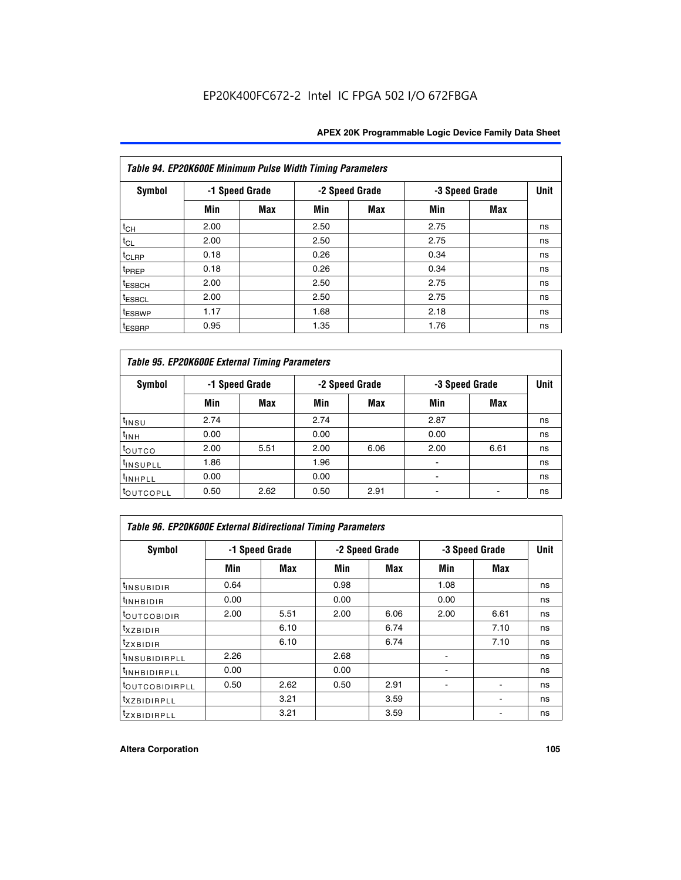|                    | Table 94. EP20K600E Minimum Pulse Width Timing Parameters |                |      |                |                |            |             |  |  |  |  |  |
|--------------------|-----------------------------------------------------------|----------------|------|----------------|----------------|------------|-------------|--|--|--|--|--|
| Symbol             |                                                           | -1 Speed Grade |      | -2 Speed Grade | -3 Speed Grade |            | <b>Unit</b> |  |  |  |  |  |
|                    | Min                                                       | Max            | Min  | Max            | Min            | <b>Max</b> |             |  |  |  |  |  |
| $t_{CH}$           | 2.00                                                      |                | 2.50 |                | 2.75           |            | ns          |  |  |  |  |  |
| $t_{CL}$           | 2.00                                                      |                | 2.50 |                | 2.75           |            | ns          |  |  |  |  |  |
| $t_{CLRP}$         | 0.18                                                      |                | 0.26 |                | 0.34           |            | ns          |  |  |  |  |  |
| t <sub>PREP</sub>  | 0.18                                                      |                | 0.26 |                | 0.34           |            | ns          |  |  |  |  |  |
| <sup>t</sup> ESBCH | 2.00                                                      |                | 2.50 |                | 2.75           |            | ns          |  |  |  |  |  |
| <sup>t</sup> ESBCL | 2.00                                                      |                | 2.50 |                | 2.75           |            | ns          |  |  |  |  |  |
| <sup>t</sup> ESBWP | 1.17                                                      |                | 1.68 |                | 2.18           |            | ns          |  |  |  |  |  |
| <sup>t</sup> ESBRP | 0.95                                                      |                | 1.35 |                | 1.76           |            | ns          |  |  |  |  |  |

|                      | Table 95. EP20K600E External Timing Parameters |                |      |                |                          |                |    |  |  |  |  |  |
|----------------------|------------------------------------------------|----------------|------|----------------|--------------------------|----------------|----|--|--|--|--|--|
| Symbol               |                                                | -1 Speed Grade |      | -2 Speed Grade |                          | -3 Speed Grade |    |  |  |  |  |  |
|                      | Min                                            | Max            | Min  | Max            | Min                      | Max            |    |  |  |  |  |  |
| t <sub>insu</sub>    | 2.74                                           |                | 2.74 |                | 2.87                     |                | ns |  |  |  |  |  |
| $t_{INH}$            | 0.00                                           |                | 0.00 |                | 0.00                     |                | ns |  |  |  |  |  |
| toutco               | 2.00                                           | 5.51           | 2.00 | 6.06           | 2.00                     | 6.61           | ns |  |  |  |  |  |
| <sup>t</sup> INSUPLL | 1.86                                           |                | 1.96 |                |                          |                | ns |  |  |  |  |  |
| <sup>t</sup> INHPLL  | 0.00                                           |                | 0.00 |                | $\overline{\phantom{a}}$ |                | ns |  |  |  |  |  |
| <b>LOUTCOPLL</b>     | 0.50                                           | 2.62           | 0.50 | 2.91           |                          |                | ns |  |  |  |  |  |

|                              | Table 96. EP20K600E External Bidirectional Timing Parameters |      |      |                |                |             |    |  |  |  |  |
|------------------------------|--------------------------------------------------------------|------|------|----------------|----------------|-------------|----|--|--|--|--|
| Symbol                       | -1 Speed Grade                                               |      |      | -2 Speed Grade | -3 Speed Grade | <b>Unit</b> |    |  |  |  |  |
|                              | Min                                                          | Max  | Min  | Max            | Min            | Max         |    |  |  |  |  |
| <sup>t</sup> INSUBIDIR       | 0.64                                                         |      | 0.98 |                | 1.08           |             | ns |  |  |  |  |
| $t_{\text{INHBIDIR}}$        | 0.00                                                         |      | 0.00 |                | 0.00           |             | ns |  |  |  |  |
| <sup>t</sup> OUTCOBIDIR      | 2.00                                                         | 5.51 | 2.00 | 6.06           | 2.00           | 6.61        | ns |  |  |  |  |
| txzBIDIR                     |                                                              | 6.10 |      | 6.74           |                | 7.10        | ns |  |  |  |  |
| <sup>t</sup> zxbidir         |                                                              | 6.10 |      | 6.74           |                | 7.10        | ns |  |  |  |  |
| <sup>t</sup> INSUBIDIRPLL    | 2.26                                                         |      | 2.68 |                |                |             | ns |  |  |  |  |
| <sup>t</sup> INHBIDIRPLL     | 0.00                                                         |      | 0.00 |                |                |             | ns |  |  |  |  |
| <b><i>LOUTCOBIDIRPLL</i></b> | 0.50                                                         | 2.62 | 0.50 | 2.91           |                |             | ns |  |  |  |  |
| <sup>t</sup> xzbidirpll      |                                                              | 3.21 |      | 3.59           |                |             | ns |  |  |  |  |
| <i>t</i> zxbidirpll          |                                                              | 3.21 |      | 3.59           |                | ٠           | ns |  |  |  |  |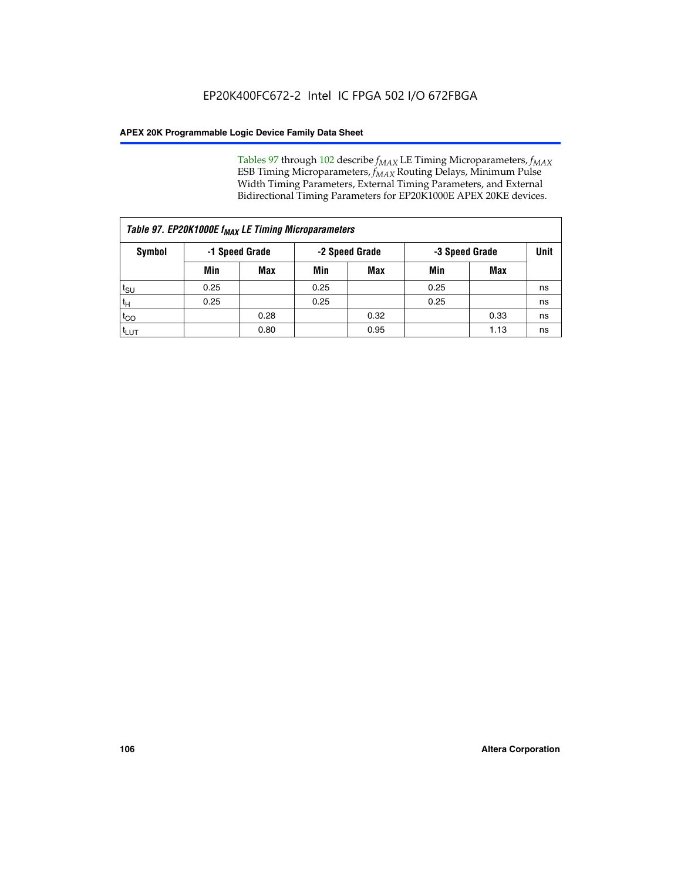Tables 97 through 102 describe  $f_{MAX}$  LE Timing Microparameters,  $f_{MAX}$ ESB Timing Microparameters, *f<sub>MAX</sub>* Routing Delays, Minimum Pulse Width Timing Parameters, External Timing Parameters, and External Bidirectional Timing Parameters for EP20K1000E APEX 20KE devices.

|                  | Table 97. EP20K1000E f <sub>MAX</sub> LE Timing Microparameters |                |                                  |            |      |      |      |  |  |  |  |  |
|------------------|-----------------------------------------------------------------|----------------|----------------------------------|------------|------|------|------|--|--|--|--|--|
| Symbol           |                                                                 | -1 Speed Grade | -2 Speed Grade<br>-3 Speed Grade |            |      |      | Unit |  |  |  |  |  |
|                  | Min                                                             | <b>Max</b>     | Min                              | <b>Max</b> | Min  | Max  |      |  |  |  |  |  |
| $t_{\text{SU}}$  | 0.25                                                            |                | 0.25                             |            | 0.25 |      | ns   |  |  |  |  |  |
| $t_H$            | 0.25                                                            |                | 0.25                             |            | 0.25 |      | ns   |  |  |  |  |  |
| $t_{CO}$         |                                                                 | 0.28           |                                  | 0.32       |      | 0.33 | ns   |  |  |  |  |  |
| t <sub>LUT</sub> |                                                                 | 0.80           |                                  | 0.95       |      | 1.13 | ns   |  |  |  |  |  |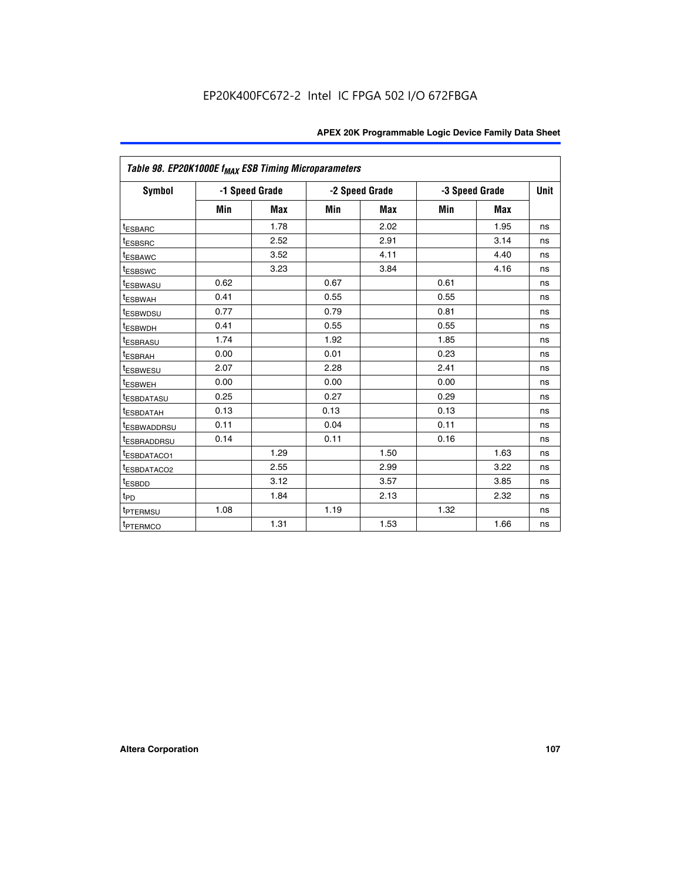|                          | Table 98. EP20K1000E f <sub>MAX</sub> ESB Timing Microparameters |                |      |                |      |                |    |  |  |  |  |
|--------------------------|------------------------------------------------------------------|----------------|------|----------------|------|----------------|----|--|--|--|--|
| Symbol                   |                                                                  | -1 Speed Grade |      | -2 Speed Grade |      | -3 Speed Grade |    |  |  |  |  |
|                          | Min                                                              | <b>Max</b>     | Min  | Max            | Min  | <b>Max</b>     |    |  |  |  |  |
| <b>tESBARC</b>           |                                                                  | 1.78           |      | 2.02           |      | 1.95           | ns |  |  |  |  |
| <sup>t</sup> ESBSRC      |                                                                  | 2.52           |      | 2.91           |      | 3.14           | ns |  |  |  |  |
| <sup>t</sup> ESBAWC      |                                                                  | 3.52           |      | 4.11           |      | 4.40           | ns |  |  |  |  |
| <sup>t</sup> ESBSWC      |                                                                  | 3.23           |      | 3.84           |      | 4.16           | ns |  |  |  |  |
| <b>ESBWASU</b>           | 0.62                                                             |                | 0.67 |                | 0.61 |                | ns |  |  |  |  |
| t <sub>ESBWAH</sub>      | 0.41                                                             |                | 0.55 |                | 0.55 |                | ns |  |  |  |  |
| <sup>t</sup> ESBWDSU     | 0.77                                                             |                | 0.79 |                | 0.81 |                | ns |  |  |  |  |
| <sup>T</sup> ESBWDH      | 0.41                                                             |                | 0.55 |                | 0.55 |                | ns |  |  |  |  |
| t <sub>ESBRASU</sub>     | 1.74                                                             |                | 1.92 |                | 1.85 |                | ns |  |  |  |  |
| t <sub>ESBRAH</sub>      | 0.00                                                             |                | 0.01 |                | 0.23 |                | ns |  |  |  |  |
| t <sub>ESBWESU</sub>     | 2.07                                                             |                | 2.28 |                | 2.41 |                | ns |  |  |  |  |
| t <sub>ESBWEH</sub>      | 0.00                                                             |                | 0.00 |                | 0.00 |                | ns |  |  |  |  |
| <sup>I</sup> ESBDATASU   | 0.25                                                             |                | 0.27 |                | 0.29 |                | ns |  |  |  |  |
| <sup>t</sup> ESBDATAH    | 0.13                                                             |                | 0.13 |                | 0.13 |                | ns |  |  |  |  |
| <b><i>ESBWADDRSU</i></b> | 0.11                                                             |                | 0.04 |                | 0.11 |                | ns |  |  |  |  |
| <sup>I</sup> ESBRADDRSU  | 0.14                                                             |                | 0.11 |                | 0.16 |                | ns |  |  |  |  |
| <b><i>ESBDATACO1</i></b> |                                                                  | 1.29           |      | 1.50           |      | 1.63           | ns |  |  |  |  |
| <sup>t</sup> ESBDATACO2  |                                                                  | 2.55           |      | 2.99           |      | 3.22           | ns |  |  |  |  |
| t <sub>ESBDD</sub>       |                                                                  | 3.12           |      | 3.57           |      | 3.85           | ns |  |  |  |  |
| $t_{\mathsf{PD}}$        |                                                                  | 1.84           |      | 2.13           |      | 2.32           | ns |  |  |  |  |
| t <sub>PTERMSU</sub>     | 1.08                                                             |                | 1.19 |                | 1.32 |                | ns |  |  |  |  |
| <sup>t</sup> PTERMCO     |                                                                  | 1.31           |      | 1.53           |      | 1.66           | ns |  |  |  |  |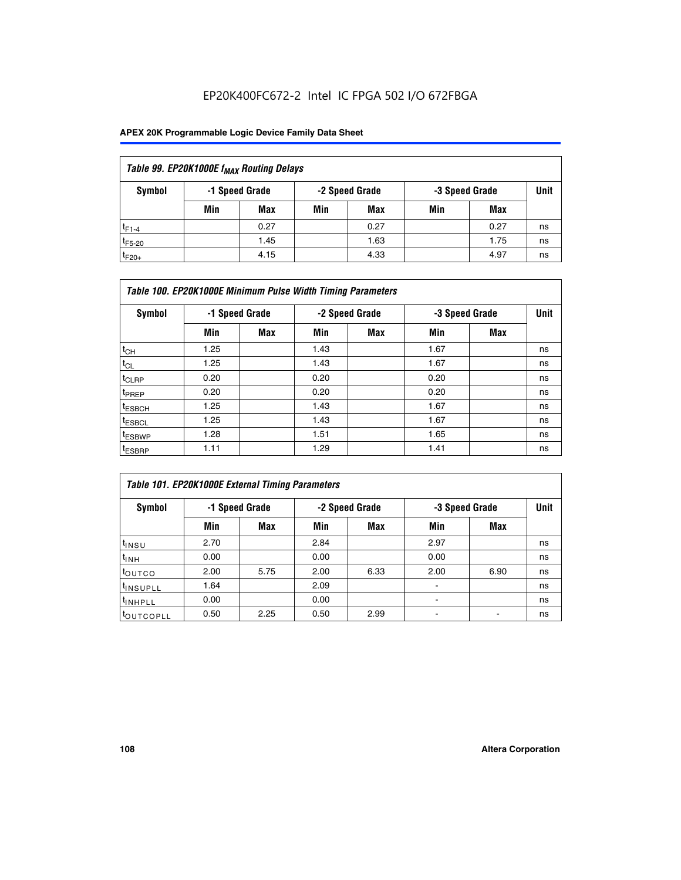## EP20K400FC672-2 Intel IC FPGA 502 I/O 672FBGA

### **APEX 20K Programmable Logic Device Family Data Sheet**

| Table 99. EP20K1000E f <sub>MAX</sub> Routing Delays |                |                |             |      |     |      |    |  |  |  |  |
|------------------------------------------------------|----------------|----------------|-------------|------|-----|------|----|--|--|--|--|
| Symbol                                               | -1 Speed Grade | -3 Speed Grade | <b>Unit</b> |      |     |      |    |  |  |  |  |
|                                                      | Min            | <b>Max</b>     | Min         | Max  | Min | Max  |    |  |  |  |  |
| $t_{F1-4}$                                           |                | 0.27           |             | 0.27 |     | 0.27 | ns |  |  |  |  |
| $t_{F5-20}$                                          |                | 1.45           |             | 1.63 |     | 1.75 | ns |  |  |  |  |
| $t_{F20+}$                                           |                | 4.15           |             | 4.33 |     | 4.97 | ns |  |  |  |  |

| Table 100. EP20K1000E Minimum Pulse Width Timing Parameters |      |                |      |                |      |                |             |  |  |  |  |
|-------------------------------------------------------------|------|----------------|------|----------------|------|----------------|-------------|--|--|--|--|
| Symbol                                                      |      | -1 Speed Grade |      | -2 Speed Grade |      | -3 Speed Grade | <b>Unit</b> |  |  |  |  |
|                                                             | Min  | <b>Max</b>     | Min  | Max            | Min  | Max            |             |  |  |  |  |
| $t_{CH}$                                                    | 1.25 |                | 1.43 |                | 1.67 |                | ns          |  |  |  |  |
| $t_{CL}$                                                    | 1.25 |                | 1.43 |                | 1.67 |                | ns          |  |  |  |  |
| t <sub>CLRP</sub>                                           | 0.20 |                | 0.20 |                | 0.20 |                | ns          |  |  |  |  |
| <sup>t</sup> PREP                                           | 0.20 |                | 0.20 |                | 0.20 |                | ns          |  |  |  |  |
| <sup>t</sup> ESBCH                                          | 1.25 |                | 1.43 |                | 1.67 |                | ns          |  |  |  |  |
| <sup>t</sup> ESBCL                                          | 1.25 |                | 1.43 |                | 1.67 |                | ns          |  |  |  |  |
| <sup>t</sup> ESBWP                                          | 1.28 |                | 1.51 |                | 1.65 |                | ns          |  |  |  |  |
| <sup>t</sup> ESBRP                                          | 1.11 |                | 1.29 |                | 1.41 |                | ns          |  |  |  |  |

| Table 101. EP20K1000E External Timing Parameters |      |                |      |                |                          |      |             |  |  |  |  |  |
|--------------------------------------------------|------|----------------|------|----------------|--------------------------|------|-------------|--|--|--|--|--|
| Symbol                                           |      | -1 Speed Grade |      | -2 Speed Grade | -3 Speed Grade           |      | <b>Unit</b> |  |  |  |  |  |
|                                                  | Min  | Max            | Min  | <b>Max</b>     | Min                      | Max  |             |  |  |  |  |  |
| t <sub>INSU</sub>                                | 2.70 |                | 2.84 |                | 2.97                     |      | ns          |  |  |  |  |  |
| $t_{INH}$                                        | 0.00 |                | 0.00 |                | 0.00                     |      | ns          |  |  |  |  |  |
| toutco                                           | 2.00 | 5.75           | 2.00 | 6.33           | 2.00                     | 6.90 | ns          |  |  |  |  |  |
| <sup>t</sup> INSUPLL                             | 1.64 |                | 2.09 |                | ٠                        |      | ns          |  |  |  |  |  |
| I <sup>t</sup> INHPLL                            | 0.00 |                | 0.00 |                | $\overline{\phantom{a}}$ |      | ns          |  |  |  |  |  |
| toutcopll                                        | 0.50 | 2.25           | 0.50 | 2.99           | -                        |      | ns          |  |  |  |  |  |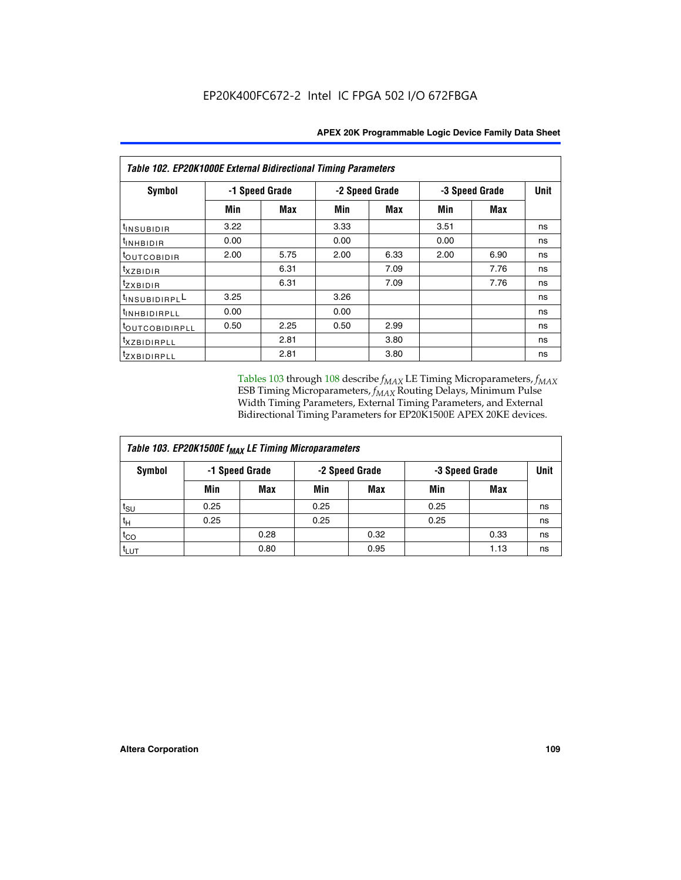| Table 102. EP20K1000E External Bidirectional Timing Parameters |      |                |                |            |                |             |    |  |  |  |
|----------------------------------------------------------------|------|----------------|----------------|------------|----------------|-------------|----|--|--|--|
| Symbol                                                         |      | -1 Speed Grade | -2 Speed Grade |            | -3 Speed Grade | <b>Unit</b> |    |  |  |  |
|                                                                | Min  | Max            | Min            | <b>Max</b> | Min            | <b>Max</b>  |    |  |  |  |
| $t_{INSUBIDIR}$                                                | 3.22 |                | 3.33           |            | 3.51           |             | ns |  |  |  |
| t <sub>INHBIDIR</sub>                                          | 0.00 |                | 0.00           |            | 0.00           |             | ns |  |  |  |
| t <sub>outcobidir</sub>                                        | 2.00 | 5.75           | 2.00           | 6.33       | 2.00           | 6.90        | ns |  |  |  |
| <i>txzbidir</i>                                                |      | 6.31           |                | 7.09       |                | 7.76        | ns |  |  |  |
| tzxbidir                                                       |      | 6.31           |                | 7.09       |                | 7.76        | ns |  |  |  |
| tINSUBIDIRPLL                                                  | 3.25 |                | 3.26           |            |                |             | ns |  |  |  |
| t <sub>INHBIDIRPLL</sub>                                       | 0.00 |                | 0.00           |            |                |             | ns |  |  |  |
| tout COBIDIRPLL                                                | 0.50 | 2.25           | 0.50           | 2.99       |                |             | ns |  |  |  |
| <sup>t</sup> xzbidirpll                                        |      | 2.81           |                | 3.80       |                |             | ns |  |  |  |
| tzxBIDIRPLL                                                    |      | 2.81           |                | 3.80       |                |             | ns |  |  |  |

Tables 103 through 108 describe  $f_{MAX}$  LE Timing Microparameters,  $f_{MAX}$ ESB Timing Microparameters, *f<sub>MAX</sub>* Routing Delays, Minimum Pulse Width Timing Parameters, External Timing Parameters, and External Bidirectional Timing Parameters for EP20K1500E APEX 20KE devices.

| Table 103. EP20K1500E f <sub>MAX</sub> LE Timing Microparameters |      |                |                |            |      |                |             |  |  |  |  |
|------------------------------------------------------------------|------|----------------|----------------|------------|------|----------------|-------------|--|--|--|--|
| Symbol                                                           |      | -1 Speed Grade | -2 Speed Grade |            |      | -3 Speed Grade | <b>Unit</b> |  |  |  |  |
|                                                                  | Min  | <b>Max</b>     | Min            | <b>Max</b> | Min  | Max            |             |  |  |  |  |
| $t_{\text{SU}}$                                                  | 0.25 |                | 0.25           |            | 0.25 |                | ns          |  |  |  |  |
| $t_H$                                                            | 0.25 |                | 0.25           |            | 0.25 |                | ns          |  |  |  |  |
| $t_{CO}$                                                         |      | 0.28           |                | 0.32       |      | 0.33           | ns          |  |  |  |  |
| t <sub>lut</sub>                                                 |      | 0.80           |                | 0.95       |      | 1.13           | ns          |  |  |  |  |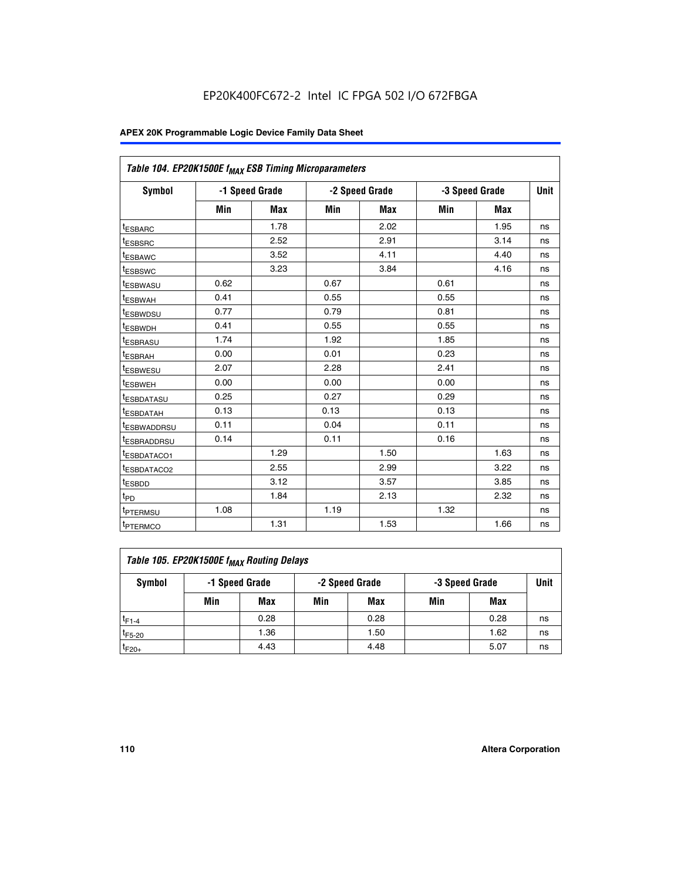|                         | Table 104. EP20K1500E f <sub>MAX</sub> ESB Timing Microparameters |                |            |                |      |                |             |  |  |  |  |  |
|-------------------------|-------------------------------------------------------------------|----------------|------------|----------------|------|----------------|-------------|--|--|--|--|--|
| <b>Symbol</b>           |                                                                   | -1 Speed Grade |            | -2 Speed Grade |      | -3 Speed Grade | <b>Unit</b> |  |  |  |  |  |
|                         | Min                                                               | <b>Max</b>     | <b>Min</b> | Max            | Min  | Max            |             |  |  |  |  |  |
| <sup>t</sup> ESBARC     |                                                                   | 1.78           |            | 2.02           |      | 1.95           | ns          |  |  |  |  |  |
| t <sub>ESBSRC</sub>     |                                                                   | 2.52           |            | 2.91           |      | 3.14           | ns          |  |  |  |  |  |
| <sup>t</sup> ESBAWC     |                                                                   | 3.52           |            | 4.11           |      | 4.40           | ns          |  |  |  |  |  |
| t <sub>ESBSWC</sub>     |                                                                   | 3.23           |            | 3.84           |      | 4.16           | ns          |  |  |  |  |  |
| t <sub>ESBWASU</sub>    | 0.62                                                              |                | 0.67       |                | 0.61 |                | ns          |  |  |  |  |  |
| t <sub>ESBWAH</sub>     | 0.41                                                              |                | 0.55       |                | 0.55 |                | ns          |  |  |  |  |  |
| <sup>t</sup> ESBWDSU    | 0.77                                                              |                | 0.79       |                | 0.81 |                | ns          |  |  |  |  |  |
| t <sub>ESBWDH</sub>     | 0.41                                                              |                | 0.55       |                | 0.55 |                | ns          |  |  |  |  |  |
| <sup>t</sup> ESBRASU    | 1.74                                                              |                | 1.92       |                | 1.85 |                | ns          |  |  |  |  |  |
| <sup>t</sup> ESBRAH     | 0.00                                                              |                | 0.01       |                | 0.23 |                | ns          |  |  |  |  |  |
| <sup>t</sup> ESBWESU    | 2.07                                                              |                | 2.28       |                | 2.41 |                | ns          |  |  |  |  |  |
| <sup>t</sup> ESBWEH     | 0.00                                                              |                | 0.00       |                | 0.00 |                | ns          |  |  |  |  |  |
| <sup>t</sup> ESBDATASU  | 0.25                                                              |                | 0.27       |                | 0.29 |                | ns          |  |  |  |  |  |
| <sup>t</sup> ESBDATAH   | 0.13                                                              |                | 0.13       |                | 0.13 |                | ns          |  |  |  |  |  |
| <sup>t</sup> ESBWADDRSU | 0.11                                                              |                | 0.04       |                | 0.11 |                | ns          |  |  |  |  |  |
| t <sub>ESBRADDRSU</sub> | 0.14                                                              |                | 0.11       |                | 0.16 |                | ns          |  |  |  |  |  |
| <sup>I</sup> ESBDATACO1 |                                                                   | 1.29           |            | 1.50           |      | 1.63           | ns          |  |  |  |  |  |
| <sup>t</sup> ESBDATACO2 |                                                                   | 2.55           |            | 2.99           |      | 3.22           | ns          |  |  |  |  |  |
| <sup>t</sup> ESBDD      |                                                                   | 3.12           |            | 3.57           |      | 3.85           | ns          |  |  |  |  |  |
| t <sub>PD</sub>         |                                                                   | 1.84           |            | 2.13           |      | 2.32           | ns          |  |  |  |  |  |
| t <sub>PTERMSU</sub>    | 1.08                                                              |                | 1.19       |                | 1.32 |                | ns          |  |  |  |  |  |
| t <sub>PTERMCO</sub>    |                                                                   | 1.31           |            | 1.53           |      | 1.66           | ns          |  |  |  |  |  |

| Table 105. EP20K1500E f <sub>MAX</sub> Routing Delays |                                                    |      |     |      |     |      |    |  |  |  |
|-------------------------------------------------------|----------------------------------------------------|------|-----|------|-----|------|----|--|--|--|
| Symbol                                                | -1 Speed Grade<br>-2 Speed Grade<br>-3 Speed Grade |      |     |      |     |      |    |  |  |  |
|                                                       | Min                                                | Max  | Min | Max  | Min | Max  |    |  |  |  |
| $t_{F1-4}$                                            |                                                    | 0.28 |     | 0.28 |     | 0.28 | ns |  |  |  |
| $t_{F5-20}$                                           |                                                    | 1.36 |     | 1.50 |     | 1.62 | ns |  |  |  |
| $t_{F20+}$                                            |                                                    | 4.43 |     | 4.48 |     | 5.07 | ns |  |  |  |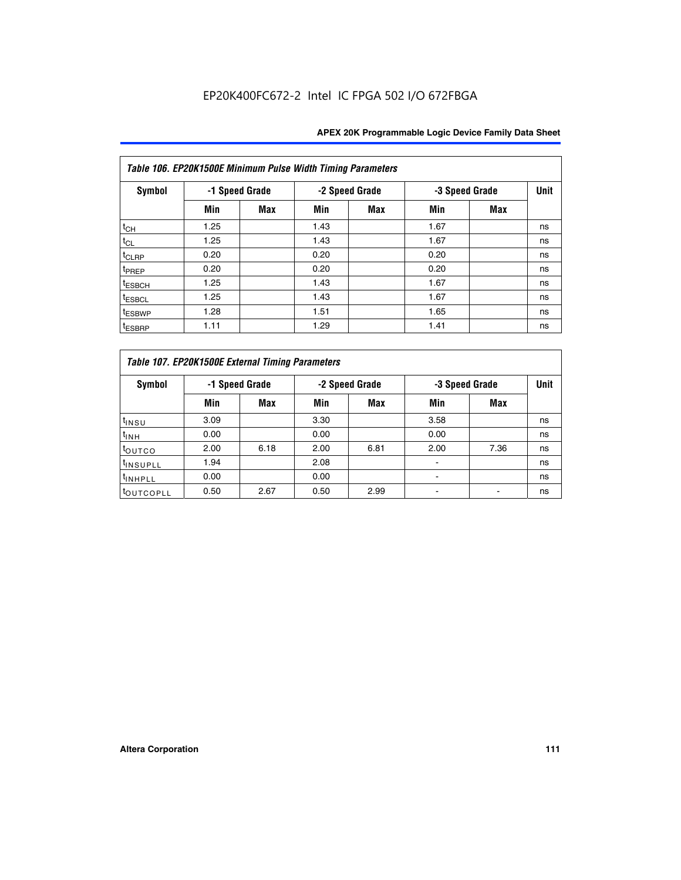|                    | Table 106. EP20K1500E Minimum Pulse Width Timing Parameters |                |      |                |                |            |             |  |  |  |  |  |
|--------------------|-------------------------------------------------------------|----------------|------|----------------|----------------|------------|-------------|--|--|--|--|--|
| Symbol             |                                                             | -1 Speed Grade |      | -2 Speed Grade | -3 Speed Grade |            | <b>Unit</b> |  |  |  |  |  |
|                    | Min                                                         | <b>Max</b>     | Min  | Max            | Min            | <b>Max</b> |             |  |  |  |  |  |
| $t_{CH}$           | 1.25                                                        |                | 1.43 |                | 1.67           |            | ns          |  |  |  |  |  |
| $t_{CL}$           | 1.25                                                        |                | 1.43 |                | 1.67           |            | ns          |  |  |  |  |  |
| t <sub>CLRP</sub>  | 0.20                                                        |                | 0.20 |                | 0.20           |            | ns          |  |  |  |  |  |
| <sup>t</sup> PREP  | 0.20                                                        |                | 0.20 |                | 0.20           |            | ns          |  |  |  |  |  |
| <sup>t</sup> ESBCH | 1.25                                                        |                | 1.43 |                | 1.67           |            | ns          |  |  |  |  |  |
| <sup>t</sup> ESBCL | 1.25                                                        |                | 1.43 |                | 1.67           |            | ns          |  |  |  |  |  |
| <sup>t</sup> ESBWP | 1.28                                                        |                | 1.51 |                | 1.65           |            | ns          |  |  |  |  |  |
| <sup>t</sup> ESBRP | 1.11                                                        |                | 1.29 |                | 1.41           |            | ns          |  |  |  |  |  |

|                       | Table 107. EP20K1500E External Timing Parameters |            |      |                |      |                |             |  |  |  |  |  |  |
|-----------------------|--------------------------------------------------|------------|------|----------------|------|----------------|-------------|--|--|--|--|--|--|
| Symbol                | -1 Speed Grade                                   |            |      | -2 Speed Grade |      | -3 Speed Grade | <b>Unit</b> |  |  |  |  |  |  |
|                       | Min                                              | <b>Max</b> | Min  | <b>Max</b>     | Min  | Max            |             |  |  |  |  |  |  |
| t <sub>insu</sub>     | 3.09                                             |            | 3.30 |                | 3.58 |                | ns          |  |  |  |  |  |  |
| $t_{INH}$             | 0.00                                             |            | 0.00 |                | 0.00 |                | ns          |  |  |  |  |  |  |
| toutco                | 2.00                                             | 6.18       | 2.00 | 6.81           | 2.00 | 7.36           | ns          |  |  |  |  |  |  |
| <sup>t</sup> INSUPLL  | 1.94                                             |            | 2.08 |                |      |                | ns          |  |  |  |  |  |  |
| <sup>t</sup> INHPLL   | 0.00                                             |            | 0.00 |                |      |                | ns          |  |  |  |  |  |  |
| <sup>t</sup> OUTCOPLL | 0.50                                             | 2.67       | 0.50 | 2.99           |      |                | ns          |  |  |  |  |  |  |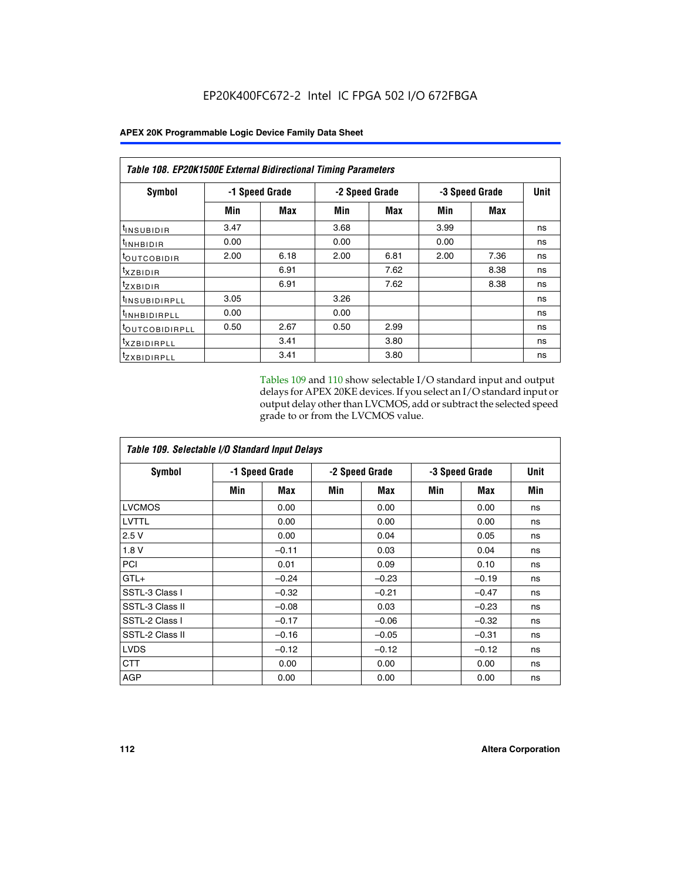|                            | <b>Table 108. EP20K1500E External Bidirectional Timing Parameters</b> |      |      |                |                |             |    |  |  |  |  |
|----------------------------|-----------------------------------------------------------------------|------|------|----------------|----------------|-------------|----|--|--|--|--|
| Symbol                     | -1 Speed Grade                                                        |      |      | -2 Speed Grade | -3 Speed Grade | <b>Unit</b> |    |  |  |  |  |
|                            | Min                                                                   | Max  | Min  | Max            | Min            | Max         |    |  |  |  |  |
| <sup>t</sup> INSUBIDIR     | 3.47                                                                  |      | 3.68 |                | 3.99           |             | ns |  |  |  |  |
| <sup>t</sup> INHBIDIR      | 0.00                                                                  |      | 0.00 |                | 0.00           |             | ns |  |  |  |  |
| <sup>t</sup> OUTCOBIDIR    | 2.00                                                                  | 6.18 | 2.00 | 6.81           | 2.00           | 7.36        | ns |  |  |  |  |
| txzBIDIR                   |                                                                       | 6.91 |      | 7.62           |                | 8.38        | ns |  |  |  |  |
| <sup>t</sup> zxbidir       |                                                                       | 6.91 |      | 7.62           |                | 8.38        | ns |  |  |  |  |
| <sup>t</sup> INSUBIDIRPLL  | 3.05                                                                  |      | 3.26 |                |                |             | ns |  |  |  |  |
| <sup>t</sup> INHBIDIRPLL   | 0.00                                                                  |      | 0.00 |                |                |             | ns |  |  |  |  |
| <sup>t</sup> OUTCOBIDIRPLL | 0.50                                                                  | 2.67 | 0.50 | 2.99           |                |             | ns |  |  |  |  |
| <sup>t</sup> XZBIDIRPLL    |                                                                       | 3.41 |      | 3.80           |                |             | ns |  |  |  |  |
| <sup>t</sup> zxbidirpll    |                                                                       | 3.41 |      | 3.80           |                |             | ns |  |  |  |  |

Tables 109 and 110 show selectable I/O standard input and output delays for APEX 20KE devices. If you select an I/O standard input or output delay other than LVCMOS, add or subtract the selected speed grade to or from the LVCMOS value.

| Table 109. Selectable I/O Standard Input Delays |                |         |     |                |     |                |     |  |  |  |
|-------------------------------------------------|----------------|---------|-----|----------------|-----|----------------|-----|--|--|--|
| <b>Symbol</b>                                   | -1 Speed Grade |         |     | -2 Speed Grade |     | -3 Speed Grade |     |  |  |  |
|                                                 | Min            | Max     | Min | Max            | Min | Max            | Min |  |  |  |
| <b>LVCMOS</b>                                   |                | 0.00    |     | 0.00           |     | 0.00           | ns  |  |  |  |
| <b>LVTTL</b>                                    |                | 0.00    |     | 0.00           |     | 0.00           | ns  |  |  |  |
| 2.5V                                            |                | 0.00    |     | 0.04           |     | 0.05           | ns  |  |  |  |
| 1.8V                                            |                | $-0.11$ |     | 0.03           |     | 0.04           | ns  |  |  |  |
| PCI                                             |                | 0.01    |     | 0.09           |     | 0.10           | ns  |  |  |  |
| $GTL+$                                          |                | $-0.24$ |     | $-0.23$        |     | $-0.19$        | ns  |  |  |  |
| SSTL-3 Class I                                  |                | $-0.32$ |     | $-0.21$        |     | $-0.47$        | ns  |  |  |  |
| SSTL-3 Class II                                 |                | $-0.08$ |     | 0.03           |     | $-0.23$        | ns  |  |  |  |
| SSTL-2 Class I                                  |                | $-0.17$ |     | $-0.06$        |     | $-0.32$        | ns  |  |  |  |
| SSTL-2 Class II                                 |                | $-0.16$ |     | $-0.05$        |     | $-0.31$        | ns  |  |  |  |
| <b>LVDS</b>                                     |                | $-0.12$ |     | $-0.12$        |     | $-0.12$        | ns  |  |  |  |
| <b>CTT</b>                                      |                | 0.00    |     | 0.00           |     | 0.00           | ns  |  |  |  |
| <b>AGP</b>                                      |                | 0.00    |     | 0.00           |     | 0.00           | ns  |  |  |  |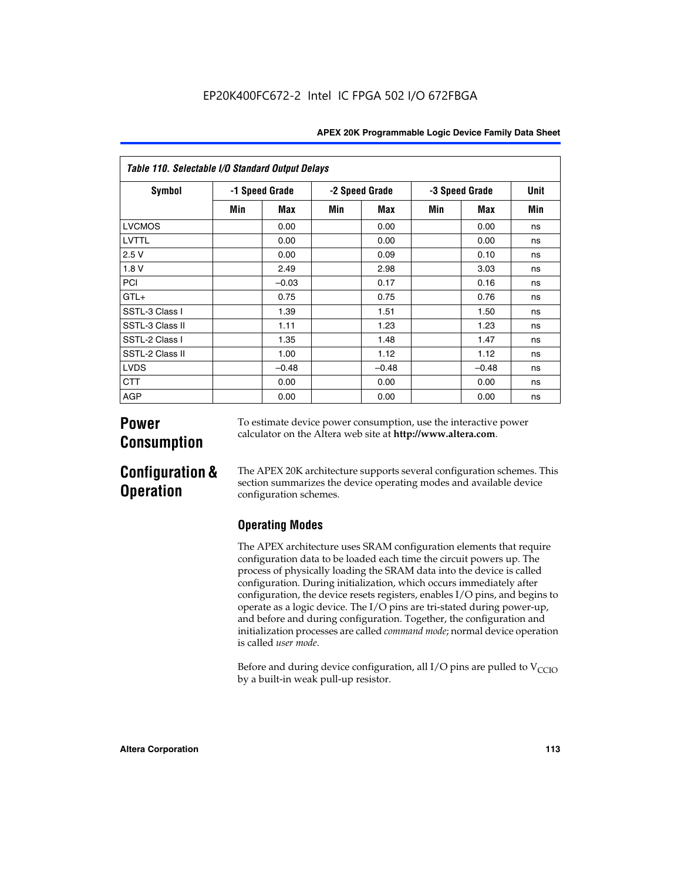| Table 110. Selectable I/O Standard Output Delays |     |                |     |                |     |                |     |  |  |  |  |
|--------------------------------------------------|-----|----------------|-----|----------------|-----|----------------|-----|--|--|--|--|
| Symbol                                           |     | -1 Speed Grade |     | -2 Speed Grade |     | -3 Speed Grade |     |  |  |  |  |
|                                                  | Min | Max            | Min | Max            | Min | Max            | Min |  |  |  |  |
| <b>LVCMOS</b>                                    |     | 0.00           |     | 0.00           |     | 0.00           | ns  |  |  |  |  |
| <b>LVTTL</b>                                     |     | 0.00           |     | 0.00           |     | 0.00           | ns  |  |  |  |  |
| 2.5V                                             |     | 0.00           |     | 0.09           |     | 0.10           | ns  |  |  |  |  |
| 1.8V                                             |     | 2.49           |     | 2.98           |     | 3.03           | ns  |  |  |  |  |
| PCI                                              |     | $-0.03$        |     | 0.17           |     | 0.16           | ns  |  |  |  |  |
| $GTL+$                                           |     | 0.75           |     | 0.75           |     | 0.76           | ns  |  |  |  |  |
| SSTL-3 Class I                                   |     | 1.39           |     | 1.51           |     | 1.50           | ns  |  |  |  |  |
| SSTL-3 Class II                                  |     | 1.11           |     | 1.23           |     | 1.23           | ns  |  |  |  |  |
| SSTL-2 Class I                                   |     | 1.35           |     | 1.48           |     | 1.47           | ns  |  |  |  |  |
| SSTL-2 Class II                                  |     | 1.00           |     | 1.12           |     | 1.12           | ns  |  |  |  |  |
| <b>LVDS</b>                                      |     | $-0.48$        |     | $-0.48$        |     | $-0.48$        | ns  |  |  |  |  |
| <b>CTT</b>                                       |     | 0.00           |     | 0.00           |     | 0.00           | ns  |  |  |  |  |
| <b>AGP</b>                                       |     | 0.00           |     | 0.00           |     | 0.00           | ns  |  |  |  |  |

# **Power Consumption**

To estimate device power consumption, use the interactive power calculator on the Altera web site at **http://www.altera.com**.

# **Configuration & Operation**

The APEX 20K architecture supports several configuration schemes. This section summarizes the device operating modes and available device configuration schemes.

## **Operating Modes**

The APEX architecture uses SRAM configuration elements that require configuration data to be loaded each time the circuit powers up. The process of physically loading the SRAM data into the device is called configuration. During initialization, which occurs immediately after configuration, the device resets registers, enables I/O pins, and begins to operate as a logic device. The I/O pins are tri-stated during power-up, and before and during configuration. Together, the configuration and initialization processes are called *command mode*; normal device operation is called *user mode*.

Before and during device configuration, all I/O pins are pulled to  $V_{\text{CCTO}}$ by a built-in weak pull-up resistor.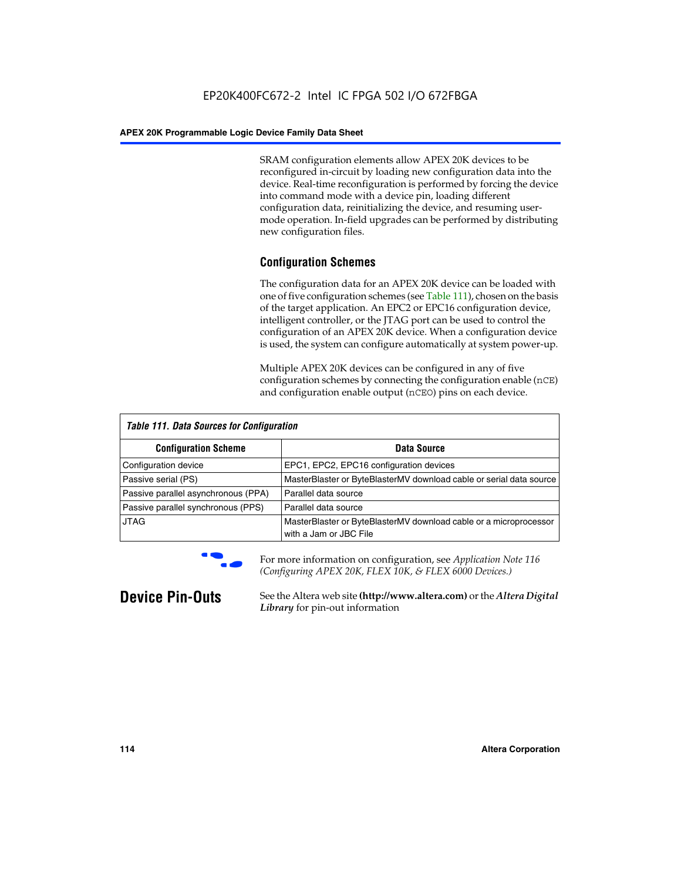SRAM configuration elements allow APEX 20K devices to be reconfigured in-circuit by loading new configuration data into the device. Real-time reconfiguration is performed by forcing the device into command mode with a device pin, loading different configuration data, reinitializing the device, and resuming usermode operation. In-field upgrades can be performed by distributing new configuration files.

## **Configuration Schemes**

The configuration data for an APEX 20K device can be loaded with one of five configuration schemes (see Table 111), chosen on the basis of the target application. An EPC2 or EPC16 configuration device, intelligent controller, or the JTAG port can be used to control the configuration of an APEX 20K device. When a configuration device is used, the system can configure automatically at system power-up.

Multiple APEX 20K devices can be configured in any of five configuration schemes by connecting the configuration enable (nCE) and configuration enable output (nCEO) pins on each device.

| <b>Table 111. Data Sources for Configuration</b> |                                                                                             |
|--------------------------------------------------|---------------------------------------------------------------------------------------------|
| <b>Configuration Scheme</b>                      | Data Source                                                                                 |
| Configuration device                             | EPC1, EPC2, EPC16 configuration devices                                                     |
| Passive serial (PS)                              | MasterBlaster or ByteBlasterMV download cable or serial data source                         |
| Passive parallel asynchronous (PPA)              | Parallel data source                                                                        |
| Passive parallel synchronous (PPS)               | Parallel data source                                                                        |
| <b>JTAG</b>                                      | MasterBlaster or ByteBlasterMV download cable or a microprocessor<br>with a Jam or JBC File |



**For more information on configuration, see Application Note 116** *(Configuring APEX 20K, FLEX 10K, & FLEX 6000 Devices.)*

**Device Pin-Outs** See the Altera web site **(http://www.altera.com)** or the *Altera Digital Library* for pin-out information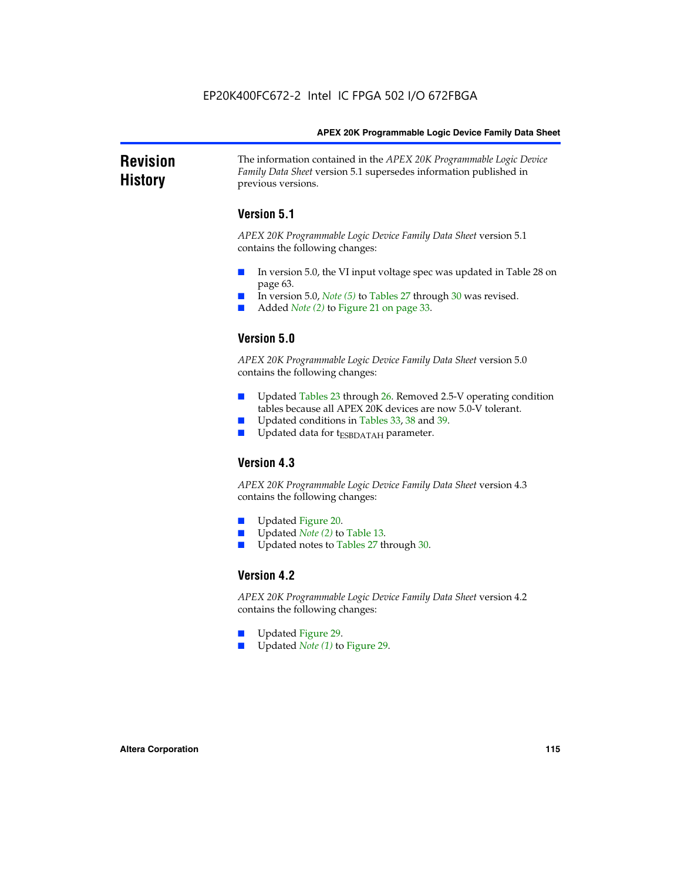### **Revision History** The information contained in the *APEX 20K Programmable Logic Device Family Data Sheet* version 5.1 supersedes information published in previous versions.

## **Version 5.1**

*APEX 20K Programmable Logic Device Family Data Sheet* version 5.1 contains the following changes:

- In version 5.0, the VI input voltage spec was updated in Table 28 on page 63.
- In version 5.0, *Note* (5) to Tables 27 through 30 was revised.
- Added *Note* (2) to Figure 21 on page 33.

## **Version 5.0**

*APEX 20K Programmable Logic Device Family Data Sheet* version 5.0 contains the following changes:

- Updated Tables 23 through 26. Removed 2.5-V operating condition tables because all APEX 20K devices are now 5.0-V tolerant.
- Updated conditions in Tables 33, 38 and 39.
- Updated data for t<sub>ESBDATAH</sub> parameter.

## **Version 4.3**

*APEX 20K Programmable Logic Device Family Data Sheet* version 4.3 contains the following changes:

- Updated Figure 20.
- Updated *Note (2)* to Table 13.
- Updated notes to Tables 27 through 30.

## **Version 4.2**

*APEX 20K Programmable Logic Device Family Data Sheet* version 4.2 contains the following changes:

- Updated Figure 29.
- Updated *Note (1)* to Figure 29.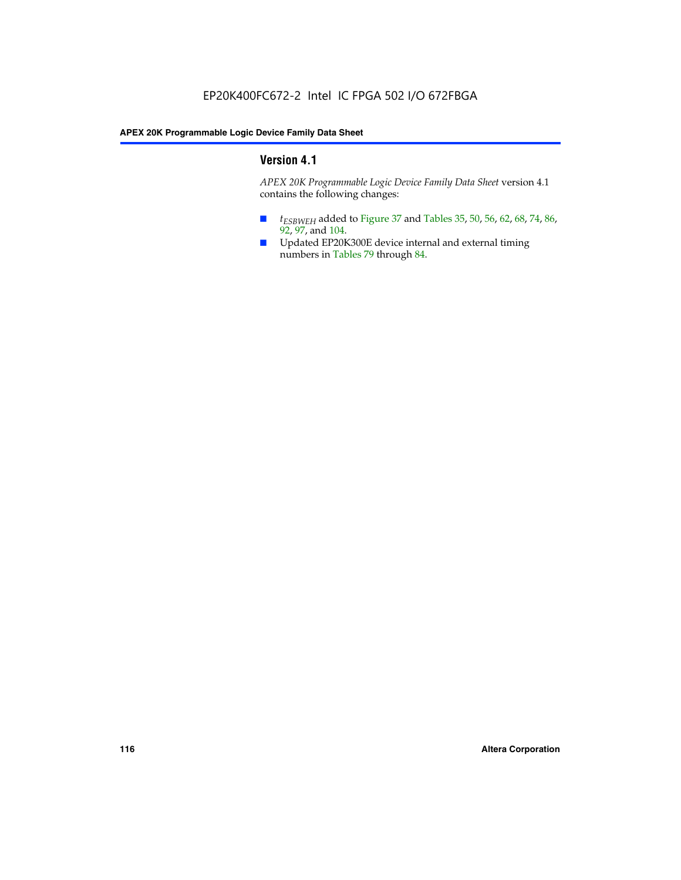## **Version 4.1**

*APEX 20K Programmable Logic Device Family Data Sheet* version 4.1 contains the following changes:

- *t<sub>ESBWEH</sub>* added to Figure 37 and Tables 35, 50, 56, 62, 68, 74, 86, 92, 97, and 104.
- Updated EP20K300E device internal and external timing numbers in Tables 79 through 84.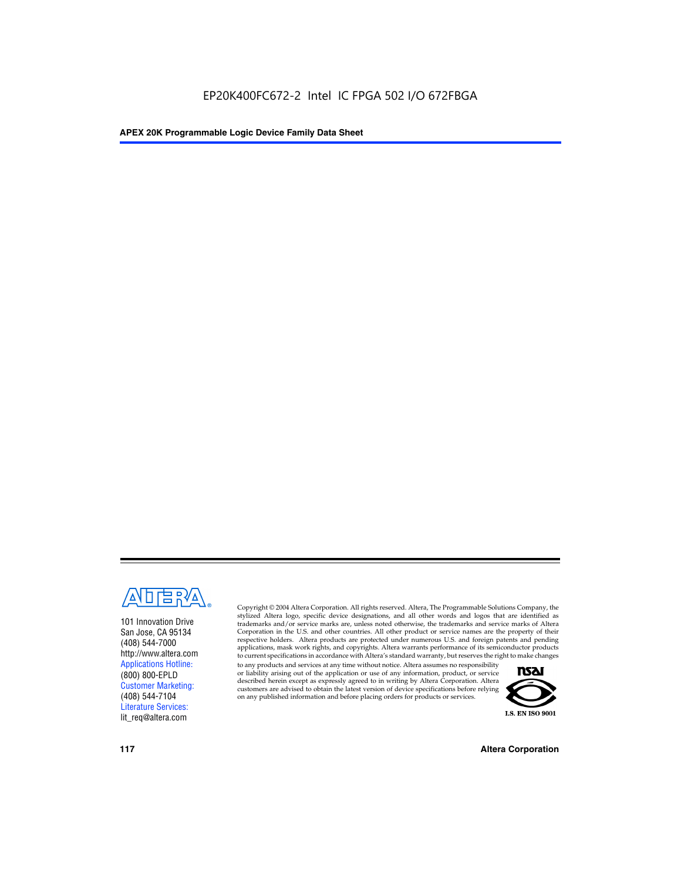

101 Innovation Drive San Jose, CA 95134 (408) 544-7000 http://www.altera.com Applications Hotline: (800) 800-EPLD Customer Marketing: (408) 544-7104 Literature Services: lit\_req@altera.com

Copyright © 2004 Altera Corporation. All rights reserved. Altera, The Programmable Solutions Company, the stylized Altera logo, specific device designations, and all other words and logos that are identified as trademarks and/or service marks are, unless noted otherwise, the trademarks and service marks of Altera Corporation in the U.S. and other countries. All other product or service names are the property of their respective holders. Altera products are protected under numerous U.S. and foreign patents and pending applications, mask work rights, and copyrights. Altera warrants performance of its semiconductor products to current specifications in accordance with Altera's standard warranty, but reserves the right to make changes

to any products and services at any time without notice. Altera assumes no responsibility or liability arising out of the application or use of any information, product, or service described herein except as expressly agreed to in writing by Altera Corporation. Altera customers are advised to obtain the latest version of device specifications before relying on any published information and before placing orders for products or services.



**117 Altera Corporation**